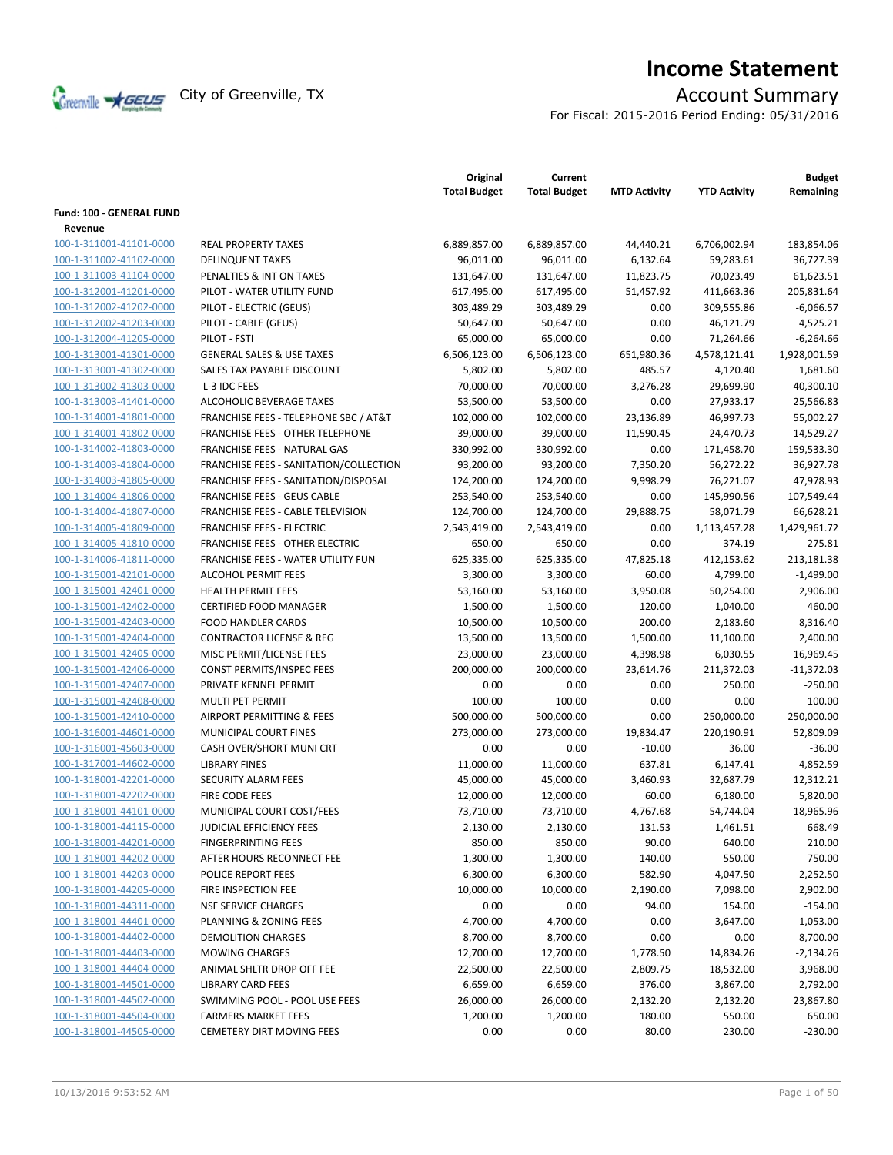

# **Income Statement**

For Fiscal: 2015-2016 Period Ending: 05/31/2016

|                          |                                                  | Original<br><b>Total Budget</b> | Current<br><b>Total Budget</b> | <b>MTD Activity</b> | <b>YTD Activity</b> | <b>Budget</b><br>Remaining |
|--------------------------|--------------------------------------------------|---------------------------------|--------------------------------|---------------------|---------------------|----------------------------|
| Fund: 100 - GENERAL FUND |                                                  |                                 |                                |                     |                     |                            |
| Revenue                  |                                                  |                                 |                                |                     |                     |                            |
| 100-1-311001-41101-0000  | <b>REAL PROPERTY TAXES</b>                       | 6,889,857.00                    | 6,889,857.00                   | 44,440.21           | 6,706,002.94        | 183,854.06                 |
| 100-1-311002-41102-0000  | <b>DELINQUENT TAXES</b>                          | 96,011.00                       | 96,011.00                      | 6,132.64            | 59,283.61           | 36,727.39                  |
| 100-1-311003-41104-0000  | PENALTIES & INT ON TAXES                         | 131,647.00                      | 131,647.00                     | 11,823.75           | 70,023.49           | 61,623.51                  |
| 100-1-312001-41201-0000  | PILOT - WATER UTILITY FUND                       | 617,495.00                      | 617,495.00                     | 51,457.92           | 411,663.36          | 205,831.64                 |
| 100-1-312002-41202-0000  | PILOT - ELECTRIC (GEUS)                          | 303,489.29                      | 303,489.29                     | 0.00                | 309,555.86          | $-6,066.57$                |
| 100-1-312002-41203-0000  | PILOT - CABLE (GEUS)                             | 50,647.00                       | 50,647.00                      | 0.00                | 46,121.79           | 4,525.21                   |
| 100-1-312004-41205-0000  | PILOT - FSTI                                     | 65,000.00                       | 65,000.00                      | 0.00                | 71,264.66           | $-6,264.66$                |
| 100-1-313001-41301-0000  | <b>GENERAL SALES &amp; USE TAXES</b>             | 6,506,123.00                    | 6,506,123.00                   | 651,980.36          | 4,578,121.41        | 1,928,001.59               |
| 100-1-313001-41302-0000  | SALES TAX PAYABLE DISCOUNT                       | 5,802.00                        | 5,802.00                       | 485.57              | 4,120.40            | 1,681.60                   |
| 100-1-313002-41303-0000  | L-3 IDC FEES                                     | 70,000.00                       | 70,000.00                      | 3,276.28            | 29,699.90           | 40,300.10                  |
| 100-1-313003-41401-0000  | ALCOHOLIC BEVERAGE TAXES                         | 53,500.00                       | 53,500.00                      | 0.00                | 27,933.17           | 25,566.83                  |
| 100-1-314001-41801-0000  | <b>FRANCHISE FEES - TELEPHONE SBC / AT&amp;T</b> | 102,000.00                      | 102,000.00                     | 23,136.89           | 46,997.73           | 55,002.27                  |
| 100-1-314001-41802-0000  | FRANCHISE FEES - OTHER TELEPHONE                 | 39,000.00                       | 39,000.00                      | 11,590.45           | 24,470.73           | 14,529.27                  |
| 100-1-314002-41803-0000  | FRANCHISE FEES - NATURAL GAS                     | 330,992.00                      | 330,992.00                     | 0.00                | 171,458.70          | 159,533.30                 |
| 100-1-314003-41804-0000  | FRANCHISE FEES - SANITATION/COLLECTION           | 93,200.00                       | 93,200.00                      | 7,350.20            | 56,272.22           | 36,927.78                  |
| 100-1-314003-41805-0000  | FRANCHISE FEES - SANITATION/DISPOSAL             | 124,200.00                      | 124,200.00                     | 9,998.29            | 76,221.07           | 47,978.93                  |
| 100-1-314004-41806-0000  | <b>FRANCHISE FEES - GEUS CABLE</b>               | 253,540.00                      | 253,540.00                     | 0.00                | 145,990.56          | 107,549.44                 |
| 100-1-314004-41807-0000  | FRANCHISE FEES - CABLE TELEVISION                | 124,700.00                      | 124,700.00                     | 29,888.75           | 58,071.79           | 66,628.21                  |
| 100-1-314005-41809-0000  | <b>FRANCHISE FEES - ELECTRIC</b>                 | 2,543,419.00                    | 2,543,419.00                   | 0.00                | 1,113,457.28        | 1,429,961.72               |
| 100-1-314005-41810-0000  | <b>FRANCHISE FEES - OTHER ELECTRIC</b>           | 650.00                          | 650.00                         | 0.00                | 374.19              | 275.81                     |
| 100-1-314006-41811-0000  | FRANCHISE FEES - WATER UTILITY FUN               | 625,335.00                      | 625,335.00                     | 47,825.18           | 412,153.62          | 213,181.38                 |
| 100-1-315001-42101-0000  | <b>ALCOHOL PERMIT FEES</b>                       | 3,300.00                        | 3,300.00                       | 60.00               | 4,799.00            | $-1,499.00$                |
| 100-1-315001-42401-0000  | <b>HEALTH PERMIT FEES</b>                        | 53,160.00                       | 53,160.00                      | 3,950.08            | 50,254.00           | 2,906.00                   |
| 100-1-315001-42402-0000  | <b>CERTIFIED FOOD MANAGER</b>                    | 1,500.00                        | 1,500.00                       | 120.00              | 1,040.00            | 460.00                     |
| 100-1-315001-42403-0000  | <b>FOOD HANDLER CARDS</b>                        | 10,500.00                       | 10,500.00                      | 200.00              | 2,183.60            | 8,316.40                   |
| 100-1-315001-42404-0000  | <b>CONTRACTOR LICENSE &amp; REG</b>              | 13,500.00                       | 13,500.00                      | 1,500.00            | 11,100.00           | 2,400.00                   |
| 100-1-315001-42405-0000  | MISC PERMIT/LICENSE FEES                         | 23,000.00                       | 23,000.00                      | 4,398.98            | 6,030.55            | 16,969.45                  |
| 100-1-315001-42406-0000  | CONST PERMITS/INSPEC FEES                        | 200,000.00                      | 200,000.00                     | 23,614.76           | 211,372.03          | $-11,372.03$               |
| 100-1-315001-42407-0000  | PRIVATE KENNEL PERMIT                            | 0.00                            | 0.00                           | 0.00                | 250.00              | $-250.00$                  |
| 100-1-315001-42408-0000  | MULTI PET PERMIT                                 | 100.00                          | 100.00                         | 0.00                | 0.00                | 100.00                     |
| 100-1-315001-42410-0000  | AIRPORT PERMITTING & FEES                        | 500,000.00                      | 500,000.00                     | 0.00                | 250,000.00          | 250,000.00                 |
| 100-1-316001-44601-0000  | <b>MUNICIPAL COURT FINES</b>                     | 273,000.00                      | 273,000.00                     | 19,834.47           | 220,190.91          | 52,809.09                  |
| 100-1-316001-45603-0000  | CASH OVER/SHORT MUNI CRT                         | 0.00                            | 0.00                           | $-10.00$            | 36.00               | $-36.00$                   |
| 100-1-317001-44602-0000  | <b>LIBRARY FINES</b>                             | 11,000.00                       | 11,000.00                      | 637.81              | 6,147.41            | 4,852.59                   |
| 100-1-318001-42201-0000  | <b>SECURITY ALARM FEES</b>                       | 45,000.00                       | 45,000.00                      | 3,460.93            | 32,687.79           | 12,312.21                  |
| 100-1-318001-42202-0000  | FIRE CODE FEES                                   | 12,000.00                       | 12,000.00                      | 60.00               | 6,180.00            | 5,820.00                   |
| 100-1-318001-44101-0000  | MUNICIPAL COURT COST/FEES                        |                                 | 73,710.00                      | 4,767.68            |                     | 18,965.96                  |
| 100-1-318001-44115-0000  |                                                  | 73,710.00                       |                                |                     | 54,744.04           |                            |
|                          | JUDICIAL EFFICIENCY FEES                         | 2,130.00                        | 2,130.00                       | 131.53              | 1,461.51            | 668.49                     |
| 100-1-318001-44201-0000  | <b>FINGERPRINTING FEES</b>                       | 850.00                          | 850.00                         | 90.00               | 640.00              | 210.00                     |
| 100-1-318001-44202-0000  | AFTER HOURS RECONNECT FEE                        | 1,300.00                        | 1,300.00                       | 140.00              | 550.00              | 750.00                     |
| 100-1-318001-44203-0000  | POLICE REPORT FEES                               | 6,300.00                        | 6,300.00                       | 582.90              | 4,047.50            | 2,252.50                   |
| 100-1-318001-44205-0000  | FIRE INSPECTION FEE                              | 10,000.00                       | 10,000.00                      | 2,190.00            | 7,098.00            | 2,902.00                   |
| 100-1-318001-44311-0000  | <b>NSF SERVICE CHARGES</b>                       | 0.00                            | 0.00                           | 94.00               | 154.00              | $-154.00$                  |
| 100-1-318001-44401-0000  | PLANNING & ZONING FEES                           | 4,700.00                        | 4,700.00                       | 0.00                | 3,647.00            | 1,053.00                   |
| 100-1-318001-44402-0000  | <b>DEMOLITION CHARGES</b>                        | 8,700.00                        | 8,700.00                       | 0.00                | 0.00                | 8,700.00                   |
| 100-1-318001-44403-0000  | <b>MOWING CHARGES</b>                            | 12,700.00                       | 12,700.00                      | 1,778.50            | 14,834.26           | $-2,134.26$                |
| 100-1-318001-44404-0000  | ANIMAL SHLTR DROP OFF FEE                        | 22,500.00                       | 22,500.00                      | 2,809.75            | 18,532.00           | 3,968.00                   |
| 100-1-318001-44501-0000  | <b>LIBRARY CARD FEES</b>                         | 6,659.00                        | 6,659.00                       | 376.00              | 3,867.00            | 2,792.00                   |
| 100-1-318001-44502-0000  | SWIMMING POOL - POOL USE FEES                    | 26,000.00                       | 26,000.00                      | 2,132.20            | 2,132.20            | 23,867.80                  |
| 100-1-318001-44504-0000  | <b>FARMERS MARKET FEES</b>                       | 1,200.00                        | 1,200.00                       | 180.00              | 550.00              | 650.00                     |
| 100-1-318001-44505-0000  | <b>CEMETERY DIRT MOVING FEES</b>                 | 0.00                            | 0.00                           | 80.00               | 230.00              | $-230.00$                  |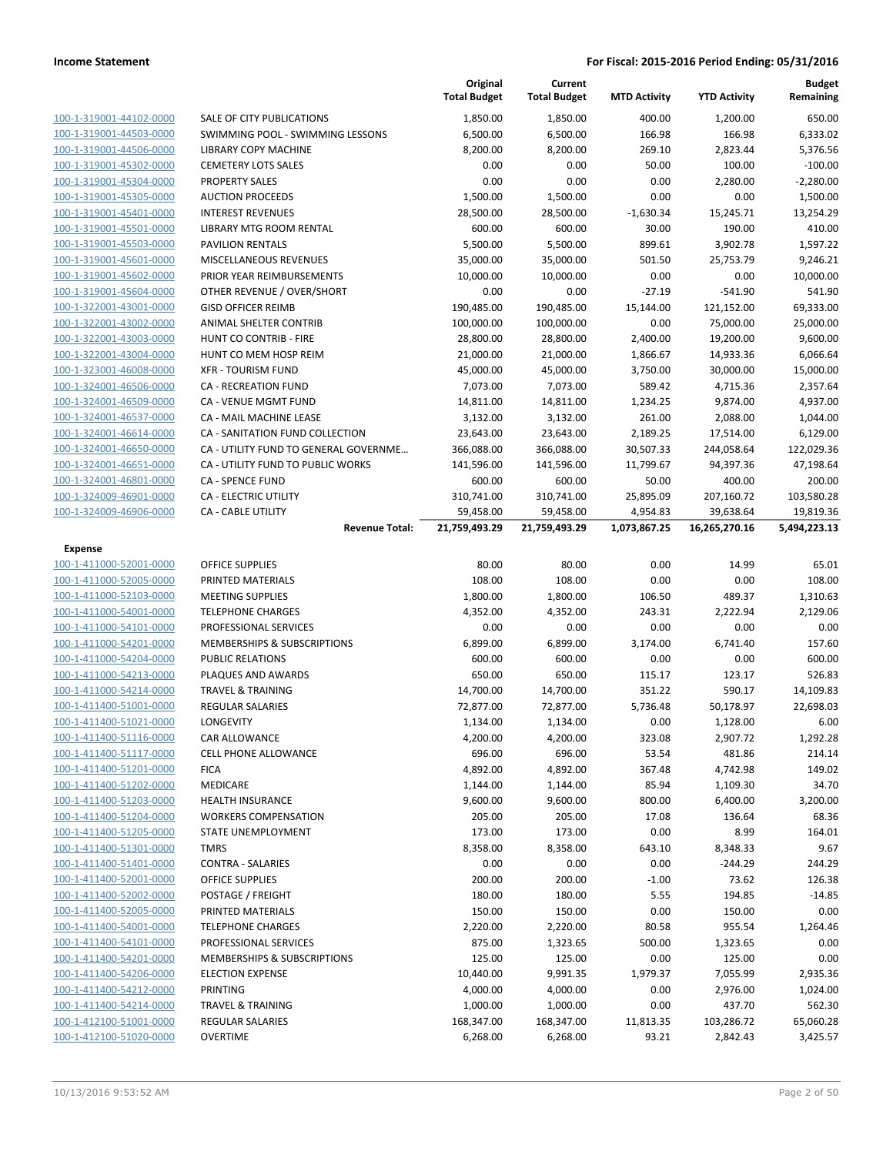|                                                    |                                                         | Original<br><b>Total Budget</b> | Current<br><b>Total Budget</b> | <b>MTD Activity</b>      | <b>YTD Activity</b>        | <b>Budget</b><br>Remaining |
|----------------------------------------------------|---------------------------------------------------------|---------------------------------|--------------------------------|--------------------------|----------------------------|----------------------------|
| 100-1-319001-44102-0000                            | SALE OF CITY PUBLICATIONS                               | 1,850.00                        | 1,850.00                       | 400.00                   | 1,200.00                   | 650.00                     |
| 100-1-319001-44503-0000                            | SWIMMING POOL - SWIMMING LESSONS                        | 6,500.00                        | 6,500.00                       | 166.98                   | 166.98                     | 6,333.02                   |
| 100-1-319001-44506-0000                            | <b>LIBRARY COPY MACHINE</b>                             | 8,200.00                        | 8,200.00                       | 269.10                   | 2,823.44                   | 5,376.56                   |
| 100-1-319001-45302-0000                            | <b>CEMETERY LOTS SALES</b>                              | 0.00                            | 0.00                           | 50.00                    | 100.00                     | $-100.00$                  |
| 100-1-319001-45304-0000                            | <b>PROPERTY SALES</b>                                   | 0.00                            | 0.00                           | 0.00                     | 2,280.00                   | $-2,280.00$                |
| 100-1-319001-45305-0000                            | <b>AUCTION PROCEEDS</b>                                 | 1,500.00                        | 1,500.00                       | 0.00                     | 0.00                       | 1,500.00                   |
| 100-1-319001-45401-0000                            | <b>INTEREST REVENUES</b>                                | 28,500.00                       | 28,500.00                      | $-1,630.34$              | 15,245.71                  | 13,254.29                  |
| 100-1-319001-45501-0000                            | LIBRARY MTG ROOM RENTAL                                 | 600.00                          | 600.00                         | 30.00                    | 190.00                     | 410.00                     |
| 100-1-319001-45503-0000                            | <b>PAVILION RENTALS</b>                                 | 5,500.00                        | 5,500.00                       | 899.61                   | 3,902.78                   | 1,597.22                   |
| 100-1-319001-45601-0000                            | MISCELLANEOUS REVENUES                                  | 35,000.00                       | 35,000.00                      | 501.50                   | 25,753.79                  | 9,246.21                   |
| 100-1-319001-45602-0000                            | PRIOR YEAR REIMBURSEMENTS                               | 10,000.00                       | 10,000.00                      | 0.00                     | 0.00                       | 10,000.00                  |
| 100-1-319001-45604-0000                            | OTHER REVENUE / OVER/SHORT                              | 0.00                            | 0.00                           | $-27.19$                 | $-541.90$                  | 541.90                     |
| 100-1-322001-43001-0000                            | <b>GISD OFFICER REIMB</b>                               | 190,485.00                      | 190,485.00                     | 15,144.00                | 121,152.00                 | 69,333.00                  |
| 100-1-322001-43002-0000                            | ANIMAL SHELTER CONTRIB                                  | 100,000.00                      | 100,000.00                     | 0.00                     | 75,000.00                  | 25,000.00                  |
| 100-1-322001-43003-0000                            | HUNT CO CONTRIB - FIRE                                  | 28,800.00                       | 28,800.00                      | 2,400.00                 | 19,200.00                  | 9,600.00                   |
| 100-1-322001-43004-0000                            | HUNT CO MEM HOSP REIM                                   | 21,000.00                       | 21,000.00                      | 1,866.67                 | 14,933.36                  | 6,066.64                   |
| 100-1-323001-46008-0000                            | <b>XFR - TOURISM FUND</b>                               | 45,000.00                       | 45,000.00                      | 3,750.00                 | 30,000.00                  | 15,000.00                  |
| 100-1-324001-46506-0000                            | <b>CA - RECREATION FUND</b>                             | 7,073.00                        | 7,073.00                       | 589.42                   | 4,715.36                   | 2,357.64                   |
| 100-1-324001-46509-0000                            | CA - VENUE MGMT FUND                                    | 14,811.00                       | 14,811.00                      | 1,234.25                 | 9,874.00                   | 4,937.00                   |
| 100-1-324001-46537-0000                            | <b>CA - MAIL MACHINE LEASE</b>                          | 3,132.00                        | 3,132.00                       | 261.00                   | 2,088.00                   | 1,044.00                   |
| 100-1-324001-46614-0000                            | CA - SANITATION FUND COLLECTION                         | 23,643.00                       | 23,643.00                      | 2,189.25                 | 17,514.00                  | 6,129.00                   |
| 100-1-324001-46650-0000                            | CA - UTILITY FUND TO GENERAL GOVERNME                   | 366,088.00                      | 366,088.00                     | 30,507.33                | 244,058.64                 | 122,029.36                 |
| 100-1-324001-46651-0000                            | CA - UTILITY FUND TO PUBLIC WORKS                       | 141,596.00                      | 141,596.00                     | 11,799.67                | 94,397.36                  | 47,198.64                  |
| 100-1-324001-46801-0000<br>100-1-324009-46901-0000 | <b>CA - SPENCE FUND</b><br><b>CA - ELECTRIC UTILITY</b> | 600.00<br>310,741.00            | 600.00                         | 50.00                    | 400.00                     | 200.00                     |
| 100-1-324009-46906-0000                            |                                                         |                                 | 310,741.00                     | 25,895.09                | 207,160.72                 | 103,580.28                 |
|                                                    | <b>CA - CABLE UTILITY</b><br><b>Revenue Total:</b>      | 59,458.00<br>21,759,493.29      | 59,458.00<br>21,759,493.29     | 4,954.83<br>1,073,867.25 | 39,638.64<br>16,265,270.16 | 19,819.36<br>5,494,223.13  |
| Expense                                            |                                                         |                                 |                                |                          |                            |                            |
| 100-1-411000-52001-0000                            | <b>OFFICE SUPPLIES</b>                                  | 80.00                           | 80.00                          | 0.00                     | 14.99                      | 65.01                      |
| 100-1-411000-52005-0000                            | PRINTED MATERIALS                                       | 108.00                          | 108.00                         | 0.00                     | 0.00                       | 108.00                     |
| 100-1-411000-52103-0000                            | <b>MEETING SUPPLIES</b>                                 | 1,800.00                        | 1,800.00                       | 106.50                   | 489.37                     | 1,310.63                   |
| 100-1-411000-54001-0000                            | <b>TELEPHONE CHARGES</b>                                | 4,352.00                        | 4,352.00                       | 243.31                   | 2,222.94                   | 2,129.06                   |
| 100-1-411000-54101-0000                            | PROFESSIONAL SERVICES                                   | 0.00                            | 0.00                           | 0.00                     | 0.00                       | 0.00                       |
| 100-1-411000-54201-0000                            | MEMBERSHIPS & SUBSCRIPTIONS                             | 6,899.00                        | 6,899.00                       | 3,174.00                 | 6,741.40                   | 157.60                     |
| 100-1-411000-54204-0000                            | PUBLIC RELATIONS                                        | 600.00                          | 600.00                         | 0.00                     | 0.00                       | 600.00                     |
| 100-1-411000-54213-0000                            | PLAQUES AND AWARDS                                      | 650.00                          | 650.00                         | 115.17                   | 123.17                     | 526.83                     |
| 100-1-411000-54214-0000                            | <b>TRAVEL &amp; TRAINING</b>                            | 14,700.00                       | 14,700.00                      | 351.22                   | 590.17                     | 14,109.83                  |
| 100-1-411400-51001-0000                            | REGULAR SALARIES                                        | 72,877.00                       | 72,877.00                      | 5,736.48                 | 50,178.97                  | 22,698.03                  |
| 100-1-411400-51021-0000                            | LONGEVITY                                               | 1,134.00                        | 1,134.00                       | 0.00                     | 1,128.00                   | 6.00                       |
| <u>100-1-411400-51116-0000</u>                     | <b>CAR ALLOWANCE</b>                                    | 4,200.00                        | 4,200.00                       | 323.08                   | 2,907.72                   | 1,292.28                   |
| 100-1-411400-51117-0000                            | <b>CELL PHONE ALLOWANCE</b>                             | 696.00                          | 696.00                         | 53.54                    | 481.86                     | 214.14                     |
| 100-1-411400-51201-0000                            | <b>FICA</b>                                             | 4,892.00                        | 4,892.00                       | 367.48                   | 4,742.98                   | 149.02                     |
| 100-1-411400-51202-0000                            | <b>MEDICARE</b>                                         | 1,144.00                        | 1,144.00                       | 85.94                    | 1,109.30                   | 34.70                      |
| 100-1-411400-51203-0000                            | <b>HEALTH INSURANCE</b>                                 | 9,600.00                        | 9,600.00                       | 800.00                   | 6,400.00                   | 3,200.00                   |
| 100-1-411400-51204-0000                            | <b>WORKERS COMPENSATION</b>                             | 205.00                          | 205.00                         | 17.08                    | 136.64                     | 68.36                      |
| 100-1-411400-51205-0000                            | STATE UNEMPLOYMENT                                      | 173.00                          | 173.00                         | 0.00                     | 8.99                       | 164.01                     |
| 100-1-411400-51301-0000                            | <b>TMRS</b>                                             | 8,358.00                        | 8,358.00                       | 643.10                   | 8,348.33                   | 9.67                       |
| 100-1-411400-51401-0000                            | <b>CONTRA - SALARIES</b>                                | 0.00                            | 0.00                           | 0.00                     | $-244.29$                  | 244.29                     |
| 100-1-411400-52001-0000                            | OFFICE SUPPLIES                                         | 200.00                          | 200.00                         | $-1.00$                  | 73.62                      | 126.38                     |
| 100-1-411400-52002-0000                            | POSTAGE / FREIGHT                                       | 180.00                          | 180.00                         | 5.55                     | 194.85                     | $-14.85$                   |
| 100-1-411400-52005-0000                            | PRINTED MATERIALS                                       | 150.00                          | 150.00                         | 0.00                     | 150.00                     | 0.00                       |
| 100-1-411400-54001-0000                            | <b>TELEPHONE CHARGES</b>                                | 2,220.00                        | 2,220.00                       | 80.58                    | 955.54                     | 1,264.46                   |
| 100-1-411400-54101-0000                            | PROFESSIONAL SERVICES                                   | 875.00                          | 1,323.65                       | 500.00                   | 1,323.65                   | 0.00                       |
| 100-1-411400-54201-0000                            | <b>MEMBERSHIPS &amp; SUBSCRIPTIONS</b>                  | 125.00                          | 125.00                         | 0.00                     | 125.00                     | 0.00                       |
| 100-1-411400-54206-0000                            | <b>ELECTION EXPENSE</b>                                 | 10,440.00                       | 9,991.35                       | 1,979.37                 | 7,055.99                   | 2,935.36                   |
| 100-1-411400-54212-0000                            | <b>PRINTING</b>                                         | 4,000.00                        | 4,000.00                       | 0.00                     | 2,976.00                   | 1,024.00                   |
| 100-1-411400-54214-0000                            | <b>TRAVEL &amp; TRAINING</b>                            | 1,000.00                        | 1,000.00                       | 0.00                     | 437.70                     | 562.30                     |
| 100-1-412100-51001-0000                            | REGULAR SALARIES                                        | 168,347.00                      | 168,347.00                     | 11,813.35                | 103,286.72                 | 65,060.28                  |
| 100-1-412100-51020-0000                            | <b>OVERTIME</b>                                         | 6,268.00                        | 6,268.00                       | 93.21                    | 2,842.43                   | 3,425.57                   |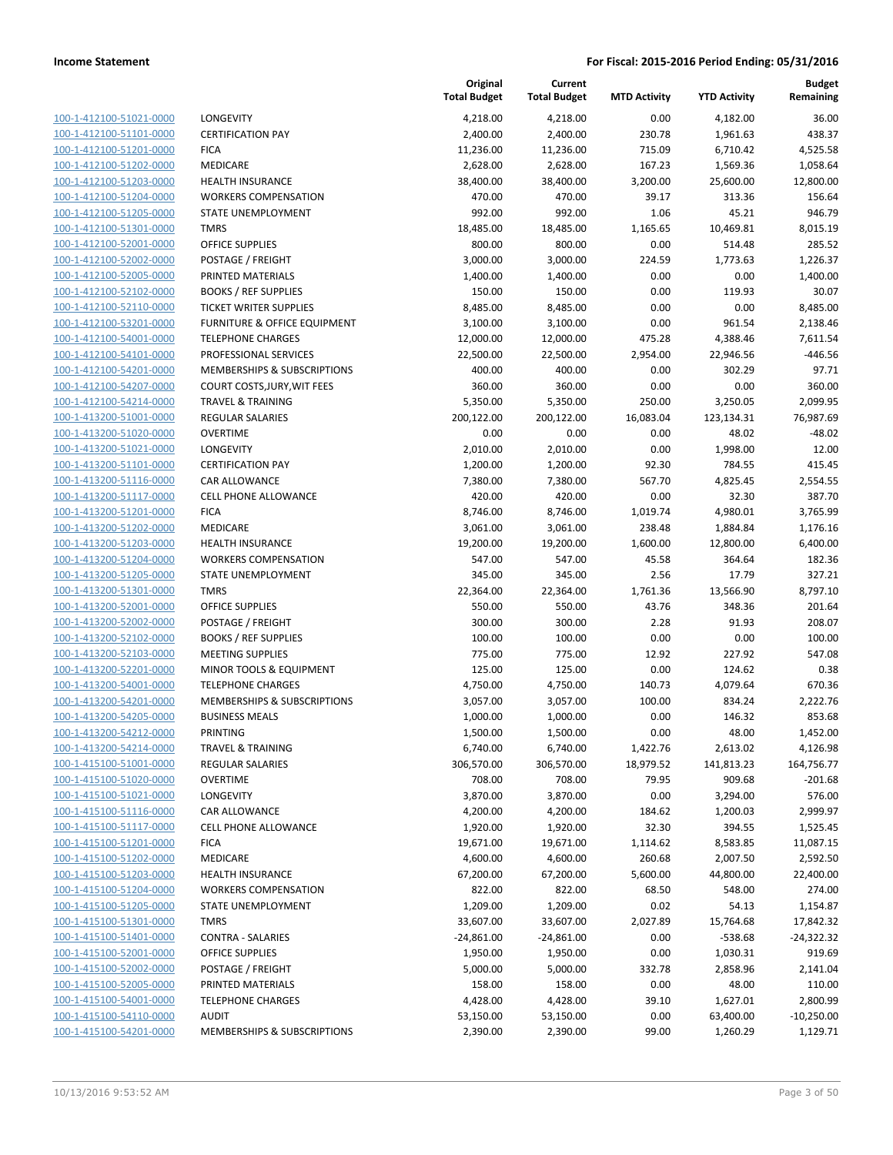| 100-1-412100-51021-0000         |
|---------------------------------|
| 100-1-412100-51101-0000         |
| -412100-51201-0000<br>$100 - 1$ |
| 100-1-412100-51202-0000         |
| 100-1-412100-51203-0000         |
| 100-1-412100-51204-0000         |
| 100-1-412100-51205-0000         |
| 100-1-412100-51301-0000         |
| 100-1-412100-52001-0000         |
| 100-1-412100-52002-0000         |
| 100-1-412100-52005-0000         |
| 100-1-412100-52102-0000         |
| -412100-52110-0000<br>$100 - 1$ |
| 100-1-412100-53201-0000         |
| 100-1-412100-54001-0000         |
| 100-1-412100-54101-0000         |
| 100-1-412100-54201-0000         |
| -412100-54207-0000<br>$100 - 1$ |
| 100-1-412100-54214-0000         |
| 100-1-413200-51001-0000         |
| <u>100-1-413200-51020-0000</u>  |
| 100-1-413200-51021-0000         |
| -413200-51101-0000<br>$100 - 1$ |
|                                 |
| 100-1-413200-51116-0000         |
| 100-1-413200-51117-0000         |
| 100-1-413200-51201-0000         |
| 100-1-413200-51202-0000         |
| -413200-51203-0000<br>$100 - 1$ |
| 100-1-413200-51204-0000         |
| 100-1-413200-51205-0000         |
| 100-1-413200-51301-0000         |
| 100-1-413200-52001-0000         |
| -413200-52002-0000<br>$100 - 1$ |
| 100-1-413200-52102-0000         |
| 100-1-413200-52103-0000         |
| 100-1-413200-52201-0000         |
| 100-1-413200-54001-0000         |
| 100-1-413200-54201-0000         |
| 100-1-413200-54205-0000         |
| 100-1-413200-54212-0000         |
| 100-1-413200-54214-0000         |
| 100-1-415100-51001-0000         |
| 100-1-415100-51020-0000         |
| 100-1-415100-51021-0000         |
| 100-1-415100-51116-0000         |
| <u>100-1-415100-51117-0000</u>  |
| 100-1-415100-51201-0000         |
| 100-1-415100-51202-0000         |
| 100-1-415100-51203-0000         |
| <u>100-1-415100-51204-0000</u>  |
| <u>100-1-415100-51205-0000</u>  |
| <u>100-1-415100-51301-0000</u>  |
| 100-1-415100-51401-0000         |
| 100-1-415100-52001-0000         |
| <u>100-1-415100-52002-0000</u>  |
| <u>100-1-415100-52005-0000</u>  |
| <u>100-1-415100-54001-0000</u>  |
|                                 |
| <u>100-1-415100-54110-0000</u>  |
| 100-1-415100-54201-0000         |

|                                                    |                                                      | Original<br><b>Total Budget</b> | Current<br><b>Total Budget</b> | <b>MTD Activity</b> | <b>YTD Activity</b>  | <b>Budget</b><br>Remaining |
|----------------------------------------------------|------------------------------------------------------|---------------------------------|--------------------------------|---------------------|----------------------|----------------------------|
| 100-1-412100-51021-0000                            | LONGEVITY                                            | 4,218.00                        | 4,218.00                       | 0.00                | 4,182.00             | 36.00                      |
| 100-1-412100-51101-0000                            | <b>CERTIFICATION PAY</b>                             | 2,400.00                        | 2,400.00                       | 230.78              | 1,961.63             | 438.37                     |
| 100-1-412100-51201-0000                            | <b>FICA</b>                                          | 11,236.00                       | 11,236.00                      | 715.09              | 6,710.42             | 4,525.58                   |
| 100-1-412100-51202-0000                            | <b>MEDICARE</b>                                      | 2,628.00                        | 2,628.00                       | 167.23              | 1,569.36             | 1,058.64                   |
| 100-1-412100-51203-0000                            | <b>HEALTH INSURANCE</b>                              | 38,400.00                       | 38,400.00                      | 3,200.00            | 25,600.00            | 12,800.00                  |
| 100-1-412100-51204-0000                            | <b>WORKERS COMPENSATION</b>                          | 470.00                          | 470.00                         | 39.17               | 313.36               | 156.64                     |
| 100-1-412100-51205-0000                            | STATE UNEMPLOYMENT                                   | 992.00                          | 992.00                         | 1.06                | 45.21                | 946.79                     |
| 100-1-412100-51301-0000                            | <b>TMRS</b>                                          | 18,485.00                       | 18,485.00                      | 1,165.65            | 10,469.81            | 8,015.19                   |
| 100-1-412100-52001-0000                            | <b>OFFICE SUPPLIES</b>                               | 800.00                          | 800.00                         | 0.00                | 514.48               | 285.52                     |
| 100-1-412100-52002-0000                            | POSTAGE / FREIGHT                                    | 3,000.00                        | 3,000.00                       | 224.59              | 1,773.63             | 1,226.37                   |
| 100-1-412100-52005-0000                            | PRINTED MATERIALS                                    | 1,400.00                        | 1,400.00                       | 0.00                | 0.00                 | 1,400.00                   |
| 100-1-412100-52102-0000                            | <b>BOOKS / REF SUPPLIES</b>                          | 150.00                          | 150.00                         | 0.00                | 119.93               | 30.07                      |
| 100-1-412100-52110-0000                            | TICKET WRITER SUPPLIES                               | 8,485.00                        | 8,485.00                       | 0.00                | 0.00                 | 8,485.00                   |
| 100-1-412100-53201-0000                            | FURNITURE & OFFICE EQUIPMENT                         | 3,100.00                        | 3,100.00                       | 0.00                | 961.54               | 2,138.46                   |
| 100-1-412100-54001-0000                            | <b>TELEPHONE CHARGES</b>                             | 12,000.00                       | 12,000.00                      | 475.28              | 4,388.46             | 7,611.54                   |
| 100-1-412100-54101-0000                            | PROFESSIONAL SERVICES<br>MEMBERSHIPS & SUBSCRIPTIONS | 22,500.00                       | 22,500.00                      | 2,954.00            | 22,946.56            | $-446.56$                  |
| 100-1-412100-54201-0000<br>100-1-412100-54207-0000 | <b>COURT COSTS, JURY, WIT FEES</b>                   | 400.00<br>360.00                | 400.00<br>360.00               | 0.00<br>0.00        | 302.29<br>0.00       | 97.71<br>360.00            |
| 100-1-412100-54214-0000                            | <b>TRAVEL &amp; TRAINING</b>                         | 5,350.00                        | 5,350.00                       | 250.00              | 3,250.05             | 2,099.95                   |
| 100-1-413200-51001-0000                            | REGULAR SALARIES                                     | 200,122.00                      | 200,122.00                     | 16,083.04           | 123,134.31           | 76,987.69                  |
| 100-1-413200-51020-0000                            | <b>OVERTIME</b>                                      | 0.00                            | 0.00                           | 0.00                | 48.02                | $-48.02$                   |
| 100-1-413200-51021-0000                            | LONGEVITY                                            | 2,010.00                        | 2,010.00                       | 0.00                | 1,998.00             | 12.00                      |
| 100-1-413200-51101-0000                            | <b>CERTIFICATION PAY</b>                             | 1,200.00                        | 1,200.00                       | 92.30               | 784.55               | 415.45                     |
| 100-1-413200-51116-0000                            | <b>CAR ALLOWANCE</b>                                 | 7,380.00                        | 7,380.00                       | 567.70              | 4,825.45             | 2,554.55                   |
| 100-1-413200-51117-0000                            | <b>CELL PHONE ALLOWANCE</b>                          | 420.00                          | 420.00                         | 0.00                | 32.30                | 387.70                     |
| 100-1-413200-51201-0000                            | <b>FICA</b>                                          | 8,746.00                        | 8,746.00                       | 1,019.74            | 4,980.01             | 3,765.99                   |
| 100-1-413200-51202-0000                            | <b>MEDICARE</b>                                      | 3,061.00                        | 3,061.00                       | 238.48              | 1,884.84             | 1,176.16                   |
| 100-1-413200-51203-0000                            | <b>HEALTH INSURANCE</b>                              | 19,200.00                       | 19,200.00                      | 1,600.00            | 12,800.00            | 6,400.00                   |
| 100-1-413200-51204-0000                            | <b>WORKERS COMPENSATION</b>                          | 547.00                          | 547.00                         | 45.58               | 364.64               | 182.36                     |
| 100-1-413200-51205-0000                            | STATE UNEMPLOYMENT                                   | 345.00                          | 345.00                         | 2.56                | 17.79                | 327.21                     |
| 100-1-413200-51301-0000                            | <b>TMRS</b>                                          | 22,364.00                       | 22,364.00                      | 1,761.36            | 13,566.90            | 8,797.10                   |
| 100-1-413200-52001-0000                            | <b>OFFICE SUPPLIES</b>                               | 550.00                          | 550.00                         | 43.76               | 348.36               | 201.64                     |
| 100-1-413200-52002-0000                            | POSTAGE / FREIGHT                                    | 300.00                          | 300.00                         | 2.28                | 91.93                | 208.07                     |
| 100-1-413200-52102-0000                            | <b>BOOKS / REF SUPPLIES</b>                          | 100.00                          | 100.00                         | 0.00                | 0.00                 | 100.00                     |
| 100-1-413200-52103-0000                            | <b>MEETING SUPPLIES</b>                              | 775.00                          | 775.00                         | 12.92               | 227.92               | 547.08                     |
| 100-1-413200-52201-0000                            | MINOR TOOLS & EQUIPMENT                              | 125.00                          | 125.00                         | 0.00                | 124.62               | 0.38                       |
| 100-1-413200-54001-0000                            | <b>TELEPHONE CHARGES</b>                             | 4,750.00                        | 4,750.00                       | 140.73              | 4,079.64             | 670.36                     |
| 100-1-413200-54201-0000                            | MEMBERSHIPS & SUBSCRIPTIONS                          | 3,057.00                        | 3,057.00                       | 100.00              | 834.24               | 2,222.76                   |
| 100-1-413200-54205-0000                            | <b>BUSINESS MEALS</b>                                | 1,000.00                        | 1,000.00                       | 0.00                | 146.32               | 853.68                     |
| 100-1-413200-54212-0000                            | PRINTING                                             | 1,500.00                        | 1,500.00                       | 0.00                | 48.00                | 1,452.00                   |
| 100-1-413200-54214-0000                            | TRAVEL & TRAINING                                    | 6,740.00                        | 6,740.00                       | 1,422.76            | 2,613.02             | 4,126.98<br>164,756.77     |
| 100-1-415100-51001-0000<br>100-1-415100-51020-0000 | <b>REGULAR SALARIES</b><br><b>OVERTIME</b>           | 306,570.00<br>708.00            | 306,570.00<br>708.00           | 18,979.52<br>79.95  | 141,813.23<br>909.68 | $-201.68$                  |
| 100-1-415100-51021-0000                            | LONGEVITY                                            | 3,870.00                        | 3,870.00                       | 0.00                | 3,294.00             | 576.00                     |
| 100-1-415100-51116-0000                            | CAR ALLOWANCE                                        | 4,200.00                        | 4,200.00                       | 184.62              | 1,200.03             | 2,999.97                   |
| 100-1-415100-51117-0000                            | CELL PHONE ALLOWANCE                                 | 1,920.00                        | 1,920.00                       | 32.30               | 394.55               | 1,525.45                   |
| 100-1-415100-51201-0000                            | <b>FICA</b>                                          | 19,671.00                       | 19,671.00                      | 1,114.62            | 8,583.85             | 11,087.15                  |
| 100-1-415100-51202-0000                            | <b>MEDICARE</b>                                      | 4,600.00                        | 4,600.00                       | 260.68              | 2,007.50             | 2,592.50                   |
| 100-1-415100-51203-0000                            | <b>HEALTH INSURANCE</b>                              | 67,200.00                       | 67,200.00                      | 5,600.00            | 44,800.00            | 22,400.00                  |
| 100-1-415100-51204-0000                            | <b>WORKERS COMPENSATION</b>                          | 822.00                          | 822.00                         | 68.50               | 548.00               | 274.00                     |
| 100-1-415100-51205-0000                            | STATE UNEMPLOYMENT                                   | 1,209.00                        | 1,209.00                       | 0.02                | 54.13                | 1,154.87                   |
| 100-1-415100-51301-0000                            | <b>TMRS</b>                                          | 33,607.00                       | 33,607.00                      | 2,027.89            | 15,764.68            | 17,842.32                  |
| 100-1-415100-51401-0000                            | <b>CONTRA - SALARIES</b>                             | $-24,861.00$                    | $-24,861.00$                   | 0.00                | $-538.68$            | $-24,322.32$               |
| 100-1-415100-52001-0000                            | <b>OFFICE SUPPLIES</b>                               | 1,950.00                        | 1,950.00                       | 0.00                | 1,030.31             | 919.69                     |
| 100-1-415100-52002-0000                            | POSTAGE / FREIGHT                                    | 5,000.00                        | 5,000.00                       | 332.78              | 2,858.96             | 2,141.04                   |
| 100-1-415100-52005-0000                            | PRINTED MATERIALS                                    | 158.00                          | 158.00                         | 0.00                | 48.00                | 110.00                     |
| 100-1-415100-54001-0000                            | <b>TELEPHONE CHARGES</b>                             | 4,428.00                        | 4,428.00                       | 39.10               | 1,627.01             | 2,800.99                   |
| 100-1-415100-54110-0000                            | <b>AUDIT</b>                                         | 53,150.00                       | 53,150.00                      | 0.00                | 63,400.00            | $-10,250.00$               |
| 100-1-415100-54201-0000                            | MEMBERSHIPS & SUBSCRIPTIONS                          | 2,390.00                        | 2,390.00                       | 99.00               | 1,260.29             | 1,129.71                   |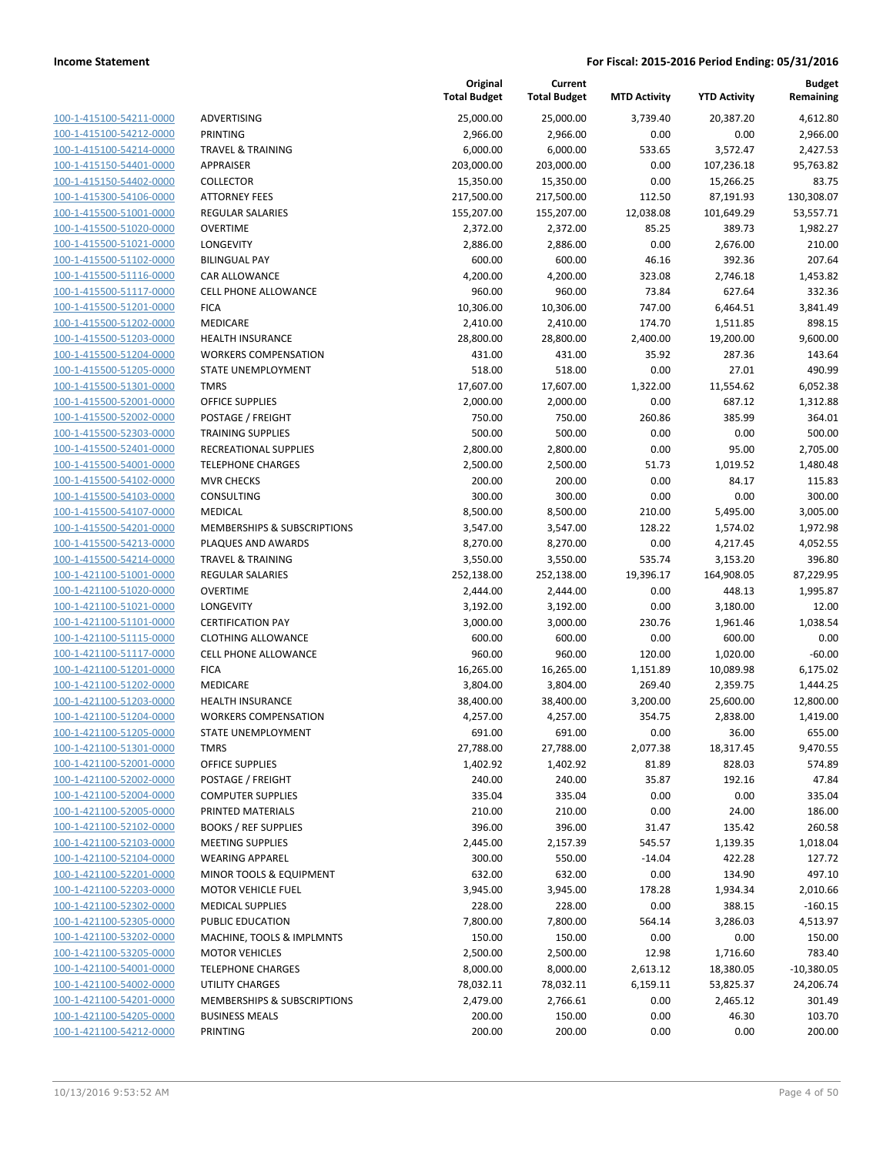| 100-1-415100-54211-0000                            |
|----------------------------------------------------|
| 100-1-415100-54212-0000                            |
| 100-1-415100-54214-0000                            |
| 100-1-415150-54401-0000                            |
| 100-1-415150-54402-0000                            |
| 100-1-415300-54106-0000                            |
| 100-1-415500-51001-0000                            |
| 100-1-415500-51020-0000                            |
| 100-1-415500-51021-0000                            |
| 100-1-415500-51102-0000                            |
| 415500-51116-0000<br>$100 - 1$                     |
| 100-1-415500-51117-0000                            |
| <u>100-1-415500-51201-0000</u>                     |
| <u>100-1-415500-51202-0000</u>                     |
| 100-1-415500-51203-0000                            |
| 100-1-415500-51204-0000                            |
| 100-1-415500-51205-0000                            |
| 100-1-415500-51301-0000                            |
|                                                    |
| 100-1-415500-52001-0000<br>100-1-415500-52002-0000 |
|                                                    |
| $100-$<br>$\mathbf{1}$<br>-415500-52303-0000       |
| 100-1-415500-52401-0000                            |
| <u>100-1-415500-54001-0000</u>                     |
| <u>100-1-415500-54102-0000</u>                     |
| 100-1-415500-54103-0000                            |
| 100-1-415500-54107-0000                            |
| 100-1-415500-54201-0000                            |
| <u>100-1-415500-54213-0000</u>                     |
| 100-1-415500-54214-0000                            |
| 100-1-421100-51001-0000                            |
| 421100-51020-0000<br>$100 - 1$                     |
| 100-1-421100-51021-0000                            |
| 100-1-421100-51101-0000                            |
| <u>100-1-421100-51115-0000</u>                     |
| 100-1-421100-51117-0000                            |
| 100-1-421100-51201-0000                            |
| 100-1-421100-51202-0000                            |
| 100-1-421100-51203-0000                            |
| 100-1-421100-51204-0000                            |
| 100-1-421100-51205-0000                            |
| 100-1-421100-51301-0000                            |
| 100-1-421100-52001-0000                            |
| 100-1-421100-52002-0000                            |
| <u>100-1-421100-52004-0000</u>                     |
|                                                    |
| 100-1-421100-52005-0000                            |
| <u>100-1-421100-52102-0000</u>                     |
| 100-1-421100-52103-0000                            |
| 100-1-421100-52104-0000                            |
| <u>100-1-421100-52201-0000</u>                     |
| 100-1-421100-52203-0000                            |
| 100-1-421100-52302-0000                            |
| 100-1-421100-52305-0000                            |
| <u>100-1-421100-53202-0000</u>                     |
| <u>100-1-421100-53205-0000</u>                     |
| 100-1-421100-54001-0000                            |
|                                                    |
| <u>100-1-421100-54002-0000</u>                     |
| 100-1-421100-54201-0000                            |
| <u>100-1-421100-54205-0000</u>                     |

|                         |                              | Original<br><b>Total Budget</b> | Current<br><b>Total Budget</b> | <b>MTD Activity</b> | <b>YTD Activity</b> | Budget<br>Remaining |
|-------------------------|------------------------------|---------------------------------|--------------------------------|---------------------|---------------------|---------------------|
| 100-1-415100-54211-0000 | <b>ADVERTISING</b>           | 25,000.00                       | 25,000.00                      | 3,739.40            | 20,387.20           | 4,612.80            |
| 100-1-415100-54212-0000 | <b>PRINTING</b>              | 2,966.00                        | 2,966.00                       | 0.00                | 0.00                | 2,966.00            |
| 100-1-415100-54214-0000 | <b>TRAVEL &amp; TRAINING</b> | 6,000.00                        | 6,000.00                       | 533.65              | 3,572.47            | 2,427.53            |
| 100-1-415150-54401-0000 | <b>APPRAISER</b>             | 203,000.00                      | 203,000.00                     | 0.00                | 107,236.18          | 95,763.82           |
| 100-1-415150-54402-0000 | COLLECTOR                    | 15,350.00                       | 15,350.00                      | 0.00                | 15,266.25           | 83.75               |
| 100-1-415300-54106-0000 | <b>ATTORNEY FEES</b>         | 217,500.00                      | 217,500.00                     | 112.50              | 87,191.93           | 130,308.07          |
| 100-1-415500-51001-0000 | <b>REGULAR SALARIES</b>      | 155,207.00                      | 155,207.00                     | 12,038.08           | 101,649.29          | 53,557.71           |
| 100-1-415500-51020-0000 | <b>OVERTIME</b>              | 2,372.00                        | 2,372.00                       | 85.25               | 389.73              | 1,982.27            |
| 100-1-415500-51021-0000 | LONGEVITY                    | 2,886.00                        | 2,886.00                       | 0.00                | 2,676.00            | 210.00              |
| 100-1-415500-51102-0000 | <b>BILINGUAL PAY</b>         | 600.00                          | 600.00                         | 46.16               | 392.36              | 207.64              |
| 100-1-415500-51116-0000 | CAR ALLOWANCE                | 4,200.00                        | 4,200.00                       | 323.08              | 2,746.18            | 1,453.82            |
| 100-1-415500-51117-0000 | <b>CELL PHONE ALLOWANCE</b>  | 960.00                          | 960.00                         | 73.84               | 627.64              | 332.36              |
| 100-1-415500-51201-0000 | <b>FICA</b>                  | 10,306.00                       | 10,306.00                      | 747.00              | 6,464.51            | 3,841.49            |
| 100-1-415500-51202-0000 | MEDICARE                     | 2,410.00                        | 2,410.00                       | 174.70              | 1,511.85            | 898.15              |
| 100-1-415500-51203-0000 | <b>HEALTH INSURANCE</b>      | 28,800.00                       | 28,800.00                      | 2,400.00            | 19,200.00           | 9,600.00            |
| 100-1-415500-51204-0000 | <b>WORKERS COMPENSATION</b>  | 431.00                          | 431.00                         | 35.92               | 287.36              | 143.64              |
| 100-1-415500-51205-0000 | STATE UNEMPLOYMENT           | 518.00                          | 518.00                         | 0.00                | 27.01               | 490.99              |
| 100-1-415500-51301-0000 | <b>TMRS</b>                  | 17,607.00                       | 17,607.00                      | 1,322.00            | 11,554.62           | 6,052.38            |
| 100-1-415500-52001-0000 | <b>OFFICE SUPPLIES</b>       | 2,000.00                        | 2,000.00                       | 0.00                | 687.12              | 1,312.88            |
| 100-1-415500-52002-0000 | POSTAGE / FREIGHT            | 750.00                          | 750.00                         | 260.86              | 385.99              | 364.01              |
| 100-1-415500-52303-0000 | <b>TRAINING SUPPLIES</b>     | 500.00                          | 500.00                         | 0.00                | 0.00                | 500.00              |
| 100-1-415500-52401-0000 | RECREATIONAL SUPPLIES        | 2,800.00                        | 2,800.00                       | 0.00                | 95.00               | 2,705.00            |
| 100-1-415500-54001-0000 | <b>TELEPHONE CHARGES</b>     | 2,500.00                        | 2,500.00                       | 51.73               | 1,019.52            | 1,480.48            |
| 100-1-415500-54102-0000 | <b>MVR CHECKS</b>            | 200.00                          | 200.00                         | 0.00                | 84.17               | 115.83              |
| 100-1-415500-54103-0000 | CONSULTING                   | 300.00                          | 300.00                         | 0.00                | 0.00                | 300.00              |
| 100-1-415500-54107-0000 | MEDICAL                      | 8,500.00                        | 8,500.00                       | 210.00              | 5,495.00            | 3,005.00            |
| 100-1-415500-54201-0000 | MEMBERSHIPS & SUBSCRIPTIONS  | 3,547.00                        | 3,547.00                       | 128.22              | 1,574.02            | 1,972.98            |
| 100-1-415500-54213-0000 | PLAQUES AND AWARDS           | 8,270.00                        | 8,270.00                       | 0.00                | 4,217.45            | 4,052.55            |
| 100-1-415500-54214-0000 | <b>TRAVEL &amp; TRAINING</b> | 3,550.00                        | 3,550.00                       | 535.74              | 3,153.20            | 396.80              |
| 100-1-421100-51001-0000 | <b>REGULAR SALARIES</b>      | 252,138.00                      | 252,138.00                     | 19,396.17           | 164,908.05          | 87,229.95           |
| 100-1-421100-51020-0000 | <b>OVERTIME</b>              | 2,444.00                        | 2,444.00                       | 0.00                | 448.13              | 1,995.87            |
| 100-1-421100-51021-0000 | LONGEVITY                    | 3,192.00                        | 3,192.00                       | 0.00                | 3,180.00            | 12.00               |
| 100-1-421100-51101-0000 | <b>CERTIFICATION PAY</b>     | 3,000.00                        | 3,000.00                       | 230.76              | 1,961.46            | 1,038.54            |
| 100-1-421100-51115-0000 | <b>CLOTHING ALLOWANCE</b>    | 600.00                          | 600.00                         | 0.00                | 600.00              | 0.00                |
| 100-1-421100-51117-0000 | <b>CELL PHONE ALLOWANCE</b>  | 960.00                          | 960.00                         | 120.00              | 1,020.00            | $-60.00$            |
| 100-1-421100-51201-0000 | <b>FICA</b>                  | 16,265.00                       | 16,265.00                      | 1,151.89            | 10,089.98           | 6,175.02            |
| 100-1-421100-51202-0000 | <b>MEDICARE</b>              | 3,804.00                        | 3,804.00                       | 269.40              | 2,359.75            | 1,444.25            |
| 100-1-421100-51203-0000 | <b>HEALTH INSURANCE</b>      | 38,400.00                       | 38,400.00                      | 3,200.00            | 25,600.00           | 12,800.00           |
| 100-1-421100-51204-0000 | <b>WORKERS COMPENSATION</b>  | 4,257.00                        | 4,257.00                       | 354.75              | 2,838.00            | 1,419.00            |
| 100-1-421100-51205-0000 | STATE UNEMPLOYMENT           | 691.00                          | 691.00                         | 0.00                | 36.00               | 655.00              |
| 100-1-421100-51301-0000 | <b>TMRS</b>                  | 27,788.00                       | 27,788.00                      | 2,077.38            | 18,317.45           | 9,470.55            |
| 100-1-421100-52001-0000 | <b>OFFICE SUPPLIES</b>       | 1,402.92                        | 1,402.92                       | 81.89               | 828.03              | 574.89              |
| 100-1-421100-52002-0000 | POSTAGE / FREIGHT            | 240.00                          | 240.00                         | 35.87               | 192.16              | 47.84               |
| 100-1-421100-52004-0000 | <b>COMPUTER SUPPLIES</b>     | 335.04                          | 335.04                         | 0.00                | 0.00                | 335.04              |
| 100-1-421100-52005-0000 | PRINTED MATERIALS            | 210.00                          | 210.00                         | 0.00                | 24.00               | 186.00              |
| 100-1-421100-52102-0000 | <b>BOOKS / REF SUPPLIES</b>  | 396.00                          | 396.00                         | 31.47               | 135.42              | 260.58              |
| 100-1-421100-52103-0000 | <b>MEETING SUPPLIES</b>      | 2,445.00                        | 2,157.39                       | 545.57              | 1,139.35            | 1,018.04            |
| 100-1-421100-52104-0000 | <b>WEARING APPAREL</b>       | 300.00                          | 550.00                         | $-14.04$            | 422.28              | 127.72              |
| 100-1-421100-52201-0000 | MINOR TOOLS & EQUIPMENT      | 632.00                          | 632.00                         | 0.00                | 134.90              | 497.10              |
| 100-1-421100-52203-0000 | <b>MOTOR VEHICLE FUEL</b>    | 3,945.00                        | 3,945.00                       | 178.28              | 1,934.34            | 2,010.66            |
| 100-1-421100-52302-0000 | <b>MEDICAL SUPPLIES</b>      | 228.00                          | 228.00                         | 0.00                | 388.15              | $-160.15$           |
| 100-1-421100-52305-0000 | PUBLIC EDUCATION             | 7,800.00                        | 7,800.00                       | 564.14              | 3,286.03            | 4,513.97            |
| 100-1-421100-53202-0000 | MACHINE, TOOLS & IMPLMNTS    | 150.00                          | 150.00                         | 0.00                | 0.00                | 150.00              |
| 100-1-421100-53205-0000 | <b>MOTOR VEHICLES</b>        | 2,500.00                        | 2,500.00                       | 12.98               | 1,716.60            | 783.40              |
| 100-1-421100-54001-0000 | <b>TELEPHONE CHARGES</b>     | 8,000.00                        | 8,000.00                       | 2,613.12            | 18,380.05           | $-10,380.05$        |
| 100-1-421100-54002-0000 | <b>UTILITY CHARGES</b>       | 78,032.11                       | 78,032.11                      | 6,159.11            | 53,825.37           | 24,206.74           |
| 100-1-421100-54201-0000 | MEMBERSHIPS & SUBSCRIPTIONS  | 2,479.00                        | 2,766.61                       | 0.00                | 2,465.12            | 301.49              |
| 100-1-421100-54205-0000 | <b>BUSINESS MEALS</b>        | 200.00                          | 150.00                         | 0.00                | 46.30               | 103.70              |
| 100-1-421100-54212-0000 | PRINTING                     | 200.00                          | 200.00                         | 0.00                | 0.00                | 200.00              |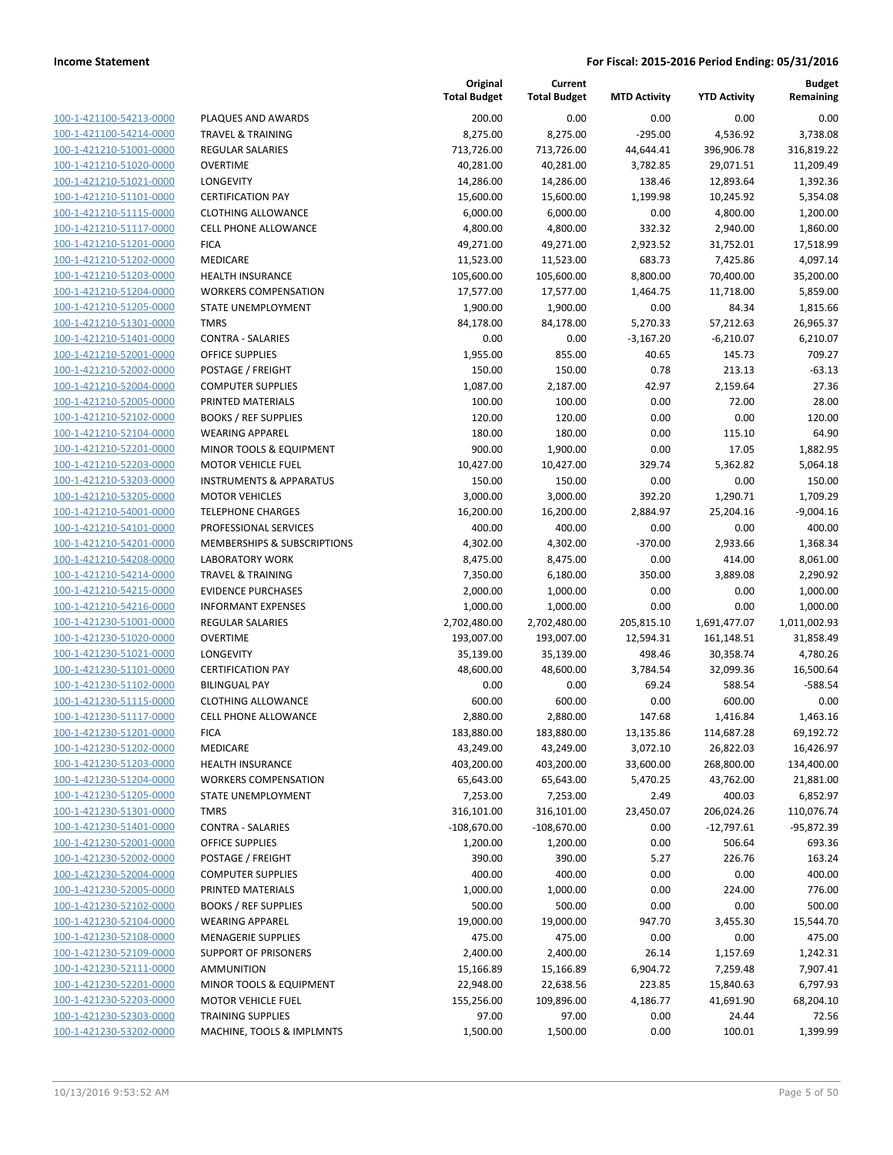| 100-1-421100-54213-0000                            |
|----------------------------------------------------|
| 100-1-421100-54214-0000                            |
| 100-1-421210-51001-0000                            |
| 100-1-421210-51020-0000                            |
| 100-1-421210-51021-0000                            |
| 100-1-421210-51101-0000                            |
| 100-1-421210-51115-0000                            |
| 100-1-421210-51117-0000                            |
| 100-1-421210-51201-0000                            |
| 100-1-421210-51202-0000                            |
| 100-1-421210-51203-0000                            |
| 100-1-421210-51204-0000                            |
| 100-1-421210-51205-0000                            |
| 100-1-421210-51301-0000                            |
| 100-1-421210-51401-0000                            |
| 100-1-421210-52001-0000                            |
| 100-1-421210-52002-0000                            |
| 100-1-421210-52004-0000                            |
| 100-1-421210-52005-0000                            |
| 100-1-421210-52102-0000                            |
| 100-1-421210-52104-0000                            |
| 100-1-421210-52201-0000                            |
| 100-1-421210-52203-0000                            |
| 100-1-421210-53203-0000                            |
| 100-1-421210-53205-0000                            |
| 100-1-421210-54001-0000                            |
| 100-1-421210-54101-0000                            |
|                                                    |
| 100-1-421210-54201-0000                            |
| 100-1-421210-54208-0000                            |
| 100-1-421210-54214-0000                            |
| 100-1-421210-54215-0000                            |
| 100-1-421210-54216-0000                            |
| 100-1-421230-51001-0000<br>100-1-421230-51020-0000 |
| 100-1-421230-51021-0000                            |
| 100-1-421230-51101-0000                            |
|                                                    |
| 100-1-421230-51102-0000                            |
| 100-1-421230-51115-0000                            |
| 100-1-421230-51117-0000                            |
| 100-1-421230-51201-0000                            |
| 100-1-421230-51202-0000                            |
| 100-1-421230-51203-0000                            |
| <u>100-1-421230-51204-0000</u>                     |
| <u>100-1-421230-51205-0000</u>                     |
| <u>100-1-421230-51301-0000</u>                     |
| <u>100-1-421230-51401-0000</u>                     |
| 100-1-421230-52001-0000                            |
| <u>100-1-421230-52002-0000</u>                     |
| <u>100-1-421230-52004-0000</u>                     |
| <u>100-1-421230-52005-0000</u>                     |
| <u>100-1-421230-52102-0000</u>                     |
| 100-1-421230-52104-0000                            |
| 100-1-421230-52108-0000                            |
| <u>100-1-421230-52109-0000</u>                     |
| <u>100-1-421230-52111-0000</u>                     |
| <u>100-1-421230-52201-0000</u>                     |
| 100-1-421230-52203-0000                            |
| <u>100-1-421230-52303-0000</u>                     |
| 100-1-421230-53202-0000                            |

|                         |                                    | Original<br><b>Total Budget</b> | Current<br><b>Total Budget</b> | <b>MTD Activity</b> | <b>YTD Activity</b> | <b>Budget</b><br>Remaining |
|-------------------------|------------------------------------|---------------------------------|--------------------------------|---------------------|---------------------|----------------------------|
| 100-1-421100-54213-0000 | PLAQUES AND AWARDS                 | 200.00                          | 0.00                           | 0.00                | 0.00                | 0.00                       |
| 100-1-421100-54214-0000 | <b>TRAVEL &amp; TRAINING</b>       | 8,275.00                        | 8,275.00                       | $-295.00$           | 4,536.92            | 3,738.08                   |
| 100-1-421210-51001-0000 | <b>REGULAR SALARIES</b>            | 713,726.00                      | 713,726.00                     | 44,644.41           | 396,906.78          | 316,819.22                 |
| 100-1-421210-51020-0000 | <b>OVERTIME</b>                    | 40,281.00                       | 40,281.00                      | 3,782.85            | 29,071.51           | 11,209.49                  |
| 100-1-421210-51021-0000 | LONGEVITY                          | 14,286.00                       | 14,286.00                      | 138.46              | 12,893.64           | 1,392.36                   |
| 100-1-421210-51101-0000 | <b>CERTIFICATION PAY</b>           | 15,600.00                       | 15,600.00                      | 1,199.98            | 10,245.92           | 5,354.08                   |
| 100-1-421210-51115-0000 | <b>CLOTHING ALLOWANCE</b>          | 6,000.00                        | 6,000.00                       | 0.00                | 4,800.00            | 1,200.00                   |
| 100-1-421210-51117-0000 | <b>CELL PHONE ALLOWANCE</b>        | 4,800.00                        | 4,800.00                       | 332.32              | 2,940.00            | 1,860.00                   |
| 100-1-421210-51201-0000 | <b>FICA</b>                        | 49,271.00                       | 49,271.00                      | 2,923.52            | 31,752.01           | 17,518.99                  |
| 100-1-421210-51202-0000 | MEDICARE                           | 11,523.00                       | 11,523.00                      | 683.73              | 7,425.86            | 4,097.14                   |
| 100-1-421210-51203-0000 | <b>HEALTH INSURANCE</b>            | 105,600.00                      | 105,600.00                     | 8,800.00            | 70,400.00           | 35,200.00                  |
| 100-1-421210-51204-0000 | <b>WORKERS COMPENSATION</b>        | 17,577.00                       | 17,577.00                      | 1,464.75            | 11,718.00           | 5,859.00                   |
| 100-1-421210-51205-0000 | STATE UNEMPLOYMENT                 | 1,900.00                        | 1,900.00                       | 0.00                | 84.34               | 1,815.66                   |
| 100-1-421210-51301-0000 | <b>TMRS</b>                        | 84,178.00                       | 84,178.00                      | 5,270.33            | 57,212.63           | 26,965.37                  |
| 100-1-421210-51401-0000 | <b>CONTRA - SALARIES</b>           | 0.00                            | 0.00                           | $-3,167.20$         | $-6,210.07$         | 6,210.07                   |
| 100-1-421210-52001-0000 | <b>OFFICE SUPPLIES</b>             | 1,955.00                        | 855.00                         | 40.65               | 145.73              | 709.27                     |
| 100-1-421210-52002-0000 | POSTAGE / FREIGHT                  | 150.00                          | 150.00                         | 0.78                | 213.13              | $-63.13$                   |
| 100-1-421210-52004-0000 | <b>COMPUTER SUPPLIES</b>           | 1,087.00                        | 2,187.00                       | 42.97               | 2,159.64            | 27.36                      |
| 100-1-421210-52005-0000 | PRINTED MATERIALS                  | 100.00                          | 100.00                         | 0.00                | 72.00               | 28.00                      |
| 100-1-421210-52102-0000 | <b>BOOKS / REF SUPPLIES</b>        | 120.00                          | 120.00                         | 0.00                | 0.00                | 120.00                     |
| 100-1-421210-52104-0000 | <b>WEARING APPAREL</b>             | 180.00                          | 180.00                         | 0.00                | 115.10              | 64.90                      |
| 100-1-421210-52201-0000 | <b>MINOR TOOLS &amp; EQUIPMENT</b> | 900.00                          | 1,900.00                       | 0.00                | 17.05               | 1,882.95                   |
| 100-1-421210-52203-0000 | <b>MOTOR VEHICLE FUEL</b>          | 10,427.00                       | 10,427.00                      | 329.74              | 5,362.82            | 5,064.18                   |
| 100-1-421210-53203-0000 | <b>INSTRUMENTS &amp; APPARATUS</b> | 150.00                          | 150.00                         | 0.00                | 0.00                | 150.00                     |
| 100-1-421210-53205-0000 | <b>MOTOR VEHICLES</b>              | 3,000.00                        | 3,000.00                       | 392.20              | 1,290.71            | 1,709.29                   |
| 100-1-421210-54001-0000 | <b>TELEPHONE CHARGES</b>           | 16,200.00                       | 16,200.00                      | 2,884.97            | 25,204.16           | $-9,004.16$                |
| 100-1-421210-54101-0000 | PROFESSIONAL SERVICES              | 400.00                          | 400.00                         | 0.00                | 0.00                | 400.00                     |
| 100-1-421210-54201-0000 | MEMBERSHIPS & SUBSCRIPTIONS        | 4,302.00                        | 4,302.00                       | $-370.00$           | 2,933.66            | 1,368.34                   |
| 100-1-421210-54208-0000 | <b>LABORATORY WORK</b>             | 8,475.00                        | 8,475.00                       | 0.00                | 414.00              | 8,061.00                   |
| 100-1-421210-54214-0000 | TRAVEL & TRAINING                  | 7,350.00                        | 6,180.00                       | 350.00              | 3,889.08            | 2,290.92                   |
| 100-1-421210-54215-0000 | <b>EVIDENCE PURCHASES</b>          | 2,000.00                        | 1,000.00                       | 0.00                | 0.00                | 1,000.00                   |
| 100-1-421210-54216-0000 | <b>INFORMANT EXPENSES</b>          | 1,000.00                        | 1,000.00                       | 0.00                | 0.00                | 1,000.00                   |
| 100-1-421230-51001-0000 | <b>REGULAR SALARIES</b>            | 2,702,480.00                    | 2,702,480.00                   | 205,815.10          | 1,691,477.07        | 1,011,002.93               |
| 100-1-421230-51020-0000 | <b>OVERTIME</b>                    | 193,007.00                      | 193,007.00                     | 12,594.31           | 161,148.51          | 31,858.49                  |
| 100-1-421230-51021-0000 | LONGEVITY                          | 35,139.00                       | 35,139.00                      | 498.46              | 30,358.74           | 4,780.26                   |
| 100-1-421230-51101-0000 | <b>CERTIFICATION PAY</b>           | 48,600.00                       | 48,600.00                      | 3,784.54            | 32,099.36           | 16,500.64                  |
| 100-1-421230-51102-0000 | <b>BILINGUAL PAY</b>               | 0.00                            | 0.00                           | 69.24               | 588.54              | $-588.54$                  |
| 100-1-421230-51115-0000 | <b>CLOTHING ALLOWANCE</b>          | 600.00                          | 600.00                         | 0.00                | 600.00              | 0.00                       |
| 100-1-421230-51117-0000 | <b>CELL PHONE ALLOWANCE</b>        | 2,880.00                        | 2,880.00                       | 147.68              | 1,416.84            | 1,463.16                   |
| 100-1-421230-51201-0000 | <b>FICA</b>                        | 183,880.00                      | 183,880.00                     | 13,135.86           | 114,687.28          | 69,192.72                  |
| 100-1-421230-51202-0000 | MEDICARE                           | 43,249.00                       | 43,249.00                      | 3,072.10            | 26,822.03           | 16,426.97                  |
| 100-1-421230-51203-0000 | <b>HEALTH INSURANCE</b>            | 403,200.00                      | 403,200.00                     | 33,600.00           | 268,800.00          | 134,400.00                 |
| 100-1-421230-51204-0000 | <b>WORKERS COMPENSATION</b>        | 65,643.00                       | 65,643.00                      | 5,470.25            | 43,762.00           | 21,881.00                  |
| 100-1-421230-51205-0000 | STATE UNEMPLOYMENT                 | 7,253.00                        | 7,253.00                       | 2.49                | 400.03              | 6,852.97                   |
| 100-1-421230-51301-0000 | <b>TMRS</b>                        | 316,101.00                      | 316,101.00                     | 23,450.07           | 206,024.26          | 110,076.74                 |
| 100-1-421230-51401-0000 | <b>CONTRA - SALARIES</b>           | $-108,670.00$                   | $-108,670.00$                  | 0.00                | $-12,797.61$        | $-95,872.39$               |
| 100-1-421230-52001-0000 | <b>OFFICE SUPPLIES</b>             | 1,200.00                        | 1,200.00                       | 0.00                | 506.64              | 693.36                     |
| 100-1-421230-52002-0000 | POSTAGE / FREIGHT                  | 390.00                          | 390.00                         | 5.27                | 226.76              | 163.24                     |
| 100-1-421230-52004-0000 | <b>COMPUTER SUPPLIES</b>           | 400.00                          | 400.00                         | 0.00                | 0.00                | 400.00                     |
| 100-1-421230-52005-0000 | PRINTED MATERIALS                  | 1,000.00                        | 1,000.00                       | 0.00                | 224.00              | 776.00                     |
| 100-1-421230-52102-0000 | <b>BOOKS / REF SUPPLIES</b>        | 500.00                          | 500.00                         | 0.00                | 0.00                | 500.00                     |
| 100-1-421230-52104-0000 | <b>WEARING APPAREL</b>             | 19,000.00                       | 19,000.00                      | 947.70              | 3,455.30            | 15,544.70                  |
| 100-1-421230-52108-0000 | <b>MENAGERIE SUPPLIES</b>          | 475.00                          | 475.00                         | 0.00                | 0.00                | 475.00                     |
| 100-1-421230-52109-0000 | <b>SUPPORT OF PRISONERS</b>        | 2,400.00                        | 2,400.00                       | 26.14               | 1,157.69            | 1,242.31                   |
| 100-1-421230-52111-0000 | <b>AMMUNITION</b>                  | 15,166.89                       | 15,166.89                      | 6,904.72            | 7,259.48            | 7,907.41                   |
| 100-1-421230-52201-0000 | MINOR TOOLS & EQUIPMENT            | 22,948.00                       | 22,638.56                      | 223.85              | 15,840.63           | 6,797.93                   |
| 100-1-421230-52203-0000 | <b>MOTOR VEHICLE FUEL</b>          | 155,256.00                      | 109,896.00                     | 4,186.77            | 41,691.90           | 68,204.10                  |
| 100-1-421230-52303-0000 | <b>TRAINING SUPPLIES</b>           | 97.00                           | 97.00                          | 0.00                | 24.44               | 72.56                      |
| 100-1-421230-53202-0000 |                                    |                                 |                                |                     |                     |                            |
|                         | MACHINE, TOOLS & IMPLMNTS          | 1,500.00                        | 1,500.00                       | 0.00                | 100.01              | 1,399.99                   |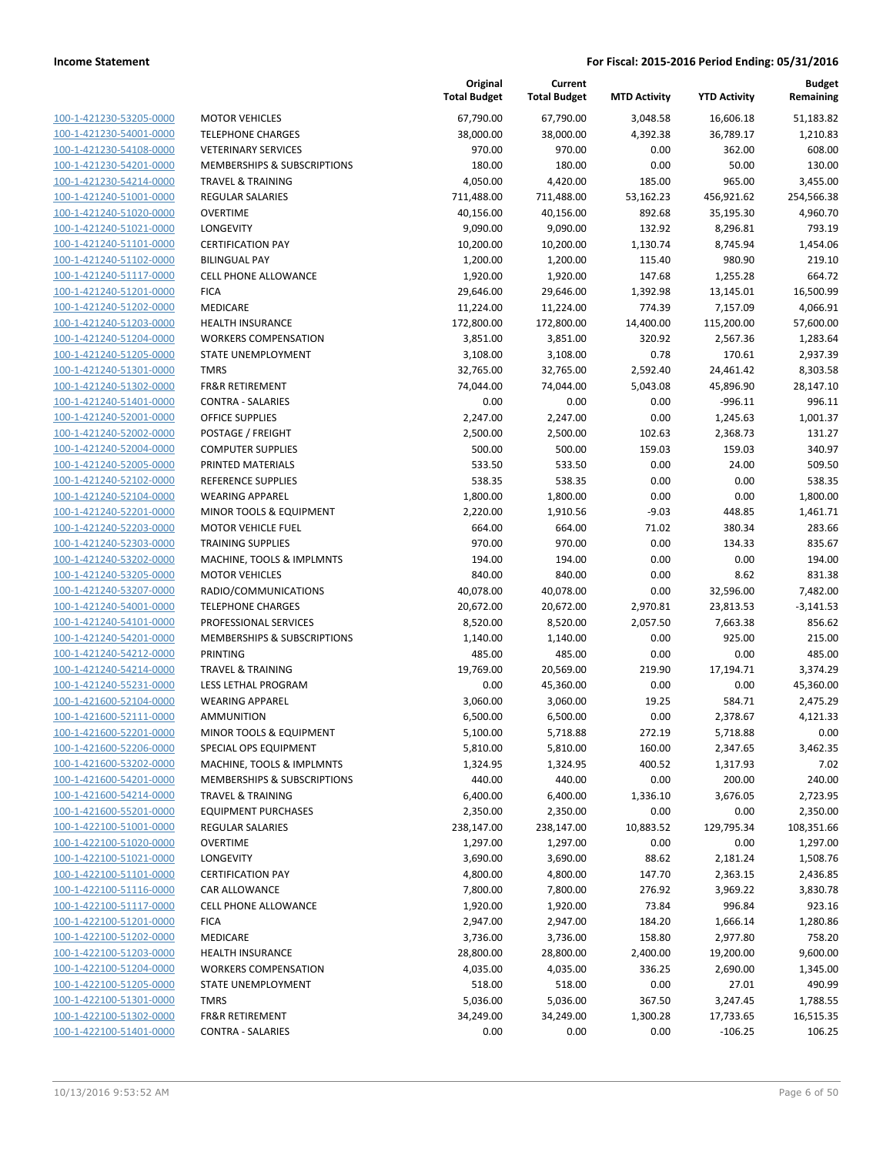| 100-1-421230-53205-0000                            |
|----------------------------------------------------|
| 100-1-421230-54001-0000                            |
| 100-1-421230-54108-0000                            |
| <u>100-1-421230-54201-0000</u>                     |
| 100-1-421230-54214-0000                            |
| 100-1-421240-51001-0000                            |
| 100-1-421240-51020-0000                            |
| 100-1-421240-51021-0000                            |
| 100-1-421240-51101-0000                            |
| 100-1-421240-51102-0000                            |
| 100-1-421240-51117-0000                            |
| 100-1-421240-51201-0000                            |
| 100-1-421240-51202-0000                            |
| 100-1-421240-51203-0000                            |
| 100-1-421240-51204-0000                            |
| 100-1-421240-51205-0000                            |
| 100-1-421240-51301-0000                            |
| 100-1-421240-51302-0000                            |
| 100-1-421240-51401-0000                            |
| 100-1-421240-52001-0000                            |
| 100-1-421240-52002-0000                            |
| 100-1-421240-52004-0000                            |
| 100-1-421240-52005-0000                            |
| 100-1-421240-52102-0000                            |
| 100-1-421240-52104-0000                            |
| 100-1-421240-52201-0000                            |
| 100-1-421240-52203-0000                            |
| 100-1-421240-52303-0000                            |
| 100-1-421240-53202-0000                            |
| 100-1-421240-53205-0000                            |
| 100-1-421240-53207-0000                            |
| 100-1-421240-54001-0000                            |
| 100-1-421240-54101-0000                            |
| 100-1-421240-54201-0000                            |
| 100-1-421240-54212-0000                            |
| 100-1-421240-54214-0000                            |
| 100-1-421240-55231-0000                            |
| 100-1-421600-52104-0000                            |
|                                                    |
| 100-1-421600-52111-0000<br>100-1-421600-52201-0000 |
|                                                    |
| 100-1-421600-52206-0000<br>100-1-421600-53202-0000 |
|                                                    |
| 100-1-421600-54201-0000                            |
| <u>100-1-421600-54214-0000</u>                     |
| 100-1-421600-55201-0000                            |
| 100-1-422100-51001-0000                            |
| 100-1-422100-51020-0000                            |
| <u>100-1-422100-51021-0000</u>                     |
| 100-1-422100-51101-0000                            |
| 100-1-422100-51116-0000                            |
| 100-1-422100-51117-0000                            |
| 100-1-422100-51201-0000                            |
| 100-1-422100-51202-0000                            |
| <u>100-1-422100-51203-0000</u>                     |
| <u>100-1-422100-51204-0000</u>                     |
| 100-1-422100-51205-0000                            |
| 100-1-422100-51301-0000                            |
| 100-1-422100-51302-0000                            |
| <u>100-1-422100-51401-0000</u>                     |
|                                                    |

|                         |                              | Original<br><b>Total Budget</b> | Current<br><b>Total Budget</b> | <b>MTD Activity</b> | <b>YTD Activity</b> | <b>Budget</b><br>Remaining |
|-------------------------|------------------------------|---------------------------------|--------------------------------|---------------------|---------------------|----------------------------|
| 100-1-421230-53205-0000 | <b>MOTOR VEHICLES</b>        | 67,790.00                       | 67,790.00                      | 3,048.58            | 16,606.18           | 51,183.82                  |
| 100-1-421230-54001-0000 | <b>TELEPHONE CHARGES</b>     | 38,000.00                       | 38,000.00                      | 4,392.38            | 36,789.17           | 1,210.83                   |
| 100-1-421230-54108-0000 | <b>VETERINARY SERVICES</b>   | 970.00                          | 970.00                         | 0.00                | 362.00              | 608.00                     |
| 100-1-421230-54201-0000 | MEMBERSHIPS & SUBSCRIPTIONS  | 180.00                          | 180.00                         | 0.00                | 50.00               | 130.00                     |
| 100-1-421230-54214-0000 | <b>TRAVEL &amp; TRAINING</b> | 4,050.00                        | 4,420.00                       | 185.00              | 965.00              | 3,455.00                   |
| 100-1-421240-51001-0000 | REGULAR SALARIES             | 711,488.00                      | 711,488.00                     | 53,162.23           | 456,921.62          | 254,566.38                 |
| 100-1-421240-51020-0000 | <b>OVERTIME</b>              | 40,156.00                       | 40,156.00                      | 892.68              | 35,195.30           | 4,960.70                   |
| 100-1-421240-51021-0000 | LONGEVITY                    | 9,090.00                        | 9,090.00                       | 132.92              | 8,296.81            | 793.19                     |
| 100-1-421240-51101-0000 | <b>CERTIFICATION PAY</b>     | 10,200.00                       | 10,200.00                      | 1,130.74            | 8,745.94            | 1,454.06                   |
| 100-1-421240-51102-0000 | <b>BILINGUAL PAY</b>         | 1,200.00                        | 1,200.00                       | 115.40              | 980.90              | 219.10                     |
| 100-1-421240-51117-0000 | CELL PHONE ALLOWANCE         | 1,920.00                        | 1,920.00                       | 147.68              | 1,255.28            | 664.72                     |
| 100-1-421240-51201-0000 | <b>FICA</b>                  | 29,646.00                       | 29,646.00                      | 1,392.98            | 13,145.01           | 16,500.99                  |
| 100-1-421240-51202-0000 | MEDICARE                     | 11,224.00                       | 11,224.00                      | 774.39              | 7,157.09            | 4,066.91                   |
| 100-1-421240-51203-0000 | <b>HEALTH INSURANCE</b>      | 172,800.00                      | 172,800.00                     | 14,400.00           | 115,200.00          | 57,600.00                  |
| 100-1-421240-51204-0000 | <b>WORKERS COMPENSATION</b>  | 3,851.00                        | 3,851.00                       | 320.92              | 2,567.36            | 1,283.64                   |
| 100-1-421240-51205-0000 | STATE UNEMPLOYMENT           | 3,108.00                        | 3,108.00                       | 0.78                | 170.61              | 2,937.39                   |
| 100-1-421240-51301-0000 | <b>TMRS</b>                  | 32,765.00                       | 32,765.00                      | 2,592.40            | 24,461.42           | 8,303.58                   |
| 100-1-421240-51302-0000 | <b>FR&amp;R RETIREMENT</b>   | 74,044.00                       | 74,044.00                      | 5,043.08            | 45,896.90           | 28,147.10                  |
| 100-1-421240-51401-0000 | <b>CONTRA - SALARIES</b>     | 0.00                            | 0.00                           | 0.00                | $-996.11$           | 996.11                     |
| 100-1-421240-52001-0000 | <b>OFFICE SUPPLIES</b>       | 2,247.00                        | 2,247.00                       | 0.00                | 1,245.63            | 1,001.37                   |
| 100-1-421240-52002-0000 | POSTAGE / FREIGHT            | 2,500.00                        | 2,500.00                       | 102.63              | 2,368.73            | 131.27                     |
| 100-1-421240-52004-0000 | <b>COMPUTER SUPPLIES</b>     | 500.00                          | 500.00                         | 159.03              | 159.03              | 340.97                     |
| 100-1-421240-52005-0000 | PRINTED MATERIALS            | 533.50                          | 533.50                         | 0.00                | 24.00               | 509.50                     |
| 100-1-421240-52102-0000 | <b>REFERENCE SUPPLIES</b>    | 538.35                          | 538.35                         | 0.00                | 0.00                | 538.35                     |
| 100-1-421240-52104-0000 | <b>WEARING APPAREL</b>       | 1,800.00                        | 1,800.00                       | 0.00                | 0.00                | 1,800.00                   |
| 100-1-421240-52201-0000 | MINOR TOOLS & EQUIPMENT      | 2,220.00                        | 1,910.56                       | $-9.03$             | 448.85              | 1,461.71                   |
| 100-1-421240-52203-0000 | <b>MOTOR VEHICLE FUEL</b>    | 664.00                          | 664.00                         | 71.02               | 380.34              | 283.66                     |
| 100-1-421240-52303-0000 | <b>TRAINING SUPPLIES</b>     | 970.00                          | 970.00                         | 0.00                | 134.33              | 835.67                     |
| 100-1-421240-53202-0000 | MACHINE, TOOLS & IMPLMNTS    | 194.00                          | 194.00                         | 0.00                | 0.00                | 194.00                     |
| 100-1-421240-53205-0000 | <b>MOTOR VEHICLES</b>        | 840.00                          | 840.00                         | 0.00                | 8.62                | 831.38                     |
| 100-1-421240-53207-0000 | RADIO/COMMUNICATIONS         | 40,078.00                       | 40,078.00                      | 0.00                | 32,596.00           | 7,482.00                   |
| 100-1-421240-54001-0000 | <b>TELEPHONE CHARGES</b>     | 20,672.00                       | 20,672.00                      | 2,970.81            | 23,813.53           | $-3,141.53$                |
| 100-1-421240-54101-0000 | PROFESSIONAL SERVICES        | 8,520.00                        | 8,520.00                       | 2,057.50            | 7,663.38            | 856.62                     |
| 100-1-421240-54201-0000 | MEMBERSHIPS & SUBSCRIPTIONS  | 1,140.00                        | 1,140.00                       | 0.00                | 925.00              | 215.00                     |
| 100-1-421240-54212-0000 | <b>PRINTING</b>              | 485.00                          | 485.00                         | 0.00                | 0.00                | 485.00                     |
| 100-1-421240-54214-0000 | <b>TRAVEL &amp; TRAINING</b> | 19,769.00                       | 20,569.00                      | 219.90              | 17,194.71           | 3,374.29                   |
| 100-1-421240-55231-0000 | LESS LETHAL PROGRAM          | 0.00                            | 45,360.00                      | 0.00                | 0.00                | 45,360.00                  |
| 100-1-421600-52104-0000 | <b>WEARING APPAREL</b>       | 3,060.00                        | 3,060.00                       | 19.25               | 584.71              | 2,475.29                   |
| 100-1-421600-52111-0000 | <b>AMMUNITION</b>            | 6,500.00                        | 6,500.00                       | 0.00                | 2,378.67            | 4,121.33                   |
| 100-1-421600-52201-0000 | MINOR TOOLS & EQUIPMENT      | 5,100.00                        | 5,718.88                       | 272.19              | 5,718.88            | 0.00                       |
| 100-1-421600-52206-0000 | SPECIAL OPS EQUIPMENT        | 5,810.00                        | 5,810.00                       | 160.00              | 2,347.65            | 3,462.35                   |
| 100-1-421600-53202-0000 | MACHINE, TOOLS & IMPLMNTS    | 1,324.95                        | 1,324.95                       | 400.52              | 1,317.93            | 7.02                       |
| 100-1-421600-54201-0000 | MEMBERSHIPS & SUBSCRIPTIONS  | 440.00                          | 440.00                         | 0.00                | 200.00              | 240.00                     |
| 100-1-421600-54214-0000 | <b>TRAVEL &amp; TRAINING</b> | 6,400.00                        | 6,400.00                       | 1,336.10            | 3,676.05            | 2,723.95                   |
| 100-1-421600-55201-0000 | <b>EQUIPMENT PURCHASES</b>   | 2,350.00                        | 2,350.00                       | 0.00                | 0.00                | 2,350.00                   |
| 100-1-422100-51001-0000 | REGULAR SALARIES             | 238,147.00                      | 238,147.00                     | 10,883.52           | 129,795.34          | 108,351.66                 |
| 100-1-422100-51020-0000 | <b>OVERTIME</b>              | 1,297.00                        | 1,297.00                       | 0.00                | 0.00                | 1,297.00                   |
| 100-1-422100-51021-0000 | LONGEVITY                    | 3,690.00                        |                                | 88.62               |                     |                            |
| 100-1-422100-51101-0000 | <b>CERTIFICATION PAY</b>     |                                 | 3,690.00                       |                     | 2,181.24            | 1,508.76                   |
| 100-1-422100-51116-0000 |                              | 4,800.00                        | 4,800.00                       | 147.70<br>276.92    | 2,363.15            | 2,436.85                   |
|                         | CAR ALLOWANCE                | 7,800.00                        | 7,800.00                       |                     | 3,969.22            | 3,830.78                   |
| 100-1-422100-51117-0000 | CELL PHONE ALLOWANCE         | 1,920.00                        | 1,920.00                       | 73.84               | 996.84              | 923.16                     |
| 100-1-422100-51201-0000 | <b>FICA</b>                  | 2,947.00                        | 2,947.00                       | 184.20              | 1,666.14            | 1,280.86                   |
| 100-1-422100-51202-0000 | MEDICARE                     | 3,736.00                        | 3,736.00                       | 158.80              | 2,977.80            | 758.20                     |
| 100-1-422100-51203-0000 | <b>HEALTH INSURANCE</b>      | 28,800.00                       | 28,800.00                      | 2,400.00            | 19,200.00           | 9,600.00                   |
| 100-1-422100-51204-0000 | <b>WORKERS COMPENSATION</b>  | 4,035.00                        | 4,035.00                       | 336.25              | 2,690.00            | 1,345.00                   |
| 100-1-422100-51205-0000 | STATE UNEMPLOYMENT           | 518.00                          | 518.00                         | 0.00                | 27.01               | 490.99                     |
| 100-1-422100-51301-0000 | <b>TMRS</b>                  | 5,036.00                        | 5,036.00                       | 367.50              | 3,247.45            | 1,788.55                   |
| 100-1-422100-51302-0000 | <b>FR&amp;R RETIREMENT</b>   | 34,249.00                       | 34,249.00                      | 1,300.28            | 17,733.65           | 16,515.35                  |
| 100-1-422100-51401-0000 | <b>CONTRA - SALARIES</b>     | 0.00                            | 0.00                           | 0.00                | $-106.25$           | 106.25                     |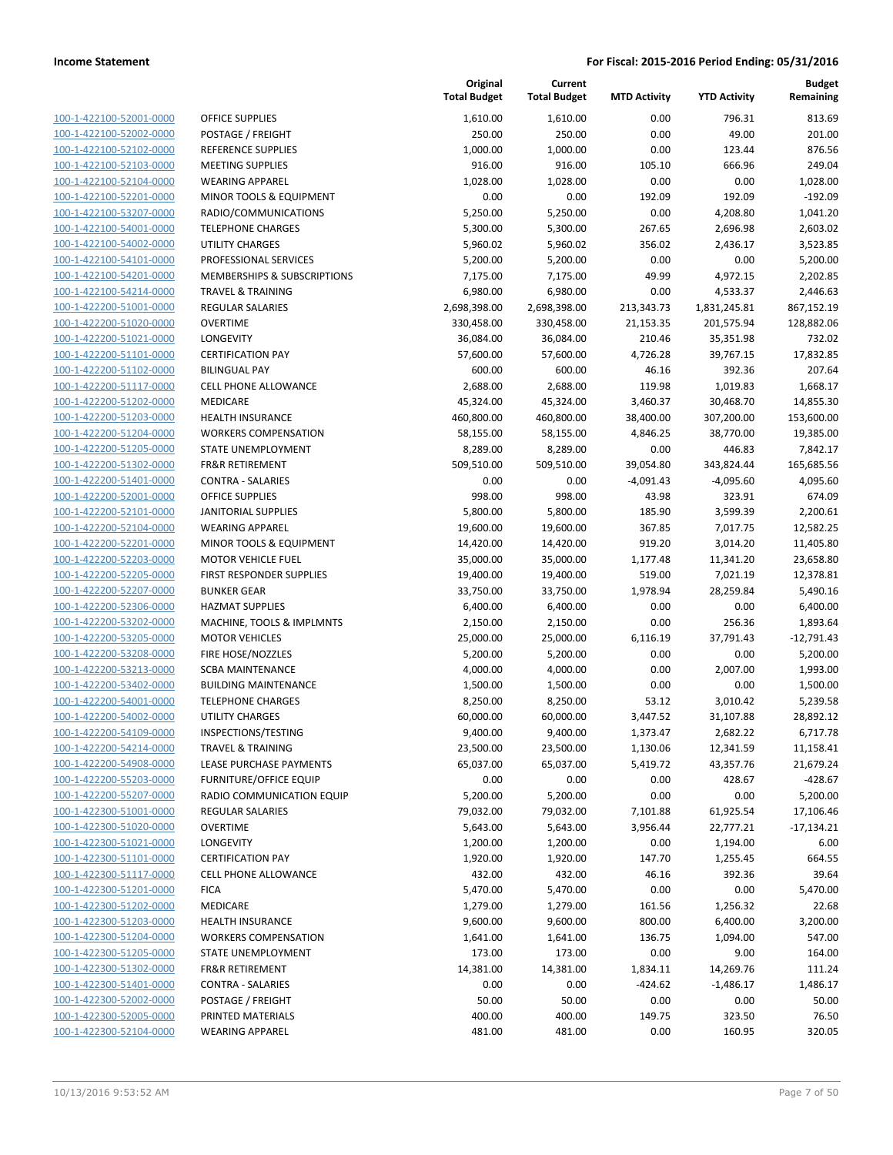| 100-1-422100-52001-0000                                   |
|-----------------------------------------------------------|
| 100-1-422100-52002-0000                                   |
| 100-1-422100-52102-0000                                   |
| 100-1-422100-52103-0000                                   |
| 100-1-422100-52104-0000                                   |
| 100-1-422100-52201-0000                                   |
| 100-1-422100-53207-0000                                   |
| <u>100-1-422100-54001-0000</u>                            |
|                                                           |
| 100-1-422100-54002-0000                                   |
| 100-1-422100-54101-0000                                   |
| 100-1-422100-54201-0000                                   |
| 100-1-422100-54214-0000                                   |
| 100-1-422200-51001-0000                                   |
| 100-1-422200-51020-0000                                   |
| 100-1-422200-51021-0000                                   |
| 100-1-422200-51101-0000                                   |
| 100-1-422200-51102-0000                                   |
| 100-1-422200-51117-0000                                   |
|                                                           |
| 100-1-422200-51202-0000                                   |
| 100-1-422200-51203-0000                                   |
| 100-1-422200-51204-0000                                   |
| 100-1-422200-51205-0000                                   |
| 100-1-422200-51302-0000                                   |
| 100-1-422200-51401-0000                                   |
| 100-1-422200-52001-0000                                   |
| 100-1-422200-52101-0000                                   |
| 100-1-422200-52104-0000                                   |
| 100-1-422200-52201-0000                                   |
|                                                           |
| 100-1-422200-52203-0000                                   |
| 100-1-422200-52205-0000                                   |
| 100-1-422200-52207-0000                                   |
| 100-1-422200-52306-0000                                   |
| 100-1-422200-53202-0000                                   |
| 100-1-422200-53205-0000                                   |
| 100-1-422200-53208-0000                                   |
| 100-1-422200-53213-0000                                   |
| 100-1-422200-53402-0000                                   |
| 100-1-422200-54001-0000                                   |
| 100-1-422200-54002-0000                                   |
| 100-1-422200-54109-0000                                   |
|                                                           |
| 100-1-422200-54214-0000                                   |
| 100-1-422200-54908-0000                                   |
| <u>100-1-422200-55203-0000</u>                            |
| 100-1-422200-55207-0000                                   |
| 100-1-422300-51001-0000                                   |
| 100-1-422300-51020-0000                                   |
| 100-1-422300-51021-0000                                   |
| <u>100-1-422300-51101-0000</u>                            |
| 100-1-422300-51117-0000                                   |
| 100-1-422300-51201-0000                                   |
| 100-1-422300-51202-0000                                   |
|                                                           |
| 100-1-422300-51203-0000                                   |
| <u>100-1-422300-51204-0000</u>                            |
| <u>100-1-422300-51205-0000</u>                            |
| 100-1-422300-51302-0000                                   |
|                                                           |
| 100-1-422300-51401-0000                                   |
| <u>100-1-422300-52002-0000</u>                            |
|                                                           |
| 100-1-422300-52005-0000<br><u>100-1-422300-52104-0000</u> |

|                                                    |                                        | Original<br><b>Total Budget</b> | Current<br><b>Total Budget</b> | <b>MTD Activity</b>   | <b>YTD Activity</b>     | <b>Budget</b><br>Remaining |
|----------------------------------------------------|----------------------------------------|---------------------------------|--------------------------------|-----------------------|-------------------------|----------------------------|
| 100-1-422100-52001-0000                            | <b>OFFICE SUPPLIES</b>                 | 1,610.00                        | 1,610.00                       | 0.00                  | 796.31                  | 813.69                     |
| 100-1-422100-52002-0000                            | POSTAGE / FREIGHT                      | 250.00                          | 250.00                         | 0.00                  | 49.00                   | 201.00                     |
| 100-1-422100-52102-0000                            | <b>REFERENCE SUPPLIES</b>              | 1,000.00                        | 1,000.00                       | 0.00                  | 123.44                  | 876.56                     |
| 100-1-422100-52103-0000                            | <b>MEETING SUPPLIES</b>                | 916.00                          | 916.00                         | 105.10                | 666.96                  | 249.04                     |
| 100-1-422100-52104-0000                            | <b>WEARING APPAREL</b>                 | 1,028.00                        | 1,028.00                       | 0.00                  | 0.00                    | 1,028.00                   |
| 100-1-422100-52201-0000                            | MINOR TOOLS & EQUIPMENT                | 0.00                            | 0.00                           | 192.09                | 192.09                  | $-192.09$                  |
| 100-1-422100-53207-0000                            | RADIO/COMMUNICATIONS                   | 5,250.00                        | 5,250.00                       | 0.00                  | 4,208.80                | 1,041.20                   |
| 100-1-422100-54001-0000                            | <b>TELEPHONE CHARGES</b>               | 5,300.00                        | 5,300.00                       | 267.65                | 2,696.98                | 2,603.02                   |
| 100-1-422100-54002-0000                            | <b>UTILITY CHARGES</b>                 | 5,960.02                        | 5,960.02                       | 356.02                | 2,436.17                | 3,523.85                   |
| 100-1-422100-54101-0000                            | PROFESSIONAL SERVICES                  | 5,200.00                        | 5,200.00                       | 0.00                  | 0.00                    | 5,200.00                   |
| 100-1-422100-54201-0000                            | <b>MEMBERSHIPS &amp; SUBSCRIPTIONS</b> | 7,175.00                        | 7,175.00                       | 49.99                 | 4,972.15                | 2,202.85                   |
| 100-1-422100-54214-0000                            | <b>TRAVEL &amp; TRAINING</b>           | 6,980.00                        | 6,980.00                       | 0.00                  | 4,533.37                | 2,446.63                   |
| 100-1-422200-51001-0000                            | REGULAR SALARIES                       | 2,698,398.00                    | 2,698,398.00                   | 213,343.73            | 1,831,245.81            | 867,152.19                 |
| 100-1-422200-51020-0000                            | <b>OVERTIME</b>                        | 330,458.00                      | 330,458.00                     | 21,153.35             | 201,575.94              | 128,882.06                 |
| 100-1-422200-51021-0000                            | LONGEVITY                              | 36,084.00                       | 36,084.00                      | 210.46                | 35,351.98               | 732.02                     |
| 100-1-422200-51101-0000                            | <b>CERTIFICATION PAY</b>               | 57,600.00                       | 57,600.00                      | 4,726.28              | 39,767.15               | 17,832.85                  |
| 100-1-422200-51102-0000                            | <b>BILINGUAL PAY</b>                   | 600.00                          | 600.00                         | 46.16                 | 392.36                  | 207.64                     |
| 100-1-422200-51117-0000<br>100-1-422200-51202-0000 | <b>CELL PHONE ALLOWANCE</b>            | 2,688.00<br>45,324.00           | 2,688.00                       | 119.98                | 1,019.83                | 1,668.17                   |
| 100-1-422200-51203-0000                            | MEDICARE<br><b>HEALTH INSURANCE</b>    | 460,800.00                      | 45,324.00<br>460,800.00        | 3,460.37<br>38,400.00 | 30,468.70<br>307,200.00 | 14,855.30<br>153,600.00    |
| 100-1-422200-51204-0000                            | <b>WORKERS COMPENSATION</b>            | 58,155.00                       | 58,155.00                      | 4,846.25              | 38,770.00               | 19,385.00                  |
| 100-1-422200-51205-0000                            | STATE UNEMPLOYMENT                     | 8,289.00                        | 8,289.00                       | 0.00                  | 446.83                  | 7,842.17                   |
| 100-1-422200-51302-0000                            | <b>FR&amp;R RETIREMENT</b>             | 509,510.00                      | 509,510.00                     | 39,054.80             | 343,824.44              | 165,685.56                 |
| 100-1-422200-51401-0000                            | <b>CONTRA - SALARIES</b>               | 0.00                            | 0.00                           | $-4,091.43$           | $-4,095.60$             | 4,095.60                   |
| 100-1-422200-52001-0000                            | <b>OFFICE SUPPLIES</b>                 | 998.00                          | 998.00                         | 43.98                 | 323.91                  | 674.09                     |
| 100-1-422200-52101-0000                            | <b>JANITORIAL SUPPLIES</b>             | 5,800.00                        | 5,800.00                       | 185.90                | 3,599.39                | 2,200.61                   |
| 100-1-422200-52104-0000                            | <b>WEARING APPAREL</b>                 | 19,600.00                       | 19,600.00                      | 367.85                | 7,017.75                | 12,582.25                  |
| 100-1-422200-52201-0000                            | MINOR TOOLS & EQUIPMENT                | 14,420.00                       | 14,420.00                      | 919.20                | 3,014.20                | 11,405.80                  |
| 100-1-422200-52203-0000                            | <b>MOTOR VEHICLE FUEL</b>              | 35,000.00                       | 35,000.00                      | 1,177.48              | 11,341.20               | 23,658.80                  |
| 100-1-422200-52205-0000                            | FIRST RESPONDER SUPPLIES               | 19,400.00                       | 19,400.00                      | 519.00                | 7,021.19                | 12,378.81                  |
| 100-1-422200-52207-0000                            | <b>BUNKER GEAR</b>                     | 33,750.00                       | 33,750.00                      | 1,978.94              | 28,259.84               | 5,490.16                   |
| 100-1-422200-52306-0000                            | <b>HAZMAT SUPPLIES</b>                 | 6,400.00                        | 6,400.00                       | 0.00                  | 0.00                    | 6,400.00                   |
| 100-1-422200-53202-0000                            | MACHINE, TOOLS & IMPLMNTS              | 2,150.00                        | 2,150.00                       | 0.00                  | 256.36                  | 1,893.64                   |
| 100-1-422200-53205-0000                            | <b>MOTOR VEHICLES</b>                  | 25,000.00                       | 25,000.00                      | 6,116.19              | 37,791.43               | $-12,791.43$               |
| 100-1-422200-53208-0000                            | FIRE HOSE/NOZZLES                      | 5,200.00                        | 5,200.00                       | 0.00                  | 0.00                    | 5,200.00                   |
| 100-1-422200-53213-0000                            | <b>SCBA MAINTENANCE</b>                | 4,000.00                        | 4,000.00                       | 0.00                  | 2,007.00                | 1,993.00                   |
| 100-1-422200-53402-0000                            | <b>BUILDING MAINTENANCE</b>            | 1,500.00                        | 1,500.00                       | 0.00                  | 0.00                    | 1,500.00                   |
| 100-1-422200-54001-0000                            | <b>TELEPHONE CHARGES</b>               | 8,250.00                        | 8,250.00                       | 53.12                 | 3,010.42                | 5,239.58                   |
| 100-1-422200-54002-0000                            | <b>UTILITY CHARGES</b>                 | 60,000.00                       | 60,000.00                      | 3,447.52              | 31,107.88               | 28,892.12                  |
| 100-1-422200-54109-0000                            | INSPECTIONS/TESTING                    | 9,400.00                        | 9,400.00                       | 1,373.47              | 2,682.22                | 6,717.78                   |
| 100-1-422200-54214-0000                            | TRAVEL & TRAINING                      | 23,500.00                       | 23,500.00                      | 1,130.06              | 12,341.59               | 11,158.41                  |
| 100-1-422200-54908-0000                            | LEASE PURCHASE PAYMENTS                | 65,037.00                       | 65,037.00                      | 5,419.72              | 43,357.76               | 21,679.24                  |
| 100-1-422200-55203-0000                            | <b>FURNITURE/OFFICE EQUIP</b>          | 0.00                            | 0.00                           | 0.00                  | 428.67                  | $-428.67$                  |
| 100-1-422200-55207-0000                            | RADIO COMMUNICATION EQUIP              | 5,200.00                        | 5,200.00                       | 0.00                  | 0.00                    | 5,200.00                   |
| 100-1-422300-51001-0000                            | <b>REGULAR SALARIES</b>                | 79,032.00                       | 79,032.00                      | 7,101.88              | 61,925.54               | 17,106.46                  |
| 100-1-422300-51020-0000                            | <b>OVERTIME</b>                        | 5,643.00                        | 5,643.00                       | 3,956.44              | 22,777.21               | $-17,134.21$               |
| 100-1-422300-51021-0000                            | <b>LONGEVITY</b>                       | 1,200.00                        | 1,200.00                       | 0.00                  | 1,194.00                | 6.00                       |
| 100-1-422300-51101-0000                            | <b>CERTIFICATION PAY</b>               | 1,920.00                        | 1,920.00                       | 147.70                | 1,255.45                | 664.55                     |
| 100-1-422300-51117-0000                            | <b>CELL PHONE ALLOWANCE</b>            | 432.00                          | 432.00                         | 46.16                 | 392.36                  | 39.64                      |
| 100-1-422300-51201-0000                            | <b>FICA</b>                            | 5,470.00                        | 5,470.00                       | 0.00                  | 0.00                    | 5,470.00                   |
| 100-1-422300-51202-0000                            | MEDICARE                               | 1,279.00                        | 1,279.00                       | 161.56                | 1,256.32                | 22.68                      |
| 100-1-422300-51203-0000                            | HEALTH INSURANCE                       | 9,600.00                        | 9,600.00                       | 800.00                | 6,400.00                | 3,200.00                   |
| 100-1-422300-51204-0000                            | <b>WORKERS COMPENSATION</b>            | 1,641.00                        | 1,641.00                       | 136.75                | 1,094.00                | 547.00                     |
| 100-1-422300-51205-0000                            | STATE UNEMPLOYMENT                     | 173.00                          | 173.00                         | 0.00                  | 9.00                    | 164.00                     |
| 100-1-422300-51302-0000                            | FR&R RETIREMENT                        | 14,381.00                       | 14,381.00                      | 1,834.11              | 14,269.76               | 111.24                     |
| 100-1-422300-51401-0000                            | <b>CONTRA - SALARIES</b>               | 0.00                            | 0.00                           | $-424.62$             | $-1,486.17$             | 1,486.17                   |
| 100-1-422300-52002-0000                            | POSTAGE / FREIGHT                      | 50.00                           | 50.00                          | 0.00                  | 0.00                    | 50.00                      |
| 100-1-422300-52005-0000                            | PRINTED MATERIALS                      | 400.00                          | 400.00                         | 149.75                | 323.50                  | 76.50                      |
| 100-1-422300-52104-0000                            | <b>WEARING APPAREL</b>                 | 481.00                          | 481.00                         | 0.00                  | 160.95                  | 320.05                     |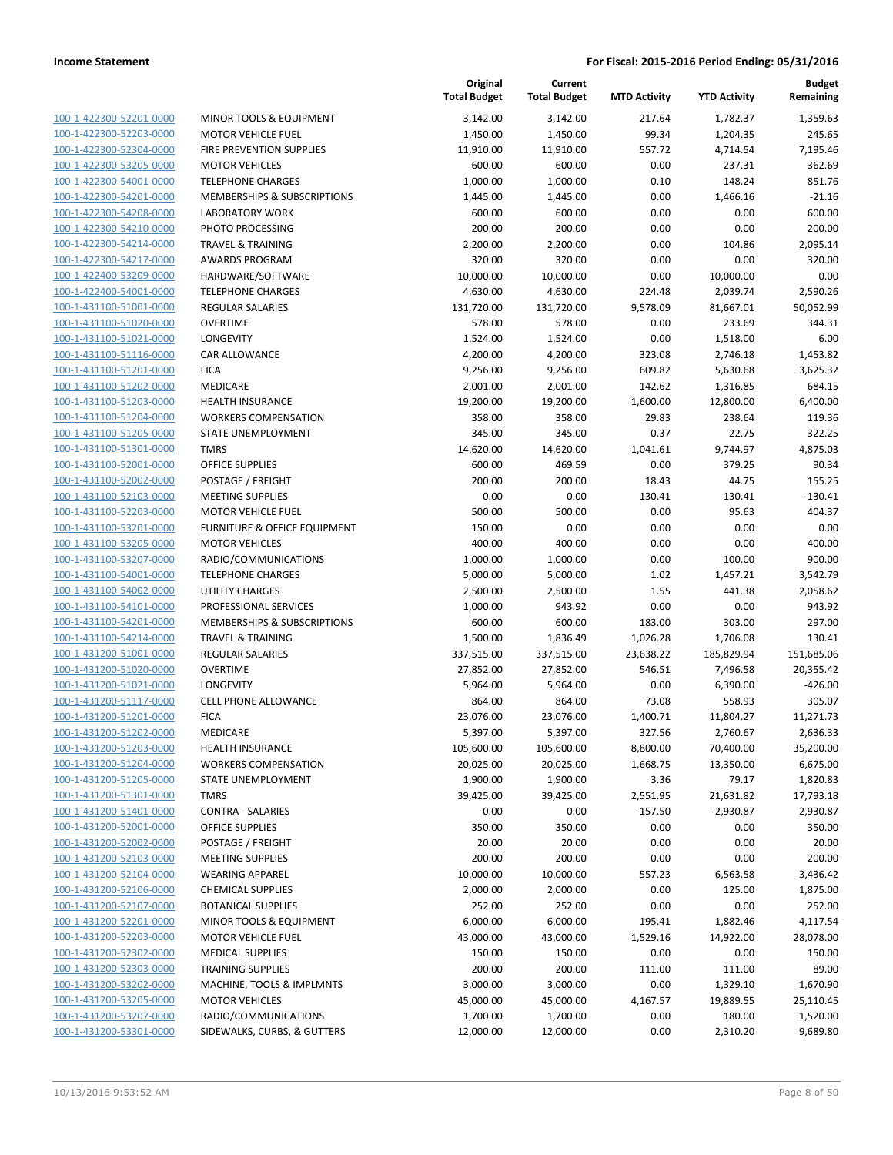| 100-1-422300-52201-0000        |
|--------------------------------|
| 100-1-422300-52203-0000        |
| 100-1-422300-52304-0000        |
| 100-1-422300-53205-0000        |
| 100-1-422300-54001-0000        |
| 100-1-422300-54201-0000        |
|                                |
| 100-1-422300-54208-0000        |
| 100-1-422300-54210-0000        |
| 100-1-422300-54214-0000        |
| 100-1-422300-54217-0000        |
| 100-1-422400-53209-0000        |
| 100-1-422400-54001-0000        |
| 100-1-431100-51001-0000        |
| 100-1-431100-51020-0000        |
| 100-1-431100-51021-0000        |
| 100-1-431100-51116-0000        |
| 100-1-431100-51201-0000        |
|                                |
| 100-1-431100-51202-0000        |
| 100-1-431100-51203-0000        |
| 100-1-431100-51204-0000        |
| 100-1-431100-51205-0000        |
| 100-1-431100-51301-0000        |
| 100-1-431100-52001-0000        |
| 100-1-431100-52002-0000        |
| 100-1-431100-52103-0000        |
| 100-1-431100-52203-0000        |
|                                |
| 100-1-431100-53201-0000        |
| 100-1-431100-53205-0000        |
| 100-1-431100-53207-0000        |
| 100-1-431100-54001-0000        |
| 100-1-431100-54002-0000        |
| 100-1-431100-54101-0000        |
| 100-1-431100-54201-0000        |
| 100-1-431100-54214-0000        |
| 100-1-431200-51001-0000        |
| 100-1-431200-51020-0000        |
| 100-1-431200-51021-0000        |
|                                |
| 100-1-431200-51117-0000        |
| 100-1-431200-51201-0000        |
| 100-1-431200-51202-0000        |
| 100-1-431200-51203-0000        |
| <u>100-1-431200-51204-0000</u> |
| 100-1-431200-51205-0000        |
| 100-1-431200-51301-0000        |
| 100-1-431200-51401-0000        |
| 100-1-431200-52001-0000        |
| <u>100-1-431200-52002-0000</u> |
|                                |
| <u>100-1-431200-52103-0000</u> |
| 100-1-431200-52104-0000        |
| 100-1-431200-52106-0000        |
| 100-1-431200-52107-0000        |
| <u>100-1-431200-52201-0000</u> |
| 100-1-431200-52203-0000        |
| 100-1-431200-52302-0000        |
| 100-1-431200-52303-0000        |
| 100-1-431200-53202-0000        |
| 100-1-431200-53205-0000        |
| 100-1-431200-53207-0000        |
| 100-1-431200-53301-0000        |
|                                |

|                         |                              | Original<br><b>Total Budget</b> | Current<br><b>Total Budget</b> | <b>MTD Activity</b> | <b>YTD Activity</b> | <b>Budget</b><br>Remaining |
|-------------------------|------------------------------|---------------------------------|--------------------------------|---------------------|---------------------|----------------------------|
| 100-1-422300-52201-0000 | MINOR TOOLS & EQUIPMENT      | 3,142.00                        | 3,142.00                       | 217.64              | 1,782.37            | 1,359.63                   |
| 100-1-422300-52203-0000 | <b>MOTOR VEHICLE FUEL</b>    | 1,450.00                        | 1,450.00                       | 99.34               | 1,204.35            | 245.65                     |
| 100-1-422300-52304-0000 | FIRE PREVENTION SUPPLIES     | 11,910.00                       | 11,910.00                      | 557.72              | 4,714.54            | 7,195.46                   |
| 100-1-422300-53205-0000 | <b>MOTOR VEHICLES</b>        | 600.00                          | 600.00                         | 0.00                | 237.31              | 362.69                     |
| 100-1-422300-54001-0000 | <b>TELEPHONE CHARGES</b>     | 1,000.00                        | 1,000.00                       | 0.10                | 148.24              | 851.76                     |
| 100-1-422300-54201-0000 | MEMBERSHIPS & SUBSCRIPTIONS  | 1,445.00                        | 1,445.00                       | 0.00                | 1,466.16            | $-21.16$                   |
| 100-1-422300-54208-0000 | <b>LABORATORY WORK</b>       | 600.00                          | 600.00                         | 0.00                | 0.00                | 600.00                     |
| 100-1-422300-54210-0000 | PHOTO PROCESSING             | 200.00                          | 200.00                         | 0.00                | 0.00                | 200.00                     |
| 100-1-422300-54214-0000 | <b>TRAVEL &amp; TRAINING</b> | 2,200.00                        | 2,200.00                       | 0.00                | 104.86              | 2,095.14                   |
| 100-1-422300-54217-0000 | <b>AWARDS PROGRAM</b>        | 320.00                          | 320.00                         | 0.00                | 0.00                | 320.00                     |
| 100-1-422400-53209-0000 | HARDWARE/SOFTWARE            | 10,000.00                       | 10,000.00                      | 0.00                | 10,000.00           | 0.00                       |
| 100-1-422400-54001-0000 | <b>TELEPHONE CHARGES</b>     | 4,630.00                        | 4,630.00                       | 224.48              | 2,039.74            | 2,590.26                   |
| 100-1-431100-51001-0000 | <b>REGULAR SALARIES</b>      | 131,720.00                      | 131,720.00                     | 9,578.09            | 81,667.01           | 50,052.99                  |
| 100-1-431100-51020-0000 | <b>OVERTIME</b>              | 578.00                          | 578.00                         | 0.00                | 233.69              | 344.31                     |
| 100-1-431100-51021-0000 | LONGEVITY                    | 1,524.00                        | 1,524.00                       | 0.00                | 1,518.00            | 6.00                       |
| 100-1-431100-51116-0000 | <b>CAR ALLOWANCE</b>         | 4,200.00                        | 4,200.00                       | 323.08              | 2,746.18            | 1,453.82                   |
| 100-1-431100-51201-0000 | <b>FICA</b>                  | 9,256.00                        | 9,256.00                       | 609.82              | 5,630.68            | 3,625.32                   |
| 100-1-431100-51202-0000 | MEDICARE                     | 2,001.00                        | 2,001.00                       | 142.62              | 1,316.85            | 684.15                     |
| 100-1-431100-51203-0000 | <b>HEALTH INSURANCE</b>      | 19,200.00                       | 19,200.00                      | 1,600.00            | 12,800.00           | 6,400.00                   |
| 100-1-431100-51204-0000 | <b>WORKERS COMPENSATION</b>  | 358.00                          | 358.00                         | 29.83               | 238.64              | 119.36                     |
| 100-1-431100-51205-0000 | STATE UNEMPLOYMENT           | 345.00                          | 345.00                         | 0.37                | 22.75               | 322.25                     |
| 100-1-431100-51301-0000 | <b>TMRS</b>                  | 14,620.00                       | 14,620.00                      | 1,041.61            | 9,744.97            | 4,875.03                   |
| 100-1-431100-52001-0000 | <b>OFFICE SUPPLIES</b>       | 600.00                          | 469.59                         | 0.00                | 379.25              | 90.34                      |
| 100-1-431100-52002-0000 | POSTAGE / FREIGHT            | 200.00                          | 200.00                         | 18.43               | 44.75               | 155.25                     |
| 100-1-431100-52103-0000 | <b>MEETING SUPPLIES</b>      | 0.00                            | 0.00                           | 130.41              | 130.41              | $-130.41$                  |
| 100-1-431100-52203-0000 | <b>MOTOR VEHICLE FUEL</b>    | 500.00                          | 500.00                         | 0.00                | 95.63               | 404.37                     |
| 100-1-431100-53201-0000 | FURNITURE & OFFICE EQUIPMENT | 150.00                          | 0.00                           | 0.00                | 0.00                | 0.00                       |
| 100-1-431100-53205-0000 | <b>MOTOR VEHICLES</b>        | 400.00                          | 400.00                         | 0.00                | 0.00                | 400.00                     |
| 100-1-431100-53207-0000 | RADIO/COMMUNICATIONS         | 1,000.00                        | 1,000.00                       | 0.00                | 100.00              | 900.00                     |
| 100-1-431100-54001-0000 | <b>TELEPHONE CHARGES</b>     | 5,000.00                        | 5,000.00                       | 1.02                | 1,457.21            | 3,542.79                   |
| 100-1-431100-54002-0000 | <b>UTILITY CHARGES</b>       | 2,500.00                        | 2,500.00                       | 1.55                | 441.38              | 2,058.62                   |
| 100-1-431100-54101-0000 | PROFESSIONAL SERVICES        | 1,000.00                        | 943.92                         | 0.00                | 0.00                | 943.92                     |
| 100-1-431100-54201-0000 | MEMBERSHIPS & SUBSCRIPTIONS  | 600.00                          | 600.00                         | 183.00              | 303.00              | 297.00                     |
| 100-1-431100-54214-0000 | <b>TRAVEL &amp; TRAINING</b> | 1,500.00                        | 1,836.49                       | 1,026.28            | 1,706.08            | 130.41                     |
| 100-1-431200-51001-0000 | <b>REGULAR SALARIES</b>      | 337,515.00                      | 337,515.00                     | 23,638.22           | 185,829.94          | 151,685.06                 |
| 100-1-431200-51020-0000 | <b>OVERTIME</b>              | 27,852.00                       | 27,852.00                      | 546.51              | 7,496.58            | 20,355.42                  |
| 100-1-431200-51021-0000 | <b>LONGEVITY</b>             | 5,964.00                        | 5,964.00                       | 0.00                | 6,390.00            | $-426.00$                  |
| 100-1-431200-51117-0000 | <b>CELL PHONE ALLOWANCE</b>  | 864.00                          | 864.00                         | 73.08               | 558.93              | 305.07                     |
| 100-1-431200-51201-0000 | <b>FICA</b>                  | 23,076.00                       | 23,076.00                      | 1,400.71            | 11,804.27           | 11,271.73                  |
| 100-1-431200-51202-0000 | MEDICARE                     | 5,397.00                        | 5,397.00                       | 327.56              | 2,760.67            | 2,636.33                   |
| 100-1-431200-51203-0000 | <b>HEALTH INSURANCE</b>      | 105,600.00                      | 105,600.00                     | 8,800.00            | 70,400.00           | 35,200.00                  |
| 100-1-431200-51204-0000 | <b>WORKERS COMPENSATION</b>  | 20,025.00                       | 20,025.00                      | 1,668.75            | 13,350.00           | 6,675.00                   |
| 100-1-431200-51205-0000 | STATE UNEMPLOYMENT           | 1,900.00                        | 1,900.00                       | 3.36                | 79.17               | 1,820.83                   |
| 100-1-431200-51301-0000 | <b>TMRS</b>                  | 39,425.00                       | 39,425.00                      | 2,551.95            | 21,631.82           | 17,793.18                  |
| 100-1-431200-51401-0000 | <b>CONTRA - SALARIES</b>     | 0.00                            | 0.00                           | $-157.50$           | $-2,930.87$         | 2,930.87                   |
| 100-1-431200-52001-0000 | OFFICE SUPPLIES              | 350.00                          | 350.00                         | 0.00                | 0.00                | 350.00                     |
| 100-1-431200-52002-0000 | POSTAGE / FREIGHT            | 20.00                           | 20.00                          | 0.00                | 0.00                | 20.00                      |
| 100-1-431200-52103-0000 | <b>MEETING SUPPLIES</b>      | 200.00                          | 200.00                         | 0.00                | 0.00                | 200.00                     |
| 100-1-431200-52104-0000 | <b>WEARING APPAREL</b>       | 10,000.00                       | 10,000.00                      | 557.23              | 6,563.58            | 3,436.42                   |
| 100-1-431200-52106-0000 | <b>CHEMICAL SUPPLIES</b>     | 2,000.00                        | 2,000.00                       | 0.00                | 125.00              | 1,875.00                   |
| 100-1-431200-52107-0000 | <b>BOTANICAL SUPPLIES</b>    | 252.00                          | 252.00                         | 0.00                | 0.00                | 252.00                     |
| 100-1-431200-52201-0000 | MINOR TOOLS & EQUIPMENT      | 6,000.00                        | 6,000.00                       | 195.41              | 1,882.46            | 4,117.54                   |
| 100-1-431200-52203-0000 | <b>MOTOR VEHICLE FUEL</b>    | 43,000.00                       | 43,000.00                      | 1,529.16            | 14,922.00           | 28,078.00                  |
| 100-1-431200-52302-0000 | <b>MEDICAL SUPPLIES</b>      | 150.00                          | 150.00                         | 0.00                | 0.00                | 150.00                     |
| 100-1-431200-52303-0000 | <b>TRAINING SUPPLIES</b>     | 200.00                          | 200.00                         | 111.00              | 111.00              | 89.00                      |
| 100-1-431200-53202-0000 | MACHINE, TOOLS & IMPLMNTS    | 3,000.00                        | 3,000.00                       | 0.00                | 1,329.10            | 1,670.90                   |
| 100-1-431200-53205-0000 | <b>MOTOR VEHICLES</b>        | 45,000.00                       | 45,000.00                      | 4,167.57            | 19,889.55           | 25,110.45                  |
| 100-1-431200-53207-0000 | RADIO/COMMUNICATIONS         | 1,700.00                        | 1,700.00                       | 0.00                | 180.00              | 1,520.00                   |
| 100-1-431200-53301-0000 | SIDEWALKS, CURBS, & GUTTERS  | 12,000.00                       | 12,000.00                      | 0.00                | 2,310.20            | 9,689.80                   |
|                         |                              |                                 |                                |                     |                     |                            |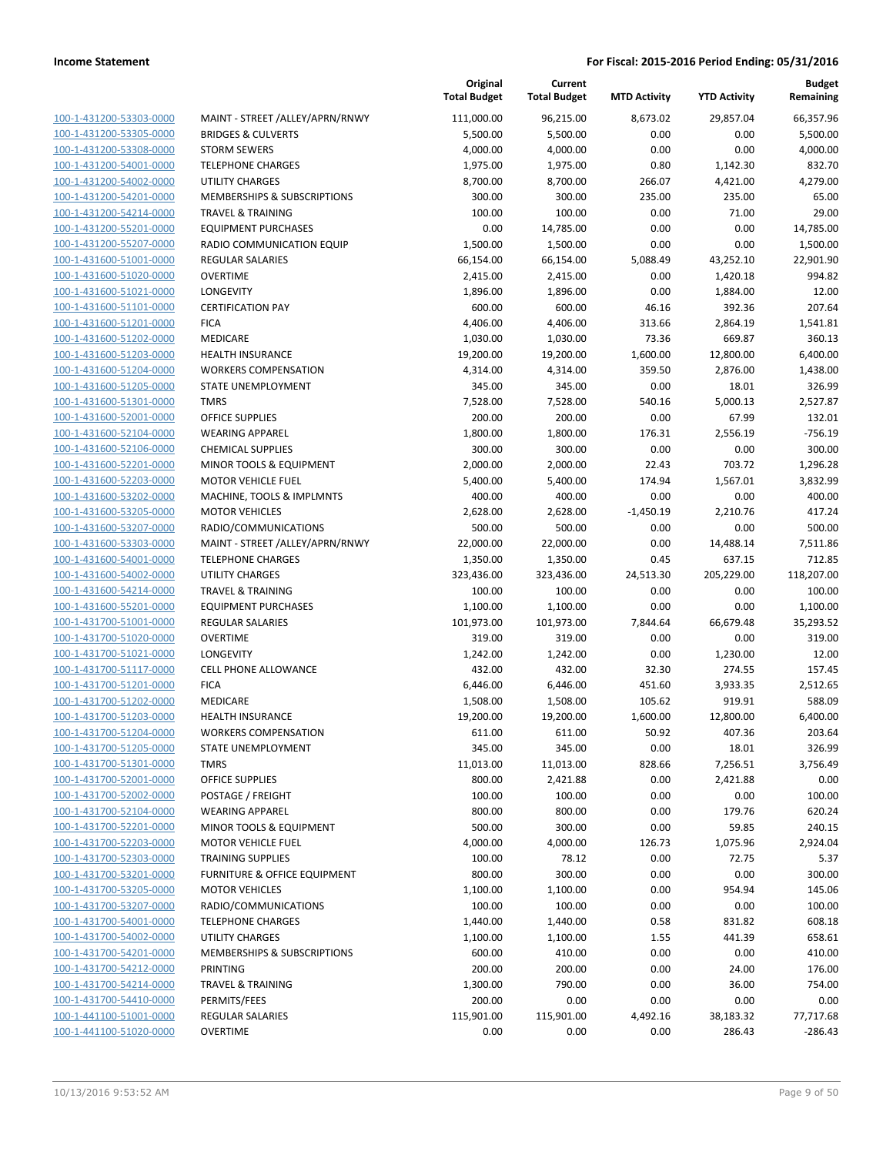| 100-1-431200-53303-0000        |
|--------------------------------|
| 100-1-431200-53305-0000        |
| 100-1-431200-53308-0000        |
| 100-1-431200-54001-0000        |
| 100-1-431200-54002-0000        |
| 100-1-431200-54201-0000        |
| 100-1-431200-54214-0000        |
| 100-1-431200-55201-0000        |
| 100-1-431200-55207-0000        |
| 100-1-431600-51001-0000        |
| 100-1-431600-51020-0000        |
| 100-1-431600-51021-0000        |
| 100-1-431600-51101-0000        |
| 100-1-431600-51201-0000        |
| 100-1-431600-51202-0000        |
| 100-1-431600-51203-0000        |
| 100-1-431600-51204-0000        |
| 100-1-431600-51205-0000        |
| 100-1-431600-51301-0000        |
| 100-1-431600-52001-0000        |
| 100-1-431600-52104-0000        |
| 100-1-431600-52106-0000        |
| 100-1-431600-52201-0000        |
| 100-1-431600-52203-0000        |
| 100-1-431600-53202-0000        |
| 100-1-431600-53205-0000        |
| 100-1-431600-53207-0000        |
| 100-1-431600-53303-0000        |
| 100-1-431600-54001-0000        |
| 100-1-431600-54002-0000        |
| 100-1-431600-54214-0000        |
| 100-1-431600-55201-0000        |
| <u>100-1-431700-51001-0000</u> |
| 100-1-431700-51020-0000        |
| 100-1-431700-51021-0000        |
| 100-1-431700-51117-0000        |
| 100-1-431700-51201-0000        |
| 100-1-431700-51202-0000        |
| 100-1-431700-51203-0000        |
| 100-1-431700-51204-0000        |
| 100-1-431700-51205-0000        |
| 100-1-431700-51301-0000        |
| <u>100-1-431700-52001-0000</u> |
| <u>100-1-431700-52002-0000</u> |
| 100-1-431700-52104-0000        |
| 100-1-431700-52201-0000        |
| 100-1-431700-52203-0000        |
| <u>100-1-431700-52303-0000</u> |
| <u>100-1-431700-53201-0000</u> |
| 100-1-431700-53205-0000        |
| 100-1-431700-53207-0000        |
| 100-1-431700-54001-0000        |
| <u>100-1-431700-54002-0000</u> |
| 100-1-431700-54201-0000        |
| 100-1-431700-54212-0000        |
| 100-1-431700-54214-0000        |
| <u>100-1-431700-54410-0000</u> |
| <u>100-1-441100-51001-0000</u> |
| 100-1-441100-51020-0000        |
|                                |

|                         |                                  | Original<br><b>Total Budget</b> | Current<br><b>Total Budget</b> | <b>MTD Activity</b> | <b>YTD Activity</b> | <b>Budget</b><br>Remaining |
|-------------------------|----------------------------------|---------------------------------|--------------------------------|---------------------|---------------------|----------------------------|
| 100-1-431200-53303-0000 | MAINT - STREET /ALLEY/APRN/RNWY  | 111,000.00                      | 96,215.00                      | 8,673.02            | 29,857.04           | 66,357.96                  |
| 100-1-431200-53305-0000 | <b>BRIDGES &amp; CULVERTS</b>    | 5,500.00                        | 5,500.00                       | 0.00                | 0.00                | 5,500.00                   |
| 100-1-431200-53308-0000 | <b>STORM SEWERS</b>              | 4,000.00                        | 4,000.00                       | 0.00                | 0.00                | 4,000.00                   |
| 100-1-431200-54001-0000 | <b>TELEPHONE CHARGES</b>         | 1,975.00                        | 1,975.00                       | 0.80                | 1,142.30            | 832.70                     |
| 100-1-431200-54002-0000 | <b>UTILITY CHARGES</b>           | 8,700.00                        | 8,700.00                       | 266.07              | 4,421.00            | 4,279.00                   |
| 100-1-431200-54201-0000 | MEMBERSHIPS & SUBSCRIPTIONS      | 300.00                          | 300.00                         | 235.00              | 235.00              | 65.00                      |
| 100-1-431200-54214-0000 | <b>TRAVEL &amp; TRAINING</b>     | 100.00                          | 100.00                         | 0.00                | 71.00               | 29.00                      |
| 100-1-431200-55201-0000 | <b>EQUIPMENT PURCHASES</b>       | 0.00                            | 14,785.00                      | 0.00                | 0.00                | 14,785.00                  |
| 100-1-431200-55207-0000 | <b>RADIO COMMUNICATION EQUIP</b> | 1,500.00                        | 1,500.00                       | 0.00                | 0.00                | 1,500.00                   |
| 100-1-431600-51001-0000 | <b>REGULAR SALARIES</b>          | 66,154.00                       | 66,154.00                      | 5,088.49            | 43,252.10           | 22,901.90                  |
| 100-1-431600-51020-0000 | <b>OVERTIME</b>                  | 2,415.00                        | 2,415.00                       | 0.00                | 1,420.18            | 994.82                     |
| 100-1-431600-51021-0000 | LONGEVITY                        | 1,896.00                        | 1,896.00                       | 0.00                | 1,884.00            | 12.00                      |
| 100-1-431600-51101-0000 | <b>CERTIFICATION PAY</b>         | 600.00                          | 600.00                         | 46.16               | 392.36              | 207.64                     |
| 100-1-431600-51201-0000 | <b>FICA</b>                      | 4,406.00                        | 4,406.00                       | 313.66              | 2,864.19            | 1,541.81                   |
| 100-1-431600-51202-0000 | MEDICARE                         | 1,030.00                        | 1,030.00                       | 73.36               | 669.87              | 360.13                     |
| 100-1-431600-51203-0000 | HEALTH INSURANCE                 | 19,200.00                       | 19,200.00                      | 1,600.00            | 12,800.00           | 6,400.00                   |
| 100-1-431600-51204-0000 | <b>WORKERS COMPENSATION</b>      | 4,314.00                        | 4,314.00                       | 359.50              | 2,876.00            | 1,438.00                   |
| 100-1-431600-51205-0000 | STATE UNEMPLOYMENT               | 345.00                          | 345.00                         | 0.00                | 18.01               | 326.99                     |
| 100-1-431600-51301-0000 | <b>TMRS</b>                      | 7,528.00                        | 7,528.00                       | 540.16              | 5,000.13            | 2,527.87                   |
| 100-1-431600-52001-0000 | <b>OFFICE SUPPLIES</b>           | 200.00                          | 200.00                         | 0.00                | 67.99               | 132.01                     |
| 100-1-431600-52104-0000 | <b>WEARING APPAREL</b>           | 1,800.00                        | 1,800.00                       | 176.31              | 2,556.19            | $-756.19$                  |
| 100-1-431600-52106-0000 | <b>CHEMICAL SUPPLIES</b>         | 300.00                          | 300.00                         | 0.00                | 0.00                | 300.00                     |
| 100-1-431600-52201-0000 | MINOR TOOLS & EQUIPMENT          | 2,000.00                        | 2,000.00                       | 22.43               | 703.72              | 1,296.28                   |
| 100-1-431600-52203-0000 | <b>MOTOR VEHICLE FUEL</b>        | 5,400.00                        | 5,400.00                       | 174.94              | 1,567.01            | 3.832.99                   |
| 100-1-431600-53202-0000 | MACHINE, TOOLS & IMPLMNTS        | 400.00                          | 400.00                         | 0.00                | 0.00                | 400.00                     |
| 100-1-431600-53205-0000 | <b>MOTOR VEHICLES</b>            | 2,628.00                        | 2,628.00                       | $-1,450.19$         | 2,210.76            | 417.24                     |
| 100-1-431600-53207-0000 | RADIO/COMMUNICATIONS             | 500.00                          | 500.00                         | 0.00                | 0.00                | 500.00                     |
| 100-1-431600-53303-0000 | MAINT - STREET /ALLEY/APRN/RNWY  | 22,000.00                       | 22,000.00                      | 0.00                | 14,488.14           | 7,511.86                   |
| 100-1-431600-54001-0000 | <b>TELEPHONE CHARGES</b>         | 1,350.00                        | 1,350.00                       | 0.45                | 637.15              | 712.85                     |
| 100-1-431600-54002-0000 | <b>UTILITY CHARGES</b>           | 323,436.00                      | 323,436.00                     | 24,513.30           | 205,229.00          | 118,207.00                 |
| 100-1-431600-54214-0000 | <b>TRAVEL &amp; TRAINING</b>     | 100.00                          | 100.00                         | 0.00                | 0.00                | 100.00                     |
| 100-1-431600-55201-0000 | <b>EQUIPMENT PURCHASES</b>       | 1,100.00                        | 1,100.00                       | 0.00                | 0.00                | 1,100.00                   |
| 100-1-431700-51001-0000 | <b>REGULAR SALARIES</b>          | 101,973.00                      | 101,973.00                     | 7,844.64            | 66,679.48           | 35,293.52                  |
| 100-1-431700-51020-0000 | <b>OVERTIME</b>                  | 319.00                          | 319.00                         | 0.00                | 0.00                | 319.00                     |
| 100-1-431700-51021-0000 | <b>LONGEVITY</b>                 | 1,242.00                        | 1,242.00                       | 0.00                | 1,230.00            | 12.00                      |
| 100-1-431700-51117-0000 | <b>CELL PHONE ALLOWANCE</b>      | 432.00                          | 432.00                         | 32.30               | 274.55              | 157.45                     |
| 100-1-431700-51201-0000 | <b>FICA</b>                      | 6,446.00                        | 6,446.00                       | 451.60              | 3,933.35            | 2,512.65                   |
| 100-1-431700-51202-0000 | MEDICARE                         | 1,508.00                        | 1,508.00                       | 105.62              | 919.91              | 588.09                     |
| 100-1-431700-51203-0000 | <b>HEALTH INSURANCE</b>          | 19,200.00                       | 19,200.00                      | 1,600.00            | 12,800.00           | 6,400.00                   |
| 100-1-431700-51204-0000 | <b>WORKERS COMPENSATION</b>      | 611.00                          | 611.00                         | 50.92               | 407.36              | 203.64                     |
| 100-1-431700-51205-0000 | STATE UNEMPLOYMENT               | 345.00                          | 345.00                         | 0.00                | 18.01               | 326.99                     |
| 100-1-431700-51301-0000 | <b>TMRS</b>                      | 11,013.00                       | 11,013.00                      | 828.66              | 7,256.51            | 3,756.49                   |
| 100-1-431700-52001-0000 | <b>OFFICE SUPPLIES</b>           | 800.00                          | 2,421.88                       | 0.00                | 2,421.88            | 0.00                       |
| 100-1-431700-52002-0000 | POSTAGE / FREIGHT                | 100.00                          | 100.00                         | 0.00                | 0.00                | 100.00                     |
| 100-1-431700-52104-0000 | <b>WEARING APPAREL</b>           | 800.00                          | 800.00                         | 0.00                | 179.76              | 620.24                     |
| 100-1-431700-52201-0000 | MINOR TOOLS & EQUIPMENT          | 500.00                          | 300.00                         | 0.00                | 59.85               | 240.15                     |
| 100-1-431700-52203-0000 | <b>MOTOR VEHICLE FUEL</b>        | 4,000.00                        | 4,000.00                       | 126.73              | 1,075.96            | 2,924.04                   |
| 100-1-431700-52303-0000 | <b>TRAINING SUPPLIES</b>         | 100.00                          | 78.12                          | 0.00                | 72.75               | 5.37                       |
| 100-1-431700-53201-0000 | FURNITURE & OFFICE EQUIPMENT     | 800.00                          | 300.00                         | 0.00                | 0.00                | 300.00                     |
| 100-1-431700-53205-0000 | <b>MOTOR VEHICLES</b>            | 1,100.00                        | 1,100.00                       | 0.00                | 954.94              | 145.06                     |
| 100-1-431700-53207-0000 | RADIO/COMMUNICATIONS             | 100.00                          | 100.00                         | 0.00                | 0.00                | 100.00                     |
| 100-1-431700-54001-0000 | <b>TELEPHONE CHARGES</b>         | 1,440.00                        | 1,440.00                       | 0.58                | 831.82              | 608.18                     |
| 100-1-431700-54002-0000 | UTILITY CHARGES                  | 1,100.00                        | 1,100.00                       | 1.55                | 441.39              | 658.61                     |
| 100-1-431700-54201-0000 | MEMBERSHIPS & SUBSCRIPTIONS      | 600.00                          | 410.00                         | 0.00                | 0.00                | 410.00                     |
| 100-1-431700-54212-0000 | PRINTING                         | 200.00                          | 200.00                         | 0.00                | 24.00               | 176.00                     |
| 100-1-431700-54214-0000 | <b>TRAVEL &amp; TRAINING</b>     | 1,300.00                        | 790.00                         | 0.00                | 36.00               | 754.00                     |
| 100-1-431700-54410-0000 | PERMITS/FEES                     | 200.00                          | 0.00                           | 0.00                | 0.00                | 0.00                       |
| 100-1-441100-51001-0000 | <b>REGULAR SALARIES</b>          | 115,901.00                      | 115,901.00                     | 4,492.16            | 38,183.32           | 77,717.68                  |
| 100-1-441100-51020-0000 | <b>OVERTIME</b>                  | 0.00                            | 0.00                           | 0.00                | 286.43              | $-286.43$                  |
|                         |                                  |                                 |                                |                     |                     |                            |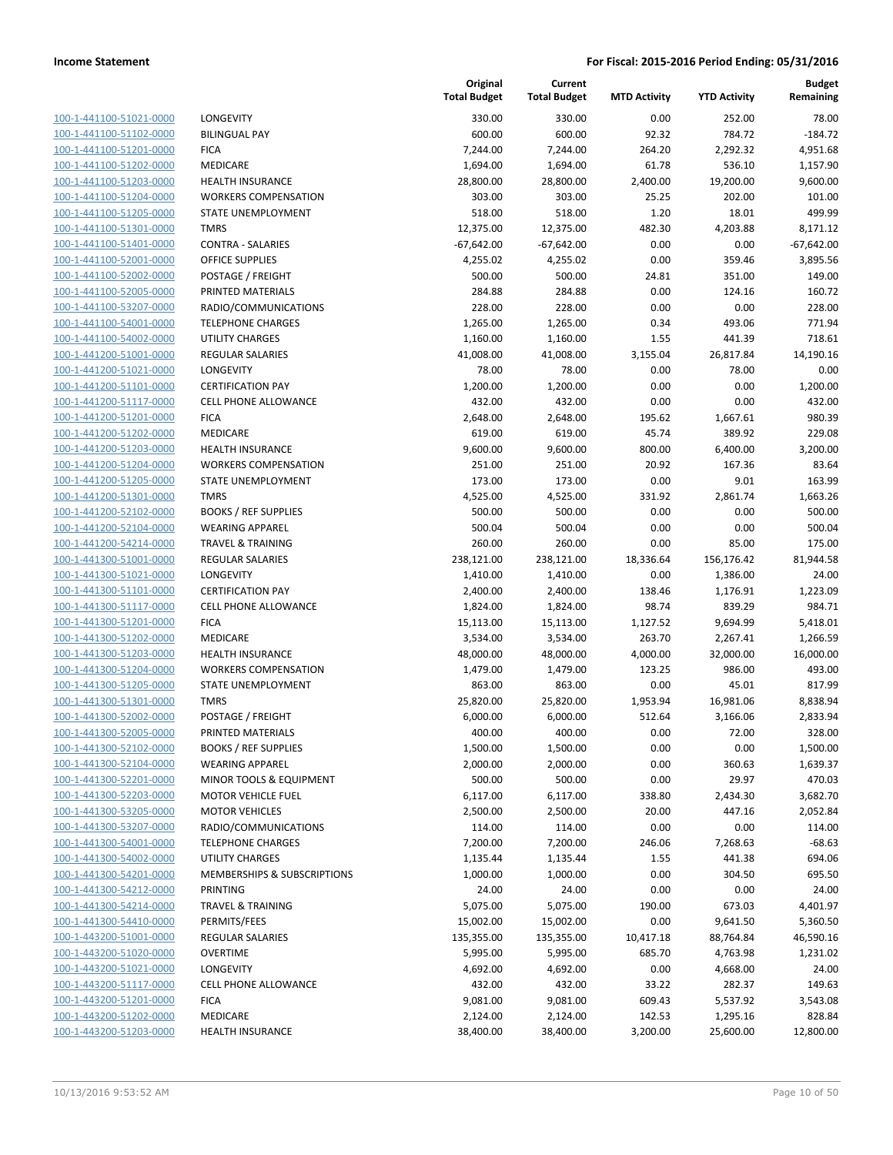100-1-441100-51021-0000 100-1-441100-51102-0000 BILINGUAL PAY 600.00 600.00 92.32 784.72 -184.72 100-1-441100-51201-0000 100-1-441100-51202-0000 100-1-441100-51203-0000 100-1-441100-51204-0000 100-1-441100-51205-0000 100-1-441100-51301-0000 100-1-441100-51401-0000 100-1-441100-52001-0000 100-1-441100-52002-0000 100-1-441100-52005-0000 100-1-441100-53207-0000 100-1-441100-54001-0000 100-1-441100-54002-0000 100-1-441200-51001-0000 100-1-441200-51021-0000 100-1-441200-51101-0000 100-1-441200-51117-0000 100-1-441200-51201-0000 100-1-441200-51202-0000 100-1-441200-51203-0000 100-1-441200-51204-0000 100-1-441200-51205-0000 100-1-441200-51301-0000 100-1-441200-52102-0000 100-1-441200-52104-0000 100-1-441200-54214-0000 100-1-441300-51001-0000 100-1-441300-51021-0000 100-1-441300-51101-0000 100-1-441300-51117-0000 100-1-441300-51201-0000 100-1-441300-51202-0000 100-1-441300-51203-0000 100-1-441300-51204-0000 100-1-441300-51205-0000 100-1-441300-51301-0000 100-1-441300-52002-0000 100-1-441300-52005-0000 PRINTED MATERIALS 400.00 400.00 0.00 72.00 328.00 100-1-441300-52102-0000 100-1-441300-52104-0000 100-1-441300-52201-0000 100-1-441300-52203-0000 100-1-441300-53205-0000 100-1-441300-53207-0000 100-1-441300-54001-0000 100-1-441300-54002-0000 100-1-441300-54201-0000 100-1-441300-54212-0000 100-1-441300-54214-0000 100-1-441300-54410-0000 100-1-443200-51001-0000 100-1-443200-51020-0000 100-1-443200-51021-0000 100-1-443200-51117-0000 100-1-443200-51201-0000 100-1-443200-51202-0000 100-1-443200-51203-0000

|                                                        | Original<br><b>Total Budget</b> | Current<br><b>Total Budget</b> | <b>MTD Activity</b> | <b>YTD Activity</b> | <b>Budget</b><br>Remaining |
|--------------------------------------------------------|---------------------------------|--------------------------------|---------------------|---------------------|----------------------------|
| LONGEVITY                                              | 330.00                          | 330.00                         | 0.00                | 252.00              | 78.00                      |
| <b>BILINGUAL PAY</b>                                   | 600.00                          | 600.00                         | 92.32               | 784.72              | $-184.72$                  |
| <b>FICA</b>                                            | 7,244.00                        | 7,244.00                       | 264.20              | 2,292.32            | 4,951.68                   |
| MEDICARE                                               | 1,694.00                        | 1,694.00                       | 61.78               | 536.10              | 1,157.90                   |
| <b>HEALTH INSURANCE</b>                                | 28,800.00                       | 28,800.00                      | 2,400.00            | 19,200.00           | 9,600.00                   |
| <b>WORKERS COMPENSATION</b>                            | 303.00                          | 303.00                         | 25.25               | 202.00              | 101.00                     |
| STATE UNEMPLOYMENT                                     | 518.00                          | 518.00                         | 1.20                | 18.01               | 499.99                     |
| <b>TMRS</b>                                            | 12,375.00                       | 12,375.00                      | 482.30              | 4,203.88            | 8,171.12                   |
| <b>CONTRA - SALARIES</b>                               | $-67,642.00$                    | $-67,642.00$                   | 0.00                | 0.00                | $-67,642.00$               |
| <b>OFFICE SUPPLIES</b>                                 | 4,255.02                        | 4,255.02                       | 0.00                | 359.46              | 3,895.56                   |
| POSTAGE / FREIGHT                                      | 500.00                          | 500.00                         | 24.81               | 351.00              | 149.00                     |
| PRINTED MATERIALS                                      | 284.88                          | 284.88                         | 0.00                | 124.16              | 160.72                     |
| RADIO/COMMUNICATIONS                                   | 228.00                          | 228.00                         | 0.00                | 0.00                | 228.00                     |
| <b>TELEPHONE CHARGES</b>                               | 1,265.00                        | 1,265.00                       | 0.34                | 493.06              | 771.94                     |
| <b>UTILITY CHARGES</b>                                 | 1,160.00                        | 1,160.00                       | 1.55                | 441.39              | 718.61                     |
| REGULAR SALARIES                                       | 41,008.00                       | 41,008.00                      | 3,155.04            | 26,817.84           | 14,190.16                  |
| LONGEVITY                                              | 78.00                           | 78.00                          | 0.00                | 78.00               | 0.00                       |
| <b>CERTIFICATION PAY</b>                               | 1,200.00                        | 1,200.00                       | 0.00                | 0.00                | 1,200.00                   |
| <b>CELL PHONE ALLOWANCE</b>                            | 432.00                          | 432.00                         | 0.00                | 0.00                | 432.00                     |
| <b>FICA</b>                                            | 2,648.00                        | 2,648.00                       | 195.62              | 1,667.61            | 980.39                     |
| MEDICARE                                               | 619.00                          | 619.00                         | 45.74               | 389.92              | 229.08                     |
| <b>HEALTH INSURANCE</b>                                | 9,600.00                        | 9,600.00                       | 800.00              | 6,400.00            | 3,200.00                   |
| <b>WORKERS COMPENSATION</b>                            | 251.00                          | 251.00                         | 20.92               | 167.36              | 83.64                      |
| STATE UNEMPLOYMENT                                     | 173.00                          | 173.00                         | 0.00                | 9.01                | 163.99                     |
| <b>TMRS</b>                                            | 4,525.00                        | 4,525.00                       | 331.92              | 2,861.74            | 1,663.26                   |
| <b>BOOKS / REF SUPPLIES</b>                            | 500.00                          | 500.00                         | 0.00                | 0.00                | 500.00                     |
| <b>WEARING APPAREL</b><br><b>TRAVEL &amp; TRAINING</b> | 500.04                          | 500.04                         | 0.00<br>0.00        | 0.00                | 500.04<br>175.00           |
| <b>REGULAR SALARIES</b>                                | 260.00<br>238,121.00            | 260.00<br>238,121.00           | 18,336.64           | 85.00<br>156,176.42 | 81,944.58                  |
| LONGEVITY                                              | 1,410.00                        | 1,410.00                       | 0.00                | 1,386.00            | 24.00                      |
| <b>CERTIFICATION PAY</b>                               | 2,400.00                        | 2,400.00                       | 138.46              | 1,176.91            | 1,223.09                   |
| <b>CELL PHONE ALLOWANCE</b>                            | 1,824.00                        | 1,824.00                       | 98.74               | 839.29              | 984.71                     |
| <b>FICA</b>                                            | 15,113.00                       | 15,113.00                      | 1,127.52            | 9,694.99            | 5,418.01                   |
| MEDICARE                                               | 3,534.00                        | 3,534.00                       | 263.70              | 2,267.41            | 1,266.59                   |
| <b>HEALTH INSURANCE</b>                                | 48,000.00                       | 48,000.00                      | 4,000.00            | 32,000.00           | 16,000.00                  |
| <b>WORKERS COMPENSATION</b>                            | 1,479.00                        | 1,479.00                       | 123.25              | 986.00              | 493.00                     |
| STATE UNEMPLOYMENT                                     | 863.00                          | 863.00                         | 0.00                | 45.01               | 817.99                     |
| <b>TMRS</b>                                            | 25,820.00                       | 25,820.00                      | 1,953.94            | 16,981.06           | 8,838.94                   |
| POSTAGE / FREIGHT                                      | 6,000.00                        | 6,000.00                       | 512.64              | 3,166.06            | 2,833.94                   |
| PRINTED MATERIALS                                      | 400.00                          | 400.00                         | 0.00                | 72.00               | 328.00                     |
| <b>BOOKS / REF SUPPLIES</b>                            | 1,500.00                        | 1,500.00                       | 0.00                | 0.00                | 1,500.00                   |
| <b>WEARING APPAREL</b>                                 | 2,000.00                        | 2,000.00                       | 0.00                | 360.63              | 1,639.37                   |
| MINOR TOOLS & EQUIPMENT                                | 500.00                          | 500.00                         | 0.00                | 29.97               | 470.03                     |
| <b>MOTOR VEHICLE FUEL</b>                              | 6,117.00                        | 6,117.00                       | 338.80              | 2,434.30            | 3,682.70                   |
| <b>MOTOR VEHICLES</b>                                  | 2,500.00                        | 2,500.00                       | 20.00               | 447.16              | 2,052.84                   |
| RADIO/COMMUNICATIONS                                   | 114.00                          | 114.00                         | 0.00                | 0.00                | 114.00                     |
| <b>TELEPHONE CHARGES</b>                               | 7,200.00                        | 7,200.00                       | 246.06              | 7,268.63            | $-68.63$                   |
| UTILITY CHARGES                                        | 1,135.44                        | 1,135.44                       | 1.55                | 441.38              | 694.06                     |
| <b>MEMBERSHIPS &amp; SUBSCRIPTIONS</b>                 | 1,000.00                        | 1,000.00                       | 0.00                | 304.50              | 695.50                     |
| PRINTING                                               | 24.00                           | 24.00                          | 0.00                | 0.00                | 24.00                      |
| <b>TRAVEL &amp; TRAINING</b>                           | 5,075.00                        | 5,075.00                       | 190.00              | 673.03              | 4,401.97                   |
| PERMITS/FEES                                           | 15,002.00                       | 15,002.00                      | 0.00                | 9,641.50            | 5,360.50                   |
| REGULAR SALARIES                                       | 135,355.00                      | 135,355.00                     | 10,417.18           | 88,764.84           | 46,590.16                  |
| <b>OVERTIME</b>                                        | 5,995.00                        | 5,995.00                       | 685.70              | 4,763.98            | 1,231.02                   |
| LONGEVITY                                              | 4,692.00                        | 4,692.00                       | 0.00                | 4,668.00            | 24.00                      |
| <b>CELL PHONE ALLOWANCE</b>                            | 432.00                          | 432.00                         | 33.22               | 282.37              | 149.63                     |
| <b>FICA</b>                                            | 9,081.00                        | 9,081.00                       | 609.43              | 5,537.92            | 3,543.08                   |
| MEDICARE                                               | 2,124.00                        | 2,124.00                       | 142.53              | 1,295.16            | 828.84                     |
| <b>HEALTH INSURANCE</b>                                | 38,400.00                       | 38,400.00                      | 3,200.00            | 25,600.00           | 12,800.00                  |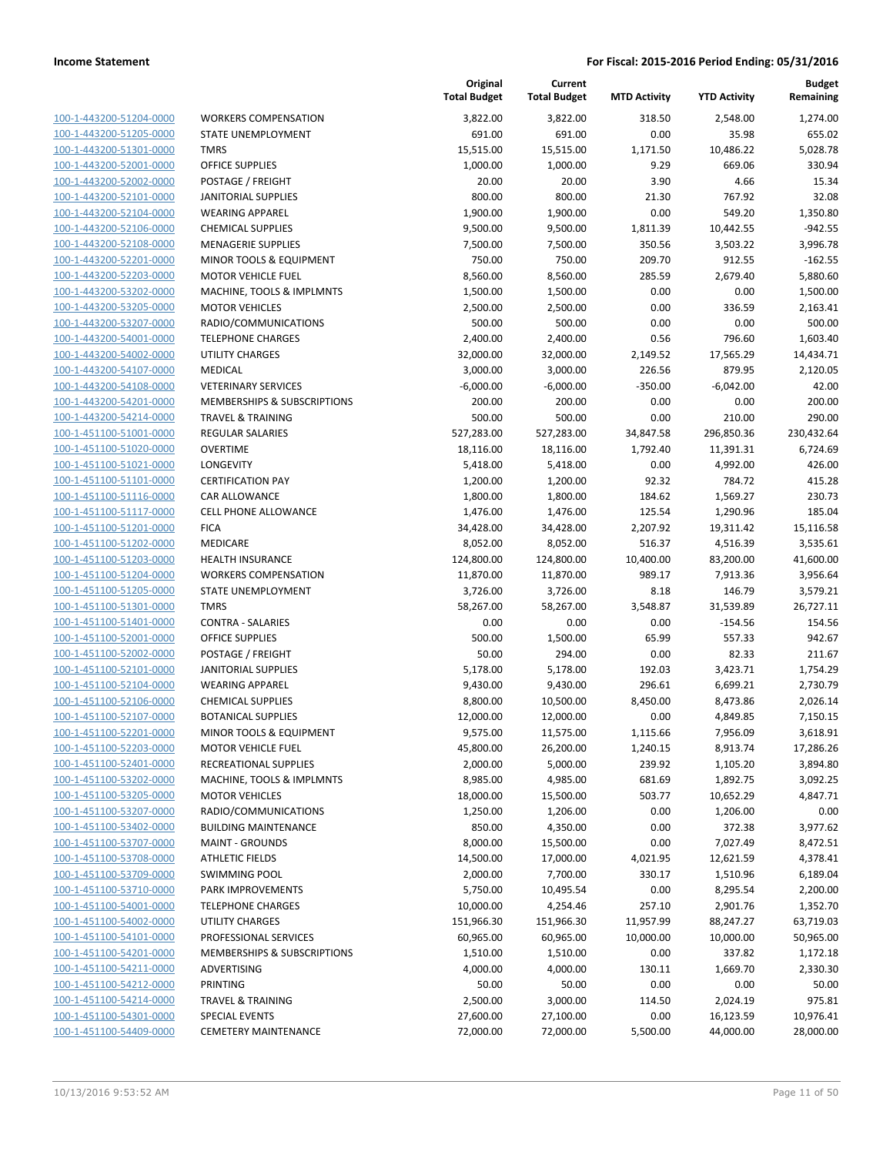| 100-1-443200-51204-0000        |
|--------------------------------|
| 100-1-443200-51205-0000        |
| <u>100-1-443200-51301-0000</u> |
| 100-1-443200-52001-0000        |
| 100-1-443200-52002-0000        |
| 100-1-443200-52101-0000        |
| 100-1-443200-52104-0000        |
| <u>100-1-443200-52106-0000</u> |
| 100-1-443200-52108-0000        |
| 100-1-443200-52201-0000        |
| <u>100-1-443200-52203-0000</u> |
| <u>100-1-443200-53202-0000</u> |
| <u>100-1-443200-53205-0000</u> |
| 100-1-443200-53207-0000        |
| 100-1-443200-54001-0000        |
| <u>100-1-443200-54002-0000</u> |
| <u>100-1-443200-54107-0000</u> |
| <u>100-1-443200-54108-0000</u> |
| 100-1-443200-54201-0000        |
| 100-1-443200-54214-0000        |
|                                |
| <u>100-1-451100-51001-0000</u> |
| <u>100-1-451100-51020-0000</u> |
| 100-1-451100-51021-0000        |
| 100-1-451100-51101-0000        |
| 100-1-451100-51116-0000        |
| <u>100-1-451100-51117-0000</u> |
| <u>100-1-451100-51201-0000</u> |
| <u>100-1-451100-51202-0000</u> |
| 100-1-451100-51203-0000        |
| 100-1-451100-51204-0000        |
| <u>100-1-451100-51205-0000</u> |
| <u>100-1-451100-51301-0000</u> |
| <u>100-1-451100-51401-0000</u> |
| 100-1-451100-52001-0000        |
| 100-1-451100-52002-0000        |
| 100-1-451100-52101-0000        |
| 100-1-451100-52104-0000        |
| <u>100-1-451100-52106-0000</u> |
| 100-1-451100-52107-0000        |
| 100-1-451100-52201-0000        |
| <u>100-1-451100-52203-0000</u> |
| <u>100-1-451100-52401-0000</u> |
| <u>100-1-451100-53202-0000</u> |
| 100-1-451100-53205-0000        |
| 100-1-451100-53207-0000        |
| <u>100-1-451100-53402-0000</u> |
| 100-1-451100-53707-0000        |
| 100-1-451100-53708-0000        |
| 100-1-451100-53709-0000        |
| 100-1-451100-53710-0000        |
| 100-1-451100-54001-0000        |
| 100-1-451100-54002-0000        |
| 100-1-451100-54101-0000        |
| 100-1-451100-54201-0000        |
| 100-1-451100-54211-0000        |
| <u>100-1-451100-54212-0000</u> |
| 100-1-451100-54214-0000        |
|                                |
| 100-1-451100-54301-0000        |
| 100-1-451100-54409-0000        |

|                         |                                        | Original<br><b>Total Budget</b> | Current<br><b>Total Budget</b> | <b>MTD Activity</b> | <b>YTD Activity</b> | <b>Budget</b><br>Remaining |
|-------------------------|----------------------------------------|---------------------------------|--------------------------------|---------------------|---------------------|----------------------------|
| 100-1-443200-51204-0000 | <b>WORKERS COMPENSATION</b>            | 3,822.00                        | 3,822.00                       | 318.50              | 2,548.00            | 1,274.00                   |
| 100-1-443200-51205-0000 | STATE UNEMPLOYMENT                     | 691.00                          | 691.00                         | 0.00                | 35.98               | 655.02                     |
| 100-1-443200-51301-0000 | <b>TMRS</b>                            | 15,515.00                       | 15,515.00                      | 1,171.50            | 10,486.22           | 5,028.78                   |
| 100-1-443200-52001-0000 | <b>OFFICE SUPPLIES</b>                 | 1,000.00                        | 1,000.00                       | 9.29                | 669.06              | 330.94                     |
| 100-1-443200-52002-0000 | POSTAGE / FREIGHT                      | 20.00                           | 20.00                          | 3.90                | 4.66                | 15.34                      |
| 100-1-443200-52101-0000 | <b>JANITORIAL SUPPLIES</b>             | 800.00                          | 800.00                         | 21.30               | 767.92              | 32.08                      |
| 100-1-443200-52104-0000 | <b>WEARING APPAREL</b>                 | 1,900.00                        | 1,900.00                       | 0.00                | 549.20              | 1,350.80                   |
| 100-1-443200-52106-0000 | <b>CHEMICAL SUPPLIES</b>               | 9,500.00                        | 9,500.00                       | 1,811.39            | 10,442.55           | $-942.55$                  |
| 100-1-443200-52108-0000 | <b>MENAGERIE SUPPLIES</b>              | 7,500.00                        | 7,500.00                       | 350.56              | 3,503.22            | 3,996.78                   |
| 100-1-443200-52201-0000 | MINOR TOOLS & EQUIPMENT                | 750.00                          | 750.00                         | 209.70              | 912.55              | $-162.55$                  |
| 100-1-443200-52203-0000 | <b>MOTOR VEHICLE FUEL</b>              | 8,560.00                        | 8,560.00                       | 285.59              | 2,679.40            | 5,880.60                   |
| 100-1-443200-53202-0000 | MACHINE, TOOLS & IMPLMNTS              | 1,500.00                        | 1,500.00                       | 0.00                | 0.00                | 1,500.00                   |
| 100-1-443200-53205-0000 | <b>MOTOR VEHICLES</b>                  | 2,500.00                        | 2,500.00                       | 0.00                | 336.59              | 2,163.41                   |
| 100-1-443200-53207-0000 | RADIO/COMMUNICATIONS                   | 500.00                          | 500.00                         | 0.00                | 0.00                | 500.00                     |
| 100-1-443200-54001-0000 | <b>TELEPHONE CHARGES</b>               | 2,400.00                        | 2,400.00                       | 0.56                | 796.60              | 1,603.40                   |
| 100-1-443200-54002-0000 | <b>UTILITY CHARGES</b>                 | 32,000.00                       | 32,000.00                      | 2,149.52            | 17,565.29           | 14,434.71                  |
| 100-1-443200-54107-0000 | MEDICAL                                | 3,000.00                        | 3,000.00                       | 226.56              | 879.95              | 2,120.05                   |
| 100-1-443200-54108-0000 | <b>VETERINARY SERVICES</b>             | $-6,000.00$                     | $-6,000.00$                    | $-350.00$           | $-6,042.00$         | 42.00                      |
| 100-1-443200-54201-0000 | <b>MEMBERSHIPS &amp; SUBSCRIPTIONS</b> | 200.00                          | 200.00                         | 0.00                | 0.00                | 200.00                     |
| 100-1-443200-54214-0000 | <b>TRAVEL &amp; TRAINING</b>           | 500.00                          | 500.00                         | 0.00                | 210.00              | 290.00                     |
| 100-1-451100-51001-0000 | REGULAR SALARIES                       | 527,283.00                      | 527,283.00                     | 34,847.58           | 296,850.36          | 230,432.64                 |
| 100-1-451100-51020-0000 | <b>OVERTIME</b>                        | 18,116.00                       | 18,116.00                      | 1,792.40            | 11,391.31           | 6,724.69                   |
| 100-1-451100-51021-0000 | LONGEVITY                              | 5,418.00                        | 5,418.00                       | 0.00                | 4,992.00            | 426.00                     |
| 100-1-451100-51101-0000 | <b>CERTIFICATION PAY</b>               | 1,200.00                        | 1,200.00                       | 92.32               | 784.72              | 415.28                     |
| 100-1-451100-51116-0000 | CAR ALLOWANCE                          | 1,800.00                        | 1,800.00                       | 184.62              | 1,569.27            | 230.73                     |
| 100-1-451100-51117-0000 | <b>CELL PHONE ALLOWANCE</b>            | 1,476.00                        | 1,476.00                       | 125.54              | 1,290.96            | 185.04                     |
| 100-1-451100-51201-0000 | <b>FICA</b>                            | 34,428.00                       | 34,428.00                      | 2,207.92            | 19,311.42           | 15,116.58                  |
| 100-1-451100-51202-0000 | MEDICARE                               | 8,052.00                        | 8,052.00                       | 516.37              | 4,516.39            | 3,535.61                   |
| 100-1-451100-51203-0000 | <b>HEALTH INSURANCE</b>                | 124,800.00                      | 124,800.00                     | 10,400.00           | 83,200.00           | 41,600.00                  |
| 100-1-451100-51204-0000 | <b>WORKERS COMPENSATION</b>            | 11,870.00                       | 11,870.00                      | 989.17              | 7,913.36            | 3,956.64                   |
| 100-1-451100-51205-0000 | STATE UNEMPLOYMENT                     | 3,726.00                        | 3,726.00                       | 8.18                | 146.79              | 3,579.21                   |
| 100-1-451100-51301-0000 | <b>TMRS</b>                            | 58,267.00                       | 58,267.00                      | 3,548.87            | 31,539.89           | 26,727.11                  |
| 100-1-451100-51401-0000 | <b>CONTRA - SALARIES</b>               | 0.00                            | 0.00                           | 0.00                | $-154.56$           | 154.56                     |
| 100-1-451100-52001-0000 | <b>OFFICE SUPPLIES</b>                 | 500.00                          | 1,500.00                       | 65.99               | 557.33              | 942.67                     |
| 100-1-451100-52002-0000 | POSTAGE / FREIGHT                      | 50.00                           | 294.00                         | 0.00                | 82.33               | 211.67                     |
| 100-1-451100-52101-0000 | <b>JANITORIAL SUPPLIES</b>             | 5,178.00                        | 5,178.00                       | 192.03              | 3,423.71            | 1,754.29                   |
| 100-1-451100-52104-0000 | <b>WEARING APPAREL</b>                 | 9,430.00                        | 9,430.00                       | 296.61              | 6,699.21            | 2,730.79                   |
| 100-1-451100-52106-0000 | <b>CHEMICAL SUPPLIES</b>               | 8,800.00                        | 10,500.00                      | 8,450.00            | 8,473.86            | 2,026.14                   |
| 100-1-451100-52107-0000 | <b>BOTANICAL SUPPLIES</b>              | 12,000.00                       | 12,000.00                      | 0.00                | 4,849.85            | 7,150.15                   |
| 100-1-451100-52201-0000 | MINOR TOOLS & EQUIPMENT                | 9,575.00                        | 11,575.00                      | 1,115.66            | 7,956.09            | 3,618.91                   |
| 100-1-451100-52203-0000 | <b>MOTOR VEHICLE FUEL</b>              | 45,800.00                       | 26,200.00                      | 1,240.15            | 8,913.74            | 17,286.26                  |
| 100-1-451100-52401-0000 | <b>RECREATIONAL SUPPLIES</b>           | 2,000.00                        | 5,000.00                       | 239.92              | 1,105.20            | 3,894.80                   |
| 100-1-451100-53202-0000 | MACHINE, TOOLS & IMPLMNTS              | 8,985.00                        | 4,985.00                       | 681.69              | 1,892.75            | 3,092.25                   |
| 100-1-451100-53205-0000 | <b>MOTOR VEHICLES</b>                  | 18,000.00                       | 15,500.00                      | 503.77              | 10,652.29           | 4,847.71                   |
| 100-1-451100-53207-0000 | RADIO/COMMUNICATIONS                   | 1,250.00                        | 1,206.00                       | 0.00                | 1,206.00            | 0.00                       |
| 100-1-451100-53402-0000 | <b>BUILDING MAINTENANCE</b>            | 850.00                          | 4,350.00                       | 0.00                | 372.38              | 3,977.62                   |
| 100-1-451100-53707-0000 | <b>MAINT - GROUNDS</b>                 | 8,000.00                        | 15,500.00                      | 0.00                | 7,027.49            | 8,472.51                   |
| 100-1-451100-53708-0000 | <b>ATHLETIC FIELDS</b>                 | 14,500.00                       | 17,000.00                      | 4,021.95            | 12,621.59           | 4,378.41                   |
| 100-1-451100-53709-0000 | <b>SWIMMING POOL</b>                   | 2,000.00                        | 7,700.00                       | 330.17              | 1,510.96            | 6,189.04                   |
| 100-1-451100-53710-0000 | PARK IMPROVEMENTS                      | 5,750.00                        | 10,495.54                      | 0.00                | 8,295.54            | 2,200.00                   |
| 100-1-451100-54001-0000 | <b>TELEPHONE CHARGES</b>               | 10,000.00                       | 4,254.46                       | 257.10              | 2,901.76            | 1,352.70                   |
| 100-1-451100-54002-0000 | UTILITY CHARGES                        | 151,966.30                      | 151,966.30                     | 11,957.99           | 88,247.27           | 63,719.03                  |
| 100-1-451100-54101-0000 | PROFESSIONAL SERVICES                  | 60,965.00                       | 60,965.00                      | 10,000.00           | 10,000.00           | 50,965.00                  |
| 100-1-451100-54201-0000 | MEMBERSHIPS & SUBSCRIPTIONS            | 1,510.00                        | 1,510.00                       | 0.00                | 337.82              | 1,172.18                   |
| 100-1-451100-54211-0000 | ADVERTISING                            | 4,000.00                        | 4,000.00                       | 130.11              | 1,669.70            | 2,330.30                   |
| 100-1-451100-54212-0000 | <b>PRINTING</b>                        | 50.00                           | 50.00                          | 0.00                | 0.00                | 50.00                      |
| 100-1-451100-54214-0000 | <b>TRAVEL &amp; TRAINING</b>           | 2,500.00                        | 3,000.00                       | 114.50              | 2,024.19            | 975.81                     |
| 100-1-451100-54301-0000 | <b>SPECIAL EVENTS</b>                  | 27,600.00                       | 27,100.00                      | 0.00                | 16,123.59           | 10,976.41                  |
| 100-1-451100-54409-0000 | <b>CEMETERY MAINTENANCE</b>            | 72,000.00                       | 72,000.00                      | 5,500.00            | 44,000.00           | 28,000.00                  |
|                         |                                        |                                 |                                |                     |                     |                            |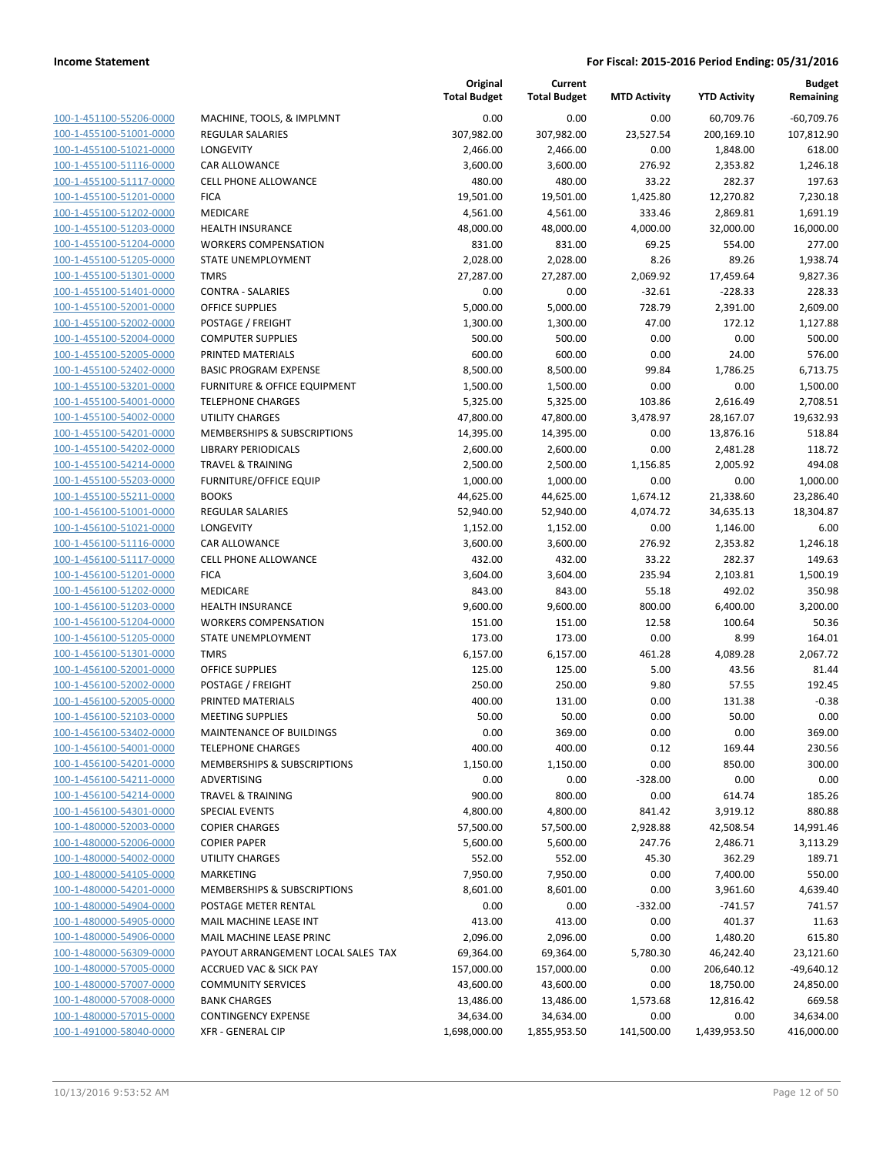| 100-1-451100-55206-0000        |
|--------------------------------|
| 100-1-455100-51001-0000        |
| 100-1-455100-51021-0000        |
| <u>100-1-455100-51116-0000</u> |
| 100-1-455100-51117-0000        |
| 100-1-455100-51201-0000        |
| 100-1-455100-51202-0000        |
| 100-1-455100-51203-0000        |
| 100-1-455100-51204-0000        |
| 100-1-455100-51205-0000        |
| 100-1-455100-51301-0000        |
| 100-1-455100-51401-0000        |
| 100-1-455100-52001-0000        |
| <u>100-1-455100-52002-0000</u> |
| 100-1-455100-52004-0000        |
|                                |
| 100-1-455100-52005-0000        |
| 100-1-455100-52402-0000        |
| 100-1-455100-53201-0000        |
| 100-1-455100-54001-0000        |
| 100-1-455100-54002-0000        |
| 100-1-455100-54201-0000        |
| 100-1-455100-54202-0000        |
| 100-1-455100-54214-0000        |
| <u>100-1-455100-55203-0000</u> |
| 100-1-455100-55211-0000        |
| 100-1-456100-51001-0000        |
| 100-1-456100-51021-0000        |
| 100-1-456100-51116-0000        |
| 100-1-456100-51117-0000        |
| 100-1-456100-51201-0000        |
|                                |
| 100-1-456100-51202-0000        |
| 100-1-456100-51203-0000        |
| 100-1-456100-51204-0000        |
| <u>100-1-456100-51205-0000</u> |
| 100-1-456100-51301-0000        |
| 100-1-456100-52001-0000        |
| 100-1-456100-52002-0000        |
| 100-1-456100-52005-0000        |
| 100-1-456100-52103-0000        |
| 100-1-456100-53402-0000        |
| 100-1-456100-54001-0000        |
| <u>100-1-456100-54201-0000</u> |
| 100-1-456100-54211-0000        |
| 100-1-456100-54214-0000        |
|                                |
| <u>100-1-456100-54301-0000</u> |
| <u>100-1-480000-52003-0000</u> |
| 100-1-480000-52006-0000        |
| 100-1-480000-54002-0000        |
| 100-1-480000-54105-0000        |
| <u>100-1-480000-54201-0000</u> |
| <u>100-1-480000-54904-0000</u> |
| 100-1-480000-54905-0000        |
| 100-1-480000-54906-0000        |
| 100-1-480000-56309-0000        |
| <u>100-1-480000-57005-0000</u> |
| <u>100-1-480000-57007-0000</u> |
| 100-1-480000-57008-0000        |
| 100-1-480000-57015-0000        |
| <u>100-1-491000-58040-0000</u> |
|                                |

| AACHINE, TOOLS, & IMPLMNT                     |
|-----------------------------------------------|
| EGULAR SALARIES                               |
| ONGEVITY                                      |
| AR ALLOWANCE:                                 |
| ELL PHONE ALLOWANCE:                          |
| ICA                                           |
| <i><b>IEDICARE</b></i>                        |
| IEALTH INSURANCE                              |
| VORKERS COMPENSATION                          |
| TATE UNEMPLOYMENT                             |
| <b>MRS</b>                                    |
| ONTRA - SALARIES:                             |
| )FFICE SUPPLIES                               |
| OSTAGE / FREIGHT                              |
| OMPUTER SUPPLIES:                             |
| RINTED MATERIALS                              |
| ASIC PROGRAM EXPENSE                          |
| URNITURE & OFFICE EQUIPMENT                   |
| <b>ELEPHONE CHARGES</b>                       |
| <b>ITILITY CHARGES</b>                        |
| AEMBERSHIPS & SUBSCRIPTIONS                   |
| <b>IBRARY PERIODICALS</b>                     |
| <b>RAVEL &amp; TRAINING</b>                   |
| URNITURE/OFFICE EQUIP                         |
| OOKS                                          |
| EGULAR SALARIES:                              |
| ONGEVITY                                      |
| AR ALLOWANCE:                                 |
| ELL PHONE ALLOWANCE:                          |
| ICA                                           |
| <i><b>IEDICARE</b></i>                        |
| IEALTH INSURANCE                              |
| VORKERS COMPENSATION                          |
| TATE UNEMPLOYMENT                             |
| MRS                                           |
| )FFICE SUPPLIES                               |
| OSTAGE / FREIGHT                              |
| RINTED MATERIALS                              |
| <b><i>IEETING SUPPLIES</i></b>                |
| <i><b>IAINTENANCE OF BUILDINGS</b></i>        |
| <b>ELEPHONE CHARGES</b>                       |
| AEMBERSHIPS & SUBSCRIPTIONS                   |
| DVERTISING                                    |
| <b>RAVEL &amp; TRAINING</b>                   |
| PECIAL EVENTS                                 |
| OPIER CHARGES                                 |
| OPIER PAPER                                   |
| <b>ITILITY CHARGES</b>                        |
| <b>AARKETING</b>                              |
| <b><i>MEMBERSHIPS &amp; SUBSCRIPTIONS</i></b> |
| <b>OSTAGE METER RENTAL</b>                    |
| <b>AAIL MACHINE LEASE INT</b>                 |
| <b>AAIL MACHINE LEASE PRINC</b>               |
| AYOUT ARRANGEMENT LOCAL SALES TAX             |
| <b>CCRUED VAC &amp; SICK PAY</b>              |
| OMMUNITY SERVICES                             |
| ANK CHARGES                                   |
| ONTINGENCY EXPENSE                            |

|                                                    |                                         | Original<br><b>Total Budget</b> | Current<br><b>Total Budget</b> | <b>MTD Activity</b> | <b>YTD Activity</b>   | <b>Budget</b><br>Remaining |
|----------------------------------------------------|-----------------------------------------|---------------------------------|--------------------------------|---------------------|-----------------------|----------------------------|
| 100-1-451100-55206-0000                            | MACHINE, TOOLS, & IMPLMNT               | 0.00                            | 0.00                           | 0.00                | 60,709.76             | $-60,709.76$               |
| 100-1-455100-51001-0000                            | <b>REGULAR SALARIES</b>                 | 307,982.00                      | 307,982.00                     | 23,527.54           | 200,169.10            | 107,812.90                 |
| 100-1-455100-51021-0000                            | LONGEVITY                               | 2,466.00                        | 2,466.00                       | 0.00                | 1,848.00              | 618.00                     |
| 100-1-455100-51116-0000                            | <b>CAR ALLOWANCE</b>                    | 3,600.00                        | 3,600.00                       | 276.92              | 2,353.82              | 1,246.18                   |
| 100-1-455100-51117-0000                            | CELL PHONE ALLOWANCE                    | 480.00                          | 480.00                         | 33.22               | 282.37                | 197.63                     |
| 100-1-455100-51201-0000                            | <b>FICA</b>                             | 19,501.00                       | 19,501.00                      | 1,425.80            | 12,270.82             | 7,230.18                   |
| 100-1-455100-51202-0000                            | MEDICARE                                | 4,561.00                        | 4,561.00                       | 333.46              | 2,869.81              | 1,691.19                   |
| 100-1-455100-51203-0000                            | <b>HEALTH INSURANCE</b>                 | 48,000.00                       | 48,000.00                      | 4,000.00            | 32,000.00             | 16,000.00                  |
| 100-1-455100-51204-0000                            | <b>WORKERS COMPENSATION</b>             | 831.00                          | 831.00                         | 69.25               | 554.00                | 277.00                     |
| 100-1-455100-51205-0000                            | STATE UNEMPLOYMENT                      | 2,028.00                        | 2,028.00                       | 8.26                | 89.26                 | 1,938.74                   |
| 100-1-455100-51301-0000                            | <b>TMRS</b>                             | 27,287.00                       | 27,287.00                      | 2,069.92            | 17,459.64             | 9,827.36                   |
| 100-1-455100-51401-0000                            | <b>CONTRA - SALARIES</b>                | 0.00                            | 0.00                           | $-32.61$            | $-228.33$             | 228.33                     |
| 100-1-455100-52001-0000                            | <b>OFFICE SUPPLIES</b>                  | 5,000.00                        | 5,000.00                       | 728.79              | 2,391.00              | 2,609.00                   |
| 100-1-455100-52002-0000                            | POSTAGE / FREIGHT                       | 1,300.00                        | 1,300.00                       | 47.00               | 172.12                | 1,127.88                   |
| 100-1-455100-52004-0000                            | <b>COMPUTER SUPPLIES</b>                | 500.00                          | 500.00                         | 0.00                | 0.00                  | 500.00                     |
| 100-1-455100-52005-0000                            | PRINTED MATERIALS                       | 600.00                          | 600.00                         | 0.00                | 24.00                 | 576.00                     |
| 100-1-455100-52402-0000                            | <b>BASIC PROGRAM EXPENSE</b>            | 8,500.00                        | 8,500.00                       | 99.84               | 1,786.25              | 6,713.75                   |
| 100-1-455100-53201-0000                            | <b>FURNITURE &amp; OFFICE EQUIPMENT</b> | 1,500.00                        | 1,500.00                       | 0.00                | 0.00                  | 1,500.00                   |
| 100-1-455100-54001-0000                            | <b>TELEPHONE CHARGES</b>                | 5,325.00                        | 5,325.00                       | 103.86              | 2,616.49              | 2,708.51                   |
| 100-1-455100-54002-0000                            | <b>UTILITY CHARGES</b>                  | 47,800.00                       | 47,800.00                      | 3,478.97            | 28,167.07             | 19,632.93                  |
| 100-1-455100-54201-0000                            | MEMBERSHIPS & SUBSCRIPTIONS             | 14,395.00                       | 14,395.00                      | 0.00                | 13,876.16             | 518.84                     |
| 100-1-455100-54202-0000                            | <b>LIBRARY PERIODICALS</b>              | 2,600.00                        | 2,600.00                       | 0.00                | 2,481.28              | 118.72                     |
| 100-1-455100-54214-0000                            | <b>TRAVEL &amp; TRAINING</b>            | 2,500.00                        | 2,500.00                       | 1,156.85            | 2,005.92              | 494.08                     |
| 100-1-455100-55203-0000                            | <b>FURNITURE/OFFICE EQUIP</b>           | 1,000.00                        | 1,000.00                       | 0.00                | 0.00                  | 1,000.00                   |
| 100-1-455100-55211-0000                            | <b>BOOKS</b>                            | 44,625.00                       | 44,625.00                      | 1,674.12            | 21,338.60             | 23,286.40                  |
| 100-1-456100-51001-0000                            | <b>REGULAR SALARIES</b>                 | 52,940.00                       | 52,940.00                      | 4,074.72            | 34,635.13             | 18,304.87                  |
| 100-1-456100-51021-0000                            | LONGEVITY                               | 1,152.00                        | 1,152.00                       | 0.00                | 1,146.00              | 6.00                       |
| 100-1-456100-51116-0000                            | <b>CAR ALLOWANCE</b>                    | 3,600.00                        | 3,600.00                       | 276.92              | 2,353.82              | 1,246.18                   |
| 100-1-456100-51117-0000                            | <b>CELL PHONE ALLOWANCE</b>             | 432.00                          | 432.00                         | 33.22               | 282.37                | 149.63                     |
| 100-1-456100-51201-0000                            | <b>FICA</b>                             | 3,604.00                        | 3,604.00                       | 235.94              | 2,103.81              | 1,500.19                   |
| 100-1-456100-51202-0000                            | MEDICARE                                | 843.00                          | 843.00                         | 55.18               | 492.02                | 350.98                     |
| 100-1-456100-51203-0000                            | <b>HEALTH INSURANCE</b>                 | 9,600.00                        | 9,600.00                       | 800.00              | 6,400.00              | 3,200.00                   |
| 100-1-456100-51204-0000                            | <b>WORKERS COMPENSATION</b>             | 151.00                          | 151.00                         | 12.58               | 100.64                | 50.36                      |
| 100-1-456100-51205-0000                            | STATE UNEMPLOYMENT                      | 173.00                          | 173.00                         | 0.00                | 8.99                  | 164.01                     |
| 100-1-456100-51301-0000                            | <b>TMRS</b>                             | 6,157.00                        | 6,157.00                       | 461.28              | 4,089.28              | 2,067.72                   |
| 100-1-456100-52001-0000                            | <b>OFFICE SUPPLIES</b>                  | 125.00                          | 125.00                         | 5.00                | 43.56                 | 81.44                      |
| 100-1-456100-52002-0000                            | POSTAGE / FREIGHT                       | 250.00                          | 250.00                         | 9.80                | 57.55                 | 192.45                     |
| 100-1-456100-52005-0000                            | PRINTED MATERIALS                       | 400.00                          | 131.00                         | 0.00                | 131.38                | $-0.38$                    |
| 100-1-456100-52103-0000                            | <b>MEETING SUPPLIES</b>                 | 50.00                           | 50.00                          | 0.00                | 50.00                 | 0.00                       |
| 100-1-456100-53402-0000                            | <b>MAINTENANCE OF BUILDINGS</b>         | 0.00                            | 369.00                         | 0.00                | 0.00                  | 369.00                     |
| 100-1-456100-54001-0000                            | <b>TELEPHONE CHARGES</b>                | 400.00                          | 400.00                         | 0.12                | 169.44                | 230.56                     |
| 100-1-456100-54201-0000                            | MEMBERSHIPS & SUBSCRIPTIONS             | 1,150.00                        | 1,150.00                       | 0.00                | 850.00                | 300.00                     |
| 100-1-456100-54211-0000                            | ADVERTISING                             | 0.00                            | 0.00                           | $-328.00$           | 0.00                  | 0.00                       |
| 100-1-456100-54214-0000<br>100-1-456100-54301-0000 | <b>TRAVEL &amp; TRAINING</b>            | 900.00                          | 800.00                         | 0.00                | 614.74                | 185.26<br>880.88           |
| 100-1-480000-52003-0000                            | SPECIAL EVENTS<br><b>COPIER CHARGES</b> | 4,800.00<br>57,500.00           | 4,800.00<br>57,500.00          | 841.42<br>2,928.88  | 3,919.12<br>42,508.54 | 14,991.46                  |
| 100-1-480000-52006-0000                            | <b>COPIER PAPER</b>                     | 5,600.00                        | 5,600.00                       | 247.76              | 2,486.71              | 3,113.29                   |
| 100-1-480000-54002-0000                            | <b>UTILITY CHARGES</b>                  | 552.00                          | 552.00                         | 45.30               | 362.29                | 189.71                     |
| 100-1-480000-54105-0000                            | <b>MARKETING</b>                        | 7,950.00                        | 7,950.00                       | 0.00                | 7,400.00              | 550.00                     |
| 100-1-480000-54201-0000                            | MEMBERSHIPS & SUBSCRIPTIONS             | 8,601.00                        | 8,601.00                       | 0.00                | 3,961.60              | 4,639.40                   |
| 100-1-480000-54904-0000                            | POSTAGE METER RENTAL                    | 0.00                            | 0.00                           | $-332.00$           | $-741.57$             | 741.57                     |
| 100-1-480000-54905-0000                            | MAIL MACHINE LEASE INT                  | 413.00                          | 413.00                         | 0.00                | 401.37                | 11.63                      |
| 100-1-480000-54906-0000                            | MAIL MACHINE LEASE PRINC                | 2,096.00                        | 2,096.00                       | 0.00                | 1,480.20              | 615.80                     |
| 100-1-480000-56309-0000                            | PAYOUT ARRANGEMENT LOCAL SALES TAX      | 69,364.00                       | 69,364.00                      | 5,780.30            | 46,242.40             | 23,121.60                  |
| 100-1-480000-57005-0000                            | <b>ACCRUED VAC &amp; SICK PAY</b>       | 157,000.00                      | 157,000.00                     | 0.00                | 206,640.12            | $-49,640.12$               |
| 100-1-480000-57007-0000                            | <b>COMMUNITY SERVICES</b>               | 43,600.00                       | 43,600.00                      | 0.00                | 18,750.00             | 24,850.00                  |
| 100-1-480000-57008-0000                            | <b>BANK CHARGES</b>                     | 13,486.00                       | 13,486.00                      | 1,573.68            | 12,816.42             | 669.58                     |
| 100-1-480000-57015-0000                            | <b>CONTINGENCY EXPENSE</b>              | 34,634.00                       | 34,634.00                      | 0.00                | 0.00                  | 34,634.00                  |
| 100-1-491000-58040-0000                            | <b>XFR - GENERAL CIP</b>                | 1,698,000.00                    | 1,855,953.50                   | 141,500.00          | 1,439,953.50          | 416,000.00                 |
|                                                    |                                         |                                 |                                |                     |                       |                            |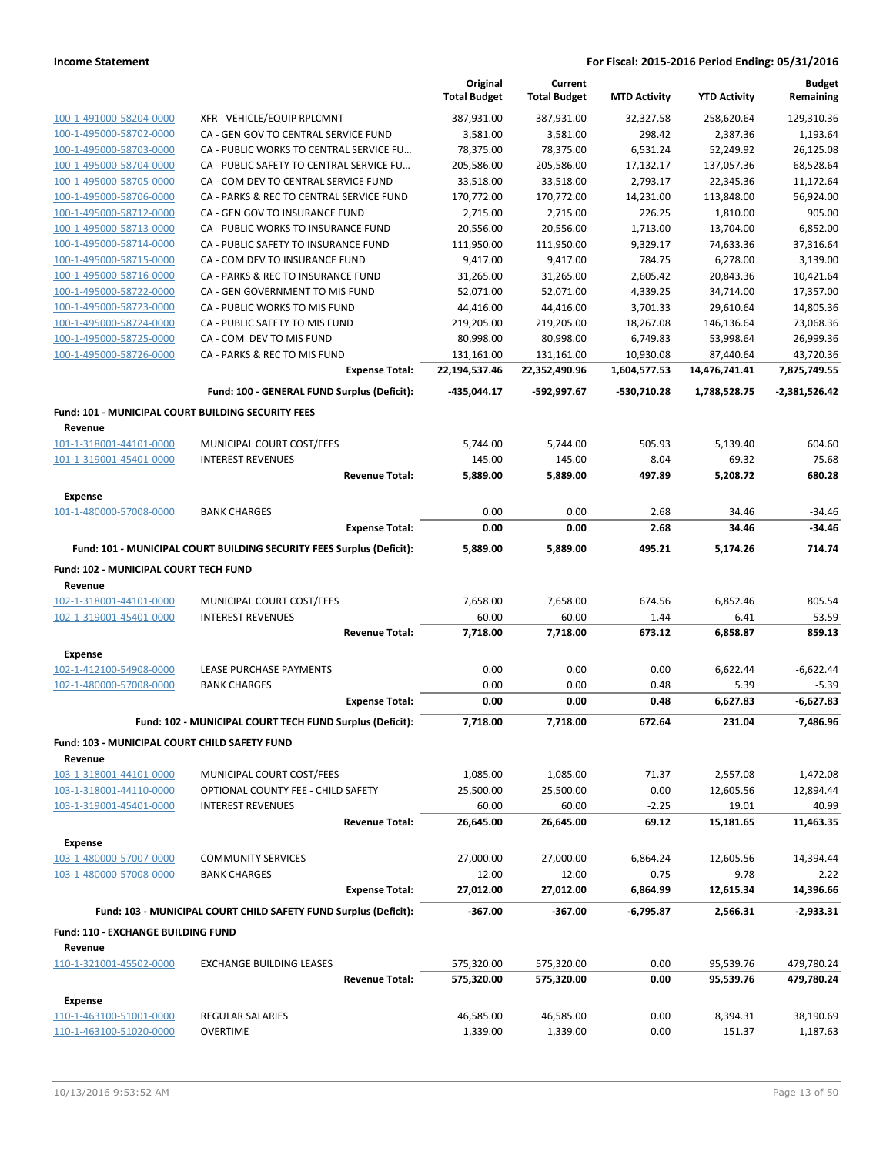|                                                               |                                                                       | Original<br><b>Total Budget</b> | Current<br><b>Total Budget</b> | <b>MTD Activity</b> | <b>YTD Activity</b> | <b>Budget</b><br>Remaining |
|---------------------------------------------------------------|-----------------------------------------------------------------------|---------------------------------|--------------------------------|---------------------|---------------------|----------------------------|
| 100-1-491000-58204-0000                                       | XFR - VEHICLE/EQUIP RPLCMNT                                           | 387,931.00                      | 387,931.00                     | 32,327.58           | 258,620.64          | 129,310.36                 |
| 100-1-495000-58702-0000                                       | CA - GEN GOV TO CENTRAL SERVICE FUND                                  | 3,581.00                        | 3,581.00                       | 298.42              | 2,387.36            | 1,193.64                   |
| 100-1-495000-58703-0000                                       | CA - PUBLIC WORKS TO CENTRAL SERVICE FU                               | 78,375.00                       | 78,375.00                      | 6,531.24            | 52,249.92           | 26,125.08                  |
| 100-1-495000-58704-0000                                       | CA - PUBLIC SAFETY TO CENTRAL SERVICE FU                              | 205,586.00                      | 205,586.00                     | 17,132.17           | 137,057.36          | 68,528.64                  |
| 100-1-495000-58705-0000                                       | CA - COM DEV TO CENTRAL SERVICE FUND                                  | 33,518.00                       | 33,518.00                      | 2,793.17            | 22,345.36           | 11,172.64                  |
| 100-1-495000-58706-0000                                       | CA - PARKS & REC TO CENTRAL SERVICE FUND                              | 170,772.00                      | 170,772.00                     | 14,231.00           | 113,848.00          | 56,924.00                  |
| 100-1-495000-58712-0000                                       | CA - GEN GOV TO INSURANCE FUND                                        | 2,715.00                        | 2,715.00                       | 226.25              | 1,810.00            | 905.00                     |
| 100-1-495000-58713-0000                                       | CA - PUBLIC WORKS TO INSURANCE FUND                                   | 20,556.00                       | 20,556.00                      | 1,713.00            | 13,704.00           | 6,852.00                   |
| 100-1-495000-58714-0000                                       | CA - PUBLIC SAFETY TO INSURANCE FUND                                  | 111,950.00                      | 111,950.00                     | 9,329.17            | 74,633.36           | 37,316.64                  |
| 100-1-495000-58715-0000                                       | CA - COM DEV TO INSURANCE FUND                                        | 9,417.00                        | 9,417.00                       | 784.75              | 6,278.00            | 3,139.00                   |
| 100-1-495000-58716-0000                                       | CA - PARKS & REC TO INSURANCE FUND                                    | 31,265.00                       | 31,265.00                      | 2,605.42            | 20,843.36           | 10,421.64                  |
| 100-1-495000-58722-0000                                       | CA - GEN GOVERNMENT TO MIS FUND                                       | 52,071.00                       | 52,071.00                      | 4,339.25            | 34,714.00           | 17,357.00                  |
| 100-1-495000-58723-0000                                       | CA - PUBLIC WORKS TO MIS FUND                                         | 44,416.00                       | 44,416.00                      | 3,701.33            | 29,610.64           | 14,805.36                  |
| 100-1-495000-58724-0000                                       | CA - PUBLIC SAFETY TO MIS FUND                                        | 219,205.00                      | 219,205.00                     | 18,267.08           | 146,136.64          | 73,068.36                  |
| 100-1-495000-58725-0000                                       | CA - COM DEV TO MIS FUND                                              | 80,998.00                       | 80,998.00                      | 6,749.83            | 53,998.64           | 26,999.36                  |
| 100-1-495000-58726-0000                                       | CA - PARKS & REC TO MIS FUND                                          | 131,161.00                      | 131,161.00                     | 10,930.08           | 87,440.64           | 43,720.36                  |
|                                                               | <b>Expense Total:</b>                                                 | 22,194,537.46                   | 22,352,490.96                  | 1,604,577.53        | 14,476,741.41       | 7,875,749.55               |
|                                                               | Fund: 100 - GENERAL FUND Surplus (Deficit):                           | -435,044.17                     | -592,997.67                    | -530,710.28         | 1,788,528.75        | -2,381,526.42              |
| Fund: 101 - MUNICIPAL COURT BUILDING SECURITY FEES<br>Revenue |                                                                       |                                 |                                |                     |                     |                            |
| 101-1-318001-44101-0000                                       | MUNICIPAL COURT COST/FEES                                             | 5,744.00                        | 5,744.00                       | 505.93              | 5,139.40            | 604.60                     |
| 101-1-319001-45401-0000                                       | <b>INTEREST REVENUES</b>                                              | 145.00                          | 145.00                         | $-8.04$             | 69.32               | 75.68                      |
|                                                               | <b>Revenue Total:</b>                                                 | 5,889.00                        | 5,889.00                       | 497.89              | 5,208.72            | 680.28                     |
| <b>Expense</b>                                                |                                                                       |                                 |                                |                     |                     |                            |
| 101-1-480000-57008-0000                                       | <b>BANK CHARGES</b>                                                   | 0.00                            | 0.00                           | 2.68                | 34.46               | $-34.46$                   |
|                                                               | <b>Expense Total:</b>                                                 | 0.00                            | 0.00                           | 2.68                | 34.46               | $-34.46$                   |
|                                                               | Fund: 101 - MUNICIPAL COURT BUILDING SECURITY FEES Surplus (Deficit): | 5,889.00                        | 5,889.00                       | 495.21              | 5,174.26            | 714.74                     |
| Fund: 102 - MUNICIPAL COURT TECH FUND<br>Revenue              |                                                                       |                                 |                                |                     |                     |                            |
| 102-1-318001-44101-0000                                       | MUNICIPAL COURT COST/FEES                                             | 7,658.00                        | 7,658.00                       | 674.56              | 6,852.46            | 805.54                     |
| 102-1-319001-45401-0000                                       | <b>INTEREST REVENUES</b>                                              | 60.00                           | 60.00                          | $-1.44$             | 6.41                | 53.59                      |
|                                                               | <b>Revenue Total:</b>                                                 | 7,718.00                        | 7,718.00                       | 673.12              | 6,858.87            | 859.13                     |
|                                                               |                                                                       |                                 |                                |                     |                     |                            |
| <b>Expense</b><br>102-1-412100-54908-0000                     | LEASE PURCHASE PAYMENTS                                               | 0.00                            | 0.00                           | 0.00                | 6,622.44            | $-6,622.44$                |
| 102-1-480000-57008-0000                                       | <b>BANK CHARGES</b>                                                   | 0.00                            | 0.00                           | 0.48                | 5.39                | $-5.39$                    |
|                                                               | <b>Expense Total:</b>                                                 | 0.00                            | 0.00                           | 0.48                | 6,627.83            | $-6,627.83$                |
|                                                               | Fund: 102 - MUNICIPAL COURT TECH FUND Surplus (Deficit):              | 7,718.00                        | 7,718.00                       | 672.64              | 231.04              | 7,486.96                   |
|                                                               |                                                                       |                                 |                                |                     |                     |                            |
| Fund: 103 - MUNICIPAL COURT CHILD SAFETY FUND<br>Revenue      |                                                                       |                                 |                                |                     |                     |                            |
| 103-1-318001-44101-0000                                       | MUNICIPAL COURT COST/FEES                                             | 1,085.00                        | 1,085.00                       | 71.37               | 2,557.08            | $-1,472.08$                |
| 103-1-318001-44110-0000                                       | OPTIONAL COUNTY FEE - CHILD SAFETY                                    | 25,500.00                       | 25,500.00                      | 0.00                | 12,605.56           | 12,894.44                  |
| 103-1-319001-45401-0000                                       | <b>INTEREST REVENUES</b>                                              | 60.00                           | 60.00                          | $-2.25$             | 19.01               | 40.99                      |
| <b>Expense</b>                                                | <b>Revenue Total:</b>                                                 | 26,645.00                       | 26,645.00                      | 69.12               | 15,181.65           | 11,463.35                  |
| 103-1-480000-57007-0000                                       | <b>COMMUNITY SERVICES</b>                                             | 27,000.00                       | 27,000.00                      | 6,864.24            | 12,605.56           | 14,394.44                  |
| 103-1-480000-57008-0000                                       | <b>BANK CHARGES</b>                                                   | 12.00                           | 12.00                          | 0.75                | 9.78                | 2.22                       |
|                                                               | <b>Expense Total:</b>                                                 | 27,012.00                       | 27,012.00                      | 6,864.99            | 12,615.34           | 14,396.66                  |
|                                                               | Fund: 103 - MUNICIPAL COURT CHILD SAFETY FUND Surplus (Deficit):      | $-367.00$                       | $-367.00$                      | -6,795.87           | 2,566.31            | $-2,933.31$                |
|                                                               |                                                                       |                                 |                                |                     |                     |                            |
| Fund: 110 - EXCHANGE BUILDING FUND<br>Revenue                 |                                                                       |                                 |                                |                     |                     |                            |
| 110-1-321001-45502-0000                                       | <b>EXCHANGE BUILDING LEASES</b>                                       | 575,320.00                      | 575,320.00                     | 0.00                | 95,539.76           | 479,780.24                 |
|                                                               | <b>Revenue Total:</b>                                                 | 575,320.00                      | 575,320.00                     | 0.00                | 95,539.76           | 479,780.24                 |
| <b>Expense</b>                                                |                                                                       |                                 |                                |                     |                     |                            |
| 110-1-463100-51001-0000                                       | REGULAR SALARIES                                                      | 46,585.00                       | 46,585.00                      | 0.00                | 8,394.31            | 38,190.69                  |
| 110-1-463100-51020-0000                                       | <b>OVERTIME</b>                                                       | 1,339.00                        | 1,339.00                       | 0.00                | 151.37              | 1,187.63                   |
|                                                               |                                                                       |                                 |                                |                     |                     |                            |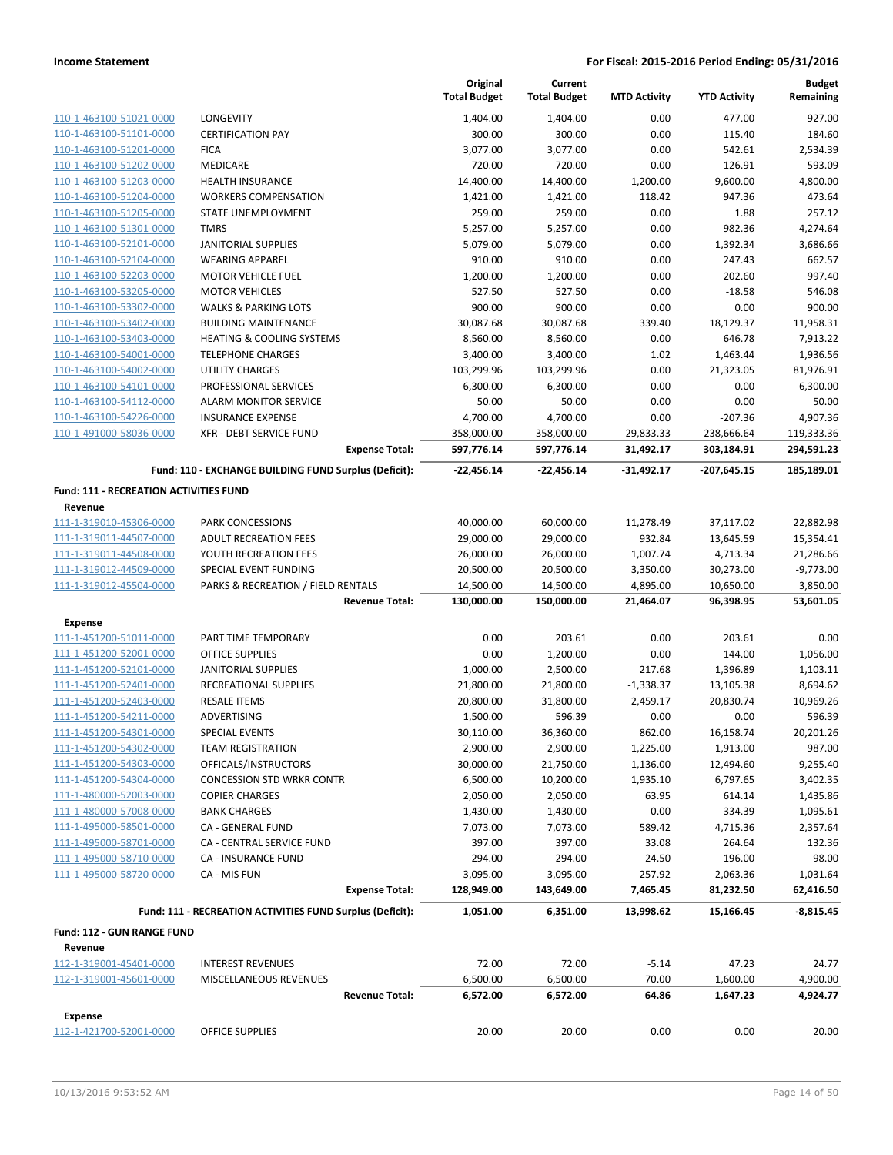|                                                    |                                                                                    | Original<br><b>Total Budget</b> | Current<br><b>Total Budget</b> | <b>MTD Activity</b>   | <b>YTD Activity</b>    | <b>Budget</b><br>Remaining |
|----------------------------------------------------|------------------------------------------------------------------------------------|---------------------------------|--------------------------------|-----------------------|------------------------|----------------------------|
| 110-1-463100-51021-0000                            | <b>LONGEVITY</b>                                                                   | 1,404.00                        | 1.404.00                       | 0.00                  | 477.00                 | 927.00                     |
| 110-1-463100-51101-0000                            | <b>CERTIFICATION PAY</b>                                                           | 300.00                          | 300.00                         | 0.00                  | 115.40                 | 184.60                     |
| 110-1-463100-51201-0000                            | <b>FICA</b>                                                                        | 3,077.00                        | 3,077.00                       | 0.00                  | 542.61                 | 2,534.39                   |
| 110-1-463100-51202-0000                            | MEDICARE                                                                           | 720.00                          | 720.00                         | 0.00                  | 126.91                 | 593.09                     |
| 110-1-463100-51203-0000                            | <b>HEALTH INSURANCE</b>                                                            | 14,400.00                       | 14,400.00                      | 1,200.00              | 9,600.00               | 4,800.00                   |
| 110-1-463100-51204-0000                            | <b>WORKERS COMPENSATION</b>                                                        | 1,421.00                        | 1,421.00                       | 118.42                | 947.36                 | 473.64                     |
| 110-1-463100-51205-0000                            | STATE UNEMPLOYMENT                                                                 | 259.00                          | 259.00                         | 0.00                  | 1.88                   | 257.12                     |
| 110-1-463100-51301-0000                            | <b>TMRS</b>                                                                        | 5,257.00                        | 5,257.00                       | 0.00                  | 982.36                 | 4,274.64                   |
| 110-1-463100-52101-0000                            | <b>JANITORIAL SUPPLIES</b>                                                         | 5,079.00                        | 5,079.00                       | 0.00                  | 1,392.34               | 3,686.66                   |
| 110-1-463100-52104-0000                            | <b>WEARING APPAREL</b>                                                             | 910.00                          | 910.00                         | 0.00                  | 247.43                 | 662.57                     |
| 110-1-463100-52203-0000                            | <b>MOTOR VEHICLE FUEL</b>                                                          | 1,200.00                        | 1,200.00                       | 0.00                  | 202.60                 | 997.40                     |
| 110-1-463100-53205-0000                            | <b>MOTOR VEHICLES</b>                                                              | 527.50                          | 527.50                         | 0.00                  | $-18.58$               | 546.08                     |
| 110-1-463100-53302-0000                            | <b>WALKS &amp; PARKING LOTS</b>                                                    | 900.00                          | 900.00                         | 0.00                  | 0.00                   | 900.00                     |
| 110-1-463100-53402-0000                            | <b>BUILDING MAINTENANCE</b>                                                        | 30,087.68                       | 30,087.68                      | 339.40                | 18,129.37              | 11,958.31                  |
| 110-1-463100-53403-0000<br>110-1-463100-54001-0000 | <b>HEATING &amp; COOLING SYSTEMS</b><br><b>TELEPHONE CHARGES</b>                   | 8,560.00<br>3,400.00            | 8,560.00                       | 0.00<br>1.02          | 646.78<br>1,463.44     | 7,913.22<br>1,936.56       |
| 110-1-463100-54002-0000                            | UTILITY CHARGES                                                                    | 103,299.96                      | 3,400.00<br>103,299.96         | 0.00                  | 21,323.05              | 81,976.91                  |
| 110-1-463100-54101-0000                            | PROFESSIONAL SERVICES                                                              | 6,300.00                        | 6,300.00                       | 0.00                  | 0.00                   | 6,300.00                   |
| 110-1-463100-54112-0000                            | <b>ALARM MONITOR SERVICE</b>                                                       | 50.00                           | 50.00                          | 0.00                  | 0.00                   | 50.00                      |
| 110-1-463100-54226-0000                            | <b>INSURANCE EXPENSE</b>                                                           | 4,700.00                        | 4,700.00                       | 0.00                  | $-207.36$              | 4,907.36                   |
| 110-1-491000-58036-0000                            | <b>XFR - DEBT SERVICE FUND</b>                                                     | 358,000.00                      | 358,000.00                     | 29,833.33             | 238,666.64             | 119,333.36                 |
|                                                    | <b>Expense Total:</b>                                                              | 597,776.14                      | 597,776.14                     | 31,492.17             | 303,184.91             | 294,591.23                 |
|                                                    | Fund: 110 - EXCHANGE BUILDING FUND Surplus (Deficit):                              | -22,456.14                      | $-22,456.14$                   | $-31,492.17$          | $-207,645.15$          | 185,189.01                 |
| <b>Fund: 111 - RECREATION ACTIVITIES FUND</b>      |                                                                                    |                                 |                                |                       |                        |                            |
| Revenue                                            |                                                                                    |                                 |                                |                       |                        |                            |
| 111-1-319010-45306-0000                            | PARK CONCESSIONS                                                                   | 40,000.00                       | 60,000.00                      | 11,278.49             | 37,117.02              | 22,882.98                  |
| 111-1-319011-44507-0000                            | <b>ADULT RECREATION FEES</b>                                                       | 29,000.00                       | 29,000.00                      | 932.84                | 13,645.59              | 15,354.41                  |
| 111-1-319011-44508-0000                            | YOUTH RECREATION FEES                                                              | 26,000.00                       | 26,000.00                      | 1,007.74              | 4,713.34               | 21,286.66                  |
| 111-1-319012-44509-0000<br>111-1-319012-45504-0000 | SPECIAL EVENT FUNDING<br>PARKS & RECREATION / FIELD RENTALS                        | 20,500.00<br>14,500.00          | 20,500.00<br>14,500.00         | 3,350.00<br>4,895.00  | 30,273.00<br>10,650.00 | $-9,773.00$<br>3,850.00    |
|                                                    | <b>Revenue Total:</b>                                                              | 130,000.00                      | 150,000.00                     | 21,464.07             | 96,398.95              | 53,601.05                  |
| <b>Expense</b>                                     |                                                                                    |                                 |                                |                       |                        |                            |
| 111-1-451200-51011-0000                            | PART TIME TEMPORARY                                                                | 0.00                            | 203.61                         | 0.00                  | 203.61                 | 0.00                       |
| 111-1-451200-52001-0000                            | <b>OFFICE SUPPLIES</b>                                                             | 0.00                            | 1,200.00                       | 0.00                  | 144.00                 | 1,056.00                   |
| 111-1-451200-52101-0000                            | <b>JANITORIAL SUPPLIES</b>                                                         | 1,000.00                        | 2,500.00                       | 217.68                | 1,396.89               | 1,103.11                   |
| 111-1-451200-52401-0000                            | RECREATIONAL SUPPLIES                                                              | 21,800.00                       | 21,800.00                      | $-1,338.37$           | 13,105.38              | 8,694.62                   |
| 111-1-451200-52403-0000                            | <b>RESALE ITEMS</b>                                                                | 20,800.00                       | 31,800.00                      | 2,459.17              | 20,830.74              | 10,969.26                  |
| 111-1-451200-54211-0000                            | ADVERTISING                                                                        | 1,500.00                        | 596.39                         | 0.00                  | 0.00                   | 596.39                     |
| 111-1-451200-54301-0000                            | SPECIAL EVENTS                                                                     | 30,110.00                       | 36,360.00                      | 862.00                | 16,158.74              | 20,201.26                  |
| 111-1-451200-54302-0000                            | <b>TEAM REGISTRATION</b>                                                           | 2,900.00                        | 2,900.00                       | 1,225.00              | 1,913.00               | 987.00                     |
| 111-1-451200-54303-0000                            | OFFICALS/INSTRUCTORS                                                               | 30,000.00                       | 21,750.00                      | 1,136.00              | 12,494.60              | 9,255.40                   |
| 111-1-451200-54304-0000                            | <b>CONCESSION STD WRKR CONTR</b>                                                   | 6,500.00                        | 10,200.00                      | 1,935.10              | 6,797.65               | 3,402.35                   |
| 111-1-480000-52003-0000                            | <b>COPIER CHARGES</b>                                                              | 2,050.00                        | 2,050.00                       | 63.95                 | 614.14                 | 1,435.86                   |
| 111-1-480000-57008-0000                            | <b>BANK CHARGES</b>                                                                | 1,430.00                        | 1,430.00                       | 0.00                  | 334.39                 | 1,095.61                   |
| 111-1-495000-58501-0000                            | CA - GENERAL FUND                                                                  | 7,073.00                        | 7,073.00                       | 589.42                | 4,715.36               | 2,357.64                   |
| 111-1-495000-58701-0000                            | CA - CENTRAL SERVICE FUND                                                          | 397.00                          | 397.00                         | 33.08                 | 264.64                 | 132.36                     |
| 111-1-495000-58710-0000                            | CA - INSURANCE FUND                                                                | 294.00                          | 294.00                         | 24.50                 | 196.00                 | 98.00                      |
| 111-1-495000-58720-0000                            | CA - MIS FUN                                                                       | 3,095.00                        | 3,095.00                       | 257.92                | 2,063.36               | 1,031.64                   |
|                                                    | <b>Expense Total:</b><br>Fund: 111 - RECREATION ACTIVITIES FUND Surplus (Deficit): | 128,949.00<br>1,051.00          | 143,649.00<br>6,351.00         | 7,465.45<br>13,998.62 | 81,232.50<br>15,166.45 | 62,416.50<br>$-8,815.45$   |
|                                                    |                                                                                    |                                 |                                |                       |                        |                            |
| Fund: 112 - GUN RANGE FUND<br>Revenue              |                                                                                    |                                 |                                |                       |                        |                            |
| 112-1-319001-45401-0000                            | <b>INTEREST REVENUES</b>                                                           | 72.00                           | 72.00                          | $-5.14$               | 47.23                  | 24.77                      |
| 112-1-319001-45601-0000                            | MISCELLANEOUS REVENUES                                                             | 6,500.00                        | 6,500.00                       | 70.00                 | 1,600.00               | 4,900.00                   |
|                                                    | <b>Revenue Total:</b>                                                              | 6,572.00                        | 6,572.00                       | 64.86                 | 1,647.23               | 4,924.77                   |
| Expense                                            |                                                                                    |                                 |                                |                       |                        |                            |
| 112-1-421700-52001-0000                            | OFFICE SUPPLIES                                                                    | 20.00                           | 20.00                          | 0.00                  | 0.00                   | 20.00                      |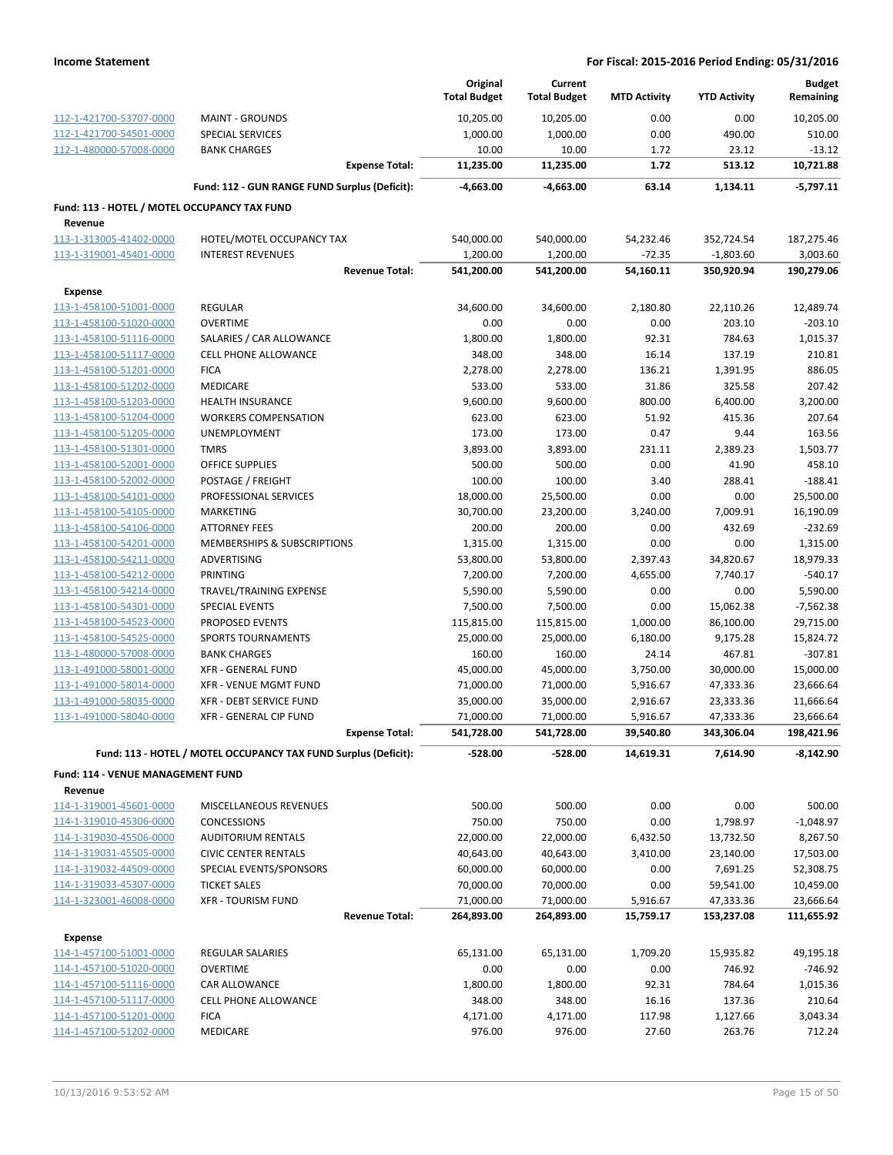|                                              |                                                                 | Original<br><b>Total Budget</b> | Current<br><b>Total Budget</b> | <b>MTD Activity</b> | <b>YTD Activity</b>     | <b>Budget</b><br>Remaining |
|----------------------------------------------|-----------------------------------------------------------------|---------------------------------|--------------------------------|---------------------|-------------------------|----------------------------|
| 112-1-421700-53707-0000                      | <b>MAINT - GROUNDS</b>                                          | 10,205.00                       | 10,205.00                      | 0.00                | 0.00                    | 10,205.00                  |
| 112-1-421700-54501-0000                      | <b>SPECIAL SERVICES</b>                                         | 1,000.00                        | 1,000.00                       | 0.00                | 490.00                  | 510.00                     |
| 112-1-480000-57008-0000                      | <b>BANK CHARGES</b>                                             | 10.00                           | 10.00                          | 1.72                | 23.12                   | $-13.12$                   |
|                                              | <b>Expense Total:</b>                                           | 11,235.00                       | 11,235.00                      | 1.72                | 513.12                  | 10,721.88                  |
|                                              | Fund: 112 - GUN RANGE FUND Surplus (Deficit):                   | -4,663.00                       | -4,663.00                      | 63.14               | 1,134.11                | $-5,797.11$                |
| Fund: 113 - HOTEL / MOTEL OCCUPANCY TAX FUND |                                                                 |                                 |                                |                     |                         |                            |
| Revenue                                      |                                                                 |                                 |                                |                     |                         |                            |
| 113-1-313005-41402-0000                      | HOTEL/MOTEL OCCUPANCY TAX                                       | 540,000.00                      | 540,000.00                     | 54,232.46           | 352,724.54              | 187,275.46                 |
| 113-1-319001-45401-0000                      | <b>INTEREST REVENUES</b>                                        | 1,200.00                        | 1,200.00                       | $-72.35$            | $-1,803.60$             | 3,003.60                   |
|                                              | <b>Revenue Total:</b>                                           | 541,200.00                      | 541,200.00                     | 54,160.11           | 350,920.94              | 190,279.06                 |
| <b>Expense</b>                               |                                                                 |                                 |                                |                     |                         |                            |
| 113-1-458100-51001-0000                      | <b>REGULAR</b>                                                  | 34,600.00                       | 34,600.00                      | 2,180.80            | 22,110.26               | 12,489.74                  |
| 113-1-458100-51020-0000                      | <b>OVERTIME</b>                                                 | 0.00                            | 0.00                           | 0.00                | 203.10                  | $-203.10$                  |
| 113-1-458100-51116-0000                      | SALARIES / CAR ALLOWANCE                                        | 1,800.00                        | 1,800.00                       | 92.31               | 784.63                  | 1,015.37                   |
| 113-1-458100-51117-0000                      | <b>CELL PHONE ALLOWANCE</b>                                     | 348.00                          | 348.00                         | 16.14               | 137.19                  | 210.81                     |
| 113-1-458100-51201-0000                      | <b>FICA</b>                                                     | 2,278.00                        | 2,278.00                       | 136.21              | 1,391.95                | 886.05                     |
| 113-1-458100-51202-0000                      | MEDICARE                                                        | 533.00                          | 533.00                         | 31.86               | 325.58                  | 207.42                     |
| 113-1-458100-51203-0000                      | <b>HEALTH INSURANCE</b>                                         | 9,600.00                        | 9,600.00                       | 800.00              | 6,400.00                | 3,200.00                   |
| 113-1-458100-51204-0000                      | <b>WORKERS COMPENSATION</b>                                     | 623.00                          | 623.00                         | 51.92               | 415.36                  | 207.64                     |
| 113-1-458100-51205-0000                      | UNEMPLOYMENT                                                    | 173.00                          | 173.00                         | 0.47                | 9.44                    | 163.56                     |
| 113-1-458100-51301-0000                      | <b>TMRS</b>                                                     | 3,893.00                        | 3,893.00                       | 231.11              | 2,389.23                | 1,503.77                   |
| 113-1-458100-52001-0000                      | <b>OFFICE SUPPLIES</b>                                          | 500.00                          | 500.00                         | 0.00                | 41.90                   | 458.10                     |
| 113-1-458100-52002-0000                      | POSTAGE / FREIGHT                                               | 100.00                          | 100.00                         | 3.40                | 288.41                  | $-188.41$                  |
| 113-1-458100-54101-0000                      | PROFESSIONAL SERVICES                                           | 18,000.00                       | 25,500.00                      | 0.00                | 0.00                    | 25,500.00                  |
| 113-1-458100-54105-0000                      | MARKETING                                                       | 30,700.00                       | 23,200.00                      | 3,240.00            | 7,009.91                | 16,190.09                  |
| 113-1-458100-54106-0000                      | <b>ATTORNEY FEES</b>                                            | 200.00                          | 200.00                         | 0.00                | 432.69                  | $-232.69$                  |
| 113-1-458100-54201-0000                      | MEMBERSHIPS & SUBSCRIPTIONS                                     | 1,315.00                        | 1,315.00                       | 0.00                | 0.00                    | 1,315.00                   |
| 113-1-458100-54211-0000                      | ADVERTISING                                                     | 53,800.00                       | 53,800.00                      | 2,397.43            | 34,820.67               | 18,979.33                  |
| 113-1-458100-54212-0000                      | PRINTING                                                        | 7,200.00                        | 7,200.00                       | 4,655.00            | 7,740.17                | $-540.17$                  |
| 113-1-458100-54214-0000                      | TRAVEL/TRAINING EXPENSE                                         | 5,590.00                        | 5,590.00                       | 0.00                | 0.00                    | 5,590.00                   |
| 113-1-458100-54301-0000                      | <b>SPECIAL EVENTS</b>                                           | 7,500.00                        | 7,500.00                       | 0.00                | 15,062.38               | $-7,562.38$                |
| 113-1-458100-54523-0000                      | PROPOSED EVENTS                                                 | 115,815.00                      | 115,815.00                     | 1,000.00            | 86,100.00               | 29,715.00                  |
| 113-1-458100-54525-0000                      | <b>SPORTS TOURNAMENTS</b>                                       | 25,000.00                       | 25,000.00                      | 6,180.00            | 9,175.28                | 15,824.72                  |
| 113-1-480000-57008-0000                      | <b>BANK CHARGES</b>                                             | 160.00                          | 160.00                         | 24.14               | 467.81                  | $-307.81$                  |
| 113-1-491000-58001-0000                      | <b>XFR - GENERAL FUND</b>                                       | 45,000.00                       | 45,000.00                      | 3,750.00            | 30,000.00               | 15,000.00                  |
| 113-1-491000-58014-0000                      | XFR - VENUE MGMT FUND                                           | 71,000.00                       | 71,000.00                      | 5,916.67            | 47,333.36               | 23,666.64                  |
| 113-1-491000-58035-0000                      | XFR - DEBT SERVICE FUND                                         | 35,000.00                       | 35,000.00                      | 2,916.67            | 23,333.36               | 11,666.64                  |
| 113-1-491000-58040-0000                      | XFR - GENERAL CIP FUND                                          | 71,000.00                       | 71,000.00                      | 5,916.67            | 47,333.36               | 23,666.64                  |
|                                              | <b>Expense Total:</b>                                           | 541,728.00                      | 541,728.00                     | 39,540.80           | 343,306.04              | 198,421.96                 |
|                                              | Fund: 113 - HOTEL / MOTEL OCCUPANCY TAX FUND Surplus (Deficit): | $-528.00$                       | $-528.00$                      | 14,619.31           | 7,614.90                | $-8,142.90$                |
| Fund: 114 - VENUE MANAGEMENT FUND            |                                                                 |                                 |                                |                     |                         |                            |
| Revenue                                      |                                                                 |                                 |                                |                     |                         |                            |
| 114-1-319001-45601-0000                      | MISCELLANEOUS REVENUES                                          | 500.00                          | 500.00                         | 0.00                | 0.00                    | 500.00                     |
| 114-1-319010-45306-0000                      | <b>CONCESSIONS</b>                                              | 750.00                          | 750.00                         | 0.00                | 1,798.97                | $-1,048.97$                |
| 114-1-319030-45506-0000                      | <b>AUDITORIUM RENTALS</b>                                       | 22,000.00                       | 22,000.00                      | 6,432.50            | 13,732.50               | 8,267.50                   |
| 114-1-319031-45505-0000                      | <b>CIVIC CENTER RENTALS</b>                                     | 40,643.00                       | 40,643.00                      | 3,410.00            | 23,140.00               | 17,503.00                  |
| 114-1-319032-44509-0000                      | SPECIAL EVENTS/SPONSORS                                         | 60,000.00                       | 60,000.00                      | 0.00                | 7,691.25                | 52,308.75                  |
| 114-1-319033-45307-0000                      | <b>TICKET SALES</b>                                             | 70,000.00                       | 70,000.00                      | 0.00                | 59,541.00               | 10,459.00                  |
| 114-1-323001-46008-0000                      | <b>XFR - TOURISM FUND</b>                                       | 71,000.00                       |                                | 5,916.67            |                         | 23,666.64                  |
|                                              | <b>Revenue Total:</b>                                           | 264,893.00                      | 71,000.00<br>264,893.00        | 15,759.17           | 47,333.36<br>153,237.08 | 111,655.92                 |
|                                              |                                                                 |                                 |                                |                     |                         |                            |
| <b>Expense</b>                               |                                                                 |                                 |                                |                     |                         |                            |
| 114-1-457100-51001-0000                      | REGULAR SALARIES                                                | 65,131.00                       | 65,131.00                      | 1,709.20            | 15,935.82               | 49,195.18                  |
| 114-1-457100-51020-0000                      | <b>OVERTIME</b>                                                 | 0.00                            | 0.00                           | 0.00                | 746.92                  | -746.92                    |
| 114-1-457100-51116-0000                      | CAR ALLOWANCE                                                   | 1,800.00                        | 1,800.00                       | 92.31               | 784.64                  | 1,015.36                   |
| 114-1-457100-51117-0000                      | CELL PHONE ALLOWANCE                                            | 348.00                          | 348.00                         | 16.16               | 137.36                  | 210.64                     |
| 114-1-457100-51201-0000                      | <b>FICA</b>                                                     | 4,171.00                        | 4,171.00                       | 117.98              | 1,127.66                | 3,043.34                   |
| 114-1-457100-51202-0000                      | MEDICARE                                                        | 976.00                          | 976.00                         | 27.60               | 263.76                  | 712.24                     |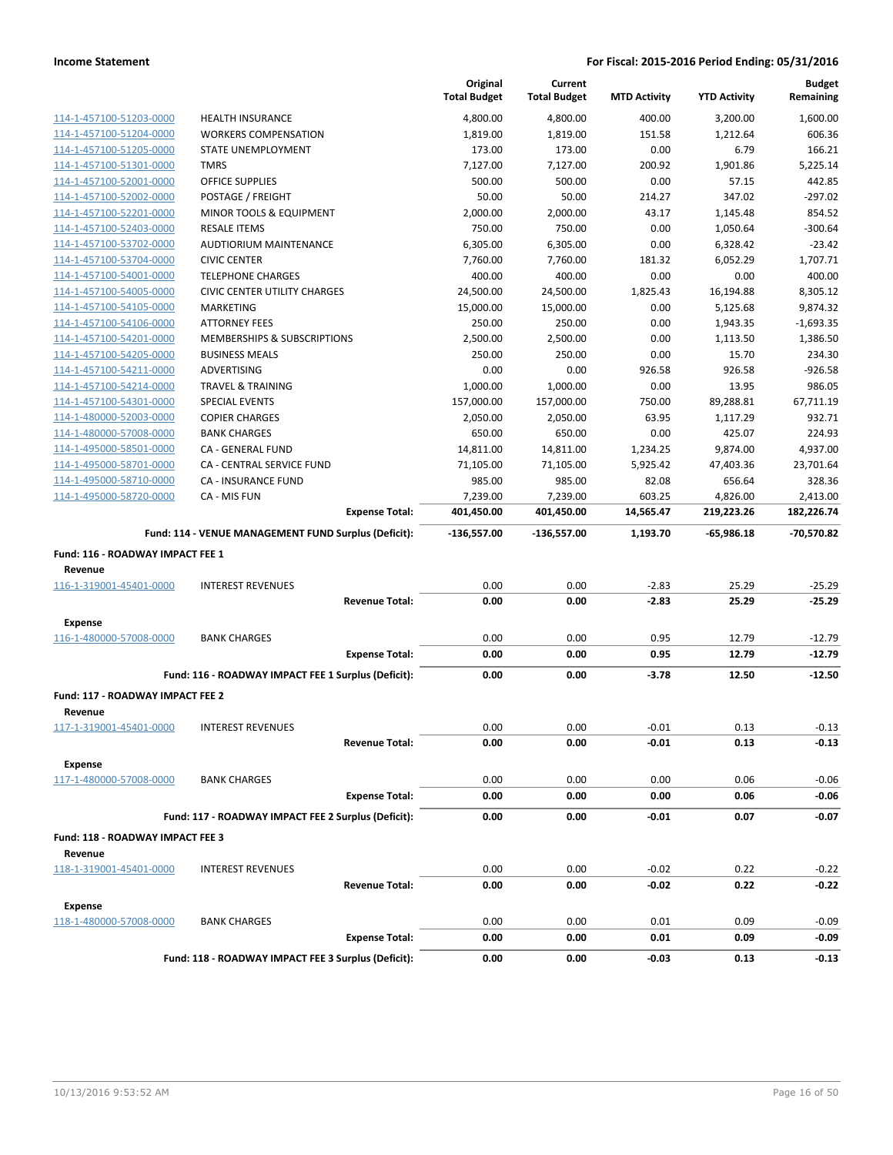|                                                    |                                                      | Original<br><b>Total Budget</b> | Current<br><b>Total Budget</b> | <b>MTD Activity</b> | <b>YTD Activity</b> | <b>Budget</b><br>Remaining |
|----------------------------------------------------|------------------------------------------------------|---------------------------------|--------------------------------|---------------------|---------------------|----------------------------|
| 114-1-457100-51203-0000                            | <b>HEALTH INSURANCE</b>                              | 4,800.00                        | 4,800.00                       | 400.00              | 3,200.00            | 1,600.00                   |
| 114-1-457100-51204-0000                            | <b>WORKERS COMPENSATION</b>                          | 1,819.00                        | 1,819.00                       | 151.58              | 1,212.64            | 606.36                     |
| 114-1-457100-51205-0000                            | STATE UNEMPLOYMENT                                   | 173.00                          | 173.00                         | 0.00                | 6.79                | 166.21                     |
| 114-1-457100-51301-0000                            | <b>TMRS</b>                                          | 7,127.00                        | 7,127.00                       | 200.92              | 1,901.86            | 5,225.14                   |
| 114-1-457100-52001-0000                            | <b>OFFICE SUPPLIES</b>                               | 500.00                          | 500.00                         | 0.00                | 57.15               | 442.85                     |
| 114-1-457100-52002-0000                            | POSTAGE / FREIGHT                                    | 50.00                           | 50.00                          | 214.27              | 347.02              | $-297.02$                  |
| 114-1-457100-52201-0000                            | MINOR TOOLS & EQUIPMENT                              | 2,000.00                        | 2,000.00                       | 43.17               | 1,145.48            | 854.52                     |
| 114-1-457100-52403-0000                            | <b>RESALE ITEMS</b>                                  | 750.00                          | 750.00                         | 0.00                | 1,050.64            | $-300.64$                  |
| 114-1-457100-53702-0000                            | AUDTIORIUM MAINTENANCE                               | 6,305.00                        | 6,305.00                       | 0.00                | 6,328.42            | $-23.42$                   |
| 114-1-457100-53704-0000                            | <b>CIVIC CENTER</b>                                  | 7,760.00                        | 7,760.00                       | 181.32              | 6,052.29            | 1,707.71                   |
| 114-1-457100-54001-0000                            | <b>TELEPHONE CHARGES</b>                             | 400.00                          | 400.00                         | 0.00                | 0.00                | 400.00                     |
| 114-1-457100-54005-0000                            | <b>CIVIC CENTER UTILITY CHARGES</b>                  | 24,500.00                       | 24,500.00                      | 1,825.43            | 16,194.88           | 8,305.12                   |
| 114-1-457100-54105-0000                            | <b>MARKETING</b>                                     | 15,000.00                       | 15,000.00                      | 0.00                | 5,125.68            | 9,874.32                   |
| 114-1-457100-54106-0000                            | <b>ATTORNEY FEES</b>                                 | 250.00                          | 250.00                         | 0.00                | 1,943.35            | $-1,693.35$                |
| 114-1-457100-54201-0000                            | MEMBERSHIPS & SUBSCRIPTIONS                          | 2,500.00                        | 2,500.00                       | 0.00                | 1,113.50            | 1,386.50                   |
| 114-1-457100-54205-0000                            | <b>BUSINESS MEALS</b>                                | 250.00                          | 250.00                         | 0.00                | 15.70               | 234.30                     |
| 114-1-457100-54211-0000                            | <b>ADVERTISING</b>                                   | 0.00                            | 0.00                           | 926.58              | 926.58              | $-926.58$                  |
| 114-1-457100-54214-0000                            | <b>TRAVEL &amp; TRAINING</b>                         | 1,000.00                        | 1,000.00                       | 0.00                | 13.95               | 986.05                     |
| 114-1-457100-54301-0000                            | <b>SPECIAL EVENTS</b>                                | 157,000.00                      | 157,000.00                     | 750.00              | 89,288.81           | 67,711.19                  |
| 114-1-480000-52003-0000                            | <b>COPIER CHARGES</b>                                | 2,050.00                        | 2,050.00                       | 63.95               | 1,117.29            | 932.71                     |
| 114-1-480000-57008-0000                            | <b>BANK CHARGES</b>                                  | 650.00                          | 650.00                         | 0.00                | 425.07              | 224.93                     |
| 114-1-495000-58501-0000                            | CA - GENERAL FUND                                    | 14,811.00                       | 14,811.00                      | 1,234.25            | 9,874.00            | 4,937.00                   |
| 114-1-495000-58701-0000                            | CA - CENTRAL SERVICE FUND                            | 71,105.00                       | 71,105.00                      | 5,925.42            | 47,403.36           | 23,701.64                  |
| 114-1-495000-58710-0000                            | <b>CA - INSURANCE FUND</b>                           | 985.00                          | 985.00                         | 82.08               | 656.64              | 328.36                     |
| 114-1-495000-58720-0000                            | CA - MIS FUN                                         | 7,239.00                        | 7,239.00                       | 603.25              | 4,826.00            | 2,413.00                   |
|                                                    | <b>Expense Total:</b>                                | 401,450.00                      | 401,450.00                     | 14,565.47           | 219,223.26          | 182,226.74                 |
|                                                    | Fund: 114 - VENUE MANAGEMENT FUND Surplus (Deficit): | -136,557.00                     | $-136,557.00$                  | 1,193.70            | $-65,986.18$        | -70,570.82                 |
| Fund: 116 - ROADWAY IMPACT FEE 1                   |                                                      |                                 |                                |                     |                     |                            |
| Revenue                                            |                                                      |                                 |                                |                     |                     |                            |
| 116-1-319001-45401-0000                            | <b>INTEREST REVENUES</b>                             | 0.00                            | 0.00                           | $-2.83$             | 25.29               | $-25.29$                   |
|                                                    | <b>Revenue Total:</b>                                | 0.00                            | 0.00                           | $-2.83$             | 25.29               | $-25.29$                   |
| <b>Expense</b>                                     |                                                      |                                 |                                |                     |                     |                            |
| 116-1-480000-57008-0000                            | <b>BANK CHARGES</b>                                  | 0.00                            | 0.00                           | 0.95                | 12.79               | $-12.79$                   |
|                                                    | <b>Expense Total:</b>                                | 0.00                            | 0.00                           | 0.95                | 12.79               | $-12.79$                   |
|                                                    |                                                      |                                 |                                |                     |                     |                            |
|                                                    | Fund: 116 - ROADWAY IMPACT FEE 1 Surplus (Deficit):  | 0.00                            | 0.00                           | $-3.78$             | 12.50               | $-12.50$                   |
| Fund: 117 - ROADWAY IMPACT FEE 2<br>Revenue        |                                                      |                                 |                                |                     |                     |                            |
| 117-1-319001-45401-0000                            | <b>INTEREST REVENUES</b>                             | 0.00                            | 0.00                           | $-0.01$             | 0.13                | $-0.13$                    |
|                                                    | <b>Revenue Total:</b>                                | 0.00                            | 0.00                           | $-0.01$             | 0.13                | $-0.13$                    |
| <b>Expense</b>                                     |                                                      |                                 |                                |                     |                     |                            |
| 117-1-480000-57008-0000                            | <b>BANK CHARGES</b>                                  | 0.00                            | 0.00                           | 0.00                | 0.06                | $-0.06$                    |
|                                                    | <b>Expense Total:</b>                                | 0.00                            | 0.00                           | 0.00                | 0.06                | $-0.06$                    |
|                                                    |                                                      |                                 |                                |                     |                     |                            |
|                                                    | Fund: 117 - ROADWAY IMPACT FEE 2 Surplus (Deficit):  | 0.00                            | 0.00                           | $-0.01$             | 0.07                | -0.07                      |
| <b>Fund: 118 - ROADWAY IMPACT FEE 3</b><br>Revenue |                                                      |                                 |                                |                     |                     |                            |
| 118-1-319001-45401-0000                            | <b>INTEREST REVENUES</b>                             | 0.00                            | 0.00                           | $-0.02$             | 0.22                | $-0.22$                    |
|                                                    | <b>Revenue Total:</b>                                | 0.00                            | 0.00                           | $-0.02$             | 0.22                | $-0.22$                    |
| <b>Expense</b>                                     |                                                      |                                 |                                |                     |                     |                            |
| 118-1-480000-57008-0000                            | <b>BANK CHARGES</b>                                  | 0.00                            | 0.00                           | 0.01                | 0.09                | $-0.09$                    |
|                                                    | <b>Expense Total:</b>                                | 0.00                            | 0.00                           | 0.01                | 0.09                | $-0.09$                    |
|                                                    | Fund: 118 - ROADWAY IMPACT FEE 3 Surplus (Deficit):  |                                 |                                |                     |                     |                            |
|                                                    |                                                      | 0.00                            | 0.00                           | $-0.03$             | 0.13                | $-0.13$                    |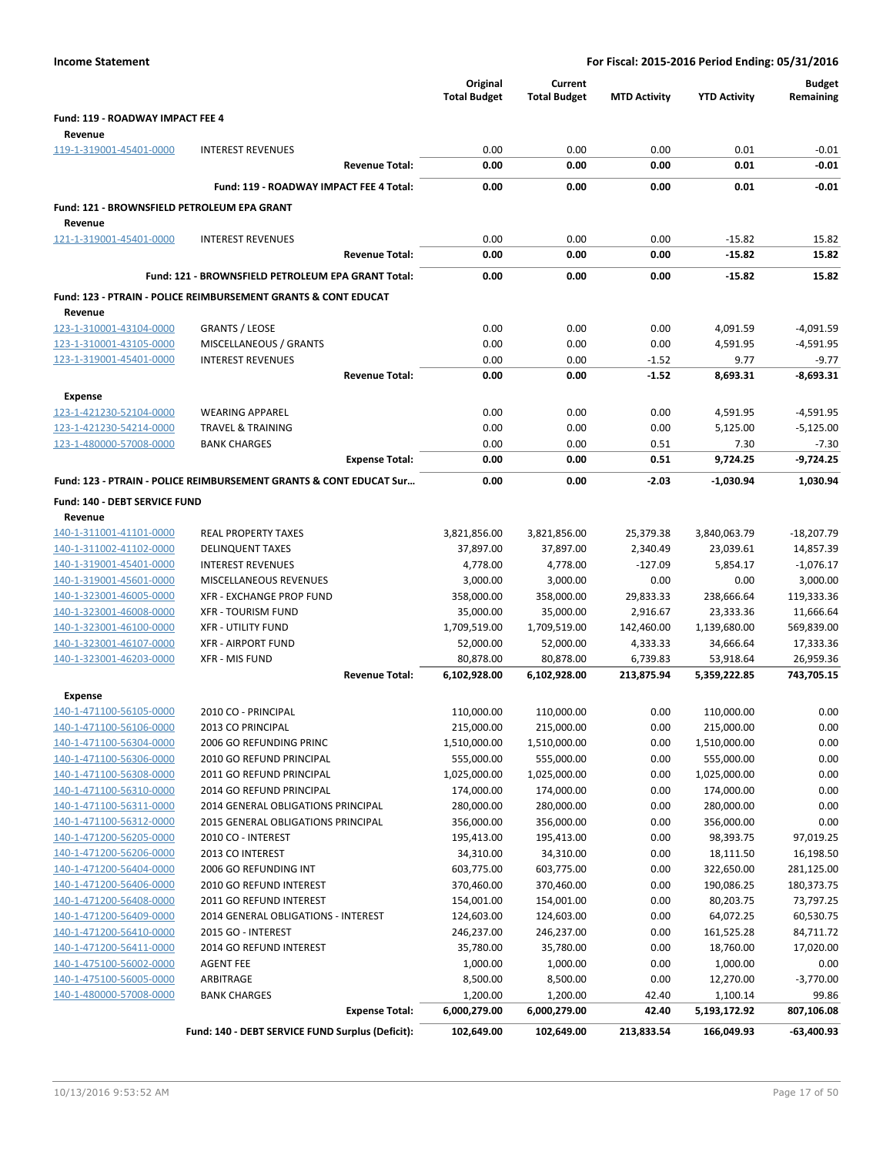| <b>Income Statement</b>                            |                                                                           |                       |                                 |                                |                     | For Fiscal: 2015-2016 Period Ending: 05/31/2016 |                            |
|----------------------------------------------------|---------------------------------------------------------------------------|-----------------------|---------------------------------|--------------------------------|---------------------|-------------------------------------------------|----------------------------|
|                                                    |                                                                           |                       | Original<br><b>Total Budget</b> | Current<br><b>Total Budget</b> | <b>MTD Activity</b> | <b>YTD Activity</b>                             | <b>Budget</b><br>Remaining |
| Fund: 119 - ROADWAY IMPACT FEE 4                   |                                                                           |                       |                                 |                                |                     |                                                 |                            |
| Revenue                                            |                                                                           |                       |                                 |                                |                     |                                                 |                            |
| 119-1-319001-45401-0000                            | <b>INTEREST REVENUES</b>                                                  |                       | 0.00                            | 0.00                           | 0.00                | 0.01                                            | $-0.01$                    |
|                                                    |                                                                           | <b>Revenue Total:</b> | 0.00                            | 0.00                           | 0.00                | 0.01                                            | $-0.01$                    |
|                                                    | Fund: 119 - ROADWAY IMPACT FEE 4 Total:                                   |                       | 0.00                            | 0.00                           | 0.00                | 0.01                                            | $-0.01$                    |
| Fund: 121 - BROWNSFIELD PETROLEUM EPA GRANT        |                                                                           |                       |                                 |                                |                     |                                                 |                            |
| Revenue                                            |                                                                           |                       |                                 |                                |                     |                                                 |                            |
| 121-1-319001-45401-0000                            | <b>INTEREST REVENUES</b>                                                  |                       | 0.00                            | 0.00                           | 0.00                | $-15.82$                                        | 15.82                      |
|                                                    |                                                                           | <b>Revenue Total:</b> | 0.00                            | 0.00                           | 0.00                | $-15.82$                                        | 15.82                      |
|                                                    | Fund: 121 - BROWNSFIELD PETROLEUM EPA GRANT Total:                        |                       | 0.00                            | 0.00                           | 0.00                | $-15.82$                                        | 15.82                      |
|                                                    |                                                                           |                       |                                 |                                |                     |                                                 |                            |
| Revenue                                            | <b>Fund: 123 - PTRAIN - POLICE REIMBURSEMENT GRANTS &amp; CONT EDUCAT</b> |                       |                                 |                                |                     |                                                 |                            |
| 123-1-310001-43104-0000                            | <b>GRANTS / LEOSE</b>                                                     |                       | 0.00                            | 0.00                           | 0.00                | 4,091.59                                        | $-4,091.59$                |
| 123-1-310001-43105-0000                            | MISCELLANEOUS / GRANTS                                                    |                       | 0.00                            | 0.00                           | 0.00                | 4,591.95                                        | $-4,591.95$                |
| 123-1-319001-45401-0000                            | <b>INTEREST REVENUES</b>                                                  |                       | 0.00                            | 0.00                           | $-1.52$             | 9.77                                            | $-9.77$                    |
|                                                    |                                                                           | <b>Revenue Total:</b> | 0.00                            | 0.00                           | $-1.52$             | 8,693.31                                        | $-8,693.31$                |
| <b>Expense</b>                                     |                                                                           |                       |                                 |                                |                     |                                                 |                            |
| 123-1-421230-52104-0000                            | <b>WEARING APPAREL</b>                                                    |                       | 0.00                            | 0.00                           | 0.00                | 4,591.95                                        | $-4,591.95$                |
| 123-1-421230-54214-0000                            | <b>TRAVEL &amp; TRAINING</b>                                              |                       | 0.00                            | 0.00                           | 0.00                | 5,125.00                                        | $-5,125.00$                |
| 123-1-480000-57008-0000                            | <b>BANK CHARGES</b>                                                       |                       | 0.00                            | 0.00                           | 0.51                | 7.30                                            | $-7.30$                    |
|                                                    |                                                                           | <b>Expense Total:</b> | 0.00                            | 0.00                           | 0.51                | 9,724.25                                        | $-9,724.25$                |
|                                                    | Fund: 123 - PTRAIN - POLICE REIMBURSEMENT GRANTS & CONT EDUCAT Sur        |                       | 0.00                            | 0.00                           | $-2.03$             | $-1,030.94$                                     | 1,030.94                   |
|                                                    |                                                                           |                       |                                 |                                |                     |                                                 |                            |
| Fund: 140 - DEBT SERVICE FUND                      |                                                                           |                       |                                 |                                |                     |                                                 |                            |
| Revenue<br>140-1-311001-41101-0000                 | <b>REAL PROPERTY TAXES</b>                                                |                       | 3,821,856.00                    | 3,821,856.00                   | 25,379.38           | 3,840,063.79                                    | $-18,207.79$               |
| 140-1-311002-41102-0000                            | <b>DELINQUENT TAXES</b>                                                   |                       | 37,897.00                       | 37,897.00                      | 2,340.49            | 23,039.61                                       | 14,857.39                  |
| 140-1-319001-45401-0000                            | <b>INTEREST REVENUES</b>                                                  |                       | 4,778.00                        | 4,778.00                       | $-127.09$           | 5,854.17                                        | $-1,076.17$                |
| 140-1-319001-45601-0000                            | MISCELLANEOUS REVENUES                                                    |                       | 3,000.00                        | 3,000.00                       | 0.00                | 0.00                                            | 3,000.00                   |
| 140-1-323001-46005-0000                            | XFR - EXCHANGE PROP FUND                                                  |                       | 358,000.00                      | 358,000.00                     | 29,833.33           | 238,666.64                                      | 119,333.36                 |
| 140-1-323001-46008-0000                            | <b>XFR - TOURISM FUND</b>                                                 |                       | 35,000.00                       | 35,000.00                      | 2,916.67            | 23,333.36                                       | 11,666.64                  |
| 140-1-323001-46100-0000                            | <b>XFR - UTILITY FUND</b>                                                 |                       | 1,709,519.00                    | 1,709,519.00                   | 142,460.00          | 1,139,680.00                                    | 569,839.00                 |
| 140-1-323001-46107-0000                            | <b>XFR - AIRPORT FUND</b>                                                 |                       | 52,000.00                       | 52,000.00                      | 4,333.33            | 34,666.64                                       | 17,333.36                  |
| 140-1-323001-46203-0000                            | <b>XFR - MIS FUND</b>                                                     |                       | 80,878.00                       | 80,878.00                      | 6,739.83            | 53,918.64                                       | 26,959.36                  |
|                                                    |                                                                           | <b>Revenue Total:</b> | 6,102,928.00                    | 6,102,928.00                   | 213,875.94          | 5,359,222.85                                    | 743,705.15                 |
| <b>Expense</b>                                     |                                                                           |                       |                                 |                                |                     |                                                 |                            |
| 140-1-471100-56105-0000                            | 2010 CO - PRINCIPAL                                                       |                       | 110,000.00                      | 110,000.00                     | 0.00                | 110,000.00                                      | 0.00                       |
| 140-1-471100-56106-0000                            | 2013 CO PRINCIPAL                                                         |                       | 215,000.00                      | 215,000.00                     | 0.00                | 215,000.00                                      | 0.00                       |
| 140-1-471100-56304-0000                            | 2006 GO REFUNDING PRINC                                                   |                       | 1,510,000.00                    | 1,510,000.00                   | 0.00                | 1,510,000.00                                    | 0.00                       |
| 140-1-471100-56306-0000                            | 2010 GO REFUND PRINCIPAL                                                  |                       | 555,000.00                      | 555,000.00                     | 0.00                | 555,000.00                                      | 0.00                       |
| 140-1-471100-56308-0000                            | 2011 GO REFUND PRINCIPAL                                                  |                       | 1,025,000.00                    | 1,025,000.00                   | 0.00                | 1,025,000.00                                    | 0.00                       |
| 140-1-471100-56310-0000                            | 2014 GO REFUND PRINCIPAL<br>2014 GENERAL OBLIGATIONS PRINCIPAL            |                       | 174,000.00                      | 174,000.00                     | 0.00                | 174,000.00                                      | 0.00                       |
| 140-1-471100-56311-0000<br>140-1-471100-56312-0000 | 2015 GENERAL OBLIGATIONS PRINCIPAL                                        |                       | 280,000.00<br>356,000.00        | 280,000.00<br>356,000.00       | 0.00<br>0.00        | 280,000.00<br>356,000.00                        | 0.00<br>0.00               |
| 140-1-471200-56205-0000                            | 2010 CO - INTEREST                                                        |                       | 195,413.00                      | 195,413.00                     | 0.00                | 98,393.75                                       | 97,019.25                  |
| 140-1-471200-56206-0000                            | 2013 CO INTEREST                                                          |                       | 34,310.00                       | 34,310.00                      | 0.00                | 18,111.50                                       | 16,198.50                  |
| 140-1-471200-56404-0000                            | 2006 GO REFUNDING INT                                                     |                       | 603,775.00                      | 603,775.00                     | 0.00                | 322,650.00                                      | 281,125.00                 |
| 140-1-471200-56406-0000                            | 2010 GO REFUND INTEREST                                                   |                       | 370,460.00                      | 370,460.00                     | 0.00                | 190,086.25                                      | 180,373.75                 |
| 140-1-471200-56408-0000                            | 2011 GO REFUND INTEREST                                                   |                       | 154,001.00                      | 154,001.00                     | 0.00                | 80,203.75                                       | 73,797.25                  |
| 140-1-471200-56409-0000                            | 2014 GENERAL OBLIGATIONS - INTEREST                                       |                       | 124,603.00                      | 124,603.00                     | 0.00                | 64,072.25                                       | 60,530.75                  |
| 140-1-471200-56410-0000                            | 2015 GO - INTEREST                                                        |                       | 246,237.00                      | 246,237.00                     | 0.00                | 161,525.28                                      | 84,711.72                  |
| 140-1-471200-56411-0000                            | 2014 GO REFUND INTEREST                                                   |                       | 35,780.00                       | 35,780.00                      | 0.00                | 18,760.00                                       | 17,020.00                  |
| 140-1-475100-56002-0000                            | AGENT FEE                                                                 |                       | 1,000.00                        | 1,000.00                       | 0.00                | 1,000.00                                        | 0.00                       |
| 140-1-475100-56005-0000                            | ARBITRAGE                                                                 |                       | 8,500.00                        | 8,500.00                       | 0.00                | 12,270.00                                       | $-3,770.00$                |
| 140-1-480000-57008-0000                            | <b>BANK CHARGES</b>                                                       | <b>Expense Total:</b> | 1,200.00<br>6,000,279.00        | 1,200.00                       | 42.40<br>42.40      | 1,100.14                                        | 99.86                      |
|                                                    |                                                                           |                       |                                 | 6,000,279.00                   |                     | 5,193,172.92                                    | 807,106.08                 |
|                                                    | Fund: 140 - DEBT SERVICE FUND Surplus (Deficit):                          |                       | 102,649.00                      | 102,649.00                     | 213,833.54          | 166,049.93                                      | -63,400.93                 |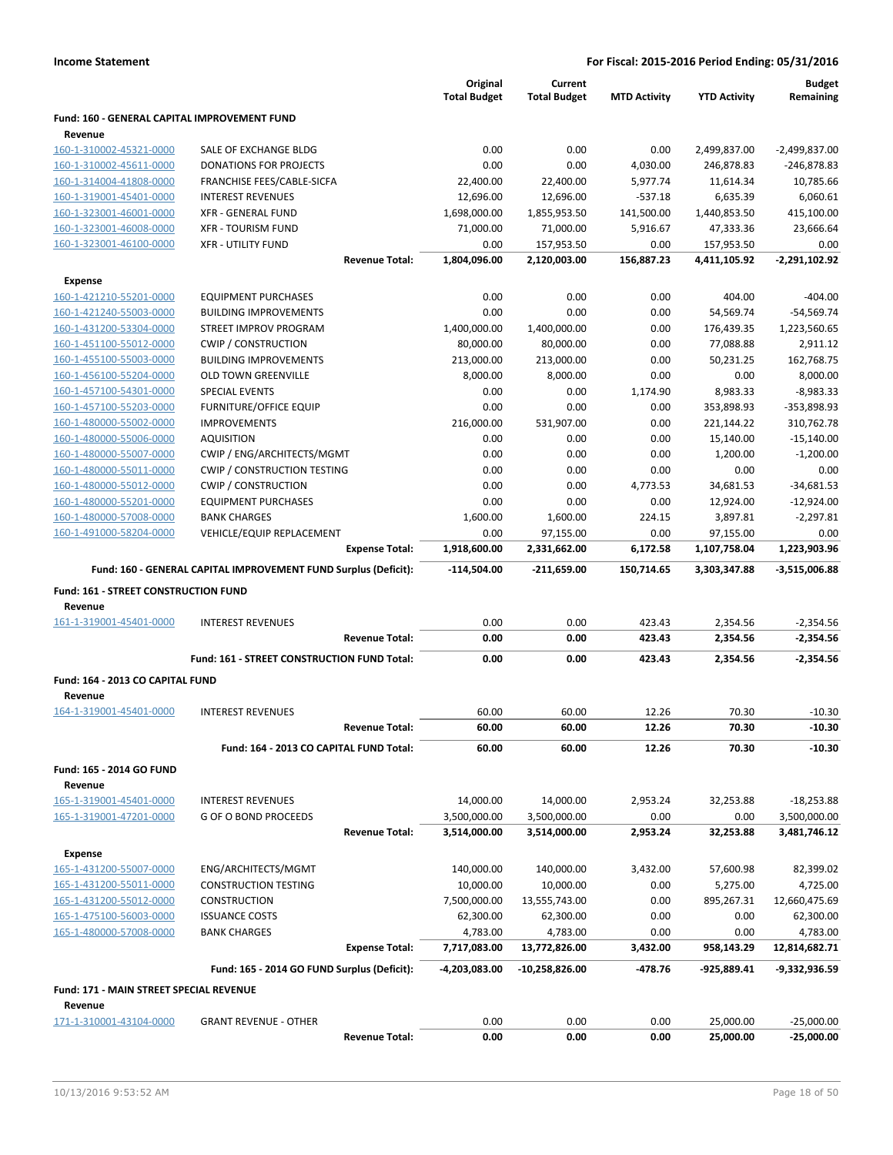|                                                |                                                                 | Original<br><b>Total Budget</b> | Current<br><b>Total Budget</b> | <b>MTD Activity</b> | <b>YTD Activity</b> | <b>Budget</b><br>Remaining |
|------------------------------------------------|-----------------------------------------------------------------|---------------------------------|--------------------------------|---------------------|---------------------|----------------------------|
| Fund: 160 - GENERAL CAPITAL IMPROVEMENT FUND   |                                                                 |                                 |                                |                     |                     |                            |
| Revenue                                        |                                                                 |                                 |                                |                     |                     |                            |
| 160-1-310002-45321-0000                        | SALE OF EXCHANGE BLDG                                           | 0.00                            | 0.00                           | 0.00                | 2,499,837.00        | $-2,499,837.00$            |
| 160-1-310002-45611-0000                        | <b>DONATIONS FOR PROJECTS</b>                                   | 0.00                            | 0.00                           | 4,030.00            | 246,878.83          | $-246,878.83$              |
| 160-1-314004-41808-0000                        | FRANCHISE FEES/CABLE-SICFA                                      | 22,400.00                       | 22,400.00                      | 5,977.74            | 11,614.34           | 10,785.66                  |
| 160-1-319001-45401-0000                        | <b>INTEREST REVENUES</b>                                        | 12,696.00                       | 12,696.00                      | $-537.18$           | 6,635.39            | 6,060.61                   |
| 160-1-323001-46001-0000                        | <b>XFR - GENERAL FUND</b>                                       | 1,698,000.00                    | 1,855,953.50                   | 141,500.00          | 1,440,853.50        | 415,100.00                 |
| 160-1-323001-46008-0000                        | <b>XFR - TOURISM FUND</b>                                       | 71,000.00                       | 71,000.00                      | 5,916.67            | 47,333.36           | 23,666.64                  |
| 160-1-323001-46100-0000                        | <b>XFR - UTILITY FUND</b>                                       | 0.00                            | 157,953.50                     | 0.00                | 157,953.50          | 0.00                       |
|                                                | <b>Revenue Total:</b>                                           | 1,804,096.00                    | 2,120,003.00                   | 156,887.23          | 4,411,105.92        | -2,291,102.92              |
| Expense                                        |                                                                 |                                 |                                |                     |                     |                            |
| 160-1-421210-55201-0000                        | <b>EQUIPMENT PURCHASES</b>                                      | 0.00                            | 0.00                           | 0.00                | 404.00              | $-404.00$                  |
| 160-1-421240-55003-0000                        | <b>BUILDING IMPROVEMENTS</b>                                    | 0.00                            | 0.00                           | 0.00                | 54,569.74           | $-54,569.74$               |
| 160-1-431200-53304-0000                        | STREET IMPROV PROGRAM                                           | 1,400,000.00                    | 1,400,000.00                   | 0.00                | 176,439.35          | 1,223,560.65               |
| 160-1-451100-55012-0000                        | <b>CWIP / CONSTRUCTION</b>                                      | 80,000.00                       | 80,000.00                      | 0.00                | 77,088.88           | 2,911.12                   |
| 160-1-455100-55003-0000                        | <b>BUILDING IMPROVEMENTS</b>                                    | 213,000.00                      | 213,000.00                     | 0.00                | 50,231.25           | 162,768.75                 |
| 160-1-456100-55204-0000                        | <b>OLD TOWN GREENVILLE</b>                                      | 8,000.00                        | 8,000.00                       | 0.00                | 0.00                | 8,000.00                   |
| 160-1-457100-54301-0000                        | <b>SPECIAL EVENTS</b>                                           | 0.00                            | 0.00                           | 1,174.90            | 8,983.33            | $-8,983.33$                |
| 160-1-457100-55203-0000                        | FURNITURE/OFFICE EQUIP                                          | 0.00                            | 0.00                           | 0.00                | 353,898.93          | -353,898.93                |
| 160-1-480000-55002-0000                        | <b>IMPROVEMENTS</b>                                             | 216,000.00                      | 531,907.00                     | 0.00                | 221,144.22          | 310,762.78                 |
| 160-1-480000-55006-0000                        | <b>AQUISITION</b>                                               | 0.00                            | 0.00                           | 0.00                | 15,140.00           | $-15,140.00$               |
| 160-1-480000-55007-0000                        | CWIP / ENG/ARCHITECTS/MGMT                                      | 0.00                            | 0.00                           | 0.00                | 1,200.00            | $-1,200.00$                |
| 160-1-480000-55011-0000                        | <b>CWIP / CONSTRUCTION TESTING</b>                              | 0.00                            | 0.00                           | 0.00                | 0.00                | 0.00                       |
| 160-1-480000-55012-0000                        | <b>CWIP / CONSTRUCTION</b>                                      | 0.00                            | 0.00                           | 4,773.53            | 34,681.53           | $-34,681.53$               |
| 160-1-480000-55201-0000                        | <b>EQUIPMENT PURCHASES</b>                                      | 0.00                            | 0.00                           | 0.00                | 12,924.00           | $-12,924.00$               |
| 160-1-480000-57008-0000                        | <b>BANK CHARGES</b>                                             | 1,600.00                        | 1,600.00                       | 224.15              | 3,897.81            | $-2,297.81$                |
| 160-1-491000-58204-0000                        | VEHICLE/EQUIP REPLACEMENT                                       | 0.00                            | 97,155.00                      | 0.00                | 97,155.00           | 0.00                       |
|                                                | <b>Expense Total:</b>                                           | 1,918,600.00                    | 2,331,662.00                   | 6,172.58            | 1,107,758.04        | 1,223,903.96               |
|                                                | Fund: 160 - GENERAL CAPITAL IMPROVEMENT FUND Surplus (Deficit): | -114,504.00                     | -211,659.00                    | 150,714.65          | 3,303,347.88        | $-3,515,006.88$            |
|                                                |                                                                 |                                 |                                |                     |                     |                            |
| Fund: 161 - STREET CONSTRUCTION FUND           |                                                                 |                                 |                                |                     |                     |                            |
| Revenue                                        |                                                                 |                                 |                                |                     |                     |                            |
| 161-1-319001-45401-0000                        | <b>INTEREST REVENUES</b>                                        | 0.00                            | 0.00                           | 423.43              | 2,354.56            | $-2,354.56$                |
|                                                | <b>Revenue Total:</b>                                           | 0.00                            | 0.00                           | 423.43              | 2,354.56            | $-2,354.56$                |
|                                                | Fund: 161 - STREET CONSTRUCTION FUND Total:                     | 0.00                            | 0.00                           | 423.43              | 2,354.56            | $-2,354.56$                |
|                                                |                                                                 |                                 |                                |                     |                     |                            |
| Fund: 164 - 2013 CO CAPITAL FUND               |                                                                 |                                 |                                |                     |                     |                            |
| Revenue                                        |                                                                 |                                 |                                |                     |                     |                            |
| 164-1-319001-45401-0000                        | <b>INTEREST REVENUES</b>                                        | 60.00                           | 60.00                          | 12.26               | 70.30               | $-10.30$                   |
|                                                | <b>Revenue Total:</b>                                           | 60.00                           | 60.00                          | 12.26               | 70.30               | $-10.30$                   |
|                                                | Fund: 164 - 2013 CO CAPITAL FUND Total:                         | 60.00                           | 60.00                          | 12.26               | 70.30               | $-10.30$                   |
| Fund: 165 - 2014 GO FUND                       |                                                                 |                                 |                                |                     |                     |                            |
| Revenue                                        |                                                                 |                                 |                                |                     |                     |                            |
| 165-1-319001-45401-0000                        | <b>INTEREST REVENUES</b>                                        | 14,000.00                       | 14,000.00                      | 2,953.24            | 32,253.88           | $-18,253.88$               |
| 165-1-319001-47201-0000                        | G OF O BOND PROCEEDS                                            | 3,500,000.00                    | 3,500,000.00                   | 0.00                | 0.00                | 3,500,000.00               |
|                                                | <b>Revenue Total:</b>                                           | 3,514,000.00                    | 3,514,000.00                   | 2,953.24            | 32,253.88           | 3,481,746.12               |
| <b>Expense</b>                                 |                                                                 |                                 |                                |                     |                     |                            |
| 165-1-431200-55007-0000                        | ENG/ARCHITECTS/MGMT                                             | 140,000.00                      | 140,000.00                     | 3,432.00            | 57,600.98           | 82,399.02                  |
| 165-1-431200-55011-0000                        | <b>CONSTRUCTION TESTING</b>                                     | 10,000.00                       | 10,000.00                      | 0.00                | 5,275.00            | 4,725.00                   |
| 165-1-431200-55012-0000                        | <b>CONSTRUCTION</b>                                             | 7,500,000.00                    | 13,555,743.00                  | 0.00                | 895,267.31          | 12,660,475.69              |
| 165-1-475100-56003-0000                        | <b>ISSUANCE COSTS</b>                                           | 62,300.00                       | 62,300.00                      | 0.00                | 0.00                | 62,300.00                  |
| 165-1-480000-57008-0000                        | <b>BANK CHARGES</b>                                             | 4,783.00                        | 4,783.00                       | 0.00                | 0.00                | 4,783.00                   |
|                                                | <b>Expense Total:</b>                                           | 7,717,083.00                    | 13,772,826.00                  | 3,432.00            | 958,143.29          | 12,814,682.71              |
|                                                | Fund: 165 - 2014 GO FUND Surplus (Deficit):                     | -4,203,083.00                   | -10,258,826.00                 | -478.76             | -925,889.41         | -9,332,936.59              |
| <b>Fund: 171 - MAIN STREET SPECIAL REVENUE</b> |                                                                 |                                 |                                |                     |                     |                            |
| Revenue                                        |                                                                 |                                 |                                |                     |                     |                            |
| 171-1-310001-43104-0000                        | <b>GRANT REVENUE - OTHER</b>                                    | 0.00                            | 0.00                           | 0.00                | 25,000.00           | $-25,000.00$               |
|                                                | <b>Revenue Total:</b>                                           | 0.00                            | 0.00                           | 0.00                | 25,000.00           | $-25,000.00$               |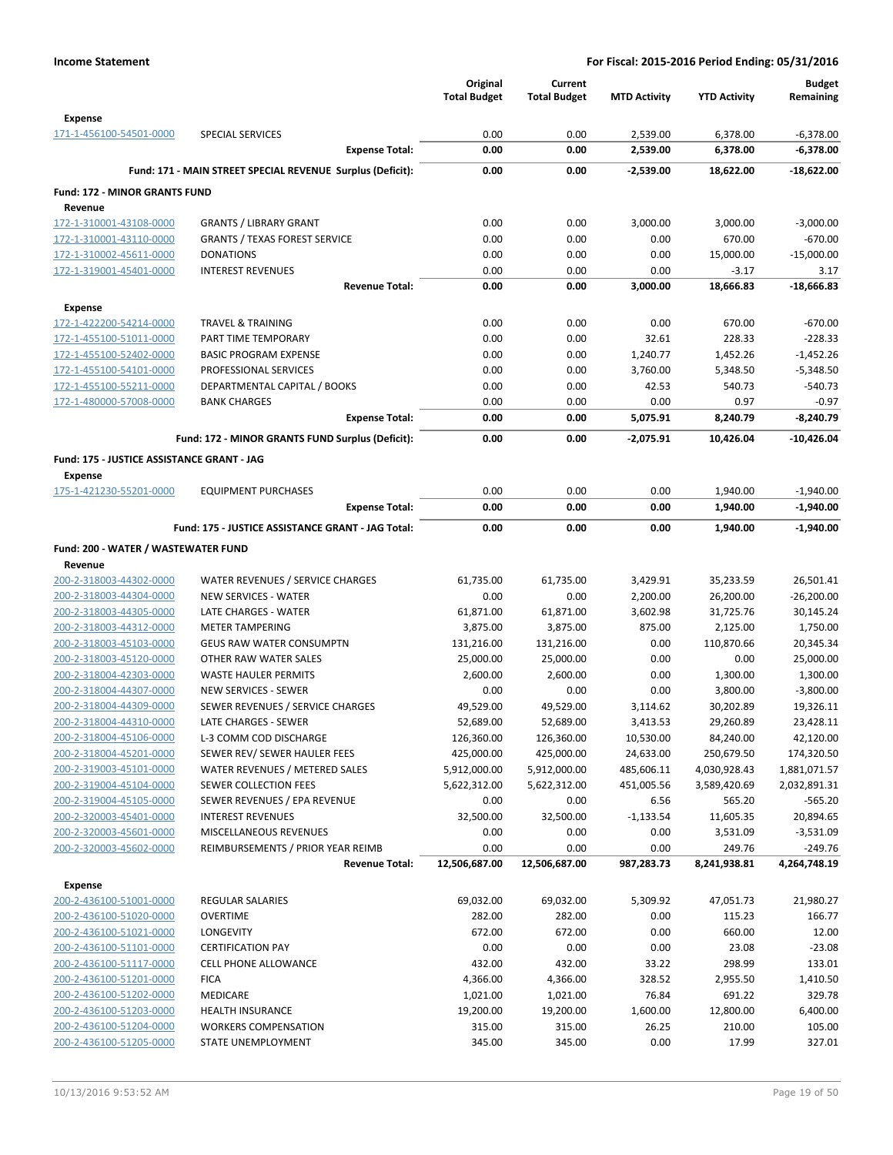|                                                    |                                                                 | Original<br><b>Total Budget</b> | Current<br><b>Total Budget</b> | <b>MTD Activity</b>  | <b>YTD Activity</b>   | <b>Budget</b><br>Remaining |
|----------------------------------------------------|-----------------------------------------------------------------|---------------------------------|--------------------------------|----------------------|-----------------------|----------------------------|
| <b>Expense</b>                                     |                                                                 |                                 |                                |                      |                       |                            |
| 171-1-456100-54501-0000                            | <b>SPECIAL SERVICES</b><br><b>Expense Total:</b>                | 0.00<br>0.00                    | 0.00<br>0.00                   | 2,539.00<br>2,539.00 | 6,378.00<br>6,378.00  | $-6,378.00$<br>$-6,378.00$ |
|                                                    | Fund: 171 - MAIN STREET SPECIAL REVENUE Surplus (Deficit):      | 0.00                            | 0.00                           | $-2,539.00$          | 18,622.00             | $-18,622.00$               |
|                                                    |                                                                 |                                 |                                |                      |                       |                            |
| <b>Fund: 172 - MINOR GRANTS FUND</b><br>Revenue    |                                                                 |                                 |                                |                      |                       |                            |
| 172-1-310001-43108-0000                            | <b>GRANTS / LIBRARY GRANT</b>                                   | 0.00                            | 0.00                           | 3,000.00             | 3,000.00              | $-3,000.00$                |
| 172-1-310001-43110-0000                            | <b>GRANTS / TEXAS FOREST SERVICE</b>                            | 0.00                            | 0.00                           | 0.00                 | 670.00                | $-670.00$                  |
| 172-1-310002-45611-0000                            | <b>DONATIONS</b>                                                | 0.00                            | 0.00                           | 0.00                 | 15,000.00             | $-15,000.00$               |
| 172-1-319001-45401-0000                            | <b>INTEREST REVENUES</b>                                        | 0.00                            | 0.00                           | 0.00                 | $-3.17$               | 3.17                       |
|                                                    | <b>Revenue Total:</b>                                           | 0.00                            | 0.00                           | 3,000.00             | 18,666.83             | $-18.666.83$               |
| Expense                                            |                                                                 |                                 |                                |                      |                       |                            |
| 172-1-422200-54214-0000                            | <b>TRAVEL &amp; TRAINING</b>                                    | 0.00                            | 0.00                           | 0.00                 | 670.00                | $-670.00$                  |
| 172-1-455100-51011-0000                            | PART TIME TEMPORARY                                             | 0.00                            | 0.00                           | 32.61                | 228.33                | $-228.33$                  |
| 172-1-455100-52402-0000                            | <b>BASIC PROGRAM EXPENSE</b>                                    | 0.00                            | 0.00                           | 1,240.77             | 1,452.26              | $-1,452.26$                |
| 172-1-455100-54101-0000                            | PROFESSIONAL SERVICES                                           | 0.00                            | 0.00                           | 3,760.00             | 5,348.50              | $-5,348.50$                |
| 172-1-455100-55211-0000                            | DEPARTMENTAL CAPITAL / BOOKS                                    | 0.00                            | 0.00                           | 42.53                | 540.73                | $-540.73$                  |
| 172-1-480000-57008-0000                            | <b>BANK CHARGES</b>                                             | 0.00                            | 0.00                           | 0.00                 | 0.97                  | $-0.97$                    |
|                                                    | <b>Expense Total:</b>                                           | 0.00                            | 0.00                           | 5,075.91             | 8,240.79              | $-8,240.79$                |
|                                                    | Fund: 172 - MINOR GRANTS FUND Surplus (Deficit):                | 0.00                            | 0.00                           | $-2,075.91$          | 10,426.04             | $-10,426.04$               |
| Fund: 175 - JUSTICE ASSISTANCE GRANT - JAG         |                                                                 |                                 |                                |                      |                       |                            |
| <b>Expense</b>                                     |                                                                 |                                 |                                |                      |                       |                            |
| 175-1-421230-55201-0000                            | <b>EQUIPMENT PURCHASES</b>                                      | 0.00                            | 0.00                           | 0.00                 | 1,940.00              | $-1,940.00$                |
|                                                    | <b>Expense Total:</b>                                           | 0.00                            | 0.00                           | 0.00                 | 1,940.00              | $-1,940.00$                |
|                                                    | Fund: 175 - JUSTICE ASSISTANCE GRANT - JAG Total:               | 0.00                            | 0.00                           | 0.00                 | 1,940.00              | $-1,940.00$                |
| Fund: 200 - WATER / WASTEWATER FUND                |                                                                 |                                 |                                |                      |                       |                            |
| Revenue                                            |                                                                 |                                 |                                |                      |                       |                            |
| 200-2-318003-44302-0000                            | WATER REVENUES / SERVICE CHARGES                                | 61,735.00                       | 61,735.00                      | 3,429.91             | 35,233.59             | 26,501.41                  |
| 200-2-318003-44304-0000                            | <b>NEW SERVICES - WATER</b>                                     | 0.00                            | 0.00                           | 2,200.00             | 26,200.00             | $-26,200.00$               |
| 200-2-318003-44305-0000                            | LATE CHARGES - WATER                                            | 61,871.00                       | 61,871.00                      | 3,602.98             | 31,725.76             | 30,145.24                  |
| 200-2-318003-44312-0000                            | <b>METER TAMPERING</b>                                          | 3,875.00                        | 3,875.00                       | 875.00               | 2,125.00              | 1,750.00                   |
| 200-2-318003-45103-0000                            | <b>GEUS RAW WATER CONSUMPTN</b>                                 | 131,216.00                      | 131,216.00                     | 0.00                 | 110,870.66            | 20,345.34                  |
| 200-2-318003-45120-0000                            | OTHER RAW WATER SALES                                           | 25,000.00                       | 25,000.00                      | 0.00                 | 0.00                  | 25,000.00                  |
| 200-2-318004-42303-0000                            | <b>WASTE HAULER PERMITS</b>                                     | 2,600.00                        | 2,600.00                       | 0.00                 | 1,300.00              | 1,300.00                   |
| 200-2-318004-44307-0000<br>200-2-318004-44309-0000 | <b>NEW SERVICES - SEWER</b><br>SEWER REVENUES / SERVICE CHARGES | 0.00<br>49,529.00               | 0.00<br>49,529.00              | 0.00<br>3,114.62     | 3,800.00<br>30,202.89 | $-3,800.00$<br>19,326.11   |
| 200-2-318004-44310-0000                            | LATE CHARGES - SEWER                                            | 52,689.00                       | 52,689.00                      | 3,413.53             | 29,260.89             | 23,428.11                  |
| 200-2-318004-45106-0000                            | L-3 COMM COD DISCHARGE                                          | 126,360.00                      | 126,360.00                     | 10,530.00            | 84,240.00             | 42,120.00                  |
| 200-2-318004-45201-0000                            | SEWER REV/ SEWER HAULER FEES                                    | 425,000.00                      | 425,000.00                     | 24,633.00            | 250,679.50            | 174,320.50                 |
| 200-2-319003-45101-0000                            | WATER REVENUES / METERED SALES                                  | 5,912,000.00                    | 5,912,000.00                   | 485,606.11           | 4,030,928.43          | 1,881,071.57               |
| 200-2-319004-45104-0000                            | SEWER COLLECTION FEES                                           | 5,622,312.00                    | 5,622,312.00                   | 451,005.56           | 3,589,420.69          | 2,032,891.31               |
| 200-2-319004-45105-0000                            | SEWER REVENUES / EPA REVENUE                                    | 0.00                            | 0.00                           | 6.56                 | 565.20                | $-565.20$                  |
| 200-2-320003-45401-0000                            | <b>INTEREST REVENUES</b>                                        | 32,500.00                       | 32,500.00                      | $-1,133.54$          | 11,605.35             | 20,894.65                  |
| 200-2-320003-45601-0000                            | MISCELLANEOUS REVENUES                                          | 0.00                            | 0.00                           | 0.00                 | 3,531.09              | $-3,531.09$                |
| 200-2-320003-45602-0000                            | REIMBURSEMENTS / PRIOR YEAR REIMB                               | 0.00                            | 0.00                           | 0.00                 | 249.76                | $-249.76$                  |
|                                                    | <b>Revenue Total:</b>                                           | 12,506,687.00                   | 12,506,687.00                  | 987,283.73           | 8,241,938.81          | 4,264,748.19               |
| <b>Expense</b>                                     |                                                                 |                                 |                                |                      |                       |                            |
| 200-2-436100-51001-0000                            | REGULAR SALARIES                                                | 69,032.00                       | 69,032.00                      | 5,309.92             | 47,051.73             | 21,980.27                  |
| 200-2-436100-51020-0000                            | <b>OVERTIME</b>                                                 | 282.00                          | 282.00                         | 0.00                 | 115.23                | 166.77                     |
| 200-2-436100-51021-0000                            | <b>LONGEVITY</b>                                                | 672.00                          | 672.00                         | 0.00                 | 660.00                | 12.00                      |
| 200-2-436100-51101-0000                            | <b>CERTIFICATION PAY</b>                                        | 0.00                            | 0.00                           | 0.00                 | 23.08                 | $-23.08$                   |
| 200-2-436100-51117-0000                            | CELL PHONE ALLOWANCE                                            | 432.00                          | 432.00                         | 33.22                | 298.99                | 133.01                     |
| 200-2-436100-51201-0000                            | <b>FICA</b>                                                     | 4,366.00                        | 4,366.00                       | 328.52               | 2,955.50              | 1,410.50                   |
| 200-2-436100-51202-0000                            | <b>MEDICARE</b>                                                 | 1,021.00                        | 1,021.00                       | 76.84                | 691.22                | 329.78                     |
| 200-2-436100-51203-0000                            | <b>HEALTH INSURANCE</b>                                         | 19,200.00                       | 19,200.00                      | 1,600.00             | 12,800.00             | 6,400.00                   |
| 200-2-436100-51204-0000                            | <b>WORKERS COMPENSATION</b>                                     | 315.00                          | 315.00                         | 26.25                | 210.00                | 105.00                     |
| 200-2-436100-51205-0000                            | STATE UNEMPLOYMENT                                              | 345.00                          | 345.00                         | 0.00                 | 17.99                 | 327.01                     |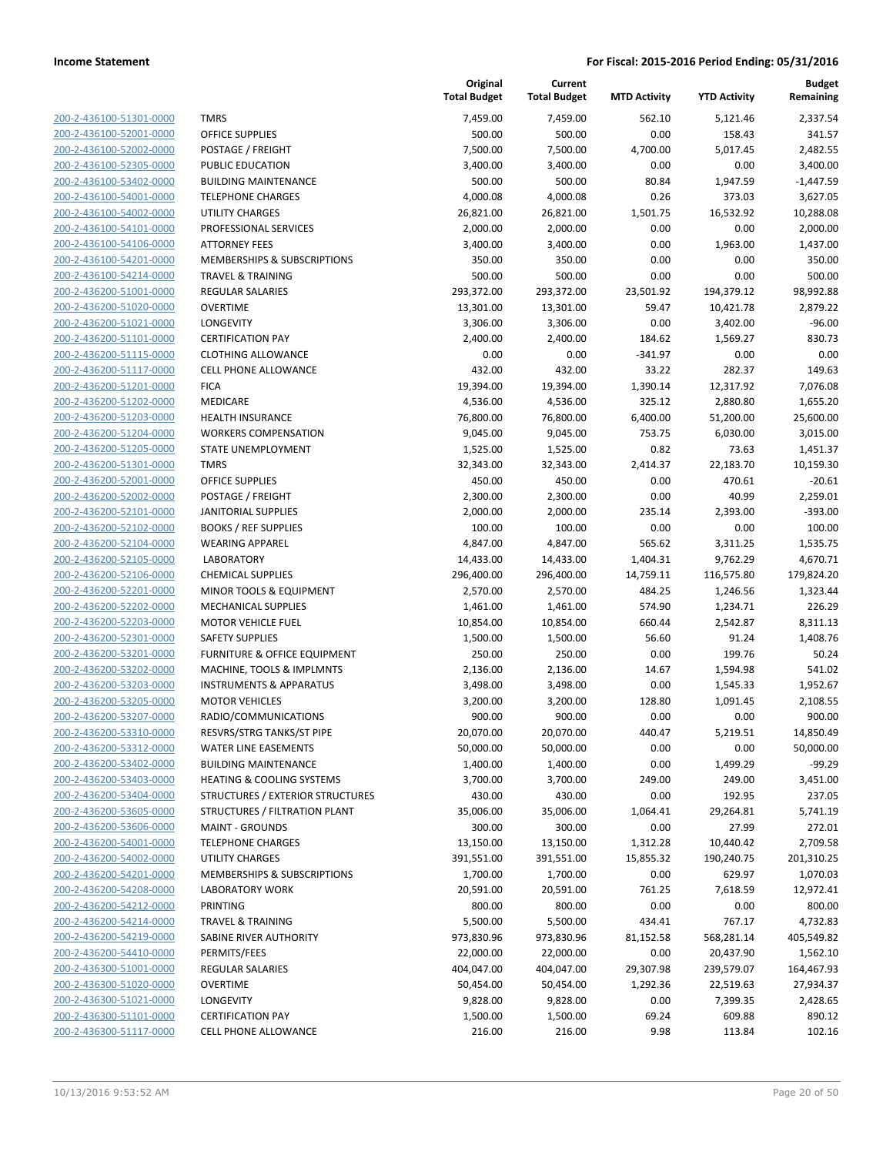| 200-2-436100-51301-0000                            |
|----------------------------------------------------|
| 200-2-436100-52001-0000                            |
| 200-2-436100-52002-0000                            |
| 200-2-436100-52305-0000                            |
| 200-2-436100-53402-0000                            |
| 200-2-436100-54001-0000                            |
| 200-2-436100-54002-0000                            |
| 200-2-436100-54101-0000                            |
| 200-2-436100-54106-0000                            |
| 200-2-436100-54201-0000                            |
| 200-2-436100-54214-0000                            |
| 200-2-436200-51001-0000                            |
| 200-2-436200-51020-0000                            |
| 200-2-436200-51021-0000                            |
| 200-2-436200-51101-0000                            |
| 200-2-436200-51115-0000                            |
| 200-2-436200-51117-0000                            |
| 200-2-436200-51201-0000                            |
| 200-2-436200-51202-0000                            |
| 200-2-436200-51203-0000                            |
| 200-2-436200-51204-0000                            |
| 200-2-436200-51205-0000                            |
| 200-2-436200-51301-0000                            |
| 200-2-436200-52001-0000                            |
| 200-2-436200-52002-0000                            |
| 200-2-436200-52101-0000                            |
| 200-2-436200-52102-0000                            |
| 200-2-436200-52104-0000                            |
| 200-2-436200-52105-0000                            |
| 200-2-436200-52106-0000                            |
| 200-2-436200-52201-0000                            |
| 200-2-436200-52202-0000                            |
| 200-2-436200-52203-0000                            |
| 200-2-436200-52301-0000                            |
| 200-2-436200-53201-0000                            |
| <u>200-2-436200-53202-0000</u>                     |
|                                                    |
| 200-2-436200-53203-0000<br>200-2-436200-53205-0000 |
|                                                    |
| 200-2-436200-53207-0000                            |
| 200-2-436200-53310-0000                            |
| 200-2-436200-53312-0000                            |
| <u>200-2-436200-53402-0000</u>                     |
| 200-2-436200-53403-0000                            |
| 200-2-436200-53404-0000                            |
| 200-2-436200-53605-0000                            |
| <u>200-2-436200-53606-0000</u>                     |
| 200-2-436200-54001-0000                            |
| 200-2-436200-54002-0000                            |
| 200-2-436200-54201-0000                            |
| 200-2-436200-54208-0000                            |
| 200-2-436200-54212-0000                            |
| 200-2-436200-54214-0000                            |
| 200-2-436200-54219-0000                            |
| 200-2-436200-54410-0000                            |
| 200-2-436300-51001-0000                            |
| <u>200-2-436300-51020-0000</u>                     |
| 200-2-436300-51021-0000                            |
| 200-2-436300-51101-0000                            |
| 200-2-436300-51117-0000                            |
|                                                    |

|                         |                                      | Original<br><b>Total Budget</b> | Current<br><b>Total Budget</b> | <b>MTD Activity</b> | <b>YTD Activity</b> | <b>Budget</b><br>Remaining |
|-------------------------|--------------------------------------|---------------------------------|--------------------------------|---------------------|---------------------|----------------------------|
| 200-2-436100-51301-0000 | <b>TMRS</b>                          | 7,459.00                        | 7,459.00                       | 562.10              | 5,121.46            | 2,337.54                   |
| 200-2-436100-52001-0000 | OFFICE SUPPLIES                      | 500.00                          | 500.00                         | 0.00                | 158.43              | 341.57                     |
| 200-2-436100-52002-0000 | POSTAGE / FREIGHT                    | 7,500.00                        | 7,500.00                       | 4,700.00            | 5,017.45            | 2,482.55                   |
| 200-2-436100-52305-0000 | PUBLIC EDUCATION                     | 3,400.00                        | 3,400.00                       | 0.00                | 0.00                | 3,400.00                   |
| 200-2-436100-53402-0000 | <b>BUILDING MAINTENANCE</b>          | 500.00                          | 500.00                         | 80.84               | 1,947.59            | $-1,447.59$                |
| 200-2-436100-54001-0000 | <b>TELEPHONE CHARGES</b>             | 4,000.08                        | 4,000.08                       | 0.26                | 373.03              | 3,627.05                   |
| 200-2-436100-54002-0000 | <b>UTILITY CHARGES</b>               | 26,821.00                       | 26,821.00                      | 1,501.75            | 16,532.92           | 10,288.08                  |
| 200-2-436100-54101-0000 | PROFESSIONAL SERVICES                | 2,000.00                        | 2,000.00                       | 0.00                | 0.00                | 2,000.00                   |
| 200-2-436100-54106-0000 | <b>ATTORNEY FEES</b>                 | 3,400.00                        | 3,400.00                       | 0.00                | 1,963.00            | 1,437.00                   |
| 200-2-436100-54201-0000 | MEMBERSHIPS & SUBSCRIPTIONS          | 350.00                          | 350.00                         | 0.00                | 0.00                | 350.00                     |
| 200-2-436100-54214-0000 | <b>TRAVEL &amp; TRAINING</b>         | 500.00                          | 500.00                         | 0.00                | 0.00                | 500.00                     |
| 200-2-436200-51001-0000 | REGULAR SALARIES                     | 293,372.00                      | 293,372.00                     | 23,501.92           | 194,379.12          | 98,992.88                  |
| 200-2-436200-51020-0000 | <b>OVERTIME</b>                      | 13,301.00                       | 13,301.00                      | 59.47               | 10,421.78           | 2,879.22                   |
| 200-2-436200-51021-0000 | LONGEVITY                            | 3,306.00                        | 3,306.00                       | 0.00                | 3,402.00            | $-96.00$                   |
| 200-2-436200-51101-0000 | <b>CERTIFICATION PAY</b>             | 2,400.00                        | 2,400.00                       | 184.62              | 1,569.27            | 830.73                     |
| 200-2-436200-51115-0000 | <b>CLOTHING ALLOWANCE</b>            | 0.00                            | 0.00                           | $-341.97$           | 0.00                | 0.00                       |
| 200-2-436200-51117-0000 | CELL PHONE ALLOWANCE                 | 432.00                          | 432.00                         | 33.22               | 282.37              | 149.63                     |
| 200-2-436200-51201-0000 | <b>FICA</b>                          | 19,394.00                       | 19,394.00                      | 1,390.14            | 12,317.92           | 7,076.08                   |
| 200-2-436200-51202-0000 | MEDICARE                             | 4,536.00                        | 4,536.00                       | 325.12              | 2,880.80            | 1,655.20                   |
| 200-2-436200-51203-0000 | <b>HEALTH INSURANCE</b>              | 76,800.00                       | 76,800.00                      | 6,400.00            | 51,200.00           | 25,600.00                  |
| 200-2-436200-51204-0000 | <b>WORKERS COMPENSATION</b>          | 9,045.00                        | 9,045.00                       | 753.75              | 6,030.00            | 3,015.00                   |
| 200-2-436200-51205-0000 | STATE UNEMPLOYMENT                   | 1,525.00                        | 1,525.00                       | 0.82                | 73.63               | 1,451.37                   |
| 200-2-436200-51301-0000 | <b>TMRS</b>                          | 32,343.00                       | 32,343.00                      | 2,414.37            | 22,183.70           | 10,159.30                  |
| 200-2-436200-52001-0000 | <b>OFFICE SUPPLIES</b>               | 450.00                          | 450.00                         | 0.00                | 470.61              | $-20.61$                   |
| 200-2-436200-52002-0000 | POSTAGE / FREIGHT                    | 2,300.00                        | 2,300.00                       | 0.00                | 40.99               | 2,259.01                   |
| 200-2-436200-52101-0000 | <b>JANITORIAL SUPPLIES</b>           | 2,000.00                        | 2,000.00                       | 235.14              | 2,393.00            | $-393.00$                  |
| 200-2-436200-52102-0000 | <b>BOOKS / REF SUPPLIES</b>          | 100.00                          | 100.00                         | 0.00                | 0.00                | 100.00                     |
| 200-2-436200-52104-0000 | <b>WEARING APPAREL</b>               | 4,847.00                        | 4,847.00                       | 565.62              | 3,311.25            | 1,535.75                   |
| 200-2-436200-52105-0000 | <b>LABORATORY</b>                    | 14,433.00                       | 14,433.00                      | 1,404.31            | 9,762.29            | 4,670.71                   |
| 200-2-436200-52106-0000 | <b>CHEMICAL SUPPLIES</b>             | 296,400.00                      | 296,400.00                     | 14,759.11           | 116,575.80          | 179,824.20                 |
| 200-2-436200-52201-0000 | MINOR TOOLS & EQUIPMENT              | 2,570.00                        | 2,570.00                       | 484.25              | 1,246.56            | 1,323.44                   |
| 200-2-436200-52202-0000 | <b>MECHANICAL SUPPLIES</b>           | 1,461.00                        | 1,461.00                       | 574.90              | 1,234.71            | 226.29                     |
| 200-2-436200-52203-0000 | <b>MOTOR VEHICLE FUEL</b>            | 10,854.00                       | 10,854.00                      | 660.44              | 2,542.87            | 8,311.13                   |
| 200-2-436200-52301-0000 | <b>SAFETY SUPPLIES</b>               | 1,500.00                        | 1,500.00                       | 56.60               | 91.24               | 1,408.76                   |
| 200-2-436200-53201-0000 | FURNITURE & OFFICE EQUIPMENT         | 250.00                          | 250.00                         | 0.00                | 199.76              | 50.24                      |
| 200-2-436200-53202-0000 | MACHINE, TOOLS & IMPLMNTS            | 2,136.00                        | 2,136.00                       | 14.67               | 1,594.98            | 541.02                     |
| 200-2-436200-53203-0000 | <b>INSTRUMENTS &amp; APPARATUS</b>   | 3,498.00                        | 3,498.00                       | 0.00                | 1,545.33            | 1,952.67                   |
| 200-2-436200-53205-0000 | <b>MOTOR VEHICLES</b>                | 3,200.00                        | 3,200.00                       | 128.80              | 1,091.45            | 2,108.55                   |
| 200-2-436200-53207-0000 | RADIO/COMMUNICATIONS                 | 900.00                          | 900.00                         | 0.00                | 0.00                | 900.00                     |
| 200-2-436200-53310-0000 | RESVRS/STRG TANKS/ST PIPE            | 20,070.00                       | 20,070.00                      | 440.47              | 5,219.51            | 14,850.49                  |
| 200-2-436200-53312-0000 | WATER LINE EASEMENTS                 | 50,000.00                       | 50,000.00                      | 0.00                | 0.00                | 50,000.00                  |
| 200-2-436200-53402-0000 | <b>BUILDING MAINTENANCE</b>          | 1,400.00                        | 1,400.00                       | 0.00                | 1,499.29            | $-99.29$                   |
| 200-2-436200-53403-0000 | <b>HEATING &amp; COOLING SYSTEMS</b> | 3,700.00                        | 3,700.00                       | 249.00              | 249.00              | 3,451.00                   |
| 200-2-436200-53404-0000 | STRUCTURES / EXTERIOR STRUCTURES     | 430.00                          | 430.00                         | 0.00                | 192.95              | 237.05                     |
| 200-2-436200-53605-0000 | STRUCTURES / FILTRATION PLANT        | 35,006.00                       | 35,006.00                      | 1,064.41            | 29,264.81           | 5,741.19                   |
| 200-2-436200-53606-0000 | <b>MAINT - GROUNDS</b>               | 300.00                          | 300.00                         | 0.00                | 27.99               | 272.01                     |
| 200-2-436200-54001-0000 | <b>TELEPHONE CHARGES</b>             | 13,150.00                       | 13,150.00                      | 1,312.28            | 10,440.42           | 2,709.58                   |
| 200-2-436200-54002-0000 | UTILITY CHARGES                      | 391,551.00                      | 391,551.00                     | 15,855.32           | 190,240.75          | 201,310.25                 |
| 200-2-436200-54201-0000 | MEMBERSHIPS & SUBSCRIPTIONS          | 1,700.00                        | 1,700.00                       | 0.00                | 629.97              | 1,070.03                   |
| 200-2-436200-54208-0000 | <b>LABORATORY WORK</b>               | 20,591.00                       | 20,591.00                      | 761.25              | 7,618.59            | 12,972.41                  |
| 200-2-436200-54212-0000 | PRINTING                             | 800.00                          | 800.00                         | 0.00                | 0.00                | 800.00                     |
| 200-2-436200-54214-0000 | <b>TRAVEL &amp; TRAINING</b>         | 5,500.00                        | 5,500.00                       | 434.41              | 767.17              | 4,732.83                   |
| 200-2-436200-54219-0000 | SABINE RIVER AUTHORITY               | 973,830.96                      | 973,830.96                     | 81,152.58           | 568,281.14          | 405,549.82                 |
| 200-2-436200-54410-0000 | PERMITS/FEES                         | 22,000.00                       | 22,000.00                      | 0.00                | 20,437.90           | 1,562.10                   |
| 200-2-436300-51001-0000 | REGULAR SALARIES                     | 404,047.00                      | 404,047.00                     | 29,307.98           | 239,579.07          | 164,467.93                 |
| 200-2-436300-51020-0000 | <b>OVERTIME</b>                      | 50,454.00                       | 50,454.00                      | 1,292.36            | 22,519.63           | 27,934.37                  |
| 200-2-436300-51021-0000 | <b>LONGEVITY</b>                     | 9,828.00                        | 9,828.00                       | 0.00                | 7,399.35            | 2,428.65                   |
| 200-2-436300-51101-0000 | <b>CERTIFICATION PAY</b>             | 1,500.00                        | 1,500.00                       | 69.24               | 609.88              | 890.12                     |
| 200-2-436300-51117-0000 | <b>CELL PHONE ALLOWANCE</b>          | 216.00                          | 216.00                         | 9.98                | 113.84              | 102.16                     |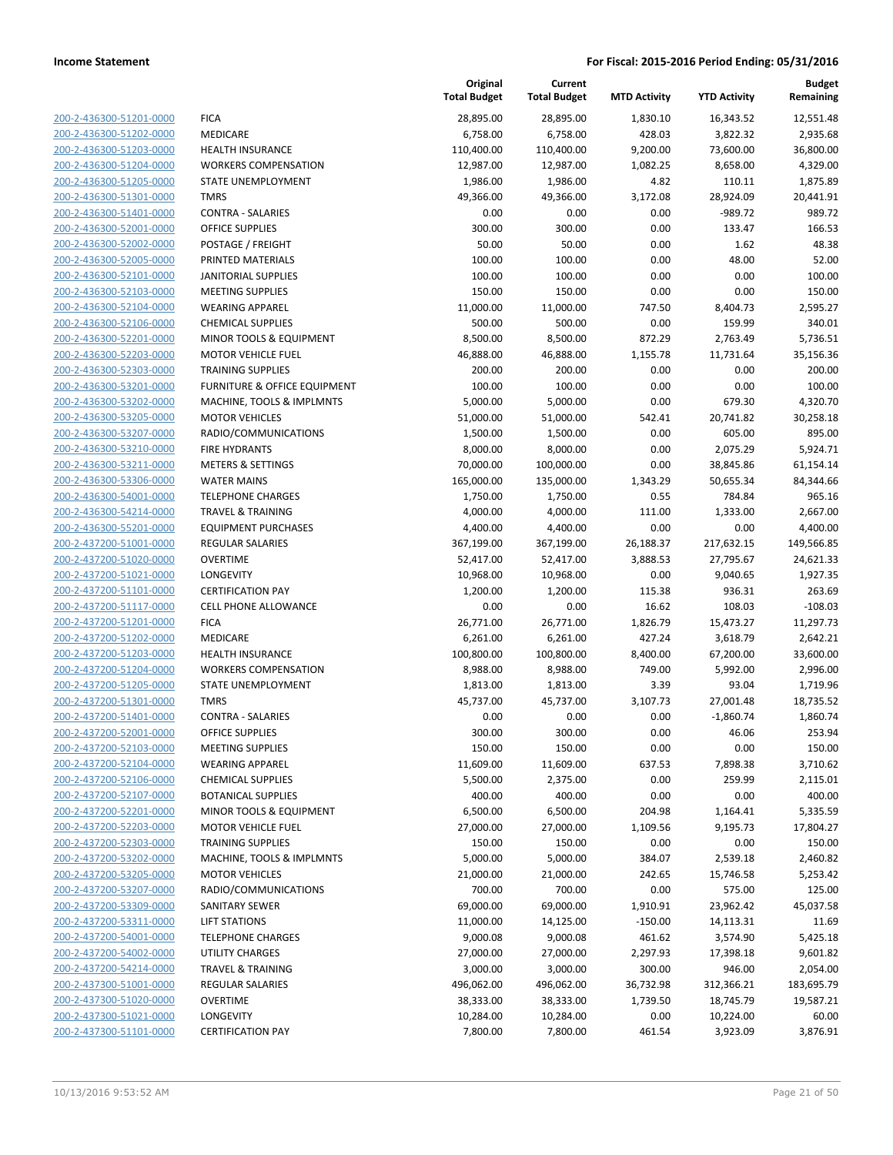| 200-2-436300-51201-0000                                   |
|-----------------------------------------------------------|
| 200-2-436300-51202-0000                                   |
| 200-2-436300-51203-0000                                   |
| 200-2-436300-51204-0000                                   |
| 200-2-436300-51205-0000                                   |
| 200-2-436300-51301-0000                                   |
| <u>200-2-436300-51401-0000</u>                            |
| 200-2-436300-52001-0000                                   |
| 200-2-436300-52002-0000                                   |
| 200-2-436300-52005-0000                                   |
| 200-2-436300-52101-0000                                   |
| 200-2-436300-52103-0000                                   |
| 200-2-436300-52104-0000                                   |
| 200-2-436300-52106-0000                                   |
| 200-2-436300-52201-0000                                   |
| 200-2-436300-52203-0000                                   |
| <u>200-2-436300-52303-0000</u>                            |
| 200-2-436300-53201-0000                                   |
| <u>200-2-436300-53202-0000</u>                            |
| 200-2-436300-53205-0000                                   |
| 200-2-436300-53207-0000                                   |
| 200-2-436300-53210-0000                                   |
| 200-2-436300-53211-0000                                   |
| 200-2-436300-53306-0000                                   |
| 200-2-436300-54001-0000                                   |
| 200-2-436300-54214-0000                                   |
| <u>200-2-436300-55201-0000</u>                            |
| 200-2-437200-51001-0000                                   |
| <u>200-2-437200-51020-0000</u>                            |
| 200-2-437200-51021-0000                                   |
| 200-2-437200-51101-0000                                   |
| 200-2-437200-51117-0000                                   |
| 200-2-437200-51201-0000                                   |
| 200-2-437200-51202-0000                                   |
| 200-2-437200-51203-0000                                   |
| <u>200-2-437200-51204-0000</u>                            |
| 200-2-437200-51205-0000                                   |
| 200-2-437200-51301-0000                                   |
| 200-2-437200-51401-0000                                   |
| 200-2-437200-52001-0000                                   |
| 200-2-437200-52103-0000                                   |
| <u>200-2-437200-52104-0000</u>                            |
| <u>200-2-437200-52106-0000</u>                            |
| 200-2-437200-52107-0000                                   |
| 200-2-437200-52201-0000                                   |
| <u>200-2-437200-52203-0000</u>                            |
| 200-2-437200-52303-0000                                   |
| 200-2-437200-53202-0000                                   |
| 200-2-437200-53205-0000                                   |
| 200-2-437200-53207-0000                                   |
| 200-2-437200-53309-0000                                   |
| 200-2-437200-53311-0000                                   |
| 200-2-437200-54001-0000                                   |
| 200-2-437200-54002-0000                                   |
| 200-2-437200-54214-0000                                   |
|                                                           |
| <u>200-2-437300-51001-0000</u><br>200-2-437300-51020-0000 |
|                                                           |
| <u>200-2-437300-51021-0000</u><br>200-2-437300-51101-0000 |
|                                                           |

|                                                    |                                                          | Original<br><b>Total Budget</b> | Current<br><b>Total Budget</b> | <b>MTD Activity</b> | <b>YTD Activity</b> | Budget<br>Remaining   |
|----------------------------------------------------|----------------------------------------------------------|---------------------------------|--------------------------------|---------------------|---------------------|-----------------------|
| 200-2-436300-51201-0000                            | <b>FICA</b>                                              | 28,895.00                       | 28,895.00                      | 1,830.10            | 16,343.52           | 12,551.48             |
| 200-2-436300-51202-0000                            | MEDICARE                                                 | 6,758.00                        | 6,758.00                       | 428.03              | 3,822.32            | 2,935.68              |
| 200-2-436300-51203-0000                            | <b>HEALTH INSURANCE</b>                                  | 110,400.00                      | 110,400.00                     | 9,200.00            | 73,600.00           | 36,800.00             |
| 200-2-436300-51204-0000                            | <b>WORKERS COMPENSATION</b>                              | 12,987.00                       | 12,987.00                      | 1,082.25            | 8,658.00            | 4,329.00              |
| 200-2-436300-51205-0000                            | STATE UNEMPLOYMENT                                       | 1,986.00                        | 1,986.00                       | 4.82                | 110.11              | 1,875.89              |
| 200-2-436300-51301-0000                            | <b>TMRS</b>                                              | 49,366.00                       | 49,366.00                      | 3,172.08            | 28,924.09           | 20,441.91             |
| 200-2-436300-51401-0000                            | <b>CONTRA - SALARIES</b>                                 | 0.00                            | 0.00                           | 0.00                | -989.72             | 989.72                |
| 200-2-436300-52001-0000                            | <b>OFFICE SUPPLIES</b>                                   | 300.00                          | 300.00                         | 0.00                | 133.47              | 166.53                |
| 200-2-436300-52002-0000                            | POSTAGE / FREIGHT                                        | 50.00                           | 50.00                          | 0.00                | 1.62                | 48.38                 |
| 200-2-436300-52005-0000                            | PRINTED MATERIALS                                        | 100.00                          | 100.00                         | 0.00                | 48.00               | 52.00                 |
| 200-2-436300-52101-0000                            | <b>JANITORIAL SUPPLIES</b>                               | 100.00                          | 100.00                         | 0.00                | 0.00                | 100.00                |
| 200-2-436300-52103-0000                            | <b>MEETING SUPPLIES</b>                                  | 150.00                          | 150.00                         | 0.00                | 0.00                | 150.00                |
| 200-2-436300-52104-0000                            | <b>WEARING APPAREL</b>                                   | 11,000.00                       | 11,000.00                      | 747.50              | 8,404.73            | 2,595.27              |
| 200-2-436300-52106-0000                            | <b>CHEMICAL SUPPLIES</b>                                 | 500.00                          | 500.00                         | 0.00                | 159.99              | 340.01                |
| 200-2-436300-52201-0000                            | MINOR TOOLS & EQUIPMENT                                  | 8,500.00                        | 8,500.00                       | 872.29              | 2,763.49            | 5,736.51              |
| 200-2-436300-52203-0000                            | <b>MOTOR VEHICLE FUEL</b>                                | 46,888.00                       | 46,888.00                      | 1,155.78            | 11,731.64           | 35,156.36             |
| 200-2-436300-52303-0000                            | <b>TRAINING SUPPLIES</b>                                 | 200.00                          | 200.00                         | 0.00                | 0.00                | 200.00                |
| 200-2-436300-53201-0000                            | <b>FURNITURE &amp; OFFICE EQUIPMENT</b>                  | 100.00                          | 100.00                         | 0.00                | 0.00                | 100.00                |
| 200-2-436300-53202-0000                            | MACHINE, TOOLS & IMPLMNTS                                | 5,000.00                        | 5,000.00                       | 0.00                | 679.30              | 4,320.70              |
| 200-2-436300-53205-0000                            | <b>MOTOR VEHICLES</b>                                    | 51,000.00                       | 51,000.00                      | 542.41              | 20,741.82           | 30,258.18             |
| 200-2-436300-53207-0000                            | RADIO/COMMUNICATIONS                                     | 1,500.00                        | 1,500.00                       | 0.00                | 605.00              | 895.00                |
| 200-2-436300-53210-0000                            | <b>FIRE HYDRANTS</b>                                     | 8,000.00                        | 8,000.00                       | 0.00                | 2,075.29            | 5,924.71              |
| 200-2-436300-53211-0000                            | <b>METERS &amp; SETTINGS</b>                             | 70,000.00                       | 100,000.00                     | 0.00                | 38,845.86           | 61,154.14             |
| 200-2-436300-53306-0000                            | <b>WATER MAINS</b>                                       | 165,000.00                      | 135,000.00                     | 1,343.29            | 50,655.34           | 84,344.66             |
| 200-2-436300-54001-0000                            | <b>TELEPHONE CHARGES</b>                                 | 1,750.00                        | 1,750.00                       | 0.55                | 784.84              | 965.16                |
| 200-2-436300-54214-0000                            | <b>TRAVEL &amp; TRAINING</b>                             | 4,000.00                        | 4,000.00                       | 111.00              | 1,333.00            | 2,667.00              |
| 200-2-436300-55201-0000                            | <b>EQUIPMENT PURCHASES</b>                               | 4,400.00                        | 4,400.00                       | 0.00                | 0.00                | 4,400.00              |
| 200-2-437200-51001-0000                            | <b>REGULAR SALARIES</b>                                  | 367,199.00                      | 367,199.00                     | 26,188.37           | 217,632.15          | 149,566.85            |
| 200-2-437200-51020-0000                            | <b>OVERTIME</b>                                          | 52,417.00                       | 52,417.00                      | 3,888.53            | 27,795.67           | 24,621.33             |
| 200-2-437200-51021-0000                            | LONGEVITY                                                | 10,968.00                       | 10,968.00                      | 0.00                | 9,040.65            | 1,927.35              |
| 200-2-437200-51101-0000                            | <b>CERTIFICATION PAY</b>                                 | 1,200.00                        | 1,200.00                       | 115.38              | 936.31              | 263.69                |
| 200-2-437200-51117-0000                            | <b>CELL PHONE ALLOWANCE</b>                              | 0.00                            | 0.00                           | 16.62               | 108.03              | $-108.03$             |
| 200-2-437200-51201-0000                            | <b>FICA</b>                                              | 26,771.00                       | 26,771.00                      | 1,826.79            | 15,473.27           | 11,297.73             |
| 200-2-437200-51202-0000                            | MEDICARE                                                 | 6,261.00                        | 6,261.00                       | 427.24              | 3,618.79            | 2,642.21              |
| 200-2-437200-51203-0000<br>200-2-437200-51204-0000 | <b>HEALTH INSURANCE</b>                                  | 100,800.00                      | 100,800.00                     | 8,400.00            | 67,200.00           | 33,600.00<br>2,996.00 |
| 200-2-437200-51205-0000                            | <b>WORKERS COMPENSATION</b><br><b>STATE UNEMPLOYMENT</b> | 8,988.00                        | 8,988.00                       | 749.00<br>3.39      | 5,992.00            |                       |
| 200-2-437200-51301-0000                            | <b>TMRS</b>                                              | 1,813.00<br>45,737.00           | 1,813.00<br>45,737.00          | 3,107.73            | 93.04<br>27,001.48  | 1,719.96<br>18,735.52 |
| 200-2-437200-51401-0000                            | <b>CONTRA - SALARIES</b>                                 | 0.00                            | 0.00                           | 0.00                | $-1,860.74$         | 1,860.74              |
| 200-2-437200-52001-0000                            | <b>OFFICE SUPPLIES</b>                                   | 300.00                          | 300.00                         | 0.00                | 46.06               | 253.94                |
| 200-2-437200-52103-0000                            | <b>MEETING SUPPLIES</b>                                  | 150.00                          | 150.00                         | 0.00                | 0.00                | 150.00                |
| 200-2-437200-52104-0000                            | <b>WEARING APPAREL</b>                                   | 11,609.00                       | 11,609.00                      | 637.53              | 7,898.38            | 3,710.62              |
| 200-2-437200-52106-0000                            | <b>CHEMICAL SUPPLIES</b>                                 | 5,500.00                        | 2,375.00                       | 0.00                | 259.99              | 2,115.01              |
| 200-2-437200-52107-0000                            | <b>BOTANICAL SUPPLIES</b>                                | 400.00                          | 400.00                         | 0.00                | 0.00                | 400.00                |
| 200-2-437200-52201-0000                            | MINOR TOOLS & EQUIPMENT                                  | 6,500.00                        | 6,500.00                       | 204.98              | 1,164.41            | 5,335.59              |
| 200-2-437200-52203-0000                            | <b>MOTOR VEHICLE FUEL</b>                                | 27,000.00                       | 27,000.00                      | 1,109.56            | 9,195.73            | 17,804.27             |
| 200-2-437200-52303-0000                            | <b>TRAINING SUPPLIES</b>                                 | 150.00                          | 150.00                         | 0.00                | 0.00                | 150.00                |
| 200-2-437200-53202-0000                            | MACHINE, TOOLS & IMPLMNTS                                | 5,000.00                        | 5,000.00                       | 384.07              | 2,539.18            | 2,460.82              |
| 200-2-437200-53205-0000                            | <b>MOTOR VEHICLES</b>                                    | 21,000.00                       | 21,000.00                      | 242.65              | 15,746.58           | 5,253.42              |
| 200-2-437200-53207-0000                            | RADIO/COMMUNICATIONS                                     | 700.00                          | 700.00                         | 0.00                | 575.00              | 125.00                |
| 200-2-437200-53309-0000                            | <b>SANITARY SEWER</b>                                    | 69,000.00                       | 69,000.00                      | 1,910.91            | 23,962.42           | 45,037.58             |
| 200-2-437200-53311-0000                            | <b>LIFT STATIONS</b>                                     | 11,000.00                       | 14,125.00                      | $-150.00$           | 14,113.31           | 11.69                 |
| 200-2-437200-54001-0000                            | <b>TELEPHONE CHARGES</b>                                 | 9,000.08                        | 9,000.08                       | 461.62              | 3,574.90            | 5,425.18              |
| 200-2-437200-54002-0000                            | UTILITY CHARGES                                          | 27,000.00                       | 27,000.00                      | 2,297.93            | 17,398.18           | 9,601.82              |
| 200-2-437200-54214-0000                            | <b>TRAVEL &amp; TRAINING</b>                             | 3,000.00                        | 3,000.00                       | 300.00              | 946.00              | 2,054.00              |
| 200-2-437300-51001-0000                            | REGULAR SALARIES                                         | 496,062.00                      | 496,062.00                     | 36,732.98           | 312,366.21          | 183,695.79            |
| 200-2-437300-51020-0000                            | <b>OVERTIME</b>                                          | 38,333.00                       | 38,333.00                      | 1,739.50            | 18,745.79           | 19,587.21             |
| 200-2-437300-51021-0000                            | LONGEVITY                                                | 10,284.00                       | 10,284.00                      | 0.00                | 10,224.00           | 60.00                 |
| 200-2-437300-51101-0000                            | <b>CERTIFICATION PAY</b>                                 | 7,800.00                        | 7,800.00                       | 461.54              | 3,923.09            | 3,876.91              |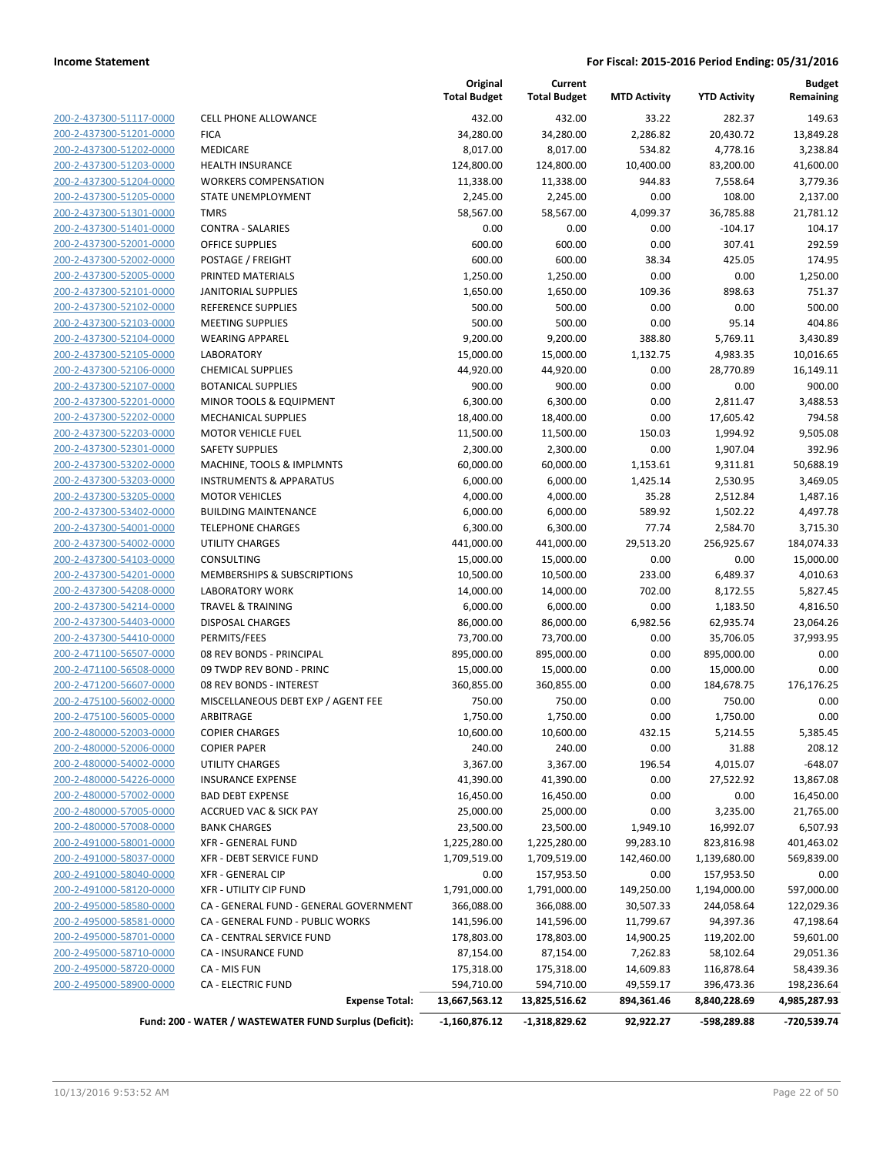| 200-2-437300-51117-0000 | <b>CELL PHONE A</b>  |
|-------------------------|----------------------|
| 200-2-437300-51201-0000 | FICA                 |
| 200-2-437300-51202-0000 | MEDICARE             |
| 200-2-437300-51203-0000 | <b>HEALTH INSUI</b>  |
| 200-2-437300-51204-0000 | <b>WORKERS CO</b>    |
| 200-2-437300-51205-0000 | <b>STATE UNEME</b>   |
| 200-2-437300-51301-0000 | <b>TMRS</b>          |
| 200-2-437300-51401-0000 | <b>CONTRA - SAL</b>  |
| 200-2-437300-52001-0000 | <b>OFFICE SUPPL</b>  |
| 200-2-437300-52002-0000 | POSTAGE / FR         |
| 200-2-437300-52005-0000 | PRINTED MAT          |
| 200-2-437300-52101-0000 | <b>JANITORIAL SI</b> |
| 200-2-437300-52102-0000 | <b>REFERENCE SU</b>  |
| 200-2-437300-52103-0000 | <b>MEETING SUP</b>   |
| 200-2-437300-52104-0000 | <b>WEARING APP</b>   |
| 200-2-437300-52105-0000 | <b>LABORATORY</b>    |
| 200-2-437300-52106-0000 | <b>CHEMICAL SU</b>   |
| 200-2-437300-52107-0000 | <b>BOTANICAL SI</b>  |
| 200-2-437300-52201-0000 | MINOR TOOLS          |
| 200-2-437300-52202-0000 | MECHANICAL           |
| 200-2-437300-52203-0000 | <b>MOTOR VEHIO</b>   |
| 200-2-437300-52301-0000 | <b>SAFETY SUPPL</b>  |
| 200-2-437300-53202-0000 | MACHINE, TO          |
| 200-2-437300-53203-0000 | INSTRUMENT:          |
| 200-2-437300-53205-0000 | <b>MOTOR VEHIO</b>   |
| 200-2-437300-53402-0000 | <b>BUILDING MA</b>   |
| 200-2-437300-54001-0000 | <b>TELEPHONE C</b>   |
| 200-2-437300-54002-0000 | UTILITY CHAR         |
| 200-2-437300-54103-0000 | CONSULTING           |
| 200-2-437300-54201-0000 | MEMBERSHIP           |
| 200-2-437300-54208-0000 | LABORATORY           |
| 200-2-437300-54214-0000 | TRAVEL & TRA         |
| 200-2-437300-54403-0000 | DISPOSAL CHA         |
| 200-2-437300-54410-0000 | PERMITS/FEES         |
| 200-2-471100-56507-0000 | 08 REV BOND          |
| 200-2-471100-56508-0000 | 09 TWDP REV          |
| 200-2-471200-56607-0000 | 08 REV BOND          |
| 200-2-475100-56002-0000 | MISCELLANEC          |
| 200-2-475100-56005-0000 | ARBITRAGE            |
| 200-2-480000-52003-0000 | <b>COPIER CHAR</b>   |
| 200-2-480000-52006-0000 | <b>COPIER PAPER</b>  |
| 200-2-480000-54002-0000 | UTILITY CHAR         |
| 200-2-480000-54226-0000 | <b>INSURANCE E</b>   |
| 200-2-480000-57002-0000 | <b>BAD DEBT EXF</b>  |
| 200-2-480000-57005-0000 | <b>ACCRUED VAC</b>   |
| 200-2-480000-57008-0000 | <b>BANK CHARGI</b>   |
| 200-2-491000-58001-0000 | <b>XFR - GENERA</b>  |
| 200-2-491000-58037-0000 | XFR - DEBT SE        |
| 200-2-491000-58040-0000 | XFR - GENERA         |
| 200-2-491000-58120-0000 | XFR - UTILITY        |
| 200-2-495000-58580-0000 | CA - GENERAL         |
| 200-2-495000-58581-0000 | CA - GENERAL         |
| 200-2-495000-58701-0000 | <b>CA - CENTRAL</b>  |
| 200-2-495000-58710-0000 | CA - INSURAN         |
| 200-2-495000-58720-0000 | CA - MIS FUN         |
| 200-2-495000-58900-0000 | <b>CA - ELECTRIC</b> |
|                         |                      |
|                         |                      |

|                         |                                                        | Original<br><b>Total Budget</b> | Current<br><b>Total Budget</b> | <b>MTD Activity</b> | <b>YTD Activity</b> | <b>Budget</b><br>Remaining |
|-------------------------|--------------------------------------------------------|---------------------------------|--------------------------------|---------------------|---------------------|----------------------------|
| 200-2-437300-51117-0000 | <b>CELL PHONE ALLOWANCE</b>                            | 432.00                          | 432.00                         | 33.22               | 282.37              | 149.63                     |
| 200-2-437300-51201-0000 | <b>FICA</b>                                            | 34,280.00                       | 34,280.00                      | 2,286.82            | 20,430.72           | 13,849.28                  |
| 200-2-437300-51202-0000 | MEDICARE                                               | 8,017.00                        | 8,017.00                       | 534.82              | 4,778.16            | 3,238.84                   |
| 200-2-437300-51203-0000 | <b>HEALTH INSURANCE</b>                                | 124,800.00                      | 124,800.00                     | 10,400.00           | 83,200.00           | 41,600.00                  |
| 200-2-437300-51204-0000 | <b>WORKERS COMPENSATION</b>                            | 11,338.00                       | 11,338.00                      | 944.83              | 7,558.64            | 3,779.36                   |
| 200-2-437300-51205-0000 | STATE UNEMPLOYMENT                                     | 2,245.00                        | 2,245.00                       | 0.00                | 108.00              | 2,137.00                   |
| 200-2-437300-51301-0000 | <b>TMRS</b>                                            | 58,567.00                       | 58,567.00                      | 4,099.37            | 36,785.88           | 21,781.12                  |
| 200-2-437300-51401-0000 | <b>CONTRA - SALARIES</b>                               | 0.00                            | 0.00                           | 0.00                | $-104.17$           | 104.17                     |
| 200-2-437300-52001-0000 | <b>OFFICE SUPPLIES</b>                                 | 600.00                          | 600.00                         | 0.00                | 307.41              | 292.59                     |
| 200-2-437300-52002-0000 | POSTAGE / FREIGHT                                      | 600.00                          | 600.00                         | 38.34               | 425.05              | 174.95                     |
| 200-2-437300-52005-0000 | PRINTED MATERIALS                                      | 1,250.00                        | 1,250.00                       | 0.00                | 0.00                | 1,250.00                   |
| 200-2-437300-52101-0000 | <b>JANITORIAL SUPPLIES</b>                             | 1,650.00                        | 1,650.00                       | 109.36              | 898.63              | 751.37                     |
| 200-2-437300-52102-0000 | <b>REFERENCE SUPPLIES</b>                              | 500.00                          | 500.00                         | 0.00                | 0.00                | 500.00                     |
| 200-2-437300-52103-0000 | <b>MEETING SUPPLIES</b>                                | 500.00                          | 500.00                         | 0.00                | 95.14               | 404.86                     |
| 200-2-437300-52104-0000 | <b>WEARING APPAREL</b>                                 | 9,200.00                        | 9,200.00                       | 388.80              | 5,769.11            | 3,430.89                   |
| 200-2-437300-52105-0000 | LABORATORY                                             | 15,000.00                       | 15,000.00                      | 1,132.75            | 4,983.35            | 10,016.65                  |
| 200-2-437300-52106-0000 | <b>CHEMICAL SUPPLIES</b>                               | 44,920.00                       | 44,920.00                      | 0.00                | 28,770.89           | 16,149.11                  |
| 200-2-437300-52107-0000 | <b>BOTANICAL SUPPLIES</b>                              | 900.00                          | 900.00                         | 0.00                | 0.00                | 900.00                     |
| 200-2-437300-52201-0000 | MINOR TOOLS & EQUIPMENT                                | 6,300.00                        | 6,300.00                       | 0.00                | 2,811.47            | 3,488.53                   |
| 200-2-437300-52202-0000 | <b>MECHANICAL SUPPLIES</b>                             | 18,400.00                       | 18,400.00                      | 0.00                | 17,605.42           | 794.58                     |
| 200-2-437300-52203-0000 | <b>MOTOR VEHICLE FUEL</b>                              | 11,500.00                       | 11,500.00                      | 150.03              | 1,994.92            | 9,505.08                   |
| 200-2-437300-52301-0000 | <b>SAFETY SUPPLIES</b>                                 | 2,300.00                        | 2,300.00                       | 0.00                | 1,907.04            | 392.96                     |
| 200-2-437300-53202-0000 | MACHINE, TOOLS & IMPLMNTS                              | 60,000.00                       | 60,000.00                      | 1,153.61            | 9,311.81            | 50,688.19                  |
| 200-2-437300-53203-0000 | <b>INSTRUMENTS &amp; APPARATUS</b>                     | 6,000.00                        | 6,000.00                       | 1,425.14            | 2,530.95            | 3,469.05                   |
| 200-2-437300-53205-0000 | <b>MOTOR VEHICLES</b>                                  | 4,000.00                        | 4,000.00                       | 35.28               | 2,512.84            | 1,487.16                   |
| 200-2-437300-53402-0000 | <b>BUILDING MAINTENANCE</b>                            | 6,000.00                        | 6,000.00                       | 589.92              | 1,502.22            | 4,497.78                   |
| 200-2-437300-54001-0000 | <b>TELEPHONE CHARGES</b>                               | 6,300.00                        | 6,300.00                       | 77.74               | 2,584.70            | 3,715.30                   |
| 200-2-437300-54002-0000 | <b>UTILITY CHARGES</b>                                 | 441,000.00                      | 441,000.00                     | 29,513.20           | 256,925.67          | 184,074.33                 |
| 200-2-437300-54103-0000 | <b>CONSULTING</b>                                      | 15,000.00                       | 15,000.00                      | 0.00                | 0.00                | 15,000.00                  |
| 200-2-437300-54201-0000 | MEMBERSHIPS & SUBSCRIPTIONS                            | 10,500.00                       | 10,500.00                      | 233.00              | 6,489.37            | 4,010.63                   |
| 200-2-437300-54208-0000 | <b>LABORATORY WORK</b>                                 | 14,000.00                       | 14,000.00                      | 702.00              | 8,172.55            | 5,827.45                   |
| 200-2-437300-54214-0000 | <b>TRAVEL &amp; TRAINING</b>                           | 6,000.00                        | 6,000.00                       | 0.00                | 1,183.50            | 4,816.50                   |
| 200-2-437300-54403-0000 | <b>DISPOSAL CHARGES</b>                                | 86,000.00                       | 86,000.00                      | 6,982.56            | 62,935.74           | 23,064.26                  |
| 200-2-437300-54410-0000 | PERMITS/FEES                                           | 73,700.00                       | 73,700.00                      | 0.00                | 35,706.05           | 37,993.95                  |
| 200-2-471100-56507-0000 | 08 REV BONDS - PRINCIPAL                               | 895,000.00                      | 895,000.00                     | 0.00                | 895,000.00          | 0.00                       |
| 200-2-471100-56508-0000 | 09 TWDP REV BOND - PRINC                               | 15,000.00                       | 15,000.00                      | 0.00                | 15,000.00           | 0.00                       |
| 200-2-471200-56607-0000 | 08 REV BONDS - INTEREST                                | 360,855.00                      | 360,855.00                     | 0.00                | 184,678.75          | 176,176.25                 |
| 200-2-475100-56002-0000 | MISCELLANEOUS DEBT EXP / AGENT FEE                     | 750.00                          | 750.00                         | 0.00                | 750.00              | 0.00                       |
| 200-2-475100-56005-0000 | ARBITRAGE                                              | 1,750.00                        | 1,750.00                       | 0.00                | 1,750.00            | 0.00                       |
| 200-2-480000-52003-0000 | <b>COPIER CHARGES</b>                                  | 10,600.00                       | 10,600.00                      | 432.15              | 5,214.55            | 5,385.45                   |
| 200-2-480000-52006-0000 | <b>COPIER PAPER</b>                                    | 240.00                          | 240.00                         | 0.00                | 31.88               | 208.12                     |
| 200-2-480000-54002-0000 | UTILITY CHARGES                                        | 3,367.00                        | 3,367.00                       | 196.54              | 4,015.07            | $-648.07$                  |
| 200-2-480000-54226-0000 | <b>INSURANCE EXPENSE</b>                               | 41,390.00                       | 41,390.00                      | 0.00                | 27,522.92           | 13,867.08                  |
| 200-2-480000-57002-0000 | <b>BAD DEBT EXPENSE</b>                                | 16,450.00                       | 16,450.00                      | 0.00                | 0.00                | 16,450.00                  |
| 200-2-480000-57005-0000 | ACCRUED VAC & SICK PAY                                 | 25,000.00                       | 25,000.00                      | 0.00                | 3,235.00            | 21,765.00                  |
| 200-2-480000-57008-0000 | <b>BANK CHARGES</b>                                    | 23,500.00                       | 23,500.00                      | 1,949.10            | 16,992.07           | 6,507.93                   |
| 200-2-491000-58001-0000 | <b>XFR - GENERAL FUND</b>                              | 1,225,280.00                    | 1,225,280.00                   | 99,283.10           | 823,816.98          | 401,463.02                 |
| 200-2-491000-58037-0000 | XFR - DEBT SERVICE FUND                                | 1,709,519.00                    | 1,709,519.00                   | 142,460.00          | 1,139,680.00        | 569,839.00                 |
| 200-2-491000-58040-0000 | <b>XFR - GENERAL CIP</b>                               | 0.00                            | 157,953.50                     | 0.00                | 157,953.50          | 0.00                       |
| 200-2-491000-58120-0000 | XFR - UTILITY CIP FUND                                 | 1,791,000.00                    | 1,791,000.00                   | 149,250.00          | 1,194,000.00        | 597,000.00                 |
| 200-2-495000-58580-0000 | CA - GENERAL FUND - GENERAL GOVERNMENT                 | 366,088.00                      | 366,088.00                     | 30,507.33           | 244,058.64          | 122,029.36                 |
| 200-2-495000-58581-0000 | CA - GENERAL FUND - PUBLIC WORKS                       | 141,596.00                      | 141,596.00                     | 11,799.67           | 94,397.36           | 47,198.64                  |
| 200-2-495000-58701-0000 | CA - CENTRAL SERVICE FUND                              | 178,803.00                      | 178,803.00                     | 14,900.25           | 119,202.00          | 59,601.00                  |
| 200-2-495000-58710-0000 | CA - INSURANCE FUND                                    | 87,154.00                       | 87,154.00                      | 7,262.83            | 58,102.64           | 29,051.36                  |
| 200-2-495000-58720-0000 | CA - MIS FUN                                           | 175,318.00                      | 175,318.00                     | 14,609.83           | 116,878.64          | 58,439.36                  |
| 200-2-495000-58900-0000 | <b>CA - ELECTRIC FUND</b>                              | 594,710.00                      | 594,710.00                     | 49,559.17           | 396,473.36          | 198,236.64                 |
|                         | <b>Expense Total:</b>                                  | 13,667,563.12                   | 13,825,516.62                  | 894,361.46          | 8,840,228.69        | 4,985,287.93               |
|                         | Fund: 200 - WATER / WASTEWATER FUND Surplus (Deficit): | $-1,160,876.12$                 | -1,318,829.62                  | 92,922.27           | -598,289.88         | -720,539.74                |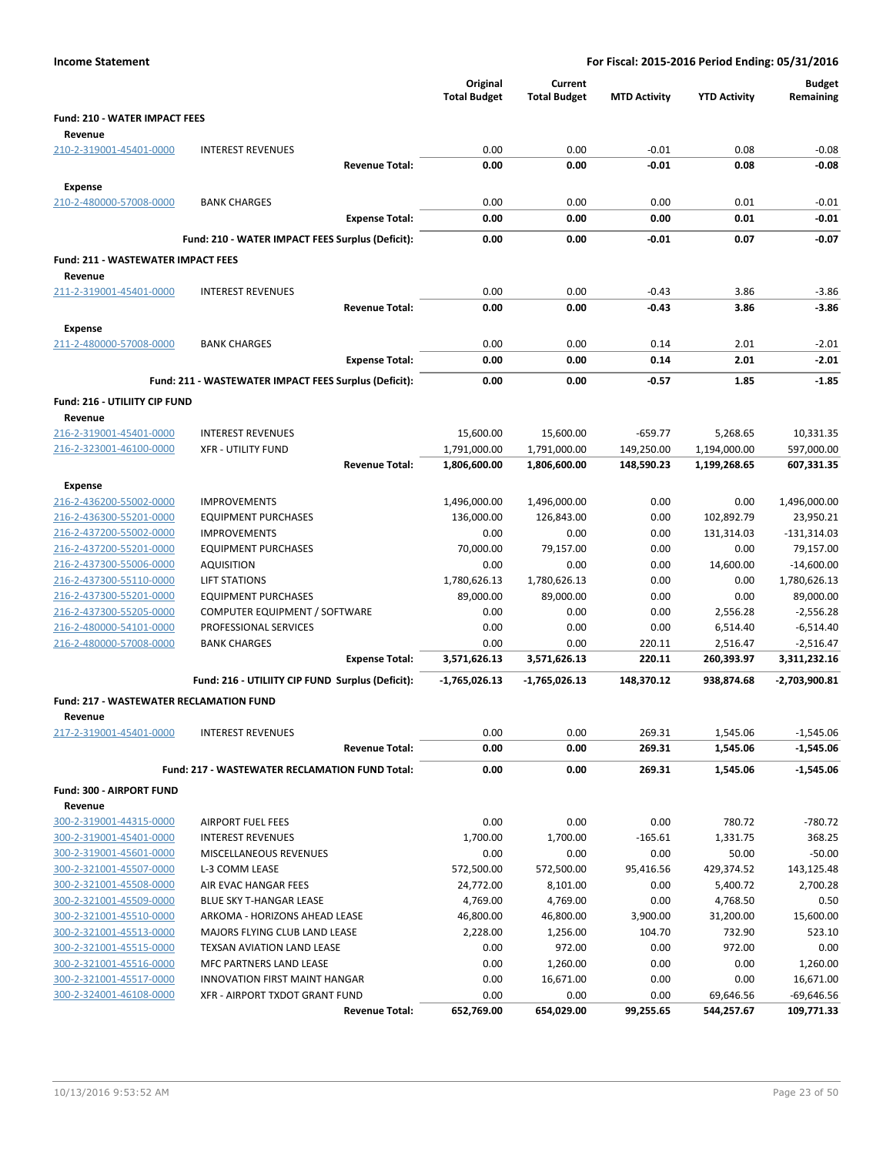| Original<br>Current<br><b>Budget</b><br><b>Total Budget</b><br><b>Total Budget</b><br><b>MTD Activity</b><br><b>YTD Activity</b><br>Remaining<br><b>Fund: 210 - WATER IMPACT FEES</b><br>Revenue<br>0.00<br>0.00<br>$-0.01$<br>0.08<br>210-2-319001-45401-0000<br><b>INTEREST REVENUES</b><br>$-0.08$<br>0.00<br>0.00<br>$-0.01$<br>0.08<br>$-0.08$<br><b>Revenue Total:</b><br><b>Expense</b><br>210-2-480000-57008-0000<br>0.00<br>0.00<br>0.00<br>0.01<br>$-0.01$<br><b>BANK CHARGES</b><br>0.00<br>0.00<br>0.00<br>0.01<br>$-0.01$<br><b>Expense Total:</b><br>$-0.01$<br>$-0.07$<br>Fund: 210 - WATER IMPACT FEES Surplus (Deficit):<br>0.00<br>0.00<br>0.07<br><b>Fund: 211 - WASTEWATER IMPACT FEES</b><br>Revenue<br>211-2-319001-45401-0000<br><b>INTEREST REVENUES</b><br>0.00<br>0.00<br>$-0.43$<br>3.86<br>$-3.86$<br>0.00<br>0.00<br>$-0.43$<br>3.86<br>$-3.86$<br><b>Revenue Total:</b><br><b>Expense</b><br>211-2-480000-57008-0000<br><b>BANK CHARGES</b><br>0.00<br>0.00<br>0.14<br>2.01<br>$-2.01$<br>0.00<br>0.00<br>0.14<br>2.01<br>$-2.01$<br><b>Expense Total:</b><br>$-1.85$<br>Fund: 211 - WASTEWATER IMPACT FEES Surplus (Deficit):<br>0.00<br>0.00<br>-0.57<br>1.85<br>Fund: 216 - UTILIITY CIP FUND<br>Revenue<br>216-2-319001-45401-0000<br><b>INTEREST REVENUES</b><br>15,600.00<br>15,600.00<br>$-659.77$<br>5,268.65<br>10,331.35<br>216-2-323001-46100-0000<br><b>XFR - UTILITY FUND</b><br>1,791,000.00<br>1,791,000.00<br>149,250.00<br>1,194,000.00<br>597,000.00<br><b>Revenue Total:</b><br>1,806,600.00<br>1,806,600.00<br>148,590.23<br>1,199,268.65<br>607,331.35<br><b>Expense</b><br>216-2-436200-55002-0000<br><b>IMPROVEMENTS</b><br>1,496,000.00<br>1,496,000.00<br>0.00<br>0.00<br>1,496,000.00<br>102,892.79<br>216-2-436300-55201-0000<br><b>EQUIPMENT PURCHASES</b><br>136,000.00<br>126,843.00<br>0.00<br>23,950.21<br>216-2-437200-55002-0000<br><b>IMPROVEMENTS</b><br>0.00<br>0.00<br>0.00<br>131,314.03<br>$-131,314.03$<br>79,157.00<br>0.00<br>0.00<br>216-2-437200-55201-0000<br><b>EQUIPMENT PURCHASES</b><br>70,000.00<br>79,157.00<br>216-2-437300-55006-0000<br>0.00<br>0.00<br>0.00<br>14,600.00<br>$-14,600.00$<br><b>AQUISITION</b><br>1,780,626.13<br>216-2-437300-55110-0000<br><b>LIFT STATIONS</b><br>1,780,626.13<br>1,780,626.13<br>0.00<br>0.00<br>89,000.00<br>216-2-437300-55201-0000<br><b>EQUIPMENT PURCHASES</b><br>89,000.00<br>89,000.00<br>0.00<br>0.00<br>216-2-437300-55205-0000<br>0.00<br>COMPUTER EQUIPMENT / SOFTWARE<br>0.00<br>0.00<br>2,556.28<br>$-2,556.28$<br>PROFESSIONAL SERVICES<br>216-2-480000-54101-0000<br>0.00<br>0.00<br>0.00<br>$-6,514.40$<br>6,514.40 |
|--------------------------------------------------------------------------------------------------------------------------------------------------------------------------------------------------------------------------------------------------------------------------------------------------------------------------------------------------------------------------------------------------------------------------------------------------------------------------------------------------------------------------------------------------------------------------------------------------------------------------------------------------------------------------------------------------------------------------------------------------------------------------------------------------------------------------------------------------------------------------------------------------------------------------------------------------------------------------------------------------------------------------------------------------------------------------------------------------------------------------------------------------------------------------------------------------------------------------------------------------------------------------------------------------------------------------------------------------------------------------------------------------------------------------------------------------------------------------------------------------------------------------------------------------------------------------------------------------------------------------------------------------------------------------------------------------------------------------------------------------------------------------------------------------------------------------------------------------------------------------------------------------------------------------------------------------------------------------------------------------------------------------------------------------------------------------------------------------------------------------------------------------------------------------------------------------------------------------------------------------------------------------------------------------------------------------------------------------------------------------------------------------------------------------------------------------------------------------------------------------------------------------------------------------------------------------------------------------------------------------------------------------------------|
|                                                                                                                                                                                                                                                                                                                                                                                                                                                                                                                                                                                                                                                                                                                                                                                                                                                                                                                                                                                                                                                                                                                                                                                                                                                                                                                                                                                                                                                                                                                                                                                                                                                                                                                                                                                                                                                                                                                                                                                                                                                                                                                                                                                                                                                                                                                                                                                                                                                                                                                                                                                                                                                              |
|                                                                                                                                                                                                                                                                                                                                                                                                                                                                                                                                                                                                                                                                                                                                                                                                                                                                                                                                                                                                                                                                                                                                                                                                                                                                                                                                                                                                                                                                                                                                                                                                                                                                                                                                                                                                                                                                                                                                                                                                                                                                                                                                                                                                                                                                                                                                                                                                                                                                                                                                                                                                                                                              |
|                                                                                                                                                                                                                                                                                                                                                                                                                                                                                                                                                                                                                                                                                                                                                                                                                                                                                                                                                                                                                                                                                                                                                                                                                                                                                                                                                                                                                                                                                                                                                                                                                                                                                                                                                                                                                                                                                                                                                                                                                                                                                                                                                                                                                                                                                                                                                                                                                                                                                                                                                                                                                                                              |
|                                                                                                                                                                                                                                                                                                                                                                                                                                                                                                                                                                                                                                                                                                                                                                                                                                                                                                                                                                                                                                                                                                                                                                                                                                                                                                                                                                                                                                                                                                                                                                                                                                                                                                                                                                                                                                                                                                                                                                                                                                                                                                                                                                                                                                                                                                                                                                                                                                                                                                                                                                                                                                                              |
|                                                                                                                                                                                                                                                                                                                                                                                                                                                                                                                                                                                                                                                                                                                                                                                                                                                                                                                                                                                                                                                                                                                                                                                                                                                                                                                                                                                                                                                                                                                                                                                                                                                                                                                                                                                                                                                                                                                                                                                                                                                                                                                                                                                                                                                                                                                                                                                                                                                                                                                                                                                                                                                              |
|                                                                                                                                                                                                                                                                                                                                                                                                                                                                                                                                                                                                                                                                                                                                                                                                                                                                                                                                                                                                                                                                                                                                                                                                                                                                                                                                                                                                                                                                                                                                                                                                                                                                                                                                                                                                                                                                                                                                                                                                                                                                                                                                                                                                                                                                                                                                                                                                                                                                                                                                                                                                                                                              |
|                                                                                                                                                                                                                                                                                                                                                                                                                                                                                                                                                                                                                                                                                                                                                                                                                                                                                                                                                                                                                                                                                                                                                                                                                                                                                                                                                                                                                                                                                                                                                                                                                                                                                                                                                                                                                                                                                                                                                                                                                                                                                                                                                                                                                                                                                                                                                                                                                                                                                                                                                                                                                                                              |
|                                                                                                                                                                                                                                                                                                                                                                                                                                                                                                                                                                                                                                                                                                                                                                                                                                                                                                                                                                                                                                                                                                                                                                                                                                                                                                                                                                                                                                                                                                                                                                                                                                                                                                                                                                                                                                                                                                                                                                                                                                                                                                                                                                                                                                                                                                                                                                                                                                                                                                                                                                                                                                                              |
|                                                                                                                                                                                                                                                                                                                                                                                                                                                                                                                                                                                                                                                                                                                                                                                                                                                                                                                                                                                                                                                                                                                                                                                                                                                                                                                                                                                                                                                                                                                                                                                                                                                                                                                                                                                                                                                                                                                                                                                                                                                                                                                                                                                                                                                                                                                                                                                                                                                                                                                                                                                                                                                              |
|                                                                                                                                                                                                                                                                                                                                                                                                                                                                                                                                                                                                                                                                                                                                                                                                                                                                                                                                                                                                                                                                                                                                                                                                                                                                                                                                                                                                                                                                                                                                                                                                                                                                                                                                                                                                                                                                                                                                                                                                                                                                                                                                                                                                                                                                                                                                                                                                                                                                                                                                                                                                                                                              |
|                                                                                                                                                                                                                                                                                                                                                                                                                                                                                                                                                                                                                                                                                                                                                                                                                                                                                                                                                                                                                                                                                                                                                                                                                                                                                                                                                                                                                                                                                                                                                                                                                                                                                                                                                                                                                                                                                                                                                                                                                                                                                                                                                                                                                                                                                                                                                                                                                                                                                                                                                                                                                                                              |
|                                                                                                                                                                                                                                                                                                                                                                                                                                                                                                                                                                                                                                                                                                                                                                                                                                                                                                                                                                                                                                                                                                                                                                                                                                                                                                                                                                                                                                                                                                                                                                                                                                                                                                                                                                                                                                                                                                                                                                                                                                                                                                                                                                                                                                                                                                                                                                                                                                                                                                                                                                                                                                                              |
|                                                                                                                                                                                                                                                                                                                                                                                                                                                                                                                                                                                                                                                                                                                                                                                                                                                                                                                                                                                                                                                                                                                                                                                                                                                                                                                                                                                                                                                                                                                                                                                                                                                                                                                                                                                                                                                                                                                                                                                                                                                                                                                                                                                                                                                                                                                                                                                                                                                                                                                                                                                                                                                              |
|                                                                                                                                                                                                                                                                                                                                                                                                                                                                                                                                                                                                                                                                                                                                                                                                                                                                                                                                                                                                                                                                                                                                                                                                                                                                                                                                                                                                                                                                                                                                                                                                                                                                                                                                                                                                                                                                                                                                                                                                                                                                                                                                                                                                                                                                                                                                                                                                                                                                                                                                                                                                                                                              |
|                                                                                                                                                                                                                                                                                                                                                                                                                                                                                                                                                                                                                                                                                                                                                                                                                                                                                                                                                                                                                                                                                                                                                                                                                                                                                                                                                                                                                                                                                                                                                                                                                                                                                                                                                                                                                                                                                                                                                                                                                                                                                                                                                                                                                                                                                                                                                                                                                                                                                                                                                                                                                                                              |
|                                                                                                                                                                                                                                                                                                                                                                                                                                                                                                                                                                                                                                                                                                                                                                                                                                                                                                                                                                                                                                                                                                                                                                                                                                                                                                                                                                                                                                                                                                                                                                                                                                                                                                                                                                                                                                                                                                                                                                                                                                                                                                                                                                                                                                                                                                                                                                                                                                                                                                                                                                                                                                                              |
|                                                                                                                                                                                                                                                                                                                                                                                                                                                                                                                                                                                                                                                                                                                                                                                                                                                                                                                                                                                                                                                                                                                                                                                                                                                                                                                                                                                                                                                                                                                                                                                                                                                                                                                                                                                                                                                                                                                                                                                                                                                                                                                                                                                                                                                                                                                                                                                                                                                                                                                                                                                                                                                              |
|                                                                                                                                                                                                                                                                                                                                                                                                                                                                                                                                                                                                                                                                                                                                                                                                                                                                                                                                                                                                                                                                                                                                                                                                                                                                                                                                                                                                                                                                                                                                                                                                                                                                                                                                                                                                                                                                                                                                                                                                                                                                                                                                                                                                                                                                                                                                                                                                                                                                                                                                                                                                                                                              |
|                                                                                                                                                                                                                                                                                                                                                                                                                                                                                                                                                                                                                                                                                                                                                                                                                                                                                                                                                                                                                                                                                                                                                                                                                                                                                                                                                                                                                                                                                                                                                                                                                                                                                                                                                                                                                                                                                                                                                                                                                                                                                                                                                                                                                                                                                                                                                                                                                                                                                                                                                                                                                                                              |
|                                                                                                                                                                                                                                                                                                                                                                                                                                                                                                                                                                                                                                                                                                                                                                                                                                                                                                                                                                                                                                                                                                                                                                                                                                                                                                                                                                                                                                                                                                                                                                                                                                                                                                                                                                                                                                                                                                                                                                                                                                                                                                                                                                                                                                                                                                                                                                                                                                                                                                                                                                                                                                                              |
|                                                                                                                                                                                                                                                                                                                                                                                                                                                                                                                                                                                                                                                                                                                                                                                                                                                                                                                                                                                                                                                                                                                                                                                                                                                                                                                                                                                                                                                                                                                                                                                                                                                                                                                                                                                                                                                                                                                                                                                                                                                                                                                                                                                                                                                                                                                                                                                                                                                                                                                                                                                                                                                              |
|                                                                                                                                                                                                                                                                                                                                                                                                                                                                                                                                                                                                                                                                                                                                                                                                                                                                                                                                                                                                                                                                                                                                                                                                                                                                                                                                                                                                                                                                                                                                                                                                                                                                                                                                                                                                                                                                                                                                                                                                                                                                                                                                                                                                                                                                                                                                                                                                                                                                                                                                                                                                                                                              |
|                                                                                                                                                                                                                                                                                                                                                                                                                                                                                                                                                                                                                                                                                                                                                                                                                                                                                                                                                                                                                                                                                                                                                                                                                                                                                                                                                                                                                                                                                                                                                                                                                                                                                                                                                                                                                                                                                                                                                                                                                                                                                                                                                                                                                                                                                                                                                                                                                                                                                                                                                                                                                                                              |
|                                                                                                                                                                                                                                                                                                                                                                                                                                                                                                                                                                                                                                                                                                                                                                                                                                                                                                                                                                                                                                                                                                                                                                                                                                                                                                                                                                                                                                                                                                                                                                                                                                                                                                                                                                                                                                                                                                                                                                                                                                                                                                                                                                                                                                                                                                                                                                                                                                                                                                                                                                                                                                                              |
|                                                                                                                                                                                                                                                                                                                                                                                                                                                                                                                                                                                                                                                                                                                                                                                                                                                                                                                                                                                                                                                                                                                                                                                                                                                                                                                                                                                                                                                                                                                                                                                                                                                                                                                                                                                                                                                                                                                                                                                                                                                                                                                                                                                                                                                                                                                                                                                                                                                                                                                                                                                                                                                              |
|                                                                                                                                                                                                                                                                                                                                                                                                                                                                                                                                                                                                                                                                                                                                                                                                                                                                                                                                                                                                                                                                                                                                                                                                                                                                                                                                                                                                                                                                                                                                                                                                                                                                                                                                                                                                                                                                                                                                                                                                                                                                                                                                                                                                                                                                                                                                                                                                                                                                                                                                                                                                                                                              |
|                                                                                                                                                                                                                                                                                                                                                                                                                                                                                                                                                                                                                                                                                                                                                                                                                                                                                                                                                                                                                                                                                                                                                                                                                                                                                                                                                                                                                                                                                                                                                                                                                                                                                                                                                                                                                                                                                                                                                                                                                                                                                                                                                                                                                                                                                                                                                                                                                                                                                                                                                                                                                                                              |
|                                                                                                                                                                                                                                                                                                                                                                                                                                                                                                                                                                                                                                                                                                                                                                                                                                                                                                                                                                                                                                                                                                                                                                                                                                                                                                                                                                                                                                                                                                                                                                                                                                                                                                                                                                                                                                                                                                                                                                                                                                                                                                                                                                                                                                                                                                                                                                                                                                                                                                                                                                                                                                                              |
|                                                                                                                                                                                                                                                                                                                                                                                                                                                                                                                                                                                                                                                                                                                                                                                                                                                                                                                                                                                                                                                                                                                                                                                                                                                                                                                                                                                                                                                                                                                                                                                                                                                                                                                                                                                                                                                                                                                                                                                                                                                                                                                                                                                                                                                                                                                                                                                                                                                                                                                                                                                                                                                              |
|                                                                                                                                                                                                                                                                                                                                                                                                                                                                                                                                                                                                                                                                                                                                                                                                                                                                                                                                                                                                                                                                                                                                                                                                                                                                                                                                                                                                                                                                                                                                                                                                                                                                                                                                                                                                                                                                                                                                                                                                                                                                                                                                                                                                                                                                                                                                                                                                                                                                                                                                                                                                                                                              |
|                                                                                                                                                                                                                                                                                                                                                                                                                                                                                                                                                                                                                                                                                                                                                                                                                                                                                                                                                                                                                                                                                                                                                                                                                                                                                                                                                                                                                                                                                                                                                                                                                                                                                                                                                                                                                                                                                                                                                                                                                                                                                                                                                                                                                                                                                                                                                                                                                                                                                                                                                                                                                                                              |
| 216-2-480000-57008-0000<br>0.00<br>0.00<br>220.11<br>$-2,516.47$<br><b>BANK CHARGES</b><br>2,516.47                                                                                                                                                                                                                                                                                                                                                                                                                                                                                                                                                                                                                                                                                                                                                                                                                                                                                                                                                                                                                                                                                                                                                                                                                                                                                                                                                                                                                                                                                                                                                                                                                                                                                                                                                                                                                                                                                                                                                                                                                                                                                                                                                                                                                                                                                                                                                                                                                                                                                                                                                          |
| <b>Expense Total:</b><br>3,571,626.13<br>3,571,626.13<br>220.11<br>260,393.97<br>3,311,232.16                                                                                                                                                                                                                                                                                                                                                                                                                                                                                                                                                                                                                                                                                                                                                                                                                                                                                                                                                                                                                                                                                                                                                                                                                                                                                                                                                                                                                                                                                                                                                                                                                                                                                                                                                                                                                                                                                                                                                                                                                                                                                                                                                                                                                                                                                                                                                                                                                                                                                                                                                                |
| -2,703,900.81<br>Fund: 216 - UTILIITY CIP FUND Surplus (Deficit):<br>$-1,765,026.13$<br>$-1,765,026.13$<br>148,370.12<br>938,874.68                                                                                                                                                                                                                                                                                                                                                                                                                                                                                                                                                                                                                                                                                                                                                                                                                                                                                                                                                                                                                                                                                                                                                                                                                                                                                                                                                                                                                                                                                                                                                                                                                                                                                                                                                                                                                                                                                                                                                                                                                                                                                                                                                                                                                                                                                                                                                                                                                                                                                                                          |
|                                                                                                                                                                                                                                                                                                                                                                                                                                                                                                                                                                                                                                                                                                                                                                                                                                                                                                                                                                                                                                                                                                                                                                                                                                                                                                                                                                                                                                                                                                                                                                                                                                                                                                                                                                                                                                                                                                                                                                                                                                                                                                                                                                                                                                                                                                                                                                                                                                                                                                                                                                                                                                                              |
| Fund: 217 - WASTEWATER RECLAMATION FUND                                                                                                                                                                                                                                                                                                                                                                                                                                                                                                                                                                                                                                                                                                                                                                                                                                                                                                                                                                                                                                                                                                                                                                                                                                                                                                                                                                                                                                                                                                                                                                                                                                                                                                                                                                                                                                                                                                                                                                                                                                                                                                                                                                                                                                                                                                                                                                                                                                                                                                                                                                                                                      |
| Revenue<br>0.00<br>217-2-319001-45401-0000<br>0.00<br>269.31<br>$-1,545.06$<br><b>INTEREST REVENUES</b><br>1,545.06                                                                                                                                                                                                                                                                                                                                                                                                                                                                                                                                                                                                                                                                                                                                                                                                                                                                                                                                                                                                                                                                                                                                                                                                                                                                                                                                                                                                                                                                                                                                                                                                                                                                                                                                                                                                                                                                                                                                                                                                                                                                                                                                                                                                                                                                                                                                                                                                                                                                                                                                          |
| 0.00<br>269.31<br><b>Revenue Total:</b><br>0.00<br>1,545.06<br>$-1,545.06$                                                                                                                                                                                                                                                                                                                                                                                                                                                                                                                                                                                                                                                                                                                                                                                                                                                                                                                                                                                                                                                                                                                                                                                                                                                                                                                                                                                                                                                                                                                                                                                                                                                                                                                                                                                                                                                                                                                                                                                                                                                                                                                                                                                                                                                                                                                                                                                                                                                                                                                                                                                   |
| <b>Fund: 217 - WASTEWATER RECLAMATION FUND Total:</b><br>0.00<br>0.00<br>269.31<br>$-1,545.06$<br>1,545.06                                                                                                                                                                                                                                                                                                                                                                                                                                                                                                                                                                                                                                                                                                                                                                                                                                                                                                                                                                                                                                                                                                                                                                                                                                                                                                                                                                                                                                                                                                                                                                                                                                                                                                                                                                                                                                                                                                                                                                                                                                                                                                                                                                                                                                                                                                                                                                                                                                                                                                                                                   |
|                                                                                                                                                                                                                                                                                                                                                                                                                                                                                                                                                                                                                                                                                                                                                                                                                                                                                                                                                                                                                                                                                                                                                                                                                                                                                                                                                                                                                                                                                                                                                                                                                                                                                                                                                                                                                                                                                                                                                                                                                                                                                                                                                                                                                                                                                                                                                                                                                                                                                                                                                                                                                                                              |
| Fund: 300 - AIRPORT FUND                                                                                                                                                                                                                                                                                                                                                                                                                                                                                                                                                                                                                                                                                                                                                                                                                                                                                                                                                                                                                                                                                                                                                                                                                                                                                                                                                                                                                                                                                                                                                                                                                                                                                                                                                                                                                                                                                                                                                                                                                                                                                                                                                                                                                                                                                                                                                                                                                                                                                                                                                                                                                                     |
| Revenue<br>300-2-319001-44315-0000<br>0.00<br>0.00<br>0.00<br>780.72<br>$-780.72$<br><b>AIRPORT FUEL FEES</b>                                                                                                                                                                                                                                                                                                                                                                                                                                                                                                                                                                                                                                                                                                                                                                                                                                                                                                                                                                                                                                                                                                                                                                                                                                                                                                                                                                                                                                                                                                                                                                                                                                                                                                                                                                                                                                                                                                                                                                                                                                                                                                                                                                                                                                                                                                                                                                                                                                                                                                                                                |
| 368.25<br>300-2-319001-45401-0000<br>1,700.00<br>1,700.00<br>$-165.61$<br>1,331.75<br><b>INTEREST REVENUES</b>                                                                                                                                                                                                                                                                                                                                                                                                                                                                                                                                                                                                                                                                                                                                                                                                                                                                                                                                                                                                                                                                                                                                                                                                                                                                                                                                                                                                                                                                                                                                                                                                                                                                                                                                                                                                                                                                                                                                                                                                                                                                                                                                                                                                                                                                                                                                                                                                                                                                                                                                               |
| 300-2-319001-45601-0000<br>0.00<br>0.00<br>0.00<br>50.00<br>$-50.00$<br><b>MISCELLANEOUS REVENUES</b>                                                                                                                                                                                                                                                                                                                                                                                                                                                                                                                                                                                                                                                                                                                                                                                                                                                                                                                                                                                                                                                                                                                                                                                                                                                                                                                                                                                                                                                                                                                                                                                                                                                                                                                                                                                                                                                                                                                                                                                                                                                                                                                                                                                                                                                                                                                                                                                                                                                                                                                                                        |
| 300-2-321001-45507-0000<br>L-3 COMM LEASE<br>572,500.00<br>572,500.00<br>95,416.56<br>429,374.52<br>143,125.48                                                                                                                                                                                                                                                                                                                                                                                                                                                                                                                                                                                                                                                                                                                                                                                                                                                                                                                                                                                                                                                                                                                                                                                                                                                                                                                                                                                                                                                                                                                                                                                                                                                                                                                                                                                                                                                                                                                                                                                                                                                                                                                                                                                                                                                                                                                                                                                                                                                                                                                                               |
| 300-2-321001-45508-0000<br>AIR EVAC HANGAR FEES<br>8,101.00<br>0.00<br>5,400.72<br>2,700.28<br>24,772.00                                                                                                                                                                                                                                                                                                                                                                                                                                                                                                                                                                                                                                                                                                                                                                                                                                                                                                                                                                                                                                                                                                                                                                                                                                                                                                                                                                                                                                                                                                                                                                                                                                                                                                                                                                                                                                                                                                                                                                                                                                                                                                                                                                                                                                                                                                                                                                                                                                                                                                                                                     |
| 300-2-321001-45509-0000<br>BLUE SKY T-HANGAR LEASE<br>4,769.00<br>4,769.00<br>0.00<br>4,768.50<br>0.50                                                                                                                                                                                                                                                                                                                                                                                                                                                                                                                                                                                                                                                                                                                                                                                                                                                                                                                                                                                                                                                                                                                                                                                                                                                                                                                                                                                                                                                                                                                                                                                                                                                                                                                                                                                                                                                                                                                                                                                                                                                                                                                                                                                                                                                                                                                                                                                                                                                                                                                                                       |
| 15,600.00<br>300-2-321001-45510-0000<br>ARKOMA - HORIZONS AHEAD LEASE<br>46,800.00<br>46,800.00<br>3,900.00<br>31,200.00                                                                                                                                                                                                                                                                                                                                                                                                                                                                                                                                                                                                                                                                                                                                                                                                                                                                                                                                                                                                                                                                                                                                                                                                                                                                                                                                                                                                                                                                                                                                                                                                                                                                                                                                                                                                                                                                                                                                                                                                                                                                                                                                                                                                                                                                                                                                                                                                                                                                                                                                     |
| 104.70<br>732.90<br>523.10<br>300-2-321001-45513-0000<br>MAJORS FLYING CLUB LAND LEASE<br>2,228.00<br>1,256.00                                                                                                                                                                                                                                                                                                                                                                                                                                                                                                                                                                                                                                                                                                                                                                                                                                                                                                                                                                                                                                                                                                                                                                                                                                                                                                                                                                                                                                                                                                                                                                                                                                                                                                                                                                                                                                                                                                                                                                                                                                                                                                                                                                                                                                                                                                                                                                                                                                                                                                                                               |
| 0.00<br>972.00<br>0.00<br>972.00<br>0.00<br>300-2-321001-45515-0000<br><b>TEXSAN AVIATION LAND LEASE</b>                                                                                                                                                                                                                                                                                                                                                                                                                                                                                                                                                                                                                                                                                                                                                                                                                                                                                                                                                                                                                                                                                                                                                                                                                                                                                                                                                                                                                                                                                                                                                                                                                                                                                                                                                                                                                                                                                                                                                                                                                                                                                                                                                                                                                                                                                                                                                                                                                                                                                                                                                     |
| 300-2-321001-45516-0000<br>MFC PARTNERS LAND LEASE<br>0.00<br>1,260.00<br>0.00<br>0.00<br>1,260.00                                                                                                                                                                                                                                                                                                                                                                                                                                                                                                                                                                                                                                                                                                                                                                                                                                                                                                                                                                                                                                                                                                                                                                                                                                                                                                                                                                                                                                                                                                                                                                                                                                                                                                                                                                                                                                                                                                                                                                                                                                                                                                                                                                                                                                                                                                                                                                                                                                                                                                                                                           |
| 300-2-321001-45517-0000<br><b>INNOVATION FIRST MAINT HANGAR</b><br>0.00<br>16,671.00<br>0.00<br>0.00<br>16,671.00<br>0.00<br>300-2-324001-46108-0000<br>XFR - AIRPORT TXDOT GRANT FUND<br>0.00<br>0.00<br>69,646.56<br>$-69,646.56$                                                                                                                                                                                                                                                                                                                                                                                                                                                                                                                                                                                                                                                                                                                                                                                                                                                                                                                                                                                                                                                                                                                                                                                                                                                                                                                                                                                                                                                                                                                                                                                                                                                                                                                                                                                                                                                                                                                                                                                                                                                                                                                                                                                                                                                                                                                                                                                                                          |
| <b>Revenue Total:</b><br>652,769.00<br>654,029.00<br>99,255.65<br>544,257.67<br>109,771.33                                                                                                                                                                                                                                                                                                                                                                                                                                                                                                                                                                                                                                                                                                                                                                                                                                                                                                                                                                                                                                                                                                                                                                                                                                                                                                                                                                                                                                                                                                                                                                                                                                                                                                                                                                                                                                                                                                                                                                                                                                                                                                                                                                                                                                                                                                                                                                                                                                                                                                                                                                   |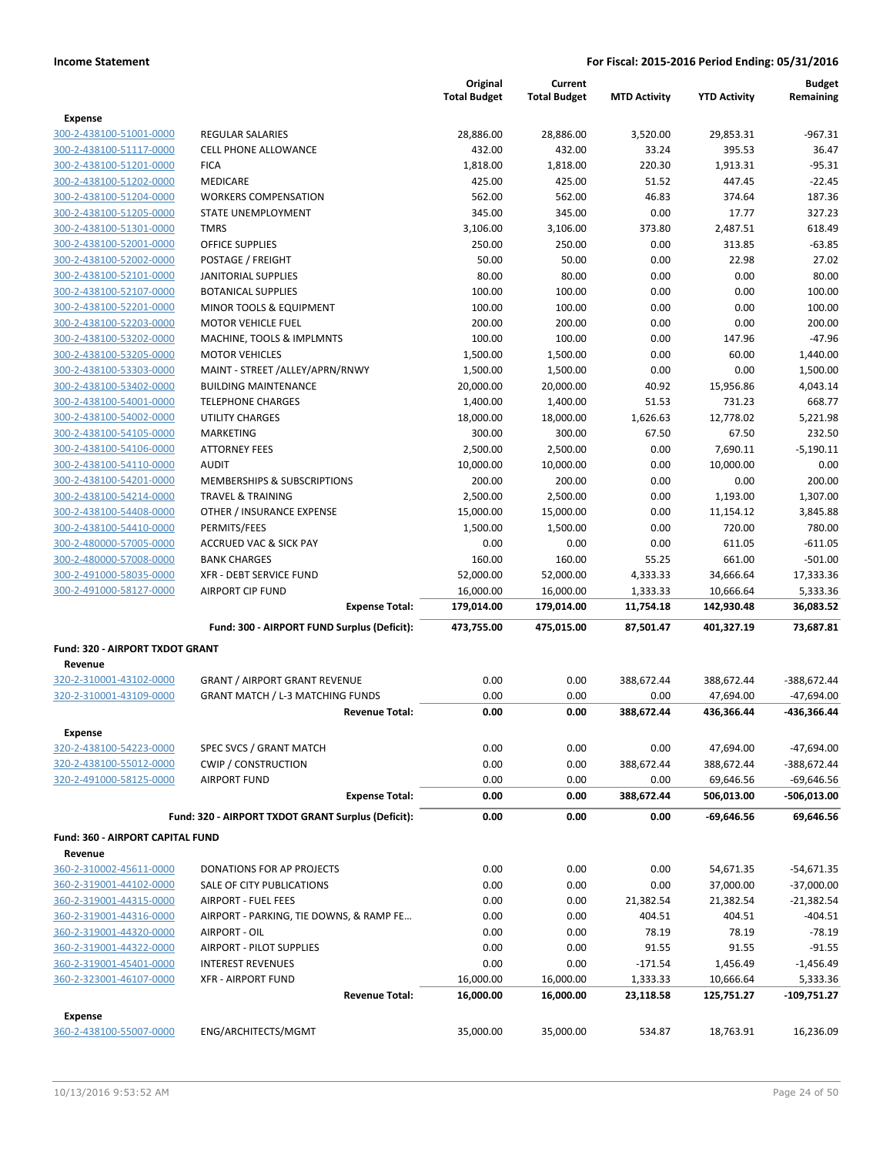|                                    |                                                    | Original<br><b>Total Budget</b> | Current<br><b>Total Budget</b> | <b>MTD Activity</b> | <b>YTD Activity</b> | <b>Budget</b><br>Remaining |
|------------------------------------|----------------------------------------------------|---------------------------------|--------------------------------|---------------------|---------------------|----------------------------|
| Expense                            |                                                    |                                 |                                |                     |                     |                            |
| 300-2-438100-51001-0000            | <b>REGULAR SALARIES</b>                            | 28,886.00                       | 28,886.00                      | 3,520.00            | 29,853.31           | $-967.31$                  |
| 300-2-438100-51117-0000            | <b>CELL PHONE ALLOWANCE</b>                        | 432.00                          | 432.00                         | 33.24               | 395.53              | 36.47                      |
| 300-2-438100-51201-0000            | <b>FICA</b>                                        | 1,818.00                        | 1,818.00                       | 220.30              | 1,913.31            | $-95.31$                   |
| 300-2-438100-51202-0000            | <b>MEDICARE</b>                                    | 425.00                          | 425.00                         | 51.52               | 447.45              | $-22.45$                   |
| 300-2-438100-51204-0000            | <b>WORKERS COMPENSATION</b>                        | 562.00                          | 562.00                         | 46.83               | 374.64              | 187.36                     |
| 300-2-438100-51205-0000            | STATE UNEMPLOYMENT                                 | 345.00                          | 345.00                         | 0.00                | 17.77               | 327.23                     |
| 300-2-438100-51301-0000            | <b>TMRS</b>                                        | 3,106.00                        | 3,106.00                       | 373.80              | 2,487.51            | 618.49                     |
| 300-2-438100-52001-0000            | <b>OFFICE SUPPLIES</b>                             | 250.00                          | 250.00                         | 0.00                | 313.85              | $-63.85$                   |
| 300-2-438100-52002-0000            | POSTAGE / FREIGHT                                  | 50.00                           | 50.00                          | 0.00                | 22.98               | 27.02                      |
| 300-2-438100-52101-0000            | <b>JANITORIAL SUPPLIES</b>                         | 80.00                           | 80.00                          | 0.00                | 0.00                | 80.00                      |
| 300-2-438100-52107-0000            | <b>BOTANICAL SUPPLIES</b>                          | 100.00                          | 100.00                         | 0.00                | 0.00                | 100.00                     |
| 300-2-438100-52201-0000            | MINOR TOOLS & EQUIPMENT                            | 100.00                          | 100.00                         | 0.00                | 0.00                | 100.00                     |
| 300-2-438100-52203-0000            | <b>MOTOR VEHICLE FUEL</b>                          | 200.00                          | 200.00                         | 0.00                | 0.00                | 200.00                     |
| 300-2-438100-53202-0000            | MACHINE, TOOLS & IMPLMNTS                          | 100.00                          | 100.00                         | 0.00                | 147.96              | $-47.96$                   |
| 300-2-438100-53205-0000            | <b>MOTOR VEHICLES</b>                              | 1,500.00                        | 1,500.00                       | 0.00                | 60.00               | 1,440.00                   |
| 300-2-438100-53303-0000            | MAINT - STREET /ALLEY/APRN/RNWY                    | 1,500.00                        | 1,500.00                       | 0.00                | 0.00                | 1,500.00                   |
| 300-2-438100-53402-0000            | <b>BUILDING MAINTENANCE</b>                        | 20,000.00                       | 20,000.00                      | 40.92               | 15,956.86           | 4,043.14                   |
| 300-2-438100-54001-0000            | <b>TELEPHONE CHARGES</b>                           | 1,400.00                        | 1,400.00                       | 51.53               | 731.23              | 668.77                     |
| 300-2-438100-54002-0000            | <b>UTILITY CHARGES</b>                             | 18,000.00                       | 18,000.00                      | 1,626.63            | 12,778.02           | 5,221.98                   |
| 300-2-438100-54105-0000            | <b>MARKETING</b>                                   | 300.00                          | 300.00                         | 67.50               | 67.50               | 232.50                     |
| 300-2-438100-54106-0000            | <b>ATTORNEY FEES</b>                               | 2,500.00                        | 2,500.00                       | 0.00                | 7,690.11            | $-5.190.11$                |
| 300-2-438100-54110-0000            | <b>AUDIT</b>                                       | 10,000.00                       | 10,000.00                      | 0.00                | 10,000.00           | 0.00                       |
| 300-2-438100-54201-0000            | <b>MEMBERSHIPS &amp; SUBSCRIPTIONS</b>             | 200.00                          | 200.00                         | 0.00                | 0.00                | 200.00                     |
| 300-2-438100-54214-0000            | <b>TRAVEL &amp; TRAINING</b>                       | 2,500.00                        | 2,500.00                       | 0.00                | 1,193.00            | 1,307.00                   |
| 300-2-438100-54408-0000            | OTHER / INSURANCE EXPENSE                          | 15,000.00                       | 15,000.00                      | 0.00                | 11,154.12           | 3,845.88                   |
| 300-2-438100-54410-0000            | PERMITS/FEES                                       | 1,500.00                        | 1,500.00                       | 0.00                | 720.00              | 780.00                     |
| 300-2-480000-57005-0000            | <b>ACCRUED VAC &amp; SICK PAY</b>                  | 0.00                            | 0.00                           | 0.00                | 611.05              | $-611.05$                  |
| 300-2-480000-57008-0000            | <b>BANK CHARGES</b>                                | 160.00                          | 160.00                         | 55.25               | 661.00              | $-501.00$                  |
| 300-2-491000-58035-0000            | XFR - DEBT SERVICE FUND                            | 52,000.00                       | 52,000.00                      | 4,333.33            | 34,666.64           | 17,333.36                  |
| 300-2-491000-58127-0000            | <b>AIRPORT CIP FUND</b>                            | 16,000.00                       | 16,000.00                      | 1,333.33            | 10,666.64           | 5,333.36                   |
|                                    | <b>Expense Total:</b>                              | 179,014.00                      | 179,014.00                     | 11,754.18           | 142,930.48          | 36,083.52                  |
|                                    | Fund: 300 - AIRPORT FUND Surplus (Deficit):        | 473,755.00                      | 475,015.00                     | 87,501.47           | 401,327.19          | 73,687.81                  |
| Fund: 320 - AIRPORT TXDOT GRANT    |                                                    |                                 |                                |                     |                     |                            |
| Revenue                            |                                                    |                                 |                                |                     |                     |                            |
| 320-2-310001-43102-0000            | <b>GRANT / AIRPORT GRANT REVENUE</b>               | 0.00                            | 0.00                           | 388,672.44          | 388,672.44          | -388,672.44                |
| 320-2-310001-43109-0000            | <b>GRANT MATCH / L-3 MATCHING FUNDS</b>            | 0.00                            | 0.00                           | 0.00                | 47,694.00           | $-47,694.00$               |
|                                    | <b>Revenue Total:</b>                              | 0.00                            | 0.00                           | 388,672.44          | 436,366.44          | -436,366.44                |
| Expense                            |                                                    |                                 |                                |                     |                     |                            |
| 320-2-438100-54223-0000            | SPEC SVCS / GRANT MATCH                            | 0.00                            | 0.00                           | 0.00                | 47,694.00           | $-47,694.00$               |
| 320-2-438100-55012-0000            | <b>CWIP / CONSTRUCTION</b>                         | 0.00                            | 0.00                           | 388,672.44          | 388,672.44          | -388,672.44                |
| 320-2-491000-58125-0000            | <b>AIRPORT FUND</b>                                | 0.00                            | 0.00                           | 0.00                | 69,646.56           | $-69,646.56$               |
|                                    | <b>Expense Total:</b>                              | 0.00                            | 0.00                           | 388,672.44          | 506,013.00          | -506,013.00                |
|                                    | Fund: 320 - AIRPORT TXDOT GRANT Surplus (Deficit): | 0.00                            | 0.00                           | 0.00                | $-69,646.56$        | 69,646.56                  |
| Fund: 360 - AIRPORT CAPITAL FUND   |                                                    |                                 |                                |                     |                     |                            |
| Revenue                            |                                                    |                                 |                                |                     |                     |                            |
| 360-2-310002-45611-0000            | DONATIONS FOR AP PROJECTS                          | 0.00                            | 0.00                           | 0.00                | 54,671.35           | -54,671.35                 |
| 360-2-319001-44102-0000            | SALE OF CITY PUBLICATIONS                          | 0.00                            | 0.00                           | 0.00                | 37,000.00           | $-37,000.00$               |
| 360-2-319001-44315-0000            | AIRPORT - FUEL FEES                                | 0.00                            | 0.00                           | 21,382.54           | 21,382.54           | $-21,382.54$               |
| 360-2-319001-44316-0000            | AIRPORT - PARKING, TIE DOWNS, & RAMP FE            | 0.00                            | 0.00                           | 404.51              | 404.51              | $-404.51$                  |
| 360-2-319001-44320-0000            | AIRPORT - OIL                                      | 0.00                            | 0.00                           | 78.19               | 78.19               | $-78.19$                   |
| 360-2-319001-44322-0000            | AIRPORT - PILOT SUPPLIES                           | 0.00                            | 0.00                           | 91.55               | 91.55               | $-91.55$                   |
| 360-2-319001-45401-0000            | <b>INTEREST REVENUES</b>                           | 0.00                            | 0.00                           | $-171.54$           | 1,456.49            | $-1,456.49$                |
| 360-2-323001-46107-0000            | <b>XFR - AIRPORT FUND</b>                          | 16,000.00                       | 16,000.00                      | 1,333.33            | 10,666.64           | 5,333.36                   |
|                                    | <b>Revenue Total:</b>                              | 16,000.00                       | 16,000.00                      | 23,118.58           | 125,751.27          | -109,751.27                |
|                                    |                                                    |                                 |                                |                     |                     |                            |
| Expense<br>360-2-438100-55007-0000 | ENG/ARCHITECTS/MGMT                                |                                 |                                | 534.87              | 18,763.91           | 16,236.09                  |
|                                    |                                                    | 35,000.00                       | 35,000.00                      |                     |                     |                            |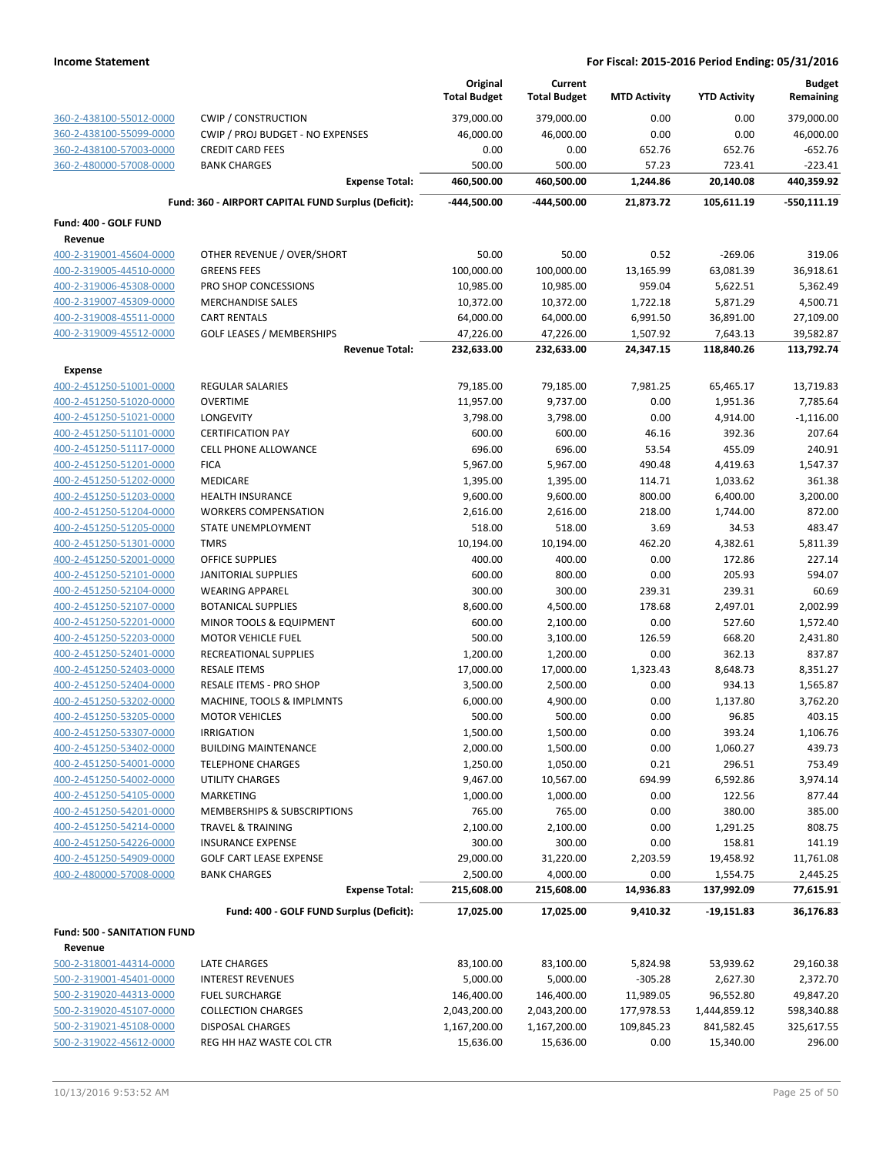|                                                    |                                                     | Original             | Current               |                     |                     | <b>Budget</b>      |
|----------------------------------------------------|-----------------------------------------------------|----------------------|-----------------------|---------------------|---------------------|--------------------|
|                                                    |                                                     | <b>Total Budget</b>  | <b>Total Budget</b>   | <b>MTD Activity</b> | <b>YTD Activity</b> | Remaining          |
| 360-2-438100-55012-0000                            | <b>CWIP / CONSTRUCTION</b>                          | 379,000.00           | 379,000.00            | 0.00                | 0.00                | 379,000.00         |
| 360-2-438100-55099-0000                            | CWIP / PROJ BUDGET - NO EXPENSES                    | 46,000.00            | 46,000.00             | 0.00                | 0.00                | 46,000.00          |
| 360-2-438100-57003-0000                            | <b>CREDIT CARD FEES</b>                             | 0.00                 | 0.00                  | 652.76              | 652.76              | -652.76            |
| 360-2-480000-57008-0000                            | <b>BANK CHARGES</b>                                 | 500.00               | 500.00                | 57.23               | 723.41              | $-223.41$          |
|                                                    | <b>Expense Total:</b>                               | 460,500.00           | 460,500.00            | 1,244.86            | 20,140.08           | 440,359.92         |
|                                                    | Fund: 360 - AIRPORT CAPITAL FUND Surplus (Deficit): | -444,500.00          | -444,500.00           | 21,873.72           | 105,611.19          | $-550,111.19$      |
| Fund: 400 - GOLF FUND                              |                                                     |                      |                       |                     |                     |                    |
| Revenue                                            |                                                     |                      |                       |                     |                     |                    |
| 400-2-319001-45604-0000                            | OTHER REVENUE / OVER/SHORT                          | 50.00                | 50.00                 | 0.52                | $-269.06$           | 319.06             |
| 400-2-319005-44510-0000                            | <b>GREENS FEES</b>                                  | 100,000.00           | 100,000.00            | 13,165.99           | 63,081.39           | 36,918.61          |
| 400-2-319006-45308-0000                            | PRO SHOP CONCESSIONS                                | 10,985.00            | 10,985.00             | 959.04              | 5,622.51            | 5,362.49           |
| 400-2-319007-45309-0000                            | <b>MERCHANDISE SALES</b>                            | 10,372.00            | 10,372.00             | 1,722.18            | 5,871.29            | 4,500.71           |
| 400-2-319008-45511-0000                            | <b>CART RENTALS</b>                                 | 64,000.00            | 64,000.00             | 6,991.50            | 36,891.00           | 27,109.00          |
| 400-2-319009-45512-0000                            | <b>GOLF LEASES / MEMBERSHIPS</b>                    | 47,226.00            | 47,226.00             | 1,507.92            | 7,643.13            | 39,582.87          |
|                                                    | <b>Revenue Total:</b>                               | 232,633.00           | 232,633.00            | 24,347.15           | 118,840.26          | 113,792.74         |
| <b>Expense</b>                                     |                                                     |                      |                       |                     |                     |                    |
| 400-2-451250-51001-0000                            | <b>REGULAR SALARIES</b>                             | 79,185.00            | 79,185.00             | 7,981.25            | 65,465.17           | 13,719.83          |
| 400-2-451250-51020-0000                            | <b>OVERTIME</b>                                     | 11,957.00            | 9,737.00              | 0.00                | 1,951.36            | 7,785.64           |
| 400-2-451250-51021-0000                            | LONGEVITY                                           | 3,798.00             | 3,798.00              | 0.00                | 4,914.00            | $-1,116.00$        |
| 400-2-451250-51101-0000                            | <b>CERTIFICATION PAY</b>                            | 600.00               | 600.00                | 46.16               | 392.36              | 207.64             |
| 400-2-451250-51117-0000                            | <b>CELL PHONE ALLOWANCE</b>                         | 696.00               | 696.00                | 53.54               | 455.09              | 240.91             |
| 400-2-451250-51201-0000                            | <b>FICA</b>                                         | 5,967.00             | 5,967.00              | 490.48              | 4,419.63            | 1,547.37           |
| 400-2-451250-51202-0000                            | MEDICARE                                            | 1,395.00             | 1,395.00              | 114.71              | 1,033.62            | 361.38             |
| 400-2-451250-51203-0000                            | <b>HEALTH INSURANCE</b>                             | 9,600.00             | 9,600.00              | 800.00              | 6,400.00            | 3,200.00           |
| 400-2-451250-51204-0000                            | <b>WORKERS COMPENSATION</b>                         | 2,616.00             | 2,616.00              | 218.00              | 1,744.00            | 872.00             |
| 400-2-451250-51205-0000                            | STATE UNEMPLOYMENT                                  | 518.00               | 518.00                | 3.69                | 34.53               | 483.47             |
| 400-2-451250-51301-0000                            | <b>TMRS</b>                                         | 10,194.00            | 10,194.00             | 462.20              | 4,382.61            | 5,811.39           |
| 400-2-451250-52001-0000                            | <b>OFFICE SUPPLIES</b>                              | 400.00               | 400.00                | 0.00                | 172.86              | 227.14             |
| 400-2-451250-52101-0000                            | <b>JANITORIAL SUPPLIES</b>                          | 600.00               | 800.00                | 0.00                | 205.93              | 594.07             |
| 400-2-451250-52104-0000                            | <b>WEARING APPAREL</b>                              | 300.00               | 300.00                | 239.31              | 239.31              | 60.69              |
| 400-2-451250-52107-0000                            | <b>BOTANICAL SUPPLIES</b>                           | 8,600.00             | 4,500.00              | 178.68              | 2,497.01            | 2,002.99           |
| 400-2-451250-52201-0000                            | MINOR TOOLS & EQUIPMENT                             | 600.00               | 2,100.00              | 0.00                | 527.60              | 1,572.40           |
| 400-2-451250-52203-0000                            | <b>MOTOR VEHICLE FUEL</b>                           | 500.00               | 3,100.00              | 126.59              | 668.20              | 2,431.80           |
| 400-2-451250-52401-0000                            | RECREATIONAL SUPPLIES                               | 1,200.00             | 1,200.00              | 0.00                | 362.13              | 837.87             |
| 400-2-451250-52403-0000                            | <b>RESALE ITEMS</b>                                 | 17,000.00            | 17,000.00             | 1,323.43            | 8,648.73            | 8,351.27           |
| 400-2-451250-52404-0000                            | RESALE ITEMS - PRO SHOP                             | 3,500.00             | 2,500.00              | 0.00                | 934.13              | 1,565.87           |
| 400-2-451250-53202-0000                            | MACHINE, TOOLS & IMPLMNTS                           | 6,000.00             | 4,900.00              | 0.00                | 1,137.80            | 3,762.20           |
| 400-2-451250-53205-0000                            | <b>MOTOR VEHICLES</b>                               | 500.00               | 500.00                | 0.00                | 96.85               | 403.15             |
| 400-2-451250-53307-0000                            | <b>IRRIGATION</b>                                   | 1,500.00             | 1,500.00              | 0.00                | 393.24              | 1,106.76           |
| 400-2-451250-53402-0000<br>400-2-451250-54001-0000 | <b>BUILDING MAINTENANCE</b>                         | 2,000.00             | 1,500.00              | 0.00                | 1,060.27<br>296.51  | 439.73             |
| 400-2-451250-54002-0000                            | <b>TELEPHONE CHARGES</b><br><b>UTILITY CHARGES</b>  | 1,250.00<br>9,467.00 | 1,050.00<br>10,567.00 | 0.21<br>694.99      | 6,592.86            | 753.49<br>3,974.14 |
| 400-2-451250-54105-0000                            | <b>MARKETING</b>                                    | 1,000.00             | 1,000.00              | 0.00                | 122.56              | 877.44             |
| 400-2-451250-54201-0000                            | MEMBERSHIPS & SUBSCRIPTIONS                         | 765.00               | 765.00                | 0.00                | 380.00              | 385.00             |
| 400-2-451250-54214-0000                            | TRAVEL & TRAINING                                   | 2,100.00             | 2,100.00              | 0.00                | 1,291.25            | 808.75             |
| 400-2-451250-54226-0000                            | <b>INSURANCE EXPENSE</b>                            | 300.00               | 300.00                | 0.00                | 158.81              | 141.19             |
| 400-2-451250-54909-0000                            | <b>GOLF CART LEASE EXPENSE</b>                      | 29,000.00            | 31,220.00             | 2,203.59            | 19,458.92           | 11,761.08          |
| 400-2-480000-57008-0000                            | <b>BANK CHARGES</b>                                 | 2,500.00             | 4,000.00              | 0.00                | 1,554.75            | 2,445.25           |
|                                                    | <b>Expense Total:</b>                               | 215,608.00           | 215,608.00            | 14,936.83           | 137,992.09          | 77,615.91          |
|                                                    |                                                     |                      |                       |                     |                     |                    |
|                                                    | Fund: 400 - GOLF FUND Surplus (Deficit):            | 17,025.00            | 17,025.00             | 9,410.32            | $-19,151.83$        | 36,176.83          |
| Fund: 500 - SANITATION FUND                        |                                                     |                      |                       |                     |                     |                    |
| Revenue                                            |                                                     |                      |                       |                     |                     |                    |
| 500-2-318001-44314-0000                            | LATE CHARGES                                        | 83,100.00            | 83,100.00             | 5,824.98            | 53,939.62           | 29,160.38          |
| 500-2-319001-45401-0000                            | <b>INTEREST REVENUES</b>                            | 5,000.00             | 5,000.00              | $-305.28$           | 2,627.30            | 2,372.70           |
| 500-2-319020-44313-0000                            | <b>FUEL SURCHARGE</b>                               | 146,400.00           | 146,400.00            | 11,989.05           | 96,552.80           | 49,847.20          |
| 500-2-319020-45107-0000                            | <b>COLLECTION CHARGES</b>                           | 2,043,200.00         | 2,043,200.00          | 177,978.53          | 1,444,859.12        | 598,340.88         |
| 500-2-319021-45108-0000                            | <b>DISPOSAL CHARGES</b>                             | 1,167,200.00         | 1,167,200.00          | 109,845.23          | 841,582.45          | 325,617.55         |
| 500-2-319022-45612-0000                            | REG HH HAZ WASTE COL CTR                            | 15,636.00            | 15,636.00             | 0.00                | 15,340.00           | 296.00             |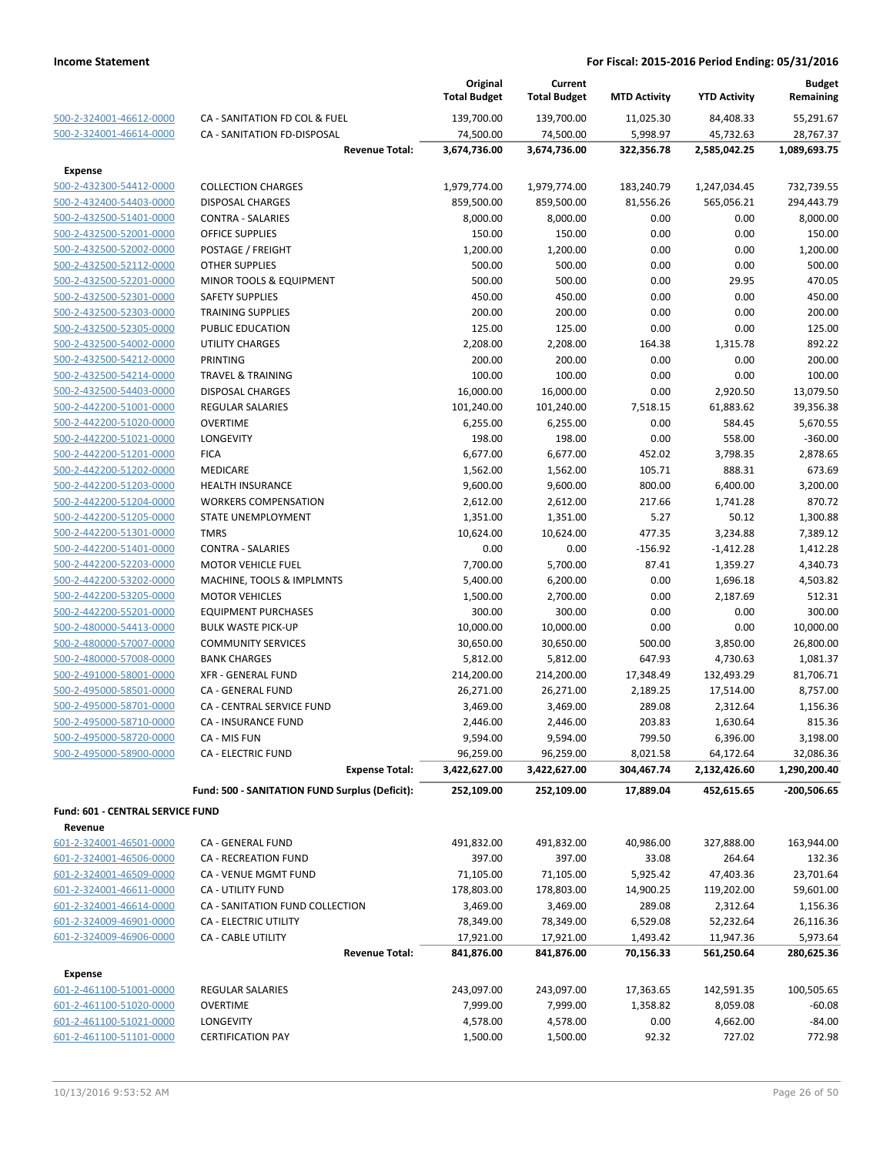|                                                    |                                                | Original<br><b>Total Budget</b> | Current<br><b>Total Budget</b> | <b>MTD Activity</b> | <b>YTD Activity</b> | <b>Budget</b><br>Remaining |
|----------------------------------------------------|------------------------------------------------|---------------------------------|--------------------------------|---------------------|---------------------|----------------------------|
| 500-2-324001-46612-0000                            | CA - SANITATION FD COL & FUEL                  | 139,700.00                      | 139,700.00                     | 11,025.30           | 84,408.33           | 55,291.67                  |
| 500-2-324001-46614-0000                            | CA - SANITATION FD-DISPOSAL                    | 74,500.00                       | 74,500.00                      | 5,998.97            | 45,732.63           | 28,767.37                  |
|                                                    | <b>Revenue Total:</b>                          | 3,674,736.00                    | 3,674,736.00                   | 322,356.78          | 2,585,042.25        | 1,089,693.75               |
| Expense                                            |                                                |                                 |                                |                     |                     |                            |
| 500-2-432300-54412-0000                            | <b>COLLECTION CHARGES</b>                      | 1,979,774.00                    | 1,979,774.00                   | 183,240.79          | 1,247,034.45        | 732,739.55                 |
| 500-2-432400-54403-0000                            | <b>DISPOSAL CHARGES</b>                        | 859,500.00                      | 859,500.00                     | 81,556.26           | 565,056.21          | 294,443.79                 |
| 500-2-432500-51401-0000                            | <b>CONTRA - SALARIES</b>                       | 8,000.00                        | 8,000.00                       | 0.00                | 0.00                | 8,000.00                   |
| 500-2-432500-52001-0000                            | OFFICE SUPPLIES                                | 150.00                          | 150.00                         | 0.00                | 0.00                | 150.00                     |
| 500-2-432500-52002-0000                            | POSTAGE / FREIGHT                              | 1,200.00                        | 1,200.00                       | 0.00                | 0.00                | 1,200.00                   |
| 500-2-432500-52112-0000                            | <b>OTHER SUPPLIES</b>                          | 500.00                          | 500.00                         | 0.00                | 0.00                | 500.00                     |
| 500-2-432500-52201-0000                            | MINOR TOOLS & EQUIPMENT                        | 500.00                          | 500.00                         | 0.00                | 29.95               | 470.05                     |
| 500-2-432500-52301-0000                            | <b>SAFETY SUPPLIES</b>                         | 450.00                          | 450.00                         | 0.00                | 0.00                | 450.00                     |
| 500-2-432500-52303-0000                            | <b>TRAINING SUPPLIES</b>                       | 200.00                          | 200.00                         | 0.00                | 0.00                | 200.00                     |
| 500-2-432500-52305-0000                            | PUBLIC EDUCATION                               | 125.00                          | 125.00                         | 0.00                | 0.00                | 125.00                     |
| 500-2-432500-54002-0000                            | <b>UTILITY CHARGES</b>                         | 2,208.00                        | 2,208.00                       | 164.38              | 1,315.78            | 892.22                     |
| 500-2-432500-54212-0000                            | <b>PRINTING</b>                                | 200.00                          | 200.00                         | 0.00                | 0.00                | 200.00                     |
| 500-2-432500-54214-0000                            | <b>TRAVEL &amp; TRAINING</b>                   | 100.00                          | 100.00                         | 0.00                | 0.00                | 100.00                     |
| 500-2-432500-54403-0000                            | <b>DISPOSAL CHARGES</b>                        | 16,000.00                       | 16,000.00                      | 0.00                | 2,920.50            | 13,079.50                  |
| 500-2-442200-51001-0000                            | <b>REGULAR SALARIES</b>                        | 101,240.00                      | 101,240.00                     | 7,518.15            | 61,883.62           | 39,356.38                  |
| 500-2-442200-51020-0000                            | <b>OVERTIME</b>                                | 6,255.00                        | 6,255.00                       | 0.00                | 584.45              | 5,670.55                   |
| 500-2-442200-51021-0000                            | LONGEVITY                                      | 198.00                          | 198.00                         | 0.00                | 558.00              | $-360.00$                  |
| 500-2-442200-51201-0000                            | <b>FICA</b>                                    | 6,677.00                        | 6,677.00                       | 452.02              | 3,798.35            | 2,878.65                   |
| 500-2-442200-51202-0000                            | <b>MEDICARE</b><br><b>HEALTH INSURANCE</b>     | 1,562.00                        | 1,562.00                       | 105.71<br>800.00    | 888.31<br>6,400.00  | 673.69                     |
| 500-2-442200-51203-0000<br>500-2-442200-51204-0000 | <b>WORKERS COMPENSATION</b>                    | 9,600.00<br>2,612.00            | 9,600.00<br>2,612.00           | 217.66              | 1,741.28            | 3,200.00<br>870.72         |
| 500-2-442200-51205-0000                            | STATE UNEMPLOYMENT                             | 1,351.00                        | 1,351.00                       | 5.27                | 50.12               | 1,300.88                   |
| 500-2-442200-51301-0000                            | <b>TMRS</b>                                    | 10,624.00                       | 10,624.00                      | 477.35              | 3,234.88            | 7,389.12                   |
| 500-2-442200-51401-0000                            | <b>CONTRA - SALARIES</b>                       | 0.00                            | 0.00                           | $-156.92$           | $-1,412.28$         | 1,412.28                   |
| 500-2-442200-52203-0000                            | <b>MOTOR VEHICLE FUEL</b>                      | 7,700.00                        | 5,700.00                       | 87.41               | 1,359.27            | 4,340.73                   |
| 500-2-442200-53202-0000                            | MACHINE, TOOLS & IMPLMNTS                      | 5,400.00                        | 6,200.00                       | 0.00                | 1,696.18            | 4,503.82                   |
| 500-2-442200-53205-0000                            | <b>MOTOR VEHICLES</b>                          | 1,500.00                        | 2,700.00                       | 0.00                | 2,187.69            | 512.31                     |
| 500-2-442200-55201-0000                            | <b>EQUIPMENT PURCHASES</b>                     | 300.00                          | 300.00                         | 0.00                | 0.00                | 300.00                     |
| 500-2-480000-54413-0000                            | <b>BULK WASTE PICK-UP</b>                      | 10,000.00                       | 10,000.00                      | 0.00                | 0.00                | 10,000.00                  |
| 500-2-480000-57007-0000                            | <b>COMMUNITY SERVICES</b>                      | 30,650.00                       | 30,650.00                      | 500.00              | 3,850.00            | 26,800.00                  |
| 500-2-480000-57008-0000                            | <b>BANK CHARGES</b>                            | 5,812.00                        | 5,812.00                       | 647.93              | 4,730.63            | 1,081.37                   |
| 500-2-491000-58001-0000                            | <b>XFR - GENERAL FUND</b>                      | 214,200.00                      | 214,200.00                     | 17,348.49           | 132,493.29          | 81,706.71                  |
| 500-2-495000-58501-0000                            | CA - GENERAL FUND                              | 26,271.00                       | 26,271.00                      | 2,189.25            | 17,514.00           | 8,757.00                   |
| 500-2-495000-58701-0000                            | CA - CENTRAL SERVICE FUND                      | 3,469.00                        | 3,469.00                       | 289.08              | 2,312.64            | 1,156.36                   |
| 500-2-495000-58710-0000                            | CA - INSURANCE FUND                            | 2,446.00                        | 2,446.00                       | 203.83              | 1,630.64            | 815.36                     |
| 500-2-495000-58720-0000                            | CA - MIS FUN                                   | 9,594.00                        | 9,594.00                       | 799.50              | 6,396.00            | 3,198.00                   |
| 500-2-495000-58900-0000                            | <b>CA - ELECTRIC FUND</b>                      | 96,259.00                       | 96,259.00                      | 8,021.58            | 64,172.64           | 32,086.36                  |
|                                                    | <b>Expense Total:</b>                          | 3,422,627.00                    | 3,422,627.00                   | 304,467.74          | 2,132,426.60        | 1,290,200.40               |
|                                                    | Fund: 500 - SANITATION FUND Surplus (Deficit): | 252,109.00                      | 252,109.00                     | 17,889.04           | 452,615.65          | -200,506.65                |
| Fund: 601 - CENTRAL SERVICE FUND                   |                                                |                                 |                                |                     |                     |                            |
| Revenue                                            |                                                |                                 |                                |                     |                     |                            |
| 601-2-324001-46501-0000                            | CA - GENERAL FUND                              | 491,832.00                      | 491,832.00                     | 40,986.00           | 327,888.00          | 163,944.00                 |
| 601-2-324001-46506-0000                            | CA - RECREATION FUND                           | 397.00                          | 397.00                         | 33.08               | 264.64              | 132.36                     |
| 601-2-324001-46509-0000                            | CA - VENUE MGMT FUND                           | 71,105.00                       | 71,105.00                      | 5,925.42            | 47,403.36           | 23,701.64                  |
| 601-2-324001-46611-0000                            | CA - UTILITY FUND                              | 178,803.00                      | 178,803.00                     | 14,900.25           | 119,202.00          | 59,601.00                  |
| 601-2-324001-46614-0000                            | CA - SANITATION FUND COLLECTION                | 3,469.00                        | 3,469.00                       | 289.08              | 2,312.64            | 1,156.36                   |
| 601-2-324009-46901-0000                            | CA - ELECTRIC UTILITY                          | 78,349.00                       | 78,349.00                      | 6,529.08            | 52,232.64           | 26,116.36                  |
| 601-2-324009-46906-0000                            | <b>CA - CABLE UTILITY</b>                      | 17,921.00                       | 17,921.00                      | 1,493.42            | 11,947.36           | 5,973.64                   |
|                                                    | <b>Revenue Total:</b>                          | 841,876.00                      | 841,876.00                     | 70,156.33           | 561,250.64          | 280,625.36                 |
| <b>Expense</b>                                     |                                                |                                 |                                |                     |                     |                            |
| 601-2-461100-51001-0000                            | REGULAR SALARIES                               | 243,097.00                      | 243,097.00                     | 17,363.65           | 142,591.35          | 100,505.65                 |
| 601-2-461100-51020-0000                            | <b>OVERTIME</b>                                | 7,999.00                        | 7,999.00                       | 1,358.82            | 8,059.08            | $-60.08$                   |
| 601-2-461100-51021-0000                            | LONGEVITY                                      | 4,578.00                        | 4,578.00                       | 0.00                | 4,662.00            | $-84.00$                   |
| 601-2-461100-51101-0000                            | <b>CERTIFICATION PAY</b>                       | 1,500.00                        | 1,500.00                       | 92.32               | 727.02              | 772.98                     |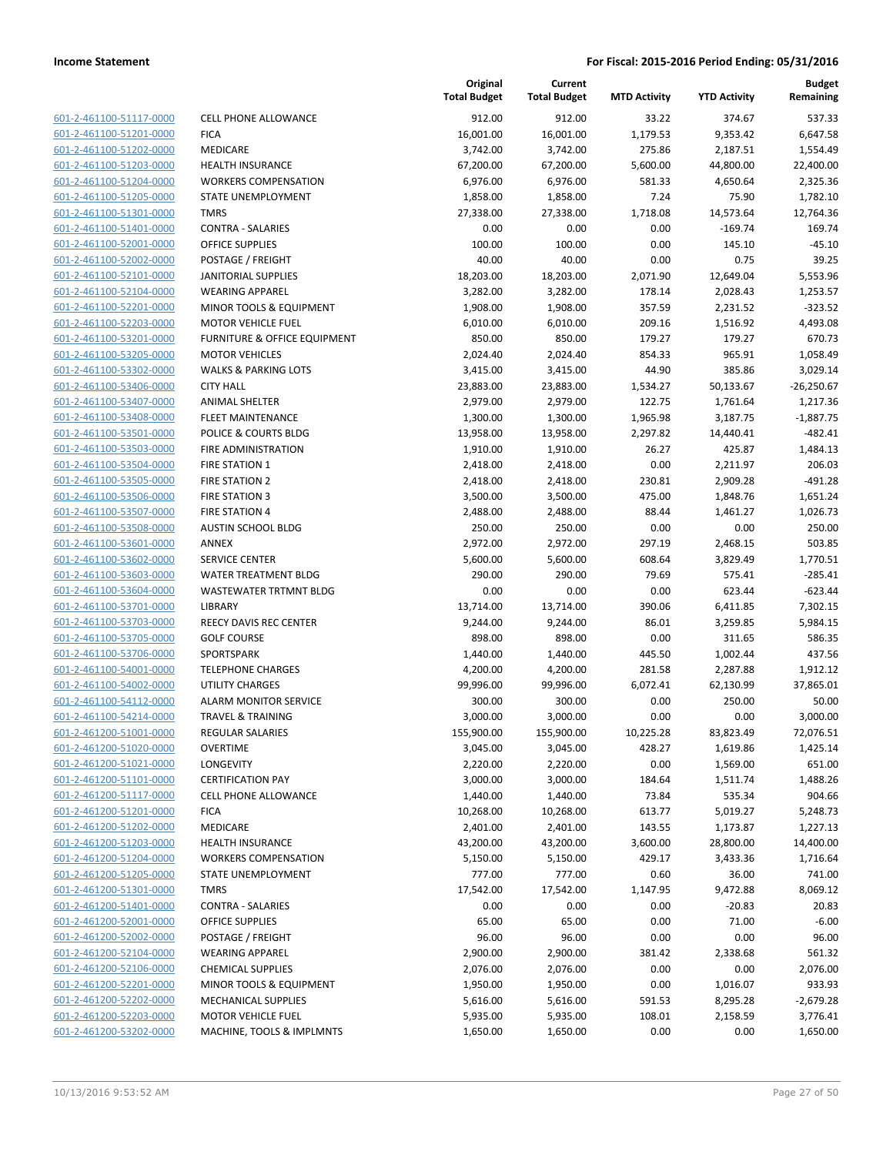| 601-2-461100-51117-0000        |
|--------------------------------|
| 601-2-461100-51201-0000        |
| 601-2-461100-51202-0000        |
| 601-2-461100-51203-0000        |
| <u>601-2-461100-51204-0000</u> |
| 601-2-461100-51205-0000        |
| 601-2-461100-51301-0000        |
|                                |
| 601-2-461100-51401-0000        |
| 601-2-461100-52001-0000        |
| 601-2-461100-52002-0000        |
| 601-2-461100-52101-0000        |
| 601-2-461100-52104-0000        |
| 601-2-461100-52201-0000        |
| 601-2-461100-52203-0000        |
| <u>601-2-461100-53201-0000</u> |
| 601-2-461100-53205-0000        |
| 601-2-461100-53302-0000        |
| 601-2-461100-53406-0000        |
| 601-2-461100-53407-0000        |
|                                |
| <u>601-2-461100-53408-0000</u> |
| 601-2-461100-53501-0000        |
| 601-2-461100-53503-0000        |
| 601-2-461100-53504-0000        |
| 601-2-461100-53505-0000        |
| <u>601-2-461100-53506-0000</u> |
| 601-2-461100-53507-0000        |
| 601-2-461100-53508-0000        |
| 601-2-461100-53601-0000        |
| 601-2-461100-53602-0000        |
| <u>601-2-461100-53603-0000</u> |
|                                |
| 601-2-461100-53604-0000        |
| 601-2-461100-53701-0000        |
| 601-2-461100-53703-0000        |
| 601-2-461100-53705-0000        |
| <u>601-2-461100-53706-0000</u> |
| 601-2-461100-54001-0000        |
| 601-2-461100-54002-0000        |
| 601-2-461100-54112-0000        |
| 601-2-461100-54214-0000        |
| 601-2-461200-51001-0000        |
| 601-2-461200-51020-0000        |
| 601-2-461200-51021-0000        |
| 601-2-461200-51101-0000        |
|                                |
| 601-2-461200-51117-0000        |
| 601-2-461200-51201-0000        |
| 601-2-461200-51202-0000        |
| 601-2-461200-51203-0000        |
| 601-2-461200-51204-0000        |
| 601-2-461200-51205-0000        |
| <u>601-2-461200-51301-0000</u> |
| 601-2-461200-51401-0000        |
| 601-2-461200-52001-0000        |
| 601-2-461200-52002-0000        |
| 601-2-461200-52104-0000        |
|                                |
| <u>601-2-461200-52106-0000</u> |
| 601-2-461200-52201-0000        |
| 601-2-461200-52202-0000        |
| 601-2-461200-52203-0000        |
| 601-2-461200-53202-0000        |
|                                |

|                                                    |                                  | Original<br><b>Total Budget</b> | Current<br><b>Total Budget</b> | <b>MTD Activity</b> | <b>YTD Activity</b>  | <b>Budget</b><br>Remaining |
|----------------------------------------------------|----------------------------------|---------------------------------|--------------------------------|---------------------|----------------------|----------------------------|
| 601-2-461100-51117-0000                            | <b>CELL PHONE ALLOWANCE</b>      | 912.00                          | 912.00                         | 33.22               | 374.67               | 537.33                     |
| 601-2-461100-51201-0000                            | <b>FICA</b>                      | 16,001.00                       | 16,001.00                      | 1,179.53            | 9,353.42             | 6,647.58                   |
| 601-2-461100-51202-0000                            | <b>MEDICARE</b>                  | 3,742.00                        | 3,742.00                       | 275.86              | 2,187.51             | 1,554.49                   |
| 601-2-461100-51203-0000                            | <b>HEALTH INSURANCE</b>          | 67,200.00                       | 67,200.00                      | 5,600.00            | 44,800.00            | 22,400.00                  |
| 601-2-461100-51204-0000                            | <b>WORKERS COMPENSATION</b>      | 6,976.00                        | 6,976.00                       | 581.33              | 4,650.64             | 2,325.36                   |
| 601-2-461100-51205-0000                            | STATE UNEMPLOYMENT               | 1,858.00                        | 1,858.00                       | 7.24                | 75.90                | 1,782.10                   |
| 601-2-461100-51301-0000                            | <b>TMRS</b>                      | 27,338.00                       | 27,338.00                      | 1,718.08            | 14,573.64            | 12,764.36                  |
| 601-2-461100-51401-0000                            | <b>CONTRA - SALARIES</b>         | 0.00                            | 0.00                           | 0.00                | $-169.74$            | 169.74                     |
| 601-2-461100-52001-0000                            | <b>OFFICE SUPPLIES</b>           | 100.00                          | 100.00                         | 0.00                | 145.10               | $-45.10$                   |
| 601-2-461100-52002-0000                            | POSTAGE / FREIGHT                | 40.00                           | 40.00                          | 0.00                | 0.75                 | 39.25                      |
| 601-2-461100-52101-0000                            | <b>JANITORIAL SUPPLIES</b>       | 18,203.00                       | 18,203.00                      | 2,071.90            | 12,649.04            | 5,553.96                   |
| 601-2-461100-52104-0000                            | <b>WEARING APPAREL</b>           | 3,282.00                        | 3,282.00                       | 178.14              | 2,028.43             | 1,253.57                   |
| 601-2-461100-52201-0000                            | MINOR TOOLS & EQUIPMENT          | 1,908.00                        | 1,908.00                       | 357.59              | 2,231.52             | $-323.52$                  |
| 601-2-461100-52203-0000                            | <b>MOTOR VEHICLE FUEL</b>        | 6,010.00                        | 6,010.00                       | 209.16              | 1,516.92             | 4,493.08                   |
| 601-2-461100-53201-0000                            | FURNITURE & OFFICE EQUIPMENT     | 850.00                          | 850.00                         | 179.27              | 179.27               | 670.73                     |
| 601-2-461100-53205-0000                            | <b>MOTOR VEHICLES</b>            | 2,024.40                        | 2,024.40                       | 854.33              | 965.91               | 1,058.49                   |
| 601-2-461100-53302-0000                            | <b>WALKS &amp; PARKING LOTS</b>  | 3,415.00                        | 3,415.00                       | 44.90               | 385.86               | 3,029.14                   |
| 601-2-461100-53406-0000                            | <b>CITY HALL</b>                 | 23,883.00                       | 23,883.00                      | 1,534.27            | 50,133.67            | $-26,250.67$               |
| 601-2-461100-53407-0000                            | <b>ANIMAL SHELTER</b>            | 2,979.00                        | 2,979.00                       | 122.75              | 1,761.64             | 1,217.36                   |
| 601-2-461100-53408-0000                            | <b>FLEET MAINTENANCE</b>         | 1,300.00                        | 1,300.00                       | 1,965.98            | 3,187.75             | $-1,887.75$                |
| 601-2-461100-53501-0000                            | POLICE & COURTS BLDG             | 13,958.00                       | 13,958.00                      | 2,297.82            | 14,440.41            | $-482.41$                  |
| 601-2-461100-53503-0000                            | FIRE ADMINISTRATION              | 1,910.00                        | 1,910.00                       | 26.27               | 425.87               | 1,484.13                   |
| 601-2-461100-53504-0000                            | <b>FIRE STATION 1</b>            | 2,418.00                        | 2,418.00                       | 0.00                | 2,211.97             | 206.03                     |
| 601-2-461100-53505-0000                            | FIRE STATION 2                   | 2,418.00                        | 2,418.00                       | 230.81              | 2,909.28             | $-491.28$                  |
| 601-2-461100-53506-0000                            | <b>FIRE STATION 3</b>            | 3,500.00                        | 3,500.00                       | 475.00              | 1,848.76             | 1,651.24                   |
| 601-2-461100-53507-0000                            | <b>FIRE STATION 4</b>            | 2,488.00                        | 2,488.00                       | 88.44               | 1,461.27             | 1,026.73                   |
| 601-2-461100-53508-0000                            | <b>AUSTIN SCHOOL BLDG</b>        | 250.00                          | 250.00                         | 0.00                | 0.00                 | 250.00                     |
| 601-2-461100-53601-0000                            | ANNEX                            | 2,972.00                        | 2,972.00                       | 297.19              | 2,468.15             | 503.85                     |
| 601-2-461100-53602-0000                            | <b>SERVICE CENTER</b>            | 5,600.00                        | 5,600.00                       | 608.64              | 3,829.49             | 1,770.51                   |
| 601-2-461100-53603-0000                            | <b>WATER TREATMENT BLDG</b>      | 290.00                          | 290.00                         | 79.69               | 575.41               | $-285.41$                  |
| 601-2-461100-53604-0000                            | WASTEWATER TRTMNT BLDG           | 0.00                            | 0.00                           | 0.00                | 623.44               | $-623.44$                  |
| 601-2-461100-53701-0000                            | <b>LIBRARY</b>                   | 13,714.00                       | 13,714.00                      | 390.06              | 6,411.85             | 7,302.15                   |
| 601-2-461100-53703-0000<br>601-2-461100-53705-0000 | REECY DAVIS REC CENTER           | 9,244.00                        | 9,244.00                       | 86.01               | 3,259.85             | 5,984.15                   |
| 601-2-461100-53706-0000                            | <b>GOLF COURSE</b><br>SPORTSPARK | 898.00<br>1,440.00              | 898.00<br>1,440.00             | 0.00<br>445.50      | 311.65               | 586.35<br>437.56           |
| 601-2-461100-54001-0000                            | <b>TELEPHONE CHARGES</b>         | 4,200.00                        |                                | 281.58              | 1,002.44<br>2,287.88 | 1,912.12                   |
| 601-2-461100-54002-0000                            | UTILITY CHARGES                  | 99,996.00                       | 4,200.00<br>99,996.00          | 6,072.41            | 62,130.99            | 37,865.01                  |
| 601-2-461100-54112-0000                            | <b>ALARM MONITOR SERVICE</b>     | 300.00                          | 300.00                         | 0.00                | 250.00               | 50.00                      |
| 601-2-461100-54214-0000                            | <b>TRAVEL &amp; TRAINING</b>     | 3,000.00                        | 3,000.00                       | 0.00                | 0.00                 | 3,000.00                   |
| 601-2-461200-51001-0000                            | <b>REGULAR SALARIES</b>          | 155,900.00                      | 155,900.00                     | 10,225.28           | 83,823.49            | 72,076.51                  |
| 601-2-461200-51020-0000                            | <b>OVERTIME</b>                  | 3,045.00                        | 3,045.00                       | 428.27              | 1,619.86             | 1,425.14                   |
| 601-2-461200-51021-0000                            | LONGEVITY                        | 2,220.00                        | 2,220.00                       | 0.00                | 1,569.00             | 651.00                     |
| 601-2-461200-51101-0000                            | <b>CERTIFICATION PAY</b>         | 3,000.00                        | 3,000.00                       | 184.64              | 1,511.74             | 1,488.26                   |
| 601-2-461200-51117-0000                            | <b>CELL PHONE ALLOWANCE</b>      | 1,440.00                        | 1,440.00                       | 73.84               | 535.34               | 904.66                     |
| 601-2-461200-51201-0000                            | <b>FICA</b>                      | 10,268.00                       | 10,268.00                      | 613.77              | 5,019.27             | 5,248.73                   |
| 601-2-461200-51202-0000                            | MEDICARE                         | 2,401.00                        | 2,401.00                       | 143.55              | 1,173.87             | 1,227.13                   |
| 601-2-461200-51203-0000                            | <b>HEALTH INSURANCE</b>          | 43,200.00                       | 43,200.00                      | 3,600.00            | 28,800.00            | 14,400.00                  |
| 601-2-461200-51204-0000                            | <b>WORKERS COMPENSATION</b>      | 5,150.00                        | 5,150.00                       | 429.17              | 3,433.36             | 1,716.64                   |
| 601-2-461200-51205-0000                            | STATE UNEMPLOYMENT               | 777.00                          | 777.00                         | 0.60                | 36.00                | 741.00                     |
| 601-2-461200-51301-0000                            | <b>TMRS</b>                      | 17,542.00                       | 17,542.00                      | 1,147.95            | 9,472.88             | 8,069.12                   |
| 601-2-461200-51401-0000                            | <b>CONTRA - SALARIES</b>         | 0.00                            | 0.00                           | 0.00                | $-20.83$             | 20.83                      |
| 601-2-461200-52001-0000                            | OFFICE SUPPLIES                  | 65.00                           | 65.00                          | 0.00                | 71.00                | $-6.00$                    |
| 601-2-461200-52002-0000                            | POSTAGE / FREIGHT                | 96.00                           | 96.00                          | 0.00                | 0.00                 | 96.00                      |
| 601-2-461200-52104-0000                            | <b>WEARING APPAREL</b>           | 2,900.00                        | 2,900.00                       | 381.42              | 2,338.68             | 561.32                     |
| 601-2-461200-52106-0000                            | <b>CHEMICAL SUPPLIES</b>         | 2,076.00                        | 2,076.00                       | 0.00                | 0.00                 | 2,076.00                   |
| 601-2-461200-52201-0000                            | MINOR TOOLS & EQUIPMENT          | 1,950.00                        | 1,950.00                       | 0.00                | 1,016.07             | 933.93                     |
| 601-2-461200-52202-0000                            | MECHANICAL SUPPLIES              | 5,616.00                        | 5,616.00                       | 591.53              | 8,295.28             | $-2,679.28$                |
| 601-2-461200-52203-0000                            | <b>MOTOR VEHICLE FUEL</b>        | 5,935.00                        | 5,935.00                       | 108.01              | 2,158.59             | 3,776.41                   |
| 601-2-461200-53202-0000                            | MACHINE, TOOLS & IMPLMNTS        | 1,650.00                        | 1,650.00                       | 0.00                | 0.00                 | 1,650.00                   |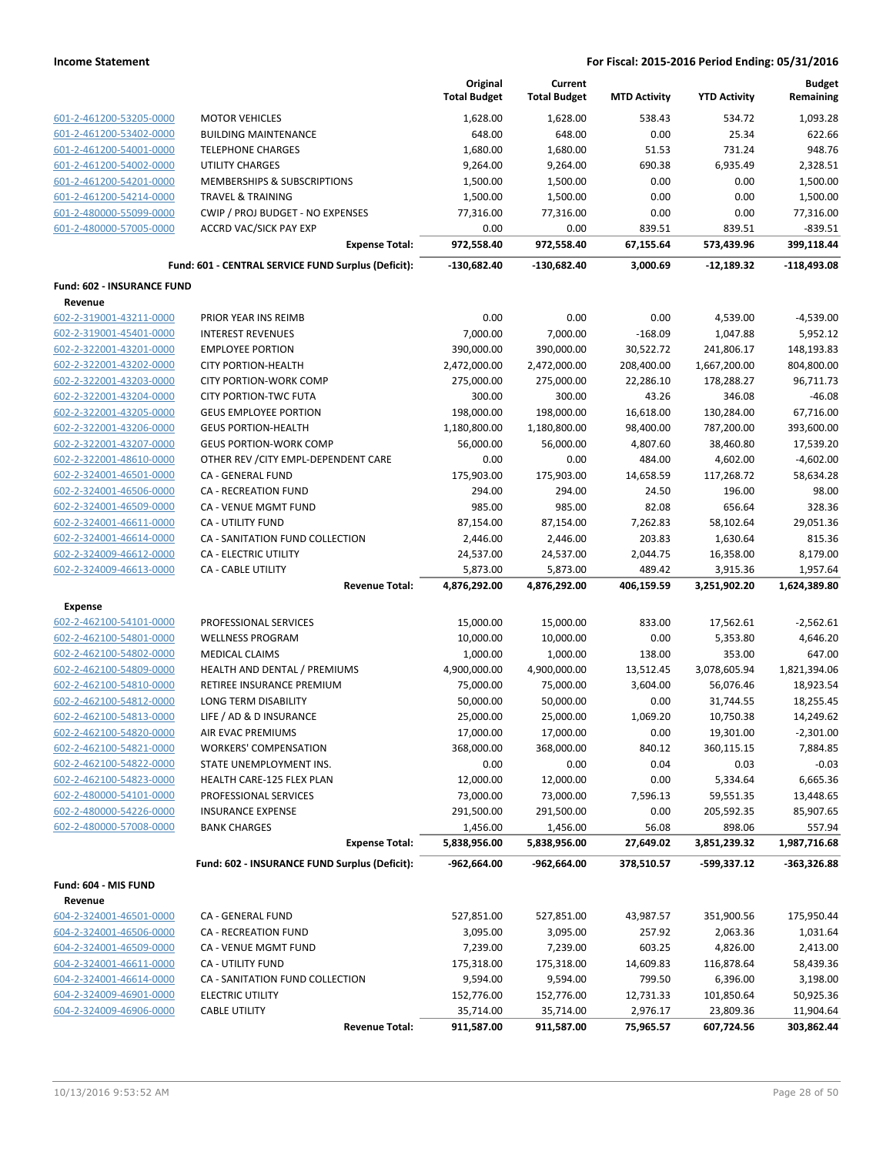|                                       |                                                     | Original<br><b>Total Budget</b> | Current<br><b>Total Budget</b> | <b>MTD Activity</b> | <b>YTD Activity</b> | <b>Budget</b><br>Remaining |
|---------------------------------------|-----------------------------------------------------|---------------------------------|--------------------------------|---------------------|---------------------|----------------------------|
| 601-2-461200-53205-0000               | <b>MOTOR VEHICLES</b>                               | 1,628.00                        | 1,628.00                       | 538.43              | 534.72              | 1,093.28                   |
| 601-2-461200-53402-0000               | <b>BUILDING MAINTENANCE</b>                         | 648.00                          | 648.00                         | 0.00                | 25.34               | 622.66                     |
| 601-2-461200-54001-0000               | <b>TELEPHONE CHARGES</b>                            | 1,680.00                        | 1,680.00                       | 51.53               | 731.24              | 948.76                     |
| 601-2-461200-54002-0000               | UTILITY CHARGES                                     | 9,264.00                        | 9,264.00                       | 690.38              | 6,935.49            | 2,328.51                   |
| 601-2-461200-54201-0000               | MEMBERSHIPS & SUBSCRIPTIONS                         | 1,500.00                        | 1,500.00                       | 0.00                | 0.00                | 1,500.00                   |
| 601-2-461200-54214-0000               | <b>TRAVEL &amp; TRAINING</b>                        | 1,500.00                        | 1,500.00                       | 0.00                | 0.00                | 1,500.00                   |
| 601-2-480000-55099-0000               | CWIP / PROJ BUDGET - NO EXPENSES                    | 77,316.00                       | 77,316.00                      | 0.00                | 0.00                | 77,316.00                  |
| 601-2-480000-57005-0000               | <b>ACCRD VAC/SICK PAY EXP</b>                       | 0.00                            | 0.00                           | 839.51              | 839.51              | $-839.51$                  |
|                                       | <b>Expense Total:</b>                               | 972,558.40                      | 972,558.40                     | 67,155.64           | 573,439.96          | 399,118.44                 |
|                                       | Fund: 601 - CENTRAL SERVICE FUND Surplus (Deficit): | $-130,682.40$                   | -130,682.40                    | 3,000.69            | $-12,189.32$        | $-118,493.08$              |
| Fund: 602 - INSURANCE FUND<br>Revenue |                                                     |                                 |                                |                     |                     |                            |
| 602-2-319001-43211-0000               | PRIOR YEAR INS REIMB                                | 0.00                            | 0.00                           | 0.00                | 4,539.00            | $-4,539.00$                |
| 602-2-319001-45401-0000               | <b>INTEREST REVENUES</b>                            | 7,000.00                        | 7,000.00                       | $-168.09$           | 1,047.88            | 5,952.12                   |
| 602-2-322001-43201-0000               | <b>EMPLOYEE PORTION</b>                             | 390,000.00                      | 390,000.00                     | 30,522.72           | 241,806.17          | 148,193.83                 |
| 602-2-322001-43202-0000               | <b>CITY PORTION-HEALTH</b>                          | 2,472,000.00                    | 2,472,000.00                   | 208,400.00          | 1,667,200.00        | 804,800.00                 |
| 602-2-322001-43203-0000               | <b>CITY PORTION-WORK COMP</b>                       | 275,000.00                      | 275,000.00                     | 22,286.10           | 178,288.27          | 96,711.73                  |
| 602-2-322001-43204-0000               | <b>CITY PORTION-TWC FUTA</b>                        | 300.00                          | 300.00                         | 43.26               | 346.08              | $-46.08$                   |
| 602-2-322001-43205-0000               | <b>GEUS EMPLOYEE PORTION</b>                        | 198,000.00                      | 198,000.00                     | 16,618.00           | 130,284.00          | 67,716.00                  |
| 602-2-322001-43206-0000               | <b>GEUS PORTION-HEALTH</b>                          | 1,180,800.00                    | 1,180,800.00                   | 98,400.00           | 787,200.00          | 393,600.00                 |
| 602-2-322001-43207-0000               | <b>GEUS PORTION-WORK COMP</b>                       | 56,000.00                       | 56,000.00                      | 4,807.60            | 38,460.80           | 17,539.20                  |
| 602-2-322001-48610-0000               | OTHER REV / CITY EMPL-DEPENDENT CARE                | 0.00                            | 0.00                           | 484.00              | 4,602.00            | $-4,602.00$                |
| 602-2-324001-46501-0000               | <b>CA - GENERAL FUND</b>                            | 175,903.00                      | 175,903.00                     | 14,658.59           | 117,268.72          | 58,634.28                  |
| 602-2-324001-46506-0000               | CA - RECREATION FUND                                | 294.00                          | 294.00                         | 24.50               | 196.00              | 98.00                      |
| 602-2-324001-46509-0000               | CA - VENUE MGMT FUND                                | 985.00                          | 985.00                         | 82.08               | 656.64              | 328.36                     |
| 602-2-324001-46611-0000               | <b>CA - UTILITY FUND</b>                            | 87,154.00                       | 87,154.00                      | 7,262.83            | 58,102.64           | 29,051.36                  |
| 602-2-324001-46614-0000               | CA - SANITATION FUND COLLECTION                     | 2,446.00                        | 2,446.00                       | 203.83              | 1,630.64            | 815.36                     |
| 602-2-324009-46612-0000               | CA - ELECTRIC UTILITY                               | 24,537.00                       | 24,537.00                      | 2,044.75            | 16,358.00           | 8,179.00                   |
| 602-2-324009-46613-0000               | <b>CA - CABLE UTILITY</b>                           | 5,873.00                        | 5,873.00                       | 489.42              | 3,915.36            | 1,957.64                   |
|                                       | <b>Revenue Total:</b>                               | 4,876,292.00                    | 4,876,292.00                   | 406,159.59          | 3,251,902.20        | 1,624,389.80               |
| <b>Expense</b>                        |                                                     |                                 |                                |                     |                     |                            |
| 602-2-462100-54101-0000               | PROFESSIONAL SERVICES                               | 15,000.00                       | 15,000.00                      | 833.00              | 17,562.61           | $-2,562.61$                |
| 602-2-462100-54801-0000               | <b>WELLNESS PROGRAM</b>                             | 10,000.00                       | 10,000.00                      | 0.00                | 5,353.80            | 4,646.20                   |
| 602-2-462100-54802-0000               | MEDICAL CLAIMS                                      | 1,000.00                        | 1,000.00                       | 138.00              | 353.00              | 647.00                     |
| 602-2-462100-54809-0000               | HEALTH AND DENTAL / PREMIUMS                        | 4,900,000.00                    | 4,900,000.00                   | 13,512.45           | 3,078,605.94        | 1,821,394.06               |
| 602-2-462100-54810-0000               | RETIREE INSURANCE PREMIUM                           | 75,000.00                       | 75,000.00                      | 3,604.00            | 56,076.46           | 18,923.54                  |
| 602-2-462100-54812-0000               | LONG TERM DISABILITY                                | 50,000.00                       | 50,000.00                      | 0.00                | 31,744.55           | 18,255.45                  |
| 602-2-462100-54813-0000               | LIFE / AD & D INSURANCE                             | 25,000.00                       | 25,000.00                      | 1,069.20            | 10,750.38           | 14,249.62                  |
| 602-2-462100-54820-0000               | AIR EVAC PREMIUMS                                   | 17,000.00                       | 17,000.00                      | 0.00                | 19,301.00           | $-2,301.00$                |
| 602-2-462100-54821-0000               | <b>WORKERS' COMPENSATION</b>                        | 368,000.00                      | 368,000.00                     | 840.12              | 360,115.15          | 7,884.85                   |
| 602-2-462100-54822-0000               | STATE UNEMPLOYMENT INS.                             | 0.00                            | 0.00                           | 0.04                | 0.03                | $-0.03$                    |
| 602-2-462100-54823-0000               | HEALTH CARE-125 FLEX PLAN                           | 12,000.00                       | 12,000.00                      | 0.00                | 5,334.64            | 6,665.36                   |
| 602-2-480000-54101-0000               | PROFESSIONAL SERVICES                               | 73,000.00                       | 73,000.00                      | 7,596.13            | 59,551.35           | 13,448.65                  |
| 602-2-480000-54226-0000               | <b>INSURANCE EXPENSE</b>                            | 291,500.00                      | 291,500.00                     | 0.00                | 205,592.35          | 85,907.65                  |
| 602-2-480000-57008-0000               | <b>BANK CHARGES</b>                                 | 1,456.00                        | 1,456.00                       | 56.08               | 898.06              | 557.94                     |
|                                       | <b>Expense Total:</b>                               | 5,838,956.00                    | 5,838,956.00                   | 27,649.02           | 3,851,239.32        | 1,987,716.68               |
|                                       | Fund: 602 - INSURANCE FUND Surplus (Deficit):       | $-962,664.00$                   | -962,664.00                    | 378,510.57          | -599,337.12         | $-363,326.88$              |
| Fund: 604 - MIS FUND                  |                                                     |                                 |                                |                     |                     |                            |
| Revenue<br>604-2-324001-46501-0000    | CA - GENERAL FUND                                   | 527,851.00                      | 527,851.00                     | 43,987.57           | 351,900.56          | 175,950.44                 |
| 604-2-324001-46506-0000               | CA - RECREATION FUND                                | 3,095.00                        | 3,095.00                       | 257.92              | 2,063.36            | 1,031.64                   |
| 604-2-324001-46509-0000               | CA - VENUE MGMT FUND                                | 7,239.00                        | 7,239.00                       | 603.25              | 4,826.00            | 2,413.00                   |
| 604-2-324001-46611-0000               | <b>CA - UTILITY FUND</b>                            | 175,318.00                      | 175,318.00                     | 14,609.83           | 116,878.64          | 58,439.36                  |
| 604-2-324001-46614-0000               | CA - SANITATION FUND COLLECTION                     | 9,594.00                        | 9,594.00                       | 799.50              | 6,396.00            | 3,198.00                   |
| 604-2-324009-46901-0000               | <b>ELECTRIC UTILITY</b>                             | 152,776.00                      | 152,776.00                     | 12,731.33           | 101,850.64          | 50,925.36                  |
| 604-2-324009-46906-0000               | <b>CABLE UTILITY</b>                                | 35,714.00                       | 35,714.00                      | 2,976.17            | 23,809.36           | 11,904.64                  |
|                                       | <b>Revenue Total:</b>                               | 911,587.00                      | 911,587.00                     | 75,965.57           | 607,724.56          | 303,862.44                 |
|                                       |                                                     |                                 |                                |                     |                     |                            |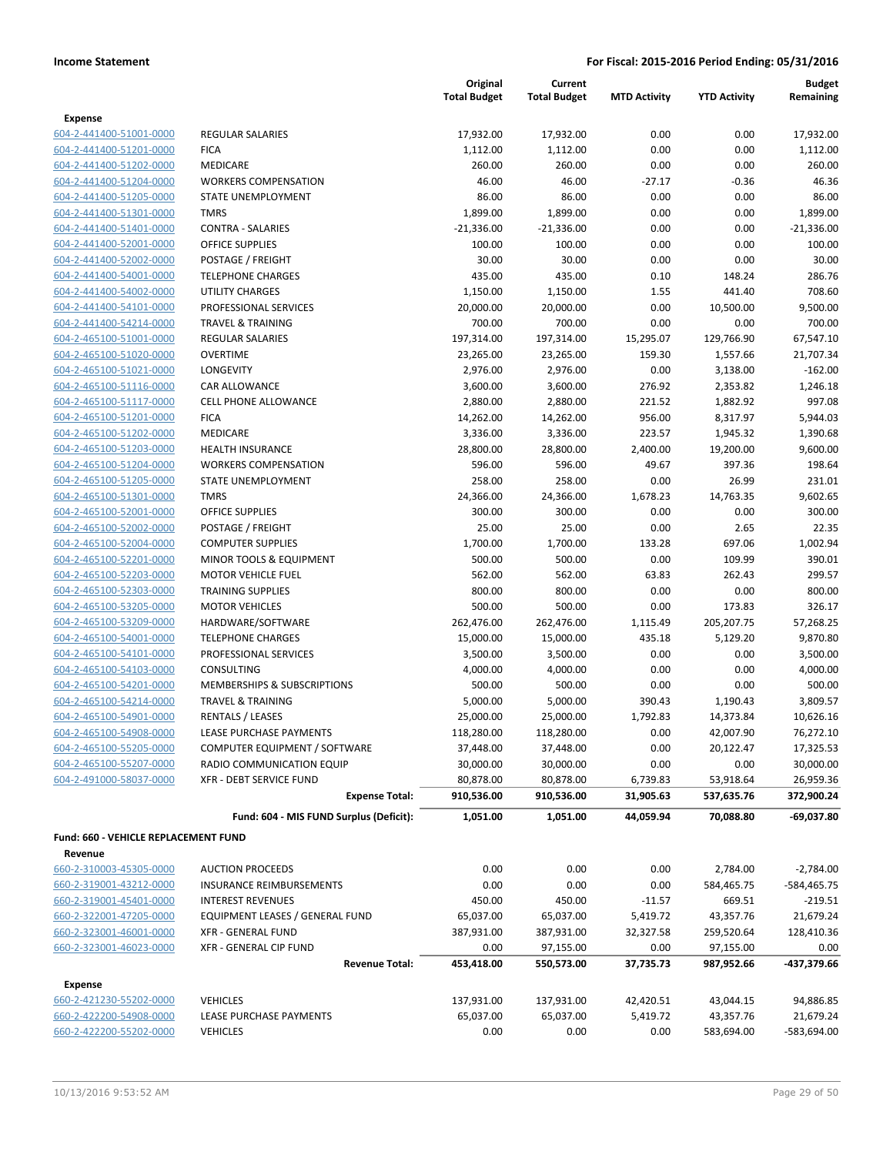|                                      |                                         | Original<br><b>Total Budget</b> | Current<br><b>Total Budget</b> | <b>MTD Activity</b> | <b>YTD Activity</b> | <b>Budget</b><br>Remaining |
|--------------------------------------|-----------------------------------------|---------------------------------|--------------------------------|---------------------|---------------------|----------------------------|
| <b>Expense</b>                       |                                         |                                 |                                |                     |                     |                            |
| 604-2-441400-51001-0000              | <b>REGULAR SALARIES</b>                 | 17,932.00                       | 17,932.00                      | 0.00                | 0.00                | 17,932.00                  |
| 604-2-441400-51201-0000              | <b>FICA</b>                             | 1,112.00                        | 1,112.00                       | 0.00                | 0.00                | 1,112.00                   |
| 604-2-441400-51202-0000              | <b>MEDICARE</b>                         | 260.00                          | 260.00                         | 0.00                | 0.00                | 260.00                     |
| 604-2-441400-51204-0000              | <b>WORKERS COMPENSATION</b>             | 46.00                           | 46.00                          | $-27.17$            | $-0.36$             | 46.36                      |
| 604-2-441400-51205-0000              | STATE UNEMPLOYMENT                      | 86.00                           | 86.00                          | 0.00                | 0.00                | 86.00                      |
| 604-2-441400-51301-0000              | <b>TMRS</b>                             | 1,899.00                        | 1,899.00                       | 0.00                | 0.00                | 1,899.00                   |
| 604-2-441400-51401-0000              | <b>CONTRA - SALARIES</b>                | $-21,336.00$                    | $-21,336.00$                   | 0.00                | 0.00                | $-21,336.00$               |
| 604-2-441400-52001-0000              | <b>OFFICE SUPPLIES</b>                  | 100.00                          | 100.00                         | 0.00                | 0.00                | 100.00                     |
| 604-2-441400-52002-0000              | POSTAGE / FREIGHT                       | 30.00                           | 30.00                          | 0.00                | 0.00                | 30.00                      |
| 604-2-441400-54001-0000              | <b>TELEPHONE CHARGES</b>                | 435.00                          | 435.00                         | 0.10                | 148.24              | 286.76                     |
| 604-2-441400-54002-0000              | <b>UTILITY CHARGES</b>                  | 1,150.00                        | 1,150.00                       | 1.55                | 441.40              | 708.60                     |
| 604-2-441400-54101-0000              | PROFESSIONAL SERVICES                   | 20,000.00                       | 20,000.00                      | 0.00                | 10,500.00           | 9,500.00                   |
| 604-2-441400-54214-0000              | <b>TRAVEL &amp; TRAINING</b>            | 700.00                          | 700.00                         | 0.00                | 0.00                | 700.00                     |
| 604-2-465100-51001-0000              | REGULAR SALARIES                        | 197,314.00                      | 197,314.00                     | 15,295.07           | 129,766.90          | 67,547.10                  |
| 604-2-465100-51020-0000              | <b>OVERTIME</b>                         | 23,265.00                       | 23,265.00                      | 159.30              | 1,557.66            | 21,707.34                  |
| 604-2-465100-51021-0000              | LONGEVITY                               | 2,976.00                        | 2,976.00                       | 0.00                | 3,138.00            | $-162.00$                  |
| 604-2-465100-51116-0000              | CAR ALLOWANCE                           | 3,600.00                        | 3,600.00                       | 276.92              | 2,353.82            | 1,246.18                   |
| 604-2-465100-51117-0000              | <b>CELL PHONE ALLOWANCE</b>             | 2,880.00                        | 2,880.00                       | 221.52              | 1,882.92            | 997.08                     |
| 604-2-465100-51201-0000              | <b>FICA</b>                             | 14,262.00                       | 14,262.00                      | 956.00              | 8,317.97            | 5,944.03                   |
| 604-2-465100-51202-0000              | MEDICARE                                | 3,336.00                        | 3,336.00                       | 223.57              | 1,945.32            | 1,390.68                   |
| 604-2-465100-51203-0000              | <b>HEALTH INSURANCE</b>                 | 28,800.00                       | 28,800.00                      | 2,400.00            | 19,200.00           | 9,600.00                   |
| 604-2-465100-51204-0000              | <b>WORKERS COMPENSATION</b>             | 596.00                          | 596.00                         | 49.67               | 397.36              | 198.64                     |
| 604-2-465100-51205-0000              | <b>STATE UNEMPLOYMENT</b>               | 258.00                          | 258.00                         | 0.00                | 26.99               | 231.01                     |
| 604-2-465100-51301-0000              | <b>TMRS</b>                             | 24,366.00                       | 24,366.00                      | 1,678.23            | 14,763.35           | 9,602.65                   |
| 604-2-465100-52001-0000              | <b>OFFICE SUPPLIES</b>                  | 300.00                          | 300.00                         | 0.00                | 0.00                | 300.00                     |
| 604-2-465100-52002-0000              | POSTAGE / FREIGHT                       | 25.00                           | 25.00                          | 0.00                | 2.65                | 22.35                      |
| 604-2-465100-52004-0000              | <b>COMPUTER SUPPLIES</b>                | 1,700.00                        | 1,700.00                       | 133.28              | 697.06              | 1,002.94                   |
| 604-2-465100-52201-0000              | MINOR TOOLS & EQUIPMENT                 | 500.00                          | 500.00                         | 0.00                | 109.99              | 390.01                     |
| 604-2-465100-52203-0000              | <b>MOTOR VEHICLE FUEL</b>               | 562.00                          | 562.00                         | 63.83               | 262.43              | 299.57                     |
| 604-2-465100-52303-0000              | <b>TRAINING SUPPLIES</b>                | 800.00                          | 800.00                         | 0.00                | 0.00                | 800.00                     |
| 604-2-465100-53205-0000              | <b>MOTOR VEHICLES</b>                   | 500.00                          | 500.00                         | 0.00                | 173.83              | 326.17                     |
| 604-2-465100-53209-0000              | HARDWARE/SOFTWARE                       | 262,476.00                      | 262,476.00                     | 1,115.49            | 205,207.75          | 57,268.25                  |
| 604-2-465100-54001-0000              | <b>TELEPHONE CHARGES</b>                | 15,000.00                       | 15,000.00                      | 435.18              | 5,129.20            | 9,870.80                   |
| 604-2-465100-54101-0000              | PROFESSIONAL SERVICES                   | 3,500.00                        | 3,500.00                       | 0.00                | 0.00                | 3,500.00                   |
| 604-2-465100-54103-0000              | <b>CONSULTING</b>                       | 4,000.00                        | 4,000.00                       | 0.00                | 0.00                | 4,000.00                   |
| 604-2-465100-54201-0000              | MEMBERSHIPS & SUBSCRIPTIONS             | 500.00                          | 500.00                         | 0.00                | 0.00                | 500.00                     |
| 604-2-465100-54214-0000              | <b>TRAVEL &amp; TRAINING</b>            | 5,000.00                        | 5,000.00                       | 390.43              | 1,190.43            | 3,809.57                   |
| 604-2-465100-54901-0000              | RENTALS / LEASES                        | 25,000.00                       | 25,000.00                      | 1,792.83            | 14,373.84           | 10,626.16                  |
| 604-2-465100-54908-0000              | LEASE PURCHASE PAYMENTS                 | 118,280.00                      | 118,280.00                     | 0.00                | 42,007.90           | 76,272.10                  |
| 604-2-465100-55205-0000              | COMPUTER EQUIPMENT / SOFTWARE           | 37,448.00                       | 37,448.00                      | 0.00                | 20,122.47           | 17,325.53                  |
| 604-2-465100-55207-0000              | RADIO COMMUNICATION EQUIP               | 30,000.00                       | 30,000.00                      | 0.00                | 0.00                | 30,000.00                  |
| 604-2-491000-58037-0000              | XFR - DEBT SERVICE FUND                 | 80,878.00                       | 80,878.00                      | 6,739.83            | 53,918.64           | 26,959.36                  |
|                                      | <b>Expense Total:</b>                   | 910,536.00                      | 910,536.00                     | 31,905.63           | 537,635.76          | 372,900.24                 |
|                                      | Fund: 604 - MIS FUND Surplus (Deficit): | 1,051.00                        | 1,051.00                       | 44,059.94           | 70,088.80           | -69,037.80                 |
| Fund: 660 - VEHICLE REPLACEMENT FUND |                                         |                                 |                                |                     |                     |                            |
| Revenue                              |                                         |                                 |                                |                     |                     |                            |
| 660-2-310003-45305-0000              | <b>AUCTION PROCEEDS</b>                 | 0.00                            | 0.00                           | 0.00                | 2,784.00            | $-2,784.00$                |
| 660-2-319001-43212-0000              | INSURANCE REIMBURSEMENTS                | 0.00                            | 0.00                           | 0.00                | 584,465.75          | -584,465.75                |
| 660-2-319001-45401-0000              | <b>INTEREST REVENUES</b>                | 450.00                          | 450.00                         | $-11.57$            | 669.51              | $-219.51$                  |
| 660-2-322001-47205-0000              | EQUIPMENT LEASES / GENERAL FUND         | 65,037.00                       | 65,037.00                      | 5,419.72            | 43,357.76           | 21,679.24                  |
| 660-2-323001-46001-0000              | <b>XFR - GENERAL FUND</b>               | 387,931.00                      | 387,931.00                     | 32,327.58           | 259,520.64          | 128,410.36                 |
| 660-2-323001-46023-0000              | XFR - GENERAL CIP FUND                  | 0.00                            | 97,155.00                      | 0.00                | 97,155.00           | 0.00                       |
|                                      | <b>Revenue Total:</b>                   | 453,418.00                      | 550,573.00                     | 37,735.73           | 987,952.66          | -437,379.66                |
| <b>Expense</b>                       |                                         |                                 |                                |                     |                     |                            |
| 660-2-421230-55202-0000              | <b>VEHICLES</b>                         | 137,931.00                      | 137,931.00                     | 42,420.51           | 43,044.15           | 94,886.85                  |
| 660-2-422200-54908-0000              | LEASE PURCHASE PAYMENTS                 | 65,037.00                       | 65,037.00                      | 5,419.72            | 43,357.76           | 21,679.24                  |
| 660-2-422200-55202-0000              | <b>VEHICLES</b>                         | 0.00                            | 0.00                           | 0.00                | 583,694.00          | -583,694.00                |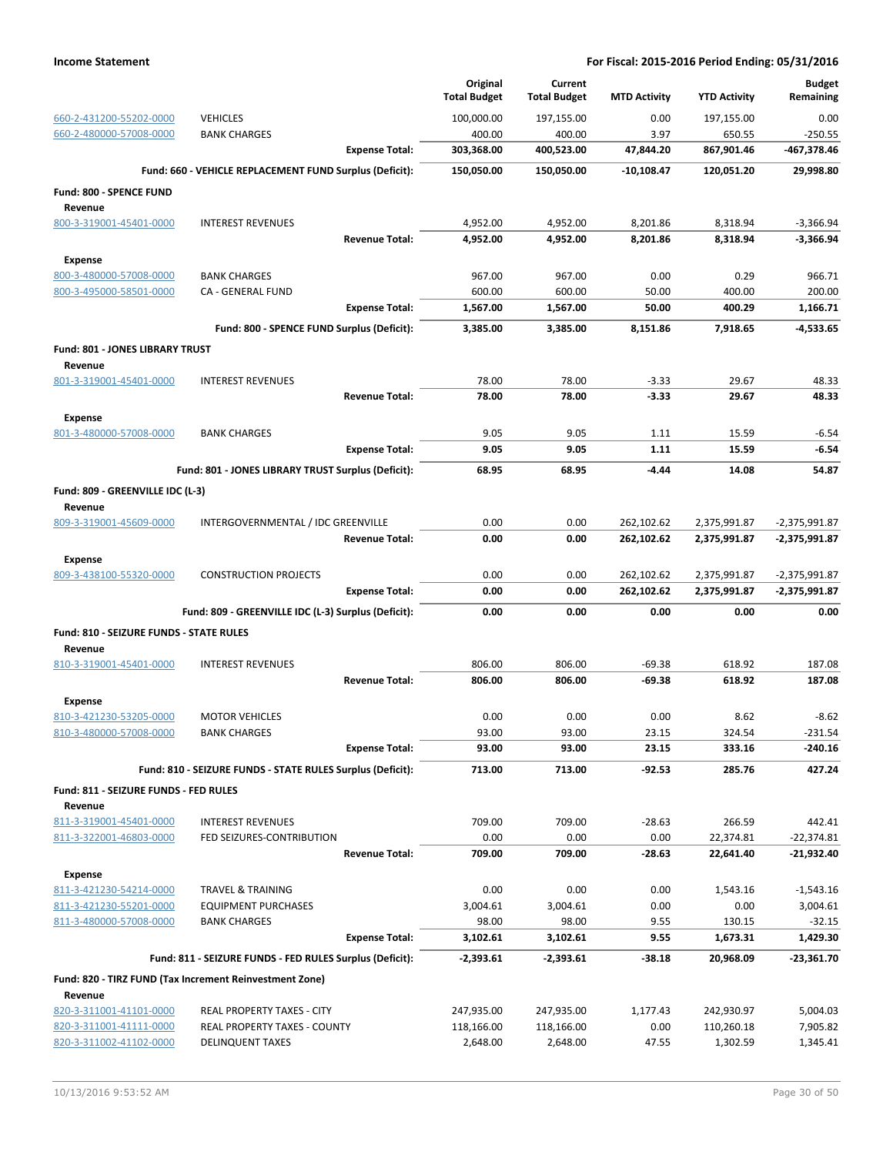|                                                |                                                            |                       | Original<br><b>Total Budget</b> | Current<br><b>Total Budget</b> | <b>MTD Activity</b> | <b>YTD Activity</b> | <b>Budget</b><br>Remaining |
|------------------------------------------------|------------------------------------------------------------|-----------------------|---------------------------------|--------------------------------|---------------------|---------------------|----------------------------|
| 660-2-431200-55202-0000                        | <b>VEHICLES</b>                                            |                       | 100,000.00                      | 197,155.00                     | 0.00                | 197,155.00          | 0.00                       |
| 660-2-480000-57008-0000                        | <b>BANK CHARGES</b>                                        |                       | 400.00                          | 400.00                         | 3.97                | 650.55              | $-250.55$                  |
|                                                |                                                            | <b>Expense Total:</b> | 303,368.00                      | 400,523.00                     | 47,844.20           | 867,901.46          | -467,378.46                |
|                                                | Fund: 660 - VEHICLE REPLACEMENT FUND Surplus (Deficit):    |                       | 150,050.00                      | 150,050.00                     | $-10,108.47$        | 120,051.20          | 29,998.80                  |
| Fund: 800 - SPENCE FUND                        |                                                            |                       |                                 |                                |                     |                     |                            |
| Revenue<br>800-3-319001-45401-0000             | <b>INTEREST REVENUES</b>                                   |                       | 4,952.00                        | 4,952.00                       | 8,201.86            | 8,318.94            | $-3,366.94$                |
|                                                |                                                            | <b>Revenue Total:</b> | 4,952.00                        | 4,952.00                       | 8,201.86            | 8,318.94            | $-3,366.94$                |
|                                                |                                                            |                       |                                 |                                |                     |                     |                            |
| <b>Expense</b><br>800-3-480000-57008-0000      | <b>BANK CHARGES</b>                                        |                       | 967.00                          | 967.00                         | 0.00                | 0.29                | 966.71                     |
| 800-3-495000-58501-0000                        | CA - GENERAL FUND                                          |                       | 600.00                          | 600.00                         | 50.00               | 400.00              | 200.00                     |
|                                                |                                                            | <b>Expense Total:</b> | 1,567.00                        | 1,567.00                       | 50.00               | 400.29              | 1,166.71                   |
|                                                | Fund: 800 - SPENCE FUND Surplus (Deficit):                 |                       | 3,385.00                        | 3,385.00                       | 8,151.86            | 7,918.65            | $-4,533.65$                |
| Fund: 801 - JONES LIBRARY TRUST                |                                                            |                       |                                 |                                |                     |                     |                            |
| Revenue                                        |                                                            |                       |                                 |                                |                     |                     |                            |
| 801-3-319001-45401-0000                        | <b>INTEREST REVENUES</b>                                   |                       | 78.00                           | 78.00                          | $-3.33$             | 29.67               | 48.33                      |
|                                                |                                                            | <b>Revenue Total:</b> | 78.00                           | 78.00                          | $-3.33$             | 29.67               | 48.33                      |
| <b>Expense</b>                                 |                                                            |                       |                                 |                                |                     |                     |                            |
| 801-3-480000-57008-0000                        | <b>BANK CHARGES</b>                                        |                       | 9.05                            | 9.05                           | 1.11                | 15.59               | $-6.54$                    |
|                                                |                                                            | <b>Expense Total:</b> | 9.05                            | 9.05                           | 1.11                | 15.59               | $-6.54$                    |
|                                                | Fund: 801 - JONES LIBRARY TRUST Surplus (Deficit):         |                       | 68.95                           | 68.95                          | $-4.44$             | 14.08               | 54.87                      |
| Fund: 809 - GREENVILLE IDC (L-3)<br>Revenue    |                                                            |                       |                                 |                                |                     |                     |                            |
| 809-3-319001-45609-0000                        | INTERGOVERNMENTAL / IDC GREENVILLE                         |                       | 0.00                            | 0.00                           | 262,102.62          | 2,375,991.87        | -2,375,991.87              |
|                                                |                                                            | <b>Revenue Total:</b> | 0.00                            | 0.00                           | 262,102.62          | 2,375,991.87        | -2,375,991.87              |
| Expense                                        |                                                            |                       |                                 |                                |                     |                     |                            |
| 809-3-438100-55320-0000                        | <b>CONSTRUCTION PROJECTS</b>                               |                       | 0.00                            | 0.00                           | 262,102.62          | 2,375,991.87        | -2,375,991.87              |
|                                                |                                                            | <b>Expense Total:</b> | 0.00                            | 0.00                           | 262,102.62          | 2,375,991.87        | -2,375,991.87              |
|                                                | Fund: 809 - GREENVILLE IDC (L-3) Surplus (Deficit):        |                       | 0.00                            | 0.00                           | 0.00                | 0.00                | 0.00                       |
| <b>Fund: 810 - SEIZURE FUNDS - STATE RULES</b> |                                                            |                       |                                 |                                |                     |                     |                            |
| Revenue                                        |                                                            |                       |                                 |                                |                     |                     |                            |
| 810-3-319001-45401-0000                        | <b>INTEREST REVENUES</b>                                   |                       | 806.00                          | 806.00                         | $-69.38$            | 618.92              | 187.08                     |
|                                                |                                                            | <b>Revenue Total:</b> | 806.00                          | 806.00                         | $-69.38$            | 618.92              | 187.08                     |
| <b>Expense</b>                                 |                                                            |                       |                                 |                                |                     |                     |                            |
| 810-3-421230-53205-0000                        |                                                            |                       |                                 |                                |                     |                     |                            |
|                                                | <b>MOTOR VEHICLES</b>                                      |                       | 0.00                            | 0.00                           | 0.00                | 8.62                | $-8.62$                    |
| 810-3-480000-57008-0000                        | <b>BANK CHARGES</b>                                        |                       | 93.00                           | 93.00                          | 23.15               | 324.54              | $-231.54$                  |
|                                                |                                                            | <b>Expense Total:</b> | 93.00                           | 93.00                          | 23.15               | 333.16              | -240.16                    |
|                                                | Fund: 810 - SEIZURE FUNDS - STATE RULES Surplus (Deficit): |                       | 713.00                          | 713.00                         | $-92.53$            | 285.76              | 427.24                     |
| Fund: 811 - SEIZURE FUNDS - FED RULES          |                                                            |                       |                                 |                                |                     |                     |                            |
| Revenue                                        |                                                            |                       |                                 |                                |                     |                     |                            |
| 811-3-319001-45401-0000                        | <b>INTEREST REVENUES</b>                                   |                       | 709.00                          | 709.00                         | $-28.63$            | 266.59              | 442.41                     |
| 811-3-322001-46803-0000                        | FED SEIZURES-CONTRIBUTION                                  |                       | 0.00                            | 0.00                           | 0.00                | 22,374.81           | $-22,374.81$               |
|                                                |                                                            | <b>Revenue Total:</b> | 709.00                          | 709.00                         | $-28.63$            | 22,641.40           | -21,932.40                 |
| <b>Expense</b>                                 |                                                            |                       |                                 |                                |                     |                     |                            |
| 811-3-421230-54214-0000                        | <b>TRAVEL &amp; TRAINING</b>                               |                       | 0.00                            | 0.00                           | 0.00                | 1,543.16            | $-1,543.16$                |
| 811-3-421230-55201-0000                        | <b>EQUIPMENT PURCHASES</b>                                 |                       | 3,004.61                        | 3,004.61                       | 0.00                | 0.00                | 3,004.61                   |
| 811-3-480000-57008-0000                        | <b>BANK CHARGES</b>                                        |                       | 98.00                           | 98.00                          | 9.55                | 130.15              | $-32.15$                   |
|                                                |                                                            | <b>Expense Total:</b> | 3,102.61                        | 3,102.61                       | 9.55                | 1,673.31            | 1,429.30                   |
|                                                | Fund: 811 - SEIZURE FUNDS - FED RULES Surplus (Deficit):   |                       | $-2,393.61$                     | $-2,393.61$                    | $-38.18$            | 20,968.09           | -23,361.70                 |
|                                                | Fund: 820 - TIRZ FUND (Tax Increment Reinvestment Zone)    |                       |                                 |                                |                     |                     |                            |
| Revenue<br>820-3-311001-41101-0000             | REAL PROPERTY TAXES - CITY                                 |                       | 247,935.00                      | 247,935.00                     | 1,177.43            | 242,930.97          | 5,004.03                   |
| 820-3-311001-41111-0000                        | REAL PROPERTY TAXES - COUNTY                               |                       | 118,166.00                      | 118,166.00                     | 0.00                | 110,260.18          | 7,905.82                   |
| 820-3-311002-41102-0000                        | <b>DELINQUENT TAXES</b>                                    |                       | 2,648.00                        | 2,648.00                       | 47.55               | 1,302.59            | 1,345.41                   |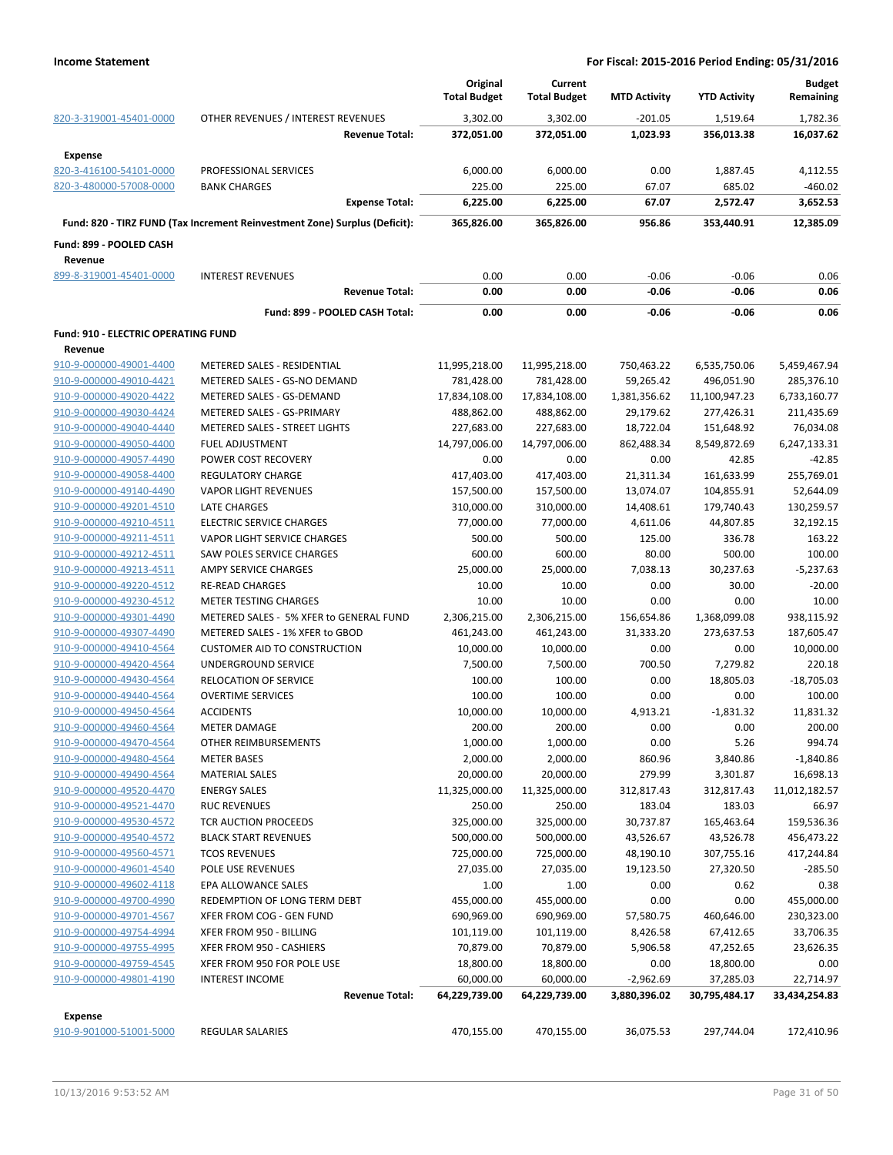|                                                    |                                                                            | Original<br><b>Total Budget</b> | Current<br><b>Total Budget</b> | <b>MTD Activity</b> | <b>YTD Activity</b> | <b>Budget</b><br>Remaining |
|----------------------------------------------------|----------------------------------------------------------------------------|---------------------------------|--------------------------------|---------------------|---------------------|----------------------------|
| 820-3-319001-45401-0000                            | OTHER REVENUES / INTEREST REVENUES                                         | 3,302.00                        | 3,302.00                       | $-201.05$           | 1,519.64            | 1,782.36                   |
|                                                    | <b>Revenue Total:</b>                                                      | 372,051.00                      | 372,051.00                     | 1,023.93            | 356,013.38          | 16,037.62                  |
| <b>Expense</b>                                     | PROFESSIONAL SERVICES                                                      |                                 |                                | 0.00                |                     |                            |
| 820-3-416100-54101-0000<br>820-3-480000-57008-0000 | <b>BANK CHARGES</b>                                                        | 6,000.00                        | 6,000.00<br>225.00             | 67.07               | 1,887.45            | 4,112.55                   |
|                                                    | <b>Expense Total:</b>                                                      | 225.00<br>6,225.00              | 6,225.00                       | 67.07               | 685.02<br>2,572.47  | $-460.02$<br>3,652.53      |
|                                                    |                                                                            |                                 |                                |                     |                     |                            |
|                                                    | Fund: 820 - TIRZ FUND (Tax Increment Reinvestment Zone) Surplus (Deficit): | 365,826.00                      | 365,826.00                     | 956.86              | 353,440.91          | 12,385.09                  |
| Fund: 899 - POOLED CASH<br>Revenue                 |                                                                            |                                 |                                |                     |                     |                            |
| 899-8-319001-45401-0000                            | <b>INTEREST REVENUES</b>                                                   | 0.00                            | 0.00                           | $-0.06$             | $-0.06$             | 0.06                       |
|                                                    | <b>Revenue Total:</b>                                                      | 0.00                            | 0.00                           | $-0.06$             | $-0.06$             | 0.06                       |
|                                                    | Fund: 899 - POOLED CASH Total:                                             | 0.00                            | 0.00                           | $-0.06$             | $-0.06$             | 0.06                       |
| <b>Fund: 910 - ELECTRIC OPERATING FUND</b>         |                                                                            |                                 |                                |                     |                     |                            |
| Revenue                                            |                                                                            |                                 |                                |                     |                     |                            |
| 910-9-000000-49001-4400                            | METERED SALES - RESIDENTIAL                                                | 11,995,218.00                   | 11,995,218.00                  | 750,463.22          | 6,535,750.06        | 5,459,467.94               |
| 910-9-000000-49010-4421                            | METERED SALES - GS-NO DEMAND                                               | 781,428.00                      | 781,428.00                     | 59,265.42           | 496,051.90          | 285,376.10                 |
| 910-9-000000-49020-4422                            | METERED SALES - GS-DEMAND                                                  | 17,834,108.00                   | 17,834,108.00                  | 1,381,356.62        | 11,100,947.23       | 6,733,160.77               |
| 910-9-000000-49030-4424                            | METERED SALES - GS-PRIMARY                                                 | 488,862.00                      | 488,862.00                     | 29,179.62           | 277,426.31          | 211,435.69                 |
| 910-9-000000-49040-4440                            | METERED SALES - STREET LIGHTS                                              | 227,683.00                      | 227,683.00                     | 18,722.04           | 151,648.92          | 76,034.08                  |
| 910-9-000000-49050-4400                            | <b>FUEL ADJUSTMENT</b>                                                     | 14,797,006.00                   | 14,797,006.00                  | 862,488.34          | 8,549,872.69        | 6,247,133.31               |
| 910-9-000000-49057-4490                            | POWER COST RECOVERY                                                        | 0.00                            | 0.00                           | 0.00                | 42.85               | $-42.85$                   |
| 910-9-000000-49058-4400                            | <b>REGULATORY CHARGE</b>                                                   | 417,403.00                      | 417,403.00                     | 21,311.34           | 161,633.99          | 255,769.01                 |
| 910-9-000000-49140-4490                            | <b>VAPOR LIGHT REVENUES</b>                                                | 157,500.00                      | 157,500.00                     | 13,074.07           | 104,855.91          | 52,644.09                  |
| 910-9-000000-49201-4510                            | <b>LATE CHARGES</b>                                                        | 310,000.00                      | 310,000.00                     | 14,408.61           | 179,740.43          | 130,259.57                 |
| 910-9-000000-49210-4511                            | <b>ELECTRIC SERVICE CHARGES</b>                                            | 77,000.00                       | 77,000.00                      | 4,611.06            | 44,807.85           | 32,192.15                  |
| 910-9-000000-49211-4511                            | VAPOR LIGHT SERVICE CHARGES                                                | 500.00                          | 500.00                         | 125.00              | 336.78              | 163.22                     |
| 910-9-000000-49212-4511                            | <b>SAW POLES SERVICE CHARGES</b>                                           | 600.00                          | 600.00                         | 80.00               | 500.00              | 100.00                     |
| 910-9-000000-49213-4511                            | AMPY SERVICE CHARGES                                                       | 25,000.00                       | 25,000.00                      | 7,038.13            | 30,237.63           | $-5,237.63$                |
| 910-9-000000-49220-4512                            | <b>RE-READ CHARGES</b>                                                     | 10.00                           | 10.00                          | 0.00                | 30.00               | $-20.00$                   |
| 910-9-000000-49230-4512                            | METER TESTING CHARGES                                                      | 10.00                           | 10.00                          | 0.00                | 0.00                | 10.00                      |
| 910-9-000000-49301-4490                            | METERED SALES - 5% XFER to GENERAL FUND                                    | 2,306,215.00                    | 2,306,215.00                   | 156,654.86          | 1,368,099.08        | 938,115.92                 |
| 910-9-000000-49307-4490                            | METERED SALES - 1% XFER to GBOD                                            | 461,243.00                      | 461,243.00                     | 31,333.20           | 273,637.53          | 187,605.47                 |
| 910-9-000000-49410-4564                            | <b>CUSTOMER AID TO CONSTRUCTION</b>                                        | 10,000.00                       | 10,000.00                      | 0.00                | 0.00                | 10,000.00                  |
| 910-9-000000-49420-4564                            | UNDERGROUND SERVICE                                                        | 7,500.00                        | 7,500.00                       | 700.50              | 7,279.82            | 220.18                     |
| 910-9-000000-49430-4564                            | RELOCATION OF SERVICE                                                      | 100.00                          | 100.00                         | 0.00                | 18,805.03           | $-18,705.03$               |
| 910-9-000000-49440-4564                            | <b>OVERTIME SERVICES</b>                                                   | 100.00                          | 100.00                         | 0.00                | 0.00                | 100.00                     |
| 910-9-000000-49450-4564                            | <b>ACCIDENTS</b>                                                           | 10,000.00                       | 10,000.00                      |                     |                     |                            |
|                                                    |                                                                            |                                 |                                | 4,913.21            | $-1,831.32$         | 11,831.32<br>200.00        |
| 910-9-000000-49460-4564                            | METER DAMAGE                                                               | 200.00                          | 200.00                         | 0.00                | 0.00                |                            |
| 910-9-000000-49470-4564                            | OTHER REIMBURSEMENTS                                                       | 1,000.00                        | 1,000.00                       | 0.00                | 5.26                | 994.74                     |
| 910-9-000000-49480-4564                            | <b>METER BASES</b>                                                         | 2,000.00                        | 2,000.00                       | 860.96              | 3,840.86            | $-1,840.86$                |
| 910-9-000000-49490-4564                            | <b>MATERIAL SALES</b>                                                      | 20,000.00                       | 20,000.00                      | 279.99              | 3,301.87            | 16,698.13                  |
| 910-9-000000-49520-4470                            | <b>ENERGY SALES</b>                                                        | 11,325,000.00                   | 11,325,000.00                  | 312,817.43          | 312,817.43          | 11,012,182.57              |
| 910-9-000000-49521-4470                            | <b>RUC REVENUES</b>                                                        | 250.00                          | 250.00                         | 183.04              | 183.03              | 66.97                      |
| 910-9-000000-49530-4572                            | TCR AUCTION PROCEEDS                                                       | 325,000.00                      | 325,000.00                     | 30,737.87           | 165,463.64          | 159,536.36                 |
| 910-9-000000-49540-4572                            | <b>BLACK START REVENUES</b>                                                | 500,000.00                      | 500,000.00                     | 43,526.67           | 43,526.78           | 456,473.22                 |
| 910-9-000000-49560-4571                            | <b>TCOS REVENUES</b>                                                       | 725,000.00                      | 725,000.00                     | 48,190.10           | 307,755.16          | 417,244.84                 |
| 910-9-000000-49601-4540                            | POLE USE REVENUES                                                          | 27,035.00                       | 27,035.00                      | 19,123.50           | 27,320.50           | $-285.50$                  |
| 910-9-000000-49602-4118                            | EPA ALLOWANCE SALES                                                        | 1.00                            | 1.00                           | 0.00                | 0.62                | 0.38                       |
| 910-9-000000-49700-4990                            | REDEMPTION OF LONG TERM DEBT                                               | 455,000.00                      | 455,000.00                     | 0.00                | 0.00                | 455,000.00                 |
| 910-9-000000-49701-4567                            | XFER FROM COG - GEN FUND                                                   | 690,969.00                      | 690,969.00                     | 57,580.75           | 460,646.00          | 230,323.00                 |
| 910-9-000000-49754-4994                            | XFER FROM 950 - BILLING                                                    | 101,119.00                      | 101,119.00                     | 8,426.58            | 67,412.65           | 33,706.35                  |
| 910-9-000000-49755-4995                            | XFER FROM 950 - CASHIERS                                                   | 70,879.00                       | 70,879.00                      | 5,906.58            | 47,252.65           | 23,626.35                  |
| 910-9-000000-49759-4545                            | XFER FROM 950 FOR POLE USE                                                 | 18,800.00                       | 18,800.00                      | 0.00                | 18,800.00           | 0.00                       |
| 910-9-000000-49801-4190                            | <b>INTEREST INCOME</b>                                                     | 60,000.00                       | 60,000.00                      | $-2,962.69$         | 37,285.03           | 22,714.97                  |
|                                                    | <b>Revenue Total:</b>                                                      | 64,229,739.00                   | 64,229,739.00                  | 3,880,396.02        | 30,795,484.17       | 33,434,254.83              |
| Expense                                            |                                                                            |                                 |                                |                     |                     |                            |
| 910-9-901000-51001-5000                            | <b>REGULAR SALARIES</b>                                                    | 470,155.00                      | 470,155.00                     | 36,075.53           | 297,744.04          | 172,410.96                 |
|                                                    |                                                                            |                                 |                                |                     |                     |                            |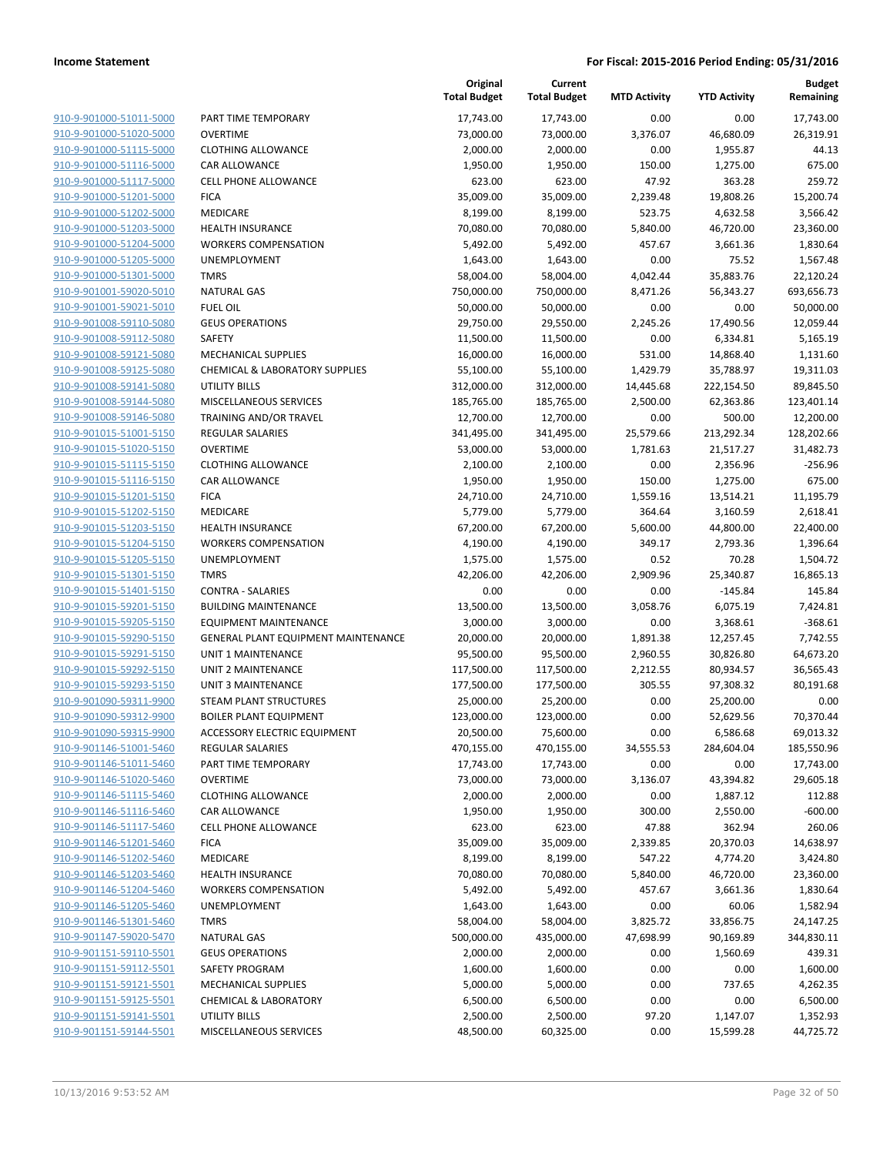| 910-9-901000-51011-5000        |
|--------------------------------|
| 910-9-901000-51020-5000        |
| 910-9-901000-51115-5000        |
| <u>910-9-901000-51116-5000</u> |
| 910-9-901000-51117-5000        |
| 910-9-901000-51201-5000        |
| 910-9-901000-51202-5000        |
| 910-9-901000-51203-5000        |
| <u>910-9-901000-51204-5000</u> |
| 910-9-901000-51205-5000        |
| 910-9-901000-51301-5000        |
| 910-9-901001-59020-5010        |
| 910-9-901001-59021-5010        |
| <u>910-9-901008-59110-5080</u> |
| 910-9-901008-59112-5080        |
| 910-9-901008-59121-<br>$-5080$ |
| 910-9-901008-59125-5080        |
| <u>910-9-901008-59141-5080</u> |
| <u>910-9-901008-59144-5080</u> |
| 910-9-901008-59146-5080        |
| 910-9-901015-51001-<br>-5150   |
| 910-9-901015-51020-5150        |
| <u>910-9-901015-51115-5150</u> |
| <u>910-9-901015-51116-5150</u> |
| 910-9-901015-51201-5150        |
| 910-9-901015-51202-5150        |
| 910-9-901015-51203-5150        |
| 910-9-901015-51204-5150        |
| <u>910-9-901015-51205-5150</u> |
| 910-9-901015-51301-5150        |
| 910-9-901015-51401-<br>-5150   |
| 910-9-901015-59201-5150        |
| <u>910-9-901015-59205-5150</u> |
| <u>910-9-901015-59290-5150</u> |
| 910-9-901015-59291-5150        |
| 910-9-901015-59292-5150        |
| 910-9-901015-59293-5150        |
| <u>910-9-901090-59311-9900</u> |
| <u>910-9-901090-59312-9900</u> |
| 910-9-901090-59315-9900        |
| 910-9-901146-51001-5460        |
| 910-9-901146-51011-5460        |
| 910-9-901146-51020-5460        |
| 910-9-901146-51115-5460        |
| 910-9-901146-51116-5460        |
| 910-9-901146-51117-5460        |
| 910-9-901146-51201-5460        |
| 910-9-901146-51202-5460        |
|                                |
| <u>910-9-901146-51203-5460</u> |
| 910-9-901146-51204-5460        |
| 910-9-901146-51205-5460        |
| 910-9-901146-51301-5460        |
| 910-9-901147-59020-5470        |
| 910-9-901151-59110-5501        |
| 910-9-901151-59112-5501        |
| 910-9-901151-59121-5501        |
| 910-9-901151-59125-5501        |
| 910-9-901151-59141-5501        |
| 910-9-901151-59144-5501        |
|                                |

|                                                    |                                                        | Original<br><b>Total Budget</b> | Current<br><b>Total Budget</b> | <b>MTD Activity</b> | <b>YTD Activity</b> | Budget<br>Remaining   |
|----------------------------------------------------|--------------------------------------------------------|---------------------------------|--------------------------------|---------------------|---------------------|-----------------------|
| 910-9-901000-51011-5000                            | PART TIME TEMPORARY                                    | 17,743.00                       | 17,743.00                      | 0.00                | 0.00                | 17,743.00             |
| 910-9-901000-51020-5000                            | <b>OVERTIME</b>                                        | 73,000.00                       | 73,000.00                      | 3,376.07            | 46,680.09           | 26,319.91             |
| 910-9-901000-51115-5000                            | <b>CLOTHING ALLOWANCE</b>                              | 2,000.00                        | 2,000.00                       | 0.00                | 1,955.87            | 44.13                 |
| 910-9-901000-51116-5000                            | <b>CAR ALLOWANCE</b>                                   | 1,950.00                        | 1,950.00                       | 150.00              | 1,275.00            | 675.00                |
| 910-9-901000-51117-5000                            | <b>CELL PHONE ALLOWANCE</b>                            | 623.00                          | 623.00                         | 47.92               | 363.28              | 259.72                |
| 910-9-901000-51201-5000                            | <b>FICA</b>                                            | 35,009.00                       | 35,009.00                      | 2,239.48            | 19,808.26           | 15,200.74             |
| 910-9-901000-51202-5000                            | <b>MEDICARE</b>                                        | 8,199.00                        | 8,199.00                       | 523.75              | 4,632.58            | 3,566.42              |
| 910-9-901000-51203-5000                            | <b>HEALTH INSURANCE</b>                                | 70,080.00                       | 70,080.00                      | 5,840.00            | 46,720.00           | 23,360.00             |
| 910-9-901000-51204-5000                            | <b>WORKERS COMPENSATION</b>                            | 5,492.00                        | 5,492.00                       | 457.67              | 3,661.36            | 1,830.64              |
| 910-9-901000-51205-5000                            | <b>UNEMPLOYMENT</b>                                    | 1,643.00                        | 1,643.00                       | 0.00                | 75.52               | 1,567.48              |
| 910-9-901000-51301-5000                            | <b>TMRS</b>                                            | 58,004.00                       | 58,004.00                      | 4,042.44            | 35,883.76           | 22,120.24             |
| 910-9-901001-59020-5010                            | <b>NATURAL GAS</b>                                     | 750,000.00                      | 750,000.00                     | 8,471.26            | 56,343.27           | 693,656.73            |
| 910-9-901001-59021-5010                            | <b>FUEL OIL</b>                                        | 50,000.00                       | 50,000.00                      | 0.00                | 0.00                | 50,000.00             |
| 910-9-901008-59110-5080                            | <b>GEUS OPERATIONS</b>                                 | 29,750.00                       | 29,550.00                      | 2,245.26            | 17,490.56           | 12,059.44             |
| 910-9-901008-59112-5080                            | SAFETY                                                 | 11,500.00                       | 11,500.00                      | 0.00                | 6,334.81            | 5,165.19              |
| 910-9-901008-59121-5080                            | <b>MECHANICAL SUPPLIES</b>                             | 16,000.00                       | 16,000.00                      | 531.00              | 14,868.40           | 1,131.60              |
| 910-9-901008-59125-5080                            | <b>CHEMICAL &amp; LABORATORY SUPPLIES</b>              | 55,100.00                       | 55,100.00                      | 1,429.79            | 35,788.97           | 19,311.03             |
| 910-9-901008-59141-5080                            | <b>UTILITY BILLS</b>                                   | 312,000.00                      | 312,000.00                     | 14,445.68           | 222,154.50          | 89,845.50             |
| 910-9-901008-59144-5080                            | MISCELLANEOUS SERVICES                                 | 185,765.00                      | 185,765.00                     | 2,500.00            | 62,363.86           | 123,401.14            |
| 910-9-901008-59146-5080                            | TRAINING AND/OR TRAVEL                                 | 12,700.00                       | 12,700.00                      | 0.00                | 500.00              | 12,200.00             |
| 910-9-901015-51001-5150                            | <b>REGULAR SALARIES</b>                                | 341,495.00                      | 341,495.00                     | 25,579.66           | 213,292.34          | 128,202.66            |
| 910-9-901015-51020-5150                            | <b>OVERTIME</b>                                        | 53,000.00                       | 53,000.00                      | 1,781.63            | 21,517.27           | 31,482.73             |
| 910-9-901015-51115-5150                            | <b>CLOTHING ALLOWANCE</b>                              | 2,100.00                        | 2,100.00                       | 0.00                | 2,356.96            | $-256.96$             |
| 910-9-901015-51116-5150                            | CAR ALLOWANCE                                          | 1,950.00                        | 1,950.00                       | 150.00              | 1,275.00            | 675.00                |
| 910-9-901015-51201-5150                            | <b>FICA</b>                                            | 24,710.00                       | 24,710.00                      | 1,559.16            | 13,514.21           | 11,195.79             |
| 910-9-901015-51202-5150                            | <b>MEDICARE</b>                                        | 5,779.00                        | 5,779.00                       | 364.64              | 3,160.59            | 2,618.41              |
| 910-9-901015-51203-5150<br>910-9-901015-51204-5150 | <b>HEALTH INSURANCE</b><br><b>WORKERS COMPENSATION</b> | 67,200.00                       | 67,200.00                      | 5,600.00            | 44,800.00           | 22,400.00             |
| 910-9-901015-51205-5150                            | <b>UNEMPLOYMENT</b>                                    | 4,190.00                        | 4,190.00                       | 349.17              | 2,793.36<br>70.28   | 1,396.64              |
| 910-9-901015-51301-5150                            | <b>TMRS</b>                                            | 1,575.00<br>42,206.00           | 1,575.00<br>42,206.00          | 0.52<br>2,909.96    | 25,340.87           | 1,504.72<br>16,865.13 |
| 910-9-901015-51401-5150                            | <b>CONTRA - SALARIES</b>                               | 0.00                            | 0.00                           | 0.00                | $-145.84$           | 145.84                |
| 910-9-901015-59201-5150                            | <b>BUILDING MAINTENANCE</b>                            | 13,500.00                       | 13,500.00                      | 3,058.76            | 6,075.19            | 7,424.81              |
| 910-9-901015-59205-5150                            | <b>EQUIPMENT MAINTENANCE</b>                           | 3,000.00                        | 3,000.00                       | 0.00                | 3,368.61            | $-368.61$             |
| 910-9-901015-59290-5150                            | GENERAL PLANT EQUIPMENT MAINTENANCE                    | 20,000.00                       | 20,000.00                      | 1,891.38            | 12,257.45           | 7,742.55              |
| 910-9-901015-59291-5150                            | <b>UNIT 1 MAINTENANCE</b>                              | 95,500.00                       | 95,500.00                      | 2,960.55            | 30,826.80           | 64,673.20             |
| 910-9-901015-59292-5150                            | <b>UNIT 2 MAINTENANCE</b>                              | 117,500.00                      | 117,500.00                     | 2,212.55            | 80,934.57           | 36,565.43             |
| 910-9-901015-59293-5150                            | <b>UNIT 3 MAINTENANCE</b>                              | 177,500.00                      | 177,500.00                     | 305.55              | 97,308.32           | 80,191.68             |
| 910-9-901090-59311-9900                            | STEAM PLANT STRUCTURES                                 | 25,000.00                       | 25,200.00                      | 0.00                | 25,200.00           | 0.00                  |
| 910-9-901090-59312-9900                            | <b>BOILER PLANT EQUIPMENT</b>                          | 123,000.00                      | 123,000.00                     | 0.00                | 52,629.56           | 70,370.44             |
| 910-9-901090-59315-9900                            | ACCESSORY ELECTRIC EQUIPMENT                           | 20,500.00                       | 75,600.00                      | 0.00                | 6,586.68            | 69,013.32             |
| 910-9-901146-51001-5460                            | <b>REGULAR SALARIES</b>                                | 470,155.00                      | 470,155.00                     | 34,555.53           | 284,604.04          | 185,550.96            |
| 910-9-901146-51011-5460                            | PART TIME TEMPORARY                                    | 17,743.00                       | 17,743.00                      | 0.00                | 0.00                | 17,743.00             |
| 910-9-901146-51020-5460                            | <b>OVERTIME</b>                                        | 73,000.00                       | 73,000.00                      | 3,136.07            | 43,394.82           | 29,605.18             |
| 910-9-901146-51115-5460                            | <b>CLOTHING ALLOWANCE</b>                              | 2,000.00                        | 2,000.00                       | 0.00                | 1,887.12            | 112.88                |
| 910-9-901146-51116-5460                            | CAR ALLOWANCE                                          | 1,950.00                        | 1,950.00                       | 300.00              | 2,550.00            | $-600.00$             |
| 910-9-901146-51117-5460                            | <b>CELL PHONE ALLOWANCE</b>                            | 623.00                          | 623.00                         | 47.88               | 362.94              | 260.06                |
| 910-9-901146-51201-5460                            | <b>FICA</b>                                            | 35,009.00                       | 35,009.00                      | 2,339.85            | 20,370.03           | 14,638.97             |
| 910-9-901146-51202-5460                            | MEDICARE                                               | 8,199.00                        | 8,199.00                       | 547.22              | 4,774.20            | 3,424.80              |
| 910-9-901146-51203-5460                            | <b>HEALTH INSURANCE</b>                                | 70,080.00                       | 70,080.00                      | 5,840.00            | 46,720.00           | 23,360.00             |
| 910-9-901146-51204-5460                            | <b>WORKERS COMPENSATION</b>                            | 5,492.00                        | 5,492.00                       | 457.67              | 3,661.36            | 1,830.64              |
| 910-9-901146-51205-5460                            | UNEMPLOYMENT                                           | 1,643.00                        | 1,643.00                       | 0.00                | 60.06               | 1,582.94              |
| 910-9-901146-51301-5460                            | <b>TMRS</b>                                            | 58,004.00                       | 58,004.00                      | 3,825.72            | 33,856.75           | 24,147.25             |
| 910-9-901147-59020-5470                            | <b>NATURAL GAS</b>                                     | 500,000.00                      | 435,000.00                     | 47,698.99           | 90,169.89           | 344,830.11            |
| 910-9-901151-59110-5501                            | <b>GEUS OPERATIONS</b>                                 | 2,000.00                        | 2,000.00                       | 0.00                | 1,560.69            | 439.31                |
| 910-9-901151-59112-5501                            | SAFETY PROGRAM                                         | 1,600.00                        | 1,600.00                       | 0.00                | 0.00                | 1,600.00              |
| 910-9-901151-59121-5501                            | MECHANICAL SUPPLIES                                    | 5,000.00                        | 5,000.00                       | 0.00                | 737.65              | 4,262.35              |
| 910-9-901151-59125-5501                            | <b>CHEMICAL &amp; LABORATORY</b>                       | 6,500.00                        | 6,500.00                       | 0.00                | 0.00                | 6,500.00              |
| 910-9-901151-59141-5501                            | UTILITY BILLS                                          | 2,500.00                        | 2,500.00                       | 97.20               | 1,147.07            | 1,352.93              |
| 910-9-901151-59144-5501                            | MISCELLANEOUS SERVICES                                 | 48,500.00                       | 60,325.00                      | 0.00                | 15,599.28           | 44,725.72             |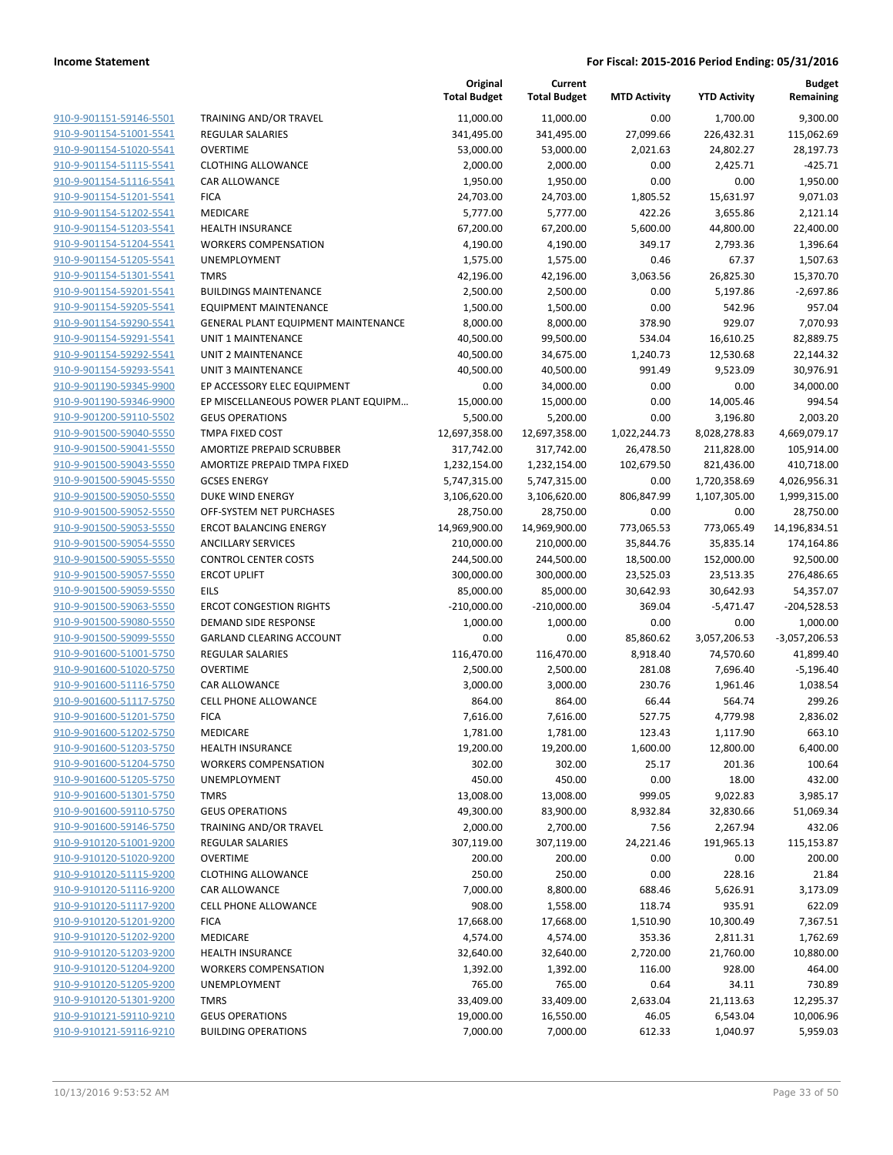|                                                    |                                                               | Original<br><b>Total Budget</b> | Current<br><b>Total Budget</b> | <b>MTD Activity</b> | <b>YTD Activity</b>   | <b>Budget</b><br>Remaining |
|----------------------------------------------------|---------------------------------------------------------------|---------------------------------|--------------------------------|---------------------|-----------------------|----------------------------|
| 910-9-901151-59146-5501                            | TRAINING AND/OR TRAVEL                                        | 11,000.00                       | 11,000.00                      | 0.00                | 1,700.00              | 9,300.00                   |
| 910-9-901154-51001-5541                            | REGULAR SALARIES                                              | 341,495.00                      | 341,495.00                     | 27,099.66           | 226,432.31            | 115,062.69                 |
| 910-9-901154-51020-5541                            | <b>OVERTIME</b>                                               | 53,000.00                       | 53,000.00                      | 2,021.63            | 24,802.27             | 28,197.73                  |
| 910-9-901154-51115-5541                            | <b>CLOTHING ALLOWANCE</b>                                     | 2,000.00                        | 2,000.00                       | 0.00                | 2,425.71              | $-425.71$                  |
| 910-9-901154-51116-5541                            | CAR ALLOWANCE                                                 | 1,950.00                        | 1,950.00                       | 0.00                | 0.00                  | 1,950.00                   |
| 910-9-901154-51201-5541                            | <b>FICA</b>                                                   | 24,703.00                       | 24,703.00                      | 1,805.52            | 15,631.97             | 9,071.03                   |
| 910-9-901154-51202-5541                            | MEDICARE                                                      | 5,777.00                        | 5,777.00                       | 422.26              | 3,655.86              | 2,121.14                   |
| 910-9-901154-51203-5541                            | <b>HEALTH INSURANCE</b>                                       | 67,200.00                       | 67,200.00                      | 5,600.00            | 44,800.00             | 22,400.00                  |
| 910-9-901154-51204-5541                            | <b>WORKERS COMPENSATION</b>                                   | 4,190.00                        | 4,190.00                       | 349.17              | 2,793.36              | 1,396.64                   |
| 910-9-901154-51205-5541                            | UNEMPLOYMENT                                                  | 1,575.00                        | 1,575.00                       | 0.46                | 67.37                 | 1,507.63                   |
| 910-9-901154-51301-5541                            | <b>TMRS</b>                                                   | 42,196.00                       | 42,196.00                      | 3,063.56            | 26,825.30             | 15,370.70                  |
| 910-9-901154-59201-5541                            | <b>BUILDINGS MAINTENANCE</b>                                  | 2,500.00                        | 2,500.00                       | 0.00                | 5,197.86              | $-2,697.86$                |
| 910-9-901154-59205-5541                            | <b>EQUIPMENT MAINTENANCE</b>                                  | 1,500.00                        | 1,500.00                       | 0.00                | 542.96                | 957.04                     |
| 910-9-901154-59290-5541                            | <b>GENERAL PLANT EQUIPMENT MAINTENANCE</b>                    | 8,000.00                        | 8,000.00                       | 378.90              | 929.07                | 7,070.93                   |
| 910-9-901154-59291-5541                            | <b>UNIT 1 MAINTENANCE</b>                                     | 40,500.00                       | 99,500.00                      | 534.04              | 16,610.25             | 82,889.75                  |
| 910-9-901154-59292-5541                            | <b>UNIT 2 MAINTENANCE</b>                                     | 40,500.00                       | 34,675.00                      | 1,240.73            | 12,530.68             | 22,144.32                  |
| 910-9-901154-59293-5541                            | <b>UNIT 3 MAINTENANCE</b>                                     | 40,500.00                       | 40,500.00                      | 991.49              | 9,523.09              | 30,976.91                  |
| 910-9-901190-59345-9900                            | EP ACCESSORY ELEC EQUIPMENT                                   | 0.00                            | 34,000.00                      | 0.00                | 0.00                  | 34,000.00                  |
| 910-9-901190-59346-9900                            | EP MISCELLANEOUS POWER PLANT EQUIPM<br><b>GEUS OPERATIONS</b> | 15,000.00<br>5,500.00           | 15,000.00<br>5,200.00          | 0.00<br>0.00        | 14,005.46<br>3,196.80 | 994.54                     |
| 910-9-901200-59110-5502<br>910-9-901500-59040-5550 | TMPA FIXED COST                                               | 12,697,358.00                   | 12,697,358.00                  | 1,022,244.73        | 8,028,278.83          | 2,003.20<br>4,669,079.17   |
| 910-9-901500-59041-5550                            | AMORTIZE PREPAID SCRUBBER                                     | 317,742.00                      | 317,742.00                     | 26,478.50           | 211,828.00            | 105,914.00                 |
| 910-9-901500-59043-5550                            | AMORTIZE PREPAID TMPA FIXED                                   | 1,232,154.00                    | 1,232,154.00                   | 102,679.50          | 821,436.00            | 410,718.00                 |
| 910-9-901500-59045-5550                            | <b>GCSES ENERGY</b>                                           | 5,747,315.00                    | 5,747,315.00                   | 0.00                | 1,720,358.69          | 4,026,956.31               |
| 910-9-901500-59050-5550                            | <b>DUKE WIND ENERGY</b>                                       | 3,106,620.00                    | 3,106,620.00                   | 806,847.99          | 1,107,305.00          | 1,999,315.00               |
| 910-9-901500-59052-5550                            | OFF-SYSTEM NET PURCHASES                                      | 28,750.00                       | 28,750.00                      | 0.00                | 0.00                  | 28,750.00                  |
| 910-9-901500-59053-5550                            | <b>ERCOT BALANCING ENERGY</b>                                 | 14,969,900.00                   | 14,969,900.00                  | 773,065.53          | 773,065.49            | 14,196,834.51              |
| 910-9-901500-59054-5550                            | <b>ANCILLARY SERVICES</b>                                     | 210,000.00                      | 210,000.00                     | 35,844.76           | 35,835.14             | 174,164.86                 |
| 910-9-901500-59055-5550                            | <b>CONTROL CENTER COSTS</b>                                   | 244,500.00                      | 244,500.00                     | 18,500.00           | 152,000.00            | 92,500.00                  |
| 910-9-901500-59057-5550                            | <b>ERCOT UPLIFT</b>                                           | 300,000.00                      | 300,000.00                     | 23,525.03           | 23,513.35             | 276,486.65                 |
| 910-9-901500-59059-5550                            | <b>EILS</b>                                                   | 85,000.00                       | 85,000.00                      | 30,642.93           | 30,642.93             | 54,357.07                  |
| 910-9-901500-59063-5550                            | <b>ERCOT CONGESTION RIGHTS</b>                                | $-210,000.00$                   | $-210,000.00$                  | 369.04              | $-5,471.47$           | $-204,528.53$              |
| 910-9-901500-59080-5550                            | DEMAND SIDE RESPONSE                                          | 1,000.00                        | 1,000.00                       | 0.00                | 0.00                  | 1,000.00                   |
| 910-9-901500-59099-5550                            | <b>GARLAND CLEARING ACCOUNT</b>                               | 0.00                            | 0.00                           | 85,860.62           | 3,057,206.53          | $-3,057,206.53$            |
| 910-9-901600-51001-5750                            | <b>REGULAR SALARIES</b>                                       | 116,470.00                      | 116,470.00                     | 8,918.40            | 74,570.60             | 41,899.40                  |
| 910-9-901600-51020-5750                            | <b>OVERTIME</b>                                               | 2,500.00                        | 2,500.00                       | 281.08              | 7,696.40              | $-5,196.40$                |
| 910-9-901600-51116-5750                            | CAR ALLOWANCE                                                 | 3,000.00                        | 3,000.00                       | 230.76              | 1,961.46              | 1,038.54                   |
| 910-9-901600-51117-5750                            | <b>CELL PHONE ALLOWANCE</b>                                   | 864.00                          | 864.00                         | 66.44               | 564.74                | 299.26                     |
| 910-9-901600-51201-5750                            | <b>FICA</b>                                                   | 7,616.00                        | 7,616.00                       | 527.75              | 4,779.98              | 2,836.02                   |
| 910-9-901600-51202-5750                            | MEDICARE                                                      | 1,781.00                        | 1,781.00                       | 123.43              | 1,117.90              | 663.10                     |
| 910-9-901600-51203-5750<br>910-9-901600-51204-5750 | <b>HEALTH INSURANCE</b><br><b>WORKERS COMPENSATION</b>        | 19,200.00<br>302.00             | 19,200.00<br>302.00            | 1,600.00<br>25.17   | 12,800.00<br>201.36   | 6,400.00<br>100.64         |
| 910-9-901600-51205-5750                            | UNEMPLOYMENT                                                  | 450.00                          | 450.00                         | 0.00                | 18.00                 | 432.00                     |
| 910-9-901600-51301-5750                            | <b>TMRS</b>                                                   | 13,008.00                       | 13,008.00                      | 999.05              | 9,022.83              | 3,985.17                   |
| 910-9-901600-59110-5750                            | <b>GEUS OPERATIONS</b>                                        | 49,300.00                       | 83,900.00                      | 8,932.84            | 32,830.66             | 51,069.34                  |
| 910-9-901600-59146-5750                            | TRAINING AND/OR TRAVEL                                        | 2,000.00                        | 2,700.00                       | 7.56                | 2,267.94              | 432.06                     |
| 910-9-910120-51001-9200                            | REGULAR SALARIES                                              | 307,119.00                      | 307,119.00                     | 24,221.46           | 191,965.13            | 115,153.87                 |
| 910-9-910120-51020-9200                            | <b>OVERTIME</b>                                               | 200.00                          | 200.00                         | 0.00                | 0.00                  | 200.00                     |
| 910-9-910120-51115-9200                            | <b>CLOTHING ALLOWANCE</b>                                     | 250.00                          | 250.00                         | 0.00                | 228.16                | 21.84                      |
| 910-9-910120-51116-9200                            | CAR ALLOWANCE                                                 | 7,000.00                        | 8,800.00                       | 688.46              | 5,626.91              | 3,173.09                   |
| 910-9-910120-51117-9200                            | <b>CELL PHONE ALLOWANCE</b>                                   | 908.00                          | 1,558.00                       | 118.74              | 935.91                | 622.09                     |
| 910-9-910120-51201-9200                            | <b>FICA</b>                                                   | 17,668.00                       | 17,668.00                      | 1,510.90            | 10,300.49             | 7,367.51                   |
| 910-9-910120-51202-9200                            | MEDICARE                                                      | 4,574.00                        | 4,574.00                       | 353.36              | 2,811.31              | 1,762.69                   |
| 910-9-910120-51203-9200                            | <b>HEALTH INSURANCE</b>                                       | 32,640.00                       | 32,640.00                      | 2,720.00            | 21,760.00             | 10,880.00                  |
| 910-9-910120-51204-9200                            | <b>WORKERS COMPENSATION</b>                                   | 1,392.00                        | 1,392.00                       | 116.00              | 928.00                | 464.00                     |
| 910-9-910120-51205-9200                            | UNEMPLOYMENT                                                  | 765.00                          | 765.00                         | 0.64                | 34.11                 | 730.89                     |
| 910-9-910120-51301-9200                            | <b>TMRS</b>                                                   | 33,409.00                       | 33,409.00                      | 2,633.04            | 21,113.63             | 12,295.37                  |
| 910-9-910121-59110-9210                            | <b>GEUS OPERATIONS</b>                                        | 19,000.00                       | 16,550.00                      | 46.05               | 6,543.04              | 10,006.96                  |
| 910-9-910121-59116-9210                            | <b>BUILDING OPERATIONS</b>                                    | 7,000.00                        | 7,000.00                       | 612.33              | 1,040.97              | 5,959.03                   |
|                                                    |                                                               |                                 |                                |                     |                       |                            |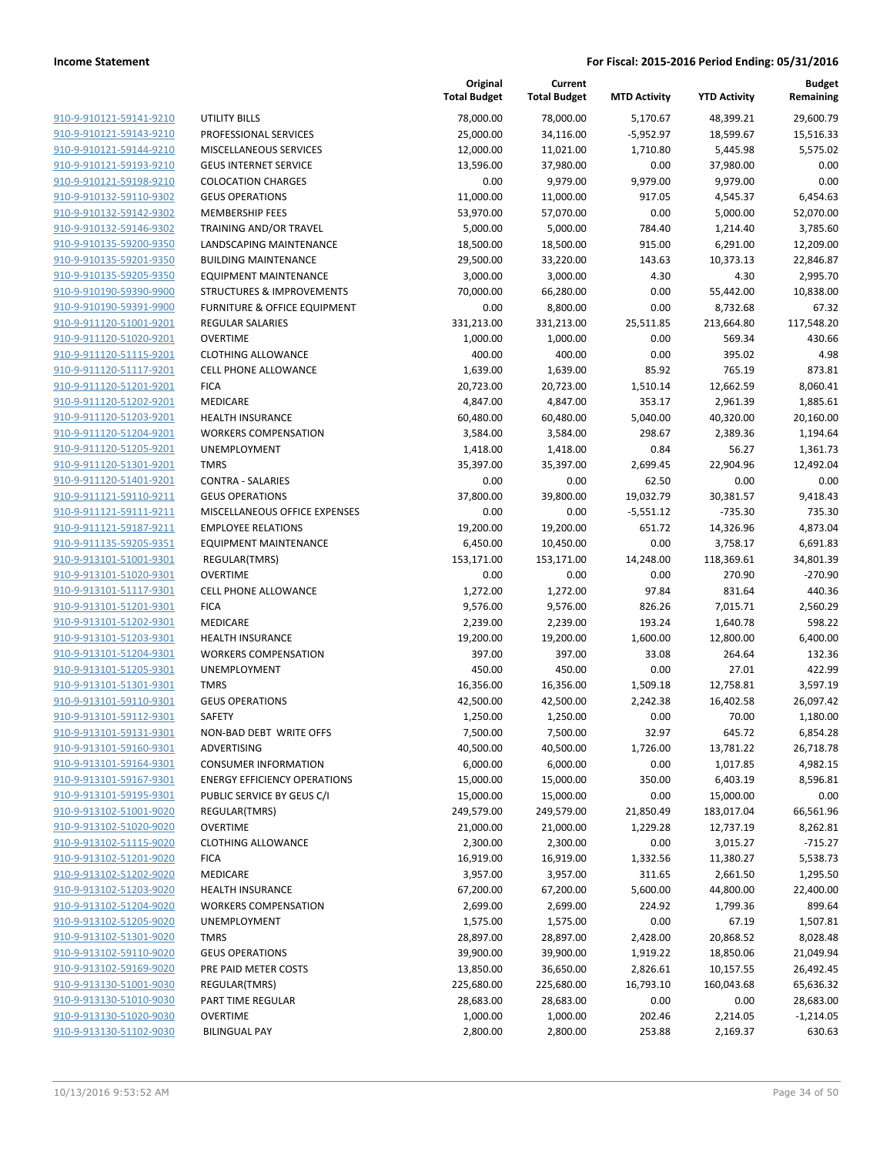|                         |                                      | Original<br><b>Total Budget</b> | Current<br><b>Total Budget</b> | <b>MTD Activity</b> | <b>YTD Activity</b> | <b>Budget</b><br>Remaining |
|-------------------------|--------------------------------------|---------------------------------|--------------------------------|---------------------|---------------------|----------------------------|
| 910-9-910121-59141-9210 | <b>UTILITY BILLS</b>                 | 78,000.00                       | 78,000.00                      | 5,170.67            | 48,399.21           | 29,600.79                  |
| 910-9-910121-59143-9210 | PROFESSIONAL SERVICES                | 25,000.00                       | 34,116.00                      | $-5,952.97$         | 18,599.67           | 15,516.33                  |
| 910-9-910121-59144-9210 | <b>MISCELLANEOUS SERVICES</b>        | 12,000.00                       | 11,021.00                      | 1,710.80            | 5,445.98            | 5,575.02                   |
| 910-9-910121-59193-9210 | <b>GEUS INTERNET SERVICE</b>         | 13,596.00                       | 37,980.00                      | 0.00                | 37,980.00           | 0.00                       |
| 910-9-910121-59198-9210 | <b>COLOCATION CHARGES</b>            | 0.00                            | 9,979.00                       | 9,979.00            | 9,979.00            | 0.00                       |
| 910-9-910132-59110-9302 | <b>GEUS OPERATIONS</b>               | 11,000.00                       | 11,000.00                      | 917.05              | 4,545.37            | 6,454.63                   |
| 910-9-910132-59142-9302 | <b>MEMBERSHIP FEES</b>               | 53,970.00                       | 57,070.00                      | 0.00                | 5,000.00            | 52,070.00                  |
| 910-9-910132-59146-9302 | TRAINING AND/OR TRAVEL               | 5,000.00                        | 5,000.00                       | 784.40              | 1,214.40            | 3,785.60                   |
| 910-9-910135-59200-9350 | LANDSCAPING MAINTENANCE              | 18,500.00                       | 18,500.00                      | 915.00              | 6,291.00            | 12,209.00                  |
| 910-9-910135-59201-9350 | <b>BUILDING MAINTENANCE</b>          | 29,500.00                       | 33,220.00                      | 143.63              | 10,373.13           | 22,846.87                  |
| 910-9-910135-59205-9350 | <b>EQUIPMENT MAINTENANCE</b>         | 3,000.00                        | 3,000.00                       | 4.30                | 4.30                | 2,995.70                   |
| 910-9-910190-59390-9900 | <b>STRUCTURES &amp; IMPROVEMENTS</b> | 70,000.00                       | 66,280.00                      | 0.00                | 55,442.00           | 10,838.00                  |
| 910-9-910190-59391-9900 | FURNITURE & OFFICE EQUIPMENT         | 0.00                            | 8,800.00                       | 0.00                | 8,732.68            | 67.32                      |
| 910-9-911120-51001-9201 | <b>REGULAR SALARIES</b>              | 331,213.00                      | 331,213.00                     | 25,511.85           | 213,664.80          | 117,548.20                 |
| 910-9-911120-51020-9201 | <b>OVERTIME</b>                      | 1,000.00                        | 1,000.00                       | 0.00                | 569.34              | 430.66                     |
| 910-9-911120-51115-9201 | <b>CLOTHING ALLOWANCE</b>            | 400.00                          | 400.00                         | 0.00                | 395.02              | 4.98                       |
| 910-9-911120-51117-9201 | <b>CELL PHONE ALLOWANCE</b>          | 1,639.00                        | 1,639.00                       | 85.92               | 765.19              | 873.81                     |
| 910-9-911120-51201-9201 | <b>FICA</b>                          | 20,723.00                       | 20,723.00                      | 1,510.14            | 12,662.59           | 8,060.41                   |
| 910-9-911120-51202-9201 | <b>MEDICARE</b>                      | 4,847.00                        | 4,847.00                       | 353.17              | 2,961.39            | 1,885.61                   |
| 910-9-911120-51203-9201 | <b>HEALTH INSURANCE</b>              | 60,480.00                       | 60,480.00                      | 5,040.00            | 40,320.00           | 20,160.00                  |
| 910-9-911120-51204-9201 | <b>WORKERS COMPENSATION</b>          | 3,584.00                        | 3,584.00                       | 298.67              | 2,389.36            | 1,194.64                   |
| 910-9-911120-51205-9201 | UNEMPLOYMENT                         | 1,418.00                        | 1,418.00                       | 0.84                | 56.27               | 1,361.73                   |
| 910-9-911120-51301-9201 | <b>TMRS</b>                          | 35,397.00                       | 35,397.00                      | 2,699.45            | 22,904.96           | 12,492.04                  |
| 910-9-911120-51401-9201 | <b>CONTRA - SALARIES</b>             | 0.00                            | 0.00                           | 62.50               | 0.00                | 0.00                       |
| 910-9-911121-59110-9211 | <b>GEUS OPERATIONS</b>               | 37,800.00                       | 39,800.00                      | 19,032.79           | 30,381.57           | 9,418.43                   |
| 910-9-911121-59111-9211 | MISCELLANEOUS OFFICE EXPENSES        | 0.00                            | 0.00                           | $-5,551.12$         | $-735.30$           | 735.30                     |
| 910-9-911121-59187-9211 | <b>EMPLOYEE RELATIONS</b>            | 19,200.00                       | 19,200.00                      | 651.72              | 14,326.96           | 4,873.04                   |
| 910-9-911135-59205-9351 | <b>EQUIPMENT MAINTENANCE</b>         | 6,450.00                        | 10,450.00                      | 0.00                | 3,758.17            | 6,691.83                   |
| 910-9-913101-51001-9301 | REGULAR(TMRS)                        | 153,171.00                      | 153,171.00                     | 14,248.00           | 118,369.61          | 34,801.39                  |
| 910-9-913101-51020-9301 | <b>OVERTIME</b>                      | 0.00                            | 0.00                           | 0.00                | 270.90              | $-270.90$                  |
| 910-9-913101-51117-9301 | <b>CELL PHONE ALLOWANCE</b>          | 1,272.00                        | 1,272.00                       | 97.84               | 831.64              | 440.36                     |
| 910-9-913101-51201-9301 | <b>FICA</b>                          | 9,576.00                        | 9,576.00                       | 826.26              | 7,015.71            | 2,560.29                   |
| 910-9-913101-51202-9301 | <b>MEDICARE</b>                      | 2,239.00                        | 2,239.00                       | 193.24              | 1,640.78            | 598.22                     |
| 910-9-913101-51203-9301 | <b>HEALTH INSURANCE</b>              | 19,200.00                       | 19,200.00                      | 1,600.00            | 12,800.00           | 6,400.00                   |
| 910-9-913101-51204-9301 | <b>WORKERS COMPENSATION</b>          | 397.00                          | 397.00                         | 33.08               | 264.64              | 132.36                     |
| 910-9-913101-51205-9301 | UNEMPLOYMENT                         | 450.00                          | 450.00                         | 0.00                | 27.01               | 422.99                     |
| 910-9-913101-51301-9301 | <b>TMRS</b>                          | 16,356.00                       | 16,356.00                      | 1,509.18            | 12,758.81           | 3,597.19                   |
| 910-9-913101-59110-9301 | <b>GEUS OPERATIONS</b>               | 42,500.00                       | 42,500.00                      | 2,242.38            | 16,402.58           | 26,097.42                  |
| 910-9-913101-59112-9301 | SAFETY                               | 1,250.00                        | 1,250.00                       | 0.00                | 70.00               | 1,180.00                   |
| 910-9-913101-59131-9301 | NON-BAD DEBT WRITE OFFS              | 7,500.00                        | 7,500.00                       | 32.97               | 645.72              | 6,854.28                   |
| 910-9-913101-59160-9301 | ADVERTISING                          | 40,500.00                       | 40,500.00                      | 1,726.00            | 13,781.22           | 26,718.78                  |
| 910-9-913101-59164-9301 | <b>CONSUMER INFORMATION</b>          | 6,000.00                        | 6,000.00                       | 0.00                | 1,017.85            | 4,982.15                   |
| 910-9-913101-59167-9301 | <b>ENERGY EFFICIENCY OPERATIONS</b>  | 15,000.00                       | 15,000.00                      | 350.00              | 6,403.19            | 8,596.81                   |
| 910-9-913101-59195-9301 | PUBLIC SERVICE BY GEUS C/I           | 15,000.00                       | 15,000.00                      | 0.00                | 15,000.00           | 0.00                       |
| 910-9-913102-51001-9020 | REGULAR(TMRS)                        | 249,579.00                      | 249,579.00                     | 21,850.49           | 183,017.04          | 66,561.96                  |
| 910-9-913102-51020-9020 | <b>OVERTIME</b>                      | 21,000.00                       | 21,000.00                      | 1,229.28            | 12,737.19           | 8,262.81                   |
| 910-9-913102-51115-9020 | <b>CLOTHING ALLOWANCE</b>            | 2,300.00                        | 2,300.00                       | 0.00                | 3,015.27            | $-715.27$                  |
| 910-9-913102-51201-9020 | <b>FICA</b>                          | 16,919.00                       | 16,919.00                      | 1,332.56            | 11,380.27           | 5,538.73                   |
| 910-9-913102-51202-9020 | <b>MEDICARE</b>                      | 3,957.00                        | 3,957.00                       | 311.65              | 2,661.50            | 1,295.50                   |
| 910-9-913102-51203-9020 | HEALTH INSURANCE                     | 67,200.00                       | 67,200.00                      | 5,600.00            | 44,800.00           | 22,400.00                  |
| 910-9-913102-51204-9020 | <b>WORKERS COMPENSATION</b>          | 2,699.00                        | 2,699.00                       | 224.92              | 1,799.36            | 899.64                     |
| 910-9-913102-51205-9020 | UNEMPLOYMENT                         | 1,575.00                        | 1,575.00                       | 0.00                | 67.19               | 1,507.81                   |
| 910-9-913102-51301-9020 | <b>TMRS</b>                          | 28,897.00                       | 28,897.00                      | 2,428.00            | 20,868.52           | 8,028.48                   |
| 910-9-913102-59110-9020 | <b>GEUS OPERATIONS</b>               | 39,900.00                       | 39,900.00                      | 1,919.22            | 18,850.06           | 21,049.94                  |
| 910-9-913102-59169-9020 | PRE PAID METER COSTS                 | 13,850.00                       | 36,650.00                      | 2,826.61            | 10,157.55           | 26,492.45                  |
| 910-9-913130-51001-9030 | REGULAR(TMRS)                        | 225,680.00                      | 225,680.00                     | 16,793.10           | 160,043.68          | 65,636.32                  |
| 910-9-913130-51010-9030 | PART TIME REGULAR                    | 28,683.00                       | 28,683.00                      | 0.00                | 0.00                | 28,683.00                  |
| 910-9-913130-51020-9030 | <b>OVERTIME</b>                      | 1,000.00                        | 1,000.00                       | 202.46              | 2,214.05            | $-1,214.05$                |
| 910-9-913130-51102-9030 | <b>BILINGUAL PAY</b>                 | 2,800.00                        | 2,800.00                       | 253.88              | 2,169.37            | 630.63                     |
|                         |                                      |                                 |                                |                     |                     |                            |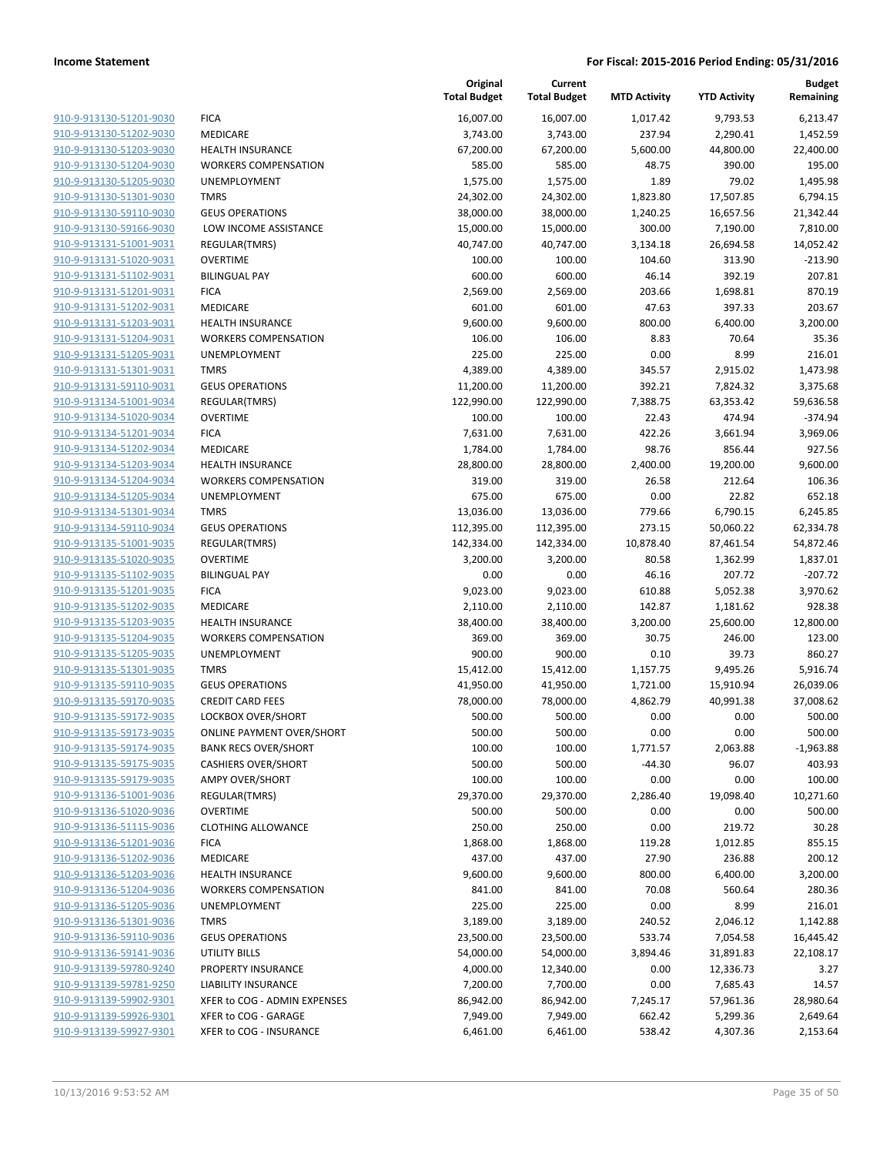|                         |                                  | Original<br><b>Total Budget</b> | Current<br><b>Total Budget</b> | <b>MTD Activity</b> | <b>YTD Activity</b> | <b>Budget</b><br>Remaining |
|-------------------------|----------------------------------|---------------------------------|--------------------------------|---------------------|---------------------|----------------------------|
| 910-9-913130-51201-9030 | <b>FICA</b>                      | 16,007.00                       | 16,007.00                      | 1,017.42            | 9,793.53            | 6,213.47                   |
| 910-9-913130-51202-9030 | MEDICARE                         | 3,743.00                        | 3,743.00                       | 237.94              | 2,290.41            | 1,452.59                   |
| 910-9-913130-51203-9030 | <b>HEALTH INSURANCE</b>          | 67,200.00                       | 67,200.00                      | 5,600.00            | 44,800.00           | 22,400.00                  |
| 910-9-913130-51204-9030 | <b>WORKERS COMPENSATION</b>      | 585.00                          | 585.00                         | 48.75               | 390.00              | 195.00                     |
| 910-9-913130-51205-9030 | UNEMPLOYMENT                     | 1,575.00                        | 1,575.00                       | 1.89                | 79.02               | 1,495.98                   |
| 910-9-913130-51301-9030 | <b>TMRS</b>                      | 24,302.00                       | 24,302.00                      | 1,823.80            | 17,507.85           | 6,794.15                   |
| 910-9-913130-59110-9030 | <b>GEUS OPERATIONS</b>           | 38,000.00                       | 38,000.00                      | 1,240.25            | 16,657.56           | 21,342.44                  |
| 910-9-913130-59166-9030 | LOW INCOME ASSISTANCE            | 15,000.00                       | 15,000.00                      | 300.00              | 7,190.00            | 7,810.00                   |
| 910-9-913131-51001-9031 | REGULAR(TMRS)                    | 40,747.00                       | 40,747.00                      | 3,134.18            | 26,694.58           | 14,052.42                  |
| 910-9-913131-51020-9031 | <b>OVERTIME</b>                  | 100.00                          | 100.00                         | 104.60              | 313.90              | $-213.90$                  |
| 910-9-913131-51102-9031 | <b>BILINGUAL PAY</b>             | 600.00                          | 600.00                         | 46.14               | 392.19              | 207.81                     |
| 910-9-913131-51201-9031 | <b>FICA</b>                      | 2,569.00                        | 2,569.00                       | 203.66              | 1,698.81            | 870.19                     |
| 910-9-913131-51202-9031 | MEDICARE                         | 601.00                          | 601.00                         | 47.63               | 397.33              | 203.67                     |
| 910-9-913131-51203-9031 | <b>HEALTH INSURANCE</b>          | 9,600.00                        | 9,600.00                       | 800.00              | 6,400.00            | 3,200.00                   |
| 910-9-913131-51204-9031 | <b>WORKERS COMPENSATION</b>      | 106.00                          | 106.00                         | 8.83                | 70.64               | 35.36                      |
| 910-9-913131-51205-9031 | UNEMPLOYMENT                     | 225.00                          | 225.00                         | 0.00                | 8.99                | 216.01                     |
| 910-9-913131-51301-9031 | <b>TMRS</b>                      | 4,389.00                        | 4,389.00                       | 345.57              | 2,915.02            | 1,473.98                   |
| 910-9-913131-59110-9031 | <b>GEUS OPERATIONS</b>           | 11,200.00                       | 11,200.00                      | 392.21              | 7,824.32            | 3,375.68                   |
| 910-9-913134-51001-9034 | REGULAR(TMRS)                    | 122,990.00                      | 122,990.00                     | 7,388.75            | 63,353.42           | 59,636.58                  |
| 910-9-913134-51020-9034 | <b>OVERTIME</b>                  | 100.00                          | 100.00                         | 22.43               | 474.94              | $-374.94$                  |
| 910-9-913134-51201-9034 | <b>FICA</b>                      | 7,631.00                        | 7,631.00                       | 422.26              | 3,661.94            | 3,969.06                   |
| 910-9-913134-51202-9034 | MEDICARE                         | 1,784.00                        | 1,784.00                       | 98.76               | 856.44              | 927.56                     |
| 910-9-913134-51203-9034 | <b>HEALTH INSURANCE</b>          | 28,800.00                       | 28,800.00                      | 2,400.00            | 19,200.00           | 9,600.00                   |
| 910-9-913134-51204-9034 | <b>WORKERS COMPENSATION</b>      | 319.00                          | 319.00                         | 26.58               | 212.64              | 106.36                     |
| 910-9-913134-51205-9034 | UNEMPLOYMENT                     | 675.00                          | 675.00                         | 0.00                | 22.82               | 652.18                     |
| 910-9-913134-51301-9034 | <b>TMRS</b>                      | 13,036.00                       | 13,036.00                      | 779.66              | 6,790.15            | 6,245.85                   |
| 910-9-913134-59110-9034 | <b>GEUS OPERATIONS</b>           | 112,395.00                      | 112,395.00                     | 273.15              | 50,060.22           | 62,334.78                  |
| 910-9-913135-51001-9035 | REGULAR(TMRS)                    | 142,334.00                      | 142,334.00                     | 10,878.40           | 87,461.54           | 54,872.46                  |
| 910-9-913135-51020-9035 | <b>OVERTIME</b>                  | 3,200.00                        | 3,200.00                       | 80.58               | 1,362.99            | 1,837.01                   |
| 910-9-913135-51102-9035 | <b>BILINGUAL PAY</b>             | 0.00                            | 0.00                           | 46.16               | 207.72              | $-207.72$                  |
| 910-9-913135-51201-9035 | <b>FICA</b>                      | 9,023.00                        | 9,023.00                       | 610.88              | 5,052.38            | 3,970.62                   |
| 910-9-913135-51202-9035 | MEDICARE                         | 2,110.00                        | 2,110.00                       | 142.87              | 1,181.62            | 928.38                     |
| 910-9-913135-51203-9035 | <b>HEALTH INSURANCE</b>          | 38,400.00                       | 38,400.00                      | 3,200.00            | 25,600.00           | 12,800.00                  |
| 910-9-913135-51204-9035 | <b>WORKERS COMPENSATION</b>      | 369.00                          | 369.00                         | 30.75               | 246.00              | 123.00                     |
| 910-9-913135-51205-9035 | UNEMPLOYMENT                     | 900.00                          | 900.00                         | 0.10                | 39.73               | 860.27                     |
| 910-9-913135-51301-9035 | <b>TMRS</b>                      | 15,412.00                       | 15,412.00                      | 1,157.75            | 9,495.26            | 5,916.74                   |
| 910-9-913135-59110-9035 | <b>GEUS OPERATIONS</b>           | 41,950.00                       | 41,950.00                      | 1,721.00            | 15,910.94           | 26,039.06                  |
| 910-9-913135-59170-9035 | <b>CREDIT CARD FEES</b>          | 78,000.00                       | 78,000.00                      | 4,862.79            | 40,991.38           | 37,008.62                  |
| 910-9-913135-59172-9035 | <b>LOCKBOX OVER/SHORT</b>        | 500.00                          | 500.00                         | 0.00                | 0.00                | 500.00                     |
| 910-9-913135-59173-9035 | <b>ONLINE PAYMENT OVER/SHORT</b> | 500.00                          | 500.00                         | 0.00                | 0.00                | 500.00                     |
| 910-9-913135-59174-9035 | <b>BANK RECS OVER/SHORT</b>      | 100.00                          | 100.00                         | 1,771.57            | 2,063.88            | $-1,963.88$                |
| 910-9-913135-59175-9035 | <b>CASHIERS OVER/SHORT</b>       | 500.00                          | 500.00                         | $-44.30$            | 96.07               | 403.93                     |
| 910-9-913135-59179-9035 | <b>AMPY OVER/SHORT</b>           | 100.00                          | 100.00                         | 0.00                | 0.00                | 100.00                     |
| 910-9-913136-51001-9036 | REGULAR(TMRS)                    | 29,370.00                       | 29,370.00                      | 2,286.40            | 19,098.40           | 10,271.60                  |
| 910-9-913136-51020-9036 | <b>OVERTIME</b>                  | 500.00                          | 500.00                         | 0.00                | 0.00                | 500.00                     |
| 910-9-913136-51115-9036 | <b>CLOTHING ALLOWANCE</b>        | 250.00                          | 250.00                         | 0.00                | 219.72              | 30.28                      |
| 910-9-913136-51201-9036 | <b>FICA</b>                      | 1,868.00                        | 1,868.00                       | 119.28              | 1,012.85            | 855.15                     |
| 910-9-913136-51202-9036 | <b>MEDICARE</b>                  | 437.00                          | 437.00                         | 27.90               | 236.88              | 200.12                     |
| 910-9-913136-51203-9036 | <b>HEALTH INSURANCE</b>          | 9,600.00                        | 9,600.00                       | 800.00              | 6,400.00            | 3,200.00                   |
| 910-9-913136-51204-9036 | <b>WORKERS COMPENSATION</b>      | 841.00                          | 841.00                         | 70.08               | 560.64              | 280.36                     |
| 910-9-913136-51205-9036 | <b>UNEMPLOYMENT</b>              | 225.00                          | 225.00                         | 0.00                | 8.99                | 216.01                     |
| 910-9-913136-51301-9036 | <b>TMRS</b>                      | 3,189.00                        | 3,189.00                       | 240.52              | 2,046.12            | 1,142.88                   |
| 910-9-913136-59110-9036 | <b>GEUS OPERATIONS</b>           | 23,500.00                       | 23,500.00                      | 533.74              | 7,054.58            | 16,445.42                  |
| 910-9-913136-59141-9036 | UTILITY BILLS                    | 54,000.00                       | 54,000.00                      | 3,894.46            | 31,891.83           | 22,108.17                  |
| 910-9-913139-59780-9240 | PROPERTY INSURANCE               | 4,000.00                        | 12,340.00                      | 0.00                | 12,336.73           | 3.27                       |
| 910-9-913139-59781-9250 | LIABILITY INSURANCE              | 7,200.00                        | 7,700.00                       | 0.00                | 7,685.43            | 14.57                      |
| 910-9-913139-59902-9301 | XFER to COG - ADMIN EXPENSES     | 86,942.00                       | 86,942.00                      | 7,245.17            | 57,961.36           | 28,980.64                  |
| 910-9-913139-59926-9301 | XFER to COG - GARAGE             | 7,949.00                        | 7,949.00                       | 662.42              | 5,299.36            | 2,649.64                   |
| 910-9-913139-59927-9301 | XFER to COG - INSURANCE          | 6,461.00                        | 6,461.00                       | 538.42              | 4,307.36            | 2,153.64                   |
|                         |                                  |                                 |                                |                     |                     |                            |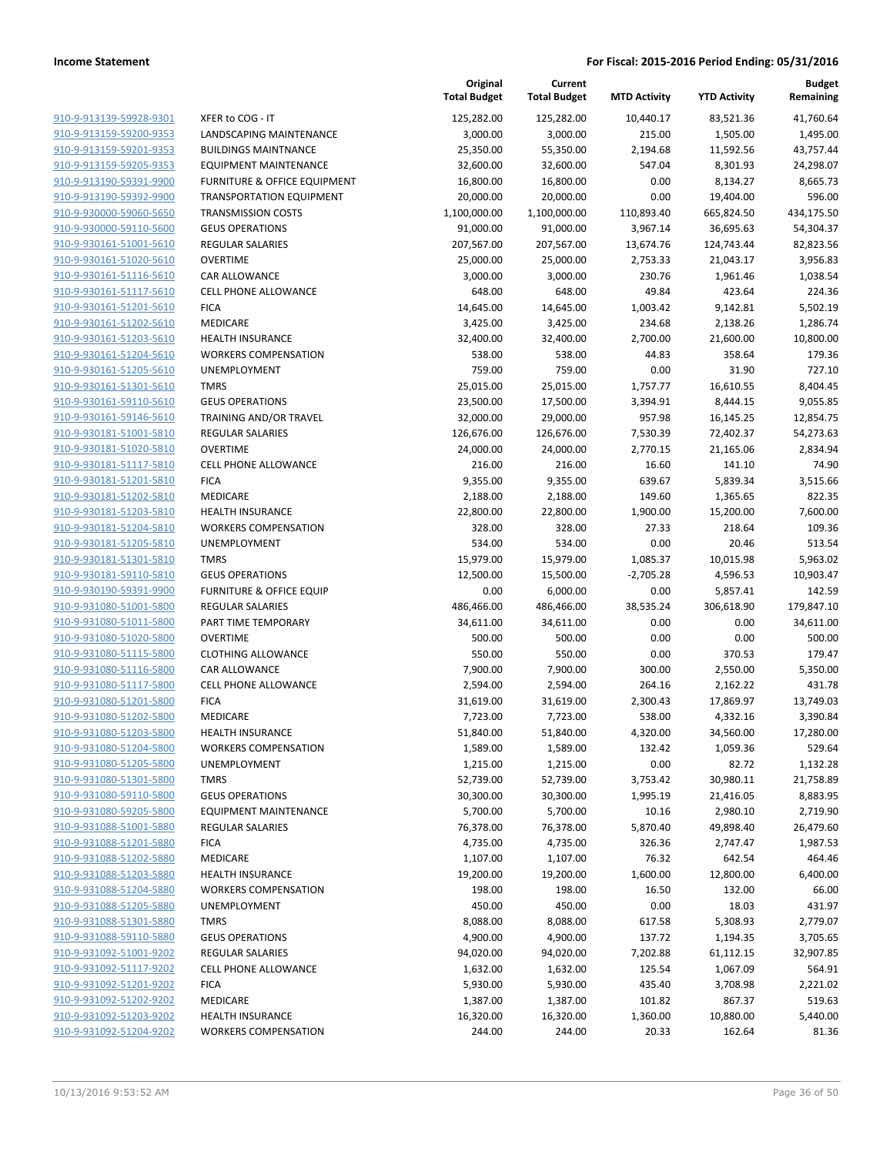|                         |                                     | Original<br><b>Total Budget</b> | Current<br><b>Total Budget</b> | <b>MTD Activity</b> | <b>YTD Activity</b> | <b>Budget</b><br>Remaining |
|-------------------------|-------------------------------------|---------------------------------|--------------------------------|---------------------|---------------------|----------------------------|
| 910-9-913139-59928-9301 | XFER to COG - IT                    | 125,282.00                      | 125,282.00                     | 10,440.17           | 83,521.36           | 41,760.64                  |
| 910-9-913159-59200-9353 | LANDSCAPING MAINTENANCE             | 3,000.00                        | 3,000.00                       | 215.00              | 1,505.00            | 1,495.00                   |
| 910-9-913159-59201-9353 | <b>BUILDINGS MAINTNANCE</b>         | 25,350.00                       | 55,350.00                      | 2,194.68            | 11,592.56           | 43,757.44                  |
| 910-9-913159-59205-9353 | <b>EQUIPMENT MAINTENANCE</b>        | 32,600.00                       | 32,600.00                      | 547.04              | 8,301.93            | 24,298.07                  |
| 910-9-913190-59391-9900 | FURNITURE & OFFICE EQUIPMENT        | 16,800.00                       | 16,800.00                      | 0.00                | 8,134.27            | 8,665.73                   |
| 910-9-913190-59392-9900 | <b>TRANSPORTATION EQUIPMENT</b>     | 20,000.00                       | 20,000.00                      | 0.00                | 19,404.00           | 596.00                     |
| 910-9-930000-59060-5650 | <b>TRANSMISSION COSTS</b>           | 1,100,000.00                    | 1,100,000.00                   | 110,893.40          | 665,824.50          | 434,175.50                 |
| 910-9-930000-59110-5600 | <b>GEUS OPERATIONS</b>              | 91,000.00                       | 91,000.00                      | 3,967.14            | 36,695.63           | 54,304.37                  |
| 910-9-930161-51001-5610 | <b>REGULAR SALARIES</b>             | 207,567.00                      | 207,567.00                     | 13,674.76           | 124,743.44          | 82,823.56                  |
| 910-9-930161-51020-5610 | <b>OVERTIME</b>                     | 25,000.00                       | 25,000.00                      | 2,753.33            | 21,043.17           | 3,956.83                   |
| 910-9-930161-51116-5610 | CAR ALLOWANCE                       | 3,000.00                        | 3,000.00                       | 230.76              | 1,961.46            | 1,038.54                   |
| 910-9-930161-51117-5610 | <b>CELL PHONE ALLOWANCE</b>         | 648.00                          | 648.00                         | 49.84               | 423.64              | 224.36                     |
| 910-9-930161-51201-5610 | <b>FICA</b>                         | 14,645.00                       | 14,645.00                      | 1,003.42            | 9,142.81            | 5,502.19                   |
| 910-9-930161-51202-5610 | MEDICARE                            | 3,425.00                        | 3,425.00                       | 234.68              | 2,138.26            | 1,286.74                   |
| 910-9-930161-51203-5610 | HEALTH INSURANCE                    | 32,400.00                       | 32,400.00                      | 2,700.00            | 21,600.00           | 10,800.00                  |
| 910-9-930161-51204-5610 | <b>WORKERS COMPENSATION</b>         | 538.00                          | 538.00                         | 44.83               | 358.64              | 179.36                     |
| 910-9-930161-51205-5610 | UNEMPLOYMENT                        | 759.00                          | 759.00                         | 0.00                | 31.90               | 727.10                     |
| 910-9-930161-51301-5610 | <b>TMRS</b>                         | 25,015.00                       | 25,015.00                      | 1,757.77            | 16,610.55           | 8,404.45                   |
| 910-9-930161-59110-5610 | <b>GEUS OPERATIONS</b>              | 23,500.00                       | 17,500.00                      | 3,394.91            | 8,444.15            | 9,055.85                   |
| 910-9-930161-59146-5610 | <b>TRAINING AND/OR TRAVEL</b>       | 32,000.00                       | 29,000.00                      | 957.98              | 16,145.25           | 12,854.75                  |
| 910-9-930181-51001-5810 | REGULAR SALARIES                    | 126,676.00                      | 126,676.00                     | 7,530.39            | 72,402.37           | 54,273.63                  |
| 910-9-930181-51020-5810 | <b>OVERTIME</b>                     | 24,000.00                       | 24,000.00                      | 2,770.15            | 21,165.06           | 2,834.94                   |
| 910-9-930181-51117-5810 | <b>CELL PHONE ALLOWANCE</b>         | 216.00                          | 216.00                         | 16.60               | 141.10              | 74.90                      |
| 910-9-930181-51201-5810 | <b>FICA</b>                         | 9,355.00                        | 9,355.00                       | 639.67              | 5,839.34            | 3,515.66                   |
| 910-9-930181-51202-5810 | MEDICARE                            | 2,188.00                        | 2,188.00                       | 149.60              | 1,365.65            | 822.35                     |
| 910-9-930181-51203-5810 | <b>HEALTH INSURANCE</b>             | 22,800.00                       | 22,800.00                      | 1,900.00            | 15,200.00           | 7,600.00                   |
| 910-9-930181-51204-5810 | <b>WORKERS COMPENSATION</b>         | 328.00                          | 328.00                         | 27.33               | 218.64              | 109.36                     |
| 910-9-930181-51205-5810 | UNEMPLOYMENT                        | 534.00                          | 534.00                         | 0.00                | 20.46               | 513.54                     |
| 910-9-930181-51301-5810 | <b>TMRS</b>                         | 15,979.00                       | 15,979.00                      | 1,085.37            | 10,015.98           | 5,963.02                   |
| 910-9-930181-59110-5810 | <b>GEUS OPERATIONS</b>              | 12,500.00                       | 15,500.00                      | $-2,705.28$         | 4,596.53            | 10,903.47                  |
| 910-9-930190-59391-9900 | <b>FURNITURE &amp; OFFICE EQUIP</b> | 0.00                            | 6,000.00                       | 0.00                | 5,857.41            | 142.59                     |
| 910-9-931080-51001-5800 | <b>REGULAR SALARIES</b>             | 486,466.00                      | 486,466.00                     | 38,535.24           | 306,618.90          | 179,847.10                 |
| 910-9-931080-51011-5800 | PART TIME TEMPORARY                 | 34,611.00                       | 34,611.00                      | 0.00                | 0.00                | 34,611.00                  |
| 910-9-931080-51020-5800 | <b>OVERTIME</b>                     | 500.00                          | 500.00                         | 0.00                | 0.00                | 500.00                     |
| 910-9-931080-51115-5800 | <b>CLOTHING ALLOWANCE</b>           | 550.00                          | 550.00                         | 0.00                | 370.53              | 179.47                     |
| 910-9-931080-51116-5800 | CAR ALLOWANCE                       | 7,900.00                        | 7,900.00                       | 300.00              | 2,550.00            | 5,350.00                   |
| 910-9-931080-51117-5800 | <b>CELL PHONE ALLOWANCE</b>         | 2,594.00                        | 2,594.00                       | 264.16              | 2,162.22            | 431.78                     |
| 910-9-931080-51201-5800 | <b>FICA</b>                         | 31,619.00                       | 31,619.00                      | 2,300.43            | 17,869.97           | 13,749.03                  |
| 910-9-931080-51202-5800 | MEDICARE                            | 7,723.00                        | 7,723.00                       | 538.00              | 4,332.16            | 3,390.84                   |
| 910-9-931080-51203-5800 | <b>HEALTH INSURANCE</b>             | 51,840.00                       | 51,840.00                      | 4,320.00            | 34,560.00           | 17,280.00                  |
| 910-9-931080-51204-5800 | <b>WORKERS COMPENSATION</b>         | 1,589.00                        | 1,589.00                       | 132.42              | 1,059.36            | 529.64                     |
| 910-9-931080-51205-5800 | UNEMPLOYMENT                        | 1,215.00                        | 1,215.00                       | 0.00                | 82.72               | 1,132.28                   |
| 910-9-931080-51301-5800 | <b>TMRS</b>                         | 52,739.00                       | 52,739.00                      | 3,753.42            | 30,980.11           | 21,758.89                  |
| 910-9-931080-59110-5800 | <b>GEUS OPERATIONS</b>              | 30,300.00                       | 30,300.00                      | 1,995.19            | 21,416.05           | 8,883.95                   |
| 910-9-931080-59205-5800 | <b>EQUIPMENT MAINTENANCE</b>        | 5,700.00                        | 5,700.00                       | 10.16               | 2,980.10            | 2,719.90                   |
| 910-9-931088-51001-5880 | <b>REGULAR SALARIES</b>             | 76,378.00                       | 76,378.00                      | 5,870.40            | 49,898.40           | 26,479.60                  |
| 910-9-931088-51201-5880 | <b>FICA</b>                         | 4,735.00                        | 4,735.00                       | 326.36              | 2,747.47            | 1,987.53                   |
| 910-9-931088-51202-5880 | MEDICARE                            | 1,107.00                        | 1,107.00                       | 76.32               | 642.54              | 464.46                     |
| 910-9-931088-51203-5880 | <b>HEALTH INSURANCE</b>             | 19,200.00                       | 19,200.00                      | 1,600.00            | 12,800.00           | 6,400.00                   |
| 910-9-931088-51204-5880 | <b>WORKERS COMPENSATION</b>         | 198.00                          | 198.00                         | 16.50               | 132.00              | 66.00                      |
| 910-9-931088-51205-5880 | UNEMPLOYMENT                        | 450.00                          | 450.00                         | 0.00                | 18.03               | 431.97                     |
| 910-9-931088-51301-5880 | <b>TMRS</b>                         | 8,088.00                        | 8,088.00                       | 617.58              | 5,308.93            | 2,779.07                   |
| 910-9-931088-59110-5880 | <b>GEUS OPERATIONS</b>              | 4,900.00                        | 4,900.00                       | 137.72              | 1,194.35            | 3,705.65                   |
| 910-9-931092-51001-9202 | <b>REGULAR SALARIES</b>             | 94,020.00                       | 94,020.00                      | 7,202.88            | 61,112.15           | 32,907.85                  |
| 910-9-931092-51117-9202 | CELL PHONE ALLOWANCE                | 1,632.00                        | 1,632.00                       | 125.54              | 1,067.09            | 564.91                     |
| 910-9-931092-51201-9202 | <b>FICA</b>                         | 5,930.00                        | 5,930.00                       | 435.40              | 3,708.98            | 2,221.02                   |
| 910-9-931092-51202-9202 | MEDICARE                            | 1,387.00                        | 1,387.00                       | 101.82              | 867.37              | 519.63                     |
| 910-9-931092-51203-9202 | <b>HEALTH INSURANCE</b>             | 16,320.00                       | 16,320.00                      | 1,360.00            | 10,880.00           | 5,440.00                   |
| 910-9-931092-51204-9202 | <b>WORKERS COMPENSATION</b>         | 244.00                          | 244.00                         | 20.33               | 162.64              | 81.36                      |
|                         |                                     |                                 |                                |                     |                     |                            |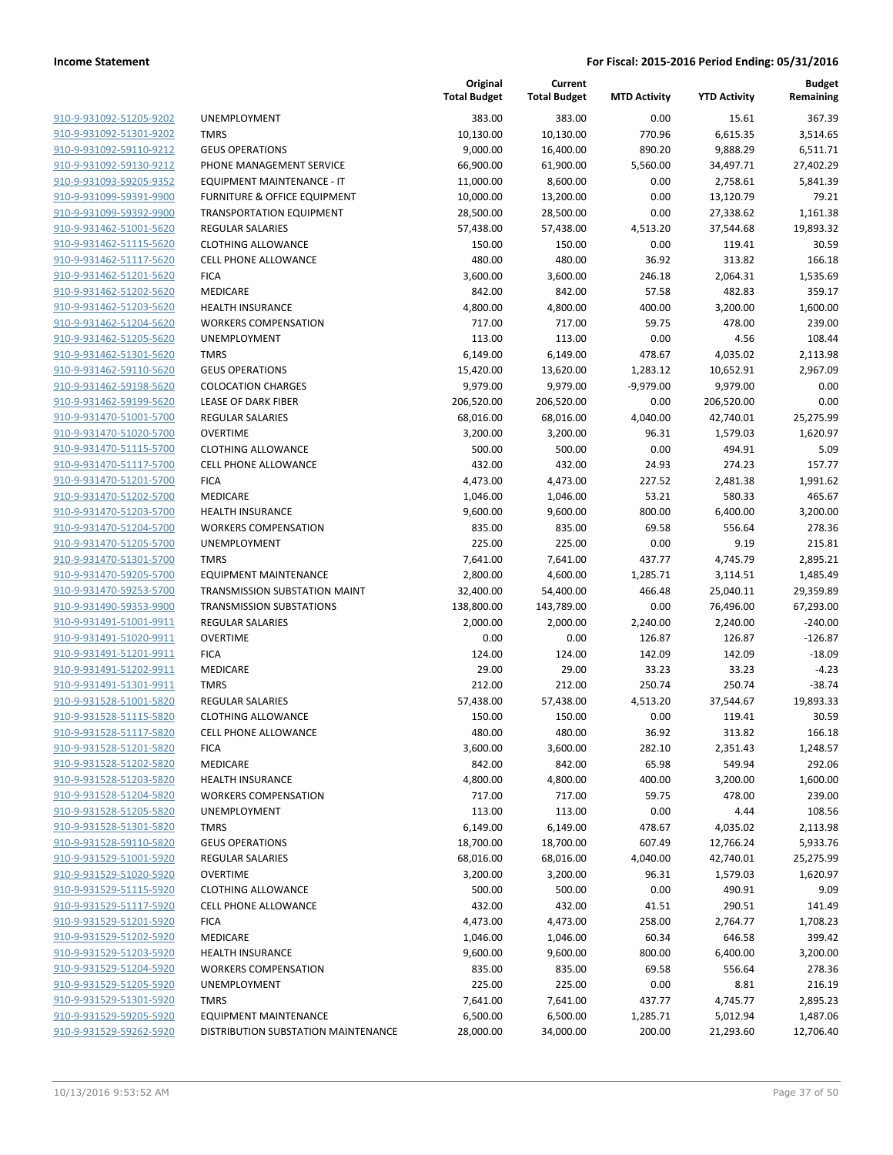|                                                    |                                                      | Original<br><b>Total Budget</b> | Current<br><b>Total Budget</b> | <b>MTD Activity</b> | <b>YTD Activity</b>     | Budget<br>Remaining |
|----------------------------------------------------|------------------------------------------------------|---------------------------------|--------------------------------|---------------------|-------------------------|---------------------|
| 910-9-931092-51205-9202                            | <b>UNEMPLOYMENT</b>                                  | 383.00                          | 383.00                         | 0.00                | 15.61                   | 367.39              |
| 910-9-931092-51301-9202                            | <b>TMRS</b>                                          | 10,130.00                       | 10,130.00                      | 770.96              | 6,615.35                | 3,514.65            |
| 910-9-931092-59110-9212                            | <b>GEUS OPERATIONS</b>                               | 9,000.00                        | 16,400.00                      | 890.20              | 9,888.29                | 6,511.71            |
| 910-9-931092-59130-9212                            | PHONE MANAGEMENT SERVICE                             | 66,900.00                       | 61,900.00                      | 5,560.00            | 34,497.71               | 27,402.29           |
| 910-9-931093-59205-9352                            | EQUIPMENT MAINTENANCE - IT                           | 11,000.00                       | 8,600.00                       | 0.00                | 2,758.61                | 5,841.39            |
| 910-9-931099-59391-9900                            | FURNITURE & OFFICE EQUIPMENT                         | 10,000.00                       | 13,200.00                      | 0.00                | 13,120.79               | 79.21               |
| 910-9-931099-59392-9900                            | <b>TRANSPORTATION EQUIPMENT</b>                      | 28,500.00                       | 28,500.00                      | 0.00                | 27,338.62               | 1,161.38            |
| 910-9-931462-51001-5620                            | <b>REGULAR SALARIES</b>                              | 57,438.00                       | 57,438.00                      | 4,513.20            | 37,544.68               | 19,893.32           |
| 910-9-931462-51115-5620                            | <b>CLOTHING ALLOWANCE</b>                            | 150.00                          | 150.00                         | 0.00                | 119.41                  | 30.59               |
| 910-9-931462-51117-5620                            | <b>CELL PHONE ALLOWANCE</b>                          | 480.00                          | 480.00                         | 36.92               | 313.82                  | 166.18              |
| 910-9-931462-51201-5620                            | <b>FICA</b>                                          | 3,600.00                        | 3,600.00                       | 246.18              | 2,064.31                | 1,535.69            |
| 910-9-931462-51202-5620                            | MEDICARE                                             | 842.00                          | 842.00                         | 57.58               | 482.83                  | 359.17              |
| 910-9-931462-51203-5620                            | <b>HEALTH INSURANCE</b>                              | 4,800.00                        | 4,800.00                       | 400.00              | 3,200.00                | 1,600.00            |
| 910-9-931462-51204-5620                            | <b>WORKERS COMPENSATION</b>                          | 717.00                          | 717.00                         | 59.75               | 478.00                  | 239.00              |
| 910-9-931462-51205-5620                            | <b>UNEMPLOYMENT</b>                                  | 113.00                          | 113.00                         | 0.00                | 4.56                    | 108.44              |
| 910-9-931462-51301-5620                            | <b>TMRS</b>                                          | 6,149.00                        | 6,149.00                       | 478.67              | 4,035.02                | 2,113.98            |
| 910-9-931462-59110-5620                            | <b>GEUS OPERATIONS</b>                               | 15,420.00                       | 13,620.00                      | 1,283.12            | 10,652.91               | 2,967.09            |
| 910-9-931462-59198-5620                            | <b>COLOCATION CHARGES</b>                            | 9,979.00                        | 9,979.00                       | $-9,979.00$         | 9,979.00                | 0.00                |
| 910-9-931462-59199-5620<br>910-9-931470-51001-5700 | LEASE OF DARK FIBER<br><b>REGULAR SALARIES</b>       | 206,520.00<br>68,016.00         | 206,520.00<br>68,016.00        | 0.00<br>4,040.00    | 206,520.00<br>42,740.01 | 0.00<br>25,275.99   |
| 910-9-931470-51020-5700                            | <b>OVERTIME</b>                                      | 3,200.00                        | 3,200.00                       | 96.31               | 1,579.03                | 1,620.97            |
| 910-9-931470-51115-5700                            | <b>CLOTHING ALLOWANCE</b>                            | 500.00                          | 500.00                         | 0.00                | 494.91                  | 5.09                |
| 910-9-931470-51117-5700                            | <b>CELL PHONE ALLOWANCE</b>                          | 432.00                          | 432.00                         | 24.93               | 274.23                  | 157.77              |
| 910-9-931470-51201-5700                            | <b>FICA</b>                                          | 4,473.00                        | 4,473.00                       | 227.52              | 2,481.38                | 1,991.62            |
| 910-9-931470-51202-5700                            | MEDICARE                                             | 1,046.00                        | 1,046.00                       | 53.21               | 580.33                  | 465.67              |
| 910-9-931470-51203-5700                            | <b>HEALTH INSURANCE</b>                              | 9,600.00                        | 9,600.00                       | 800.00              | 6,400.00                | 3,200.00            |
| 910-9-931470-51204-5700                            | <b>WORKERS COMPENSATION</b>                          | 835.00                          | 835.00                         | 69.58               | 556.64                  | 278.36              |
| 910-9-931470-51205-5700                            | <b>UNEMPLOYMENT</b>                                  | 225.00                          | 225.00                         | 0.00                | 9.19                    | 215.81              |
| 910-9-931470-51301-5700                            | <b>TMRS</b>                                          | 7,641.00                        | 7,641.00                       | 437.77              | 4,745.79                | 2,895.21            |
| 910-9-931470-59205-5700                            | <b>EQUIPMENT MAINTENANCE</b>                         | 2,800.00                        | 4,600.00                       | 1,285.71            | 3,114.51                | 1,485.49            |
| 910-9-931470-59253-5700                            | TRANSMISSION SUBSTATION MAINT                        | 32,400.00                       | 54,400.00                      | 466.48              | 25,040.11               | 29,359.89           |
| 910-9-931490-59353-9900                            | <b>TRANSMISSION SUBSTATIONS</b>                      | 138,800.00                      | 143,789.00                     | 0.00                | 76,496.00               | 67,293.00           |
| 910-9-931491-51001-9911                            | <b>REGULAR SALARIES</b>                              | 2,000.00                        | 2,000.00                       | 2,240.00            | 2,240.00                | $-240.00$           |
| 910-9-931491-51020-9911                            | <b>OVERTIME</b>                                      | 0.00                            | 0.00                           | 126.87              | 126.87                  | $-126.87$           |
| 910-9-931491-51201-9911                            | <b>FICA</b>                                          | 124.00                          | 124.00                         | 142.09              | 142.09                  | $-18.09$            |
| 910-9-931491-51202-9911                            | MEDICARE                                             | 29.00                           | 29.00                          | 33.23               | 33.23                   | $-4.23$             |
| 910-9-931491-51301-9911                            | <b>TMRS</b>                                          | 212.00                          | 212.00                         | 250.74              | 250.74                  | $-38.74$            |
| 910-9-931528-51001-5820<br>910-9-931528-51115-5820 | <b>REGULAR SALARIES</b><br><b>CLOTHING ALLOWANCE</b> | 57,438.00                       | 57,438.00                      | 4,513.20            | 37,544.67               | 19,893.33           |
| 910-9-931528-51117-5820                            | <b>CELL PHONE ALLOWANCE</b>                          | 150.00<br>480.00                | 150.00<br>480.00               | 0.00<br>36.92       | 119.41<br>313.82        | 30.59<br>166.18     |
| 910-9-931528-51201-5820                            | <b>FICA</b>                                          | 3,600.00                        | 3,600.00                       | 282.10              | 2,351.43                | 1,248.57            |
| 910-9-931528-51202-5820                            | <b>MEDICARE</b>                                      | 842.00                          | 842.00                         | 65.98               | 549.94                  | 292.06              |
| 910-9-931528-51203-5820                            | <b>HEALTH INSURANCE</b>                              | 4,800.00                        | 4,800.00                       | 400.00              | 3,200.00                | 1,600.00            |
| 910-9-931528-51204-5820                            | <b>WORKERS COMPENSATION</b>                          | 717.00                          | 717.00                         | 59.75               | 478.00                  | 239.00              |
| 910-9-931528-51205-5820                            | <b>UNEMPLOYMENT</b>                                  | 113.00                          | 113.00                         | 0.00                | 4.44                    | 108.56              |
| 910-9-931528-51301-5820                            | <b>TMRS</b>                                          | 6,149.00                        | 6,149.00                       | 478.67              | 4,035.02                | 2,113.98            |
| 910-9-931528-59110-5820                            | <b>GEUS OPERATIONS</b>                               | 18,700.00                       | 18,700.00                      | 607.49              | 12,766.24               | 5,933.76            |
| 910-9-931529-51001-5920                            | REGULAR SALARIES                                     | 68,016.00                       | 68,016.00                      | 4,040.00            | 42,740.01               | 25,275.99           |
| 910-9-931529-51020-5920                            | <b>OVERTIME</b>                                      | 3,200.00                        | 3,200.00                       | 96.31               | 1,579.03                | 1,620.97            |
| 910-9-931529-51115-5920                            | <b>CLOTHING ALLOWANCE</b>                            | 500.00                          | 500.00                         | 0.00                | 490.91                  | 9.09                |
| 910-9-931529-51117-5920                            | <b>CELL PHONE ALLOWANCE</b>                          | 432.00                          | 432.00                         | 41.51               | 290.51                  | 141.49              |
| 910-9-931529-51201-5920                            | <b>FICA</b>                                          | 4,473.00                        | 4,473.00                       | 258.00              | 2,764.77                | 1,708.23            |
| 910-9-931529-51202-5920                            | MEDICARE                                             | 1,046.00                        | 1,046.00                       | 60.34               | 646.58                  | 399.42              |
| 910-9-931529-51203-5920                            | <b>HEALTH INSURANCE</b>                              | 9,600.00                        | 9,600.00                       | 800.00              | 6,400.00                | 3,200.00            |
| 910-9-931529-51204-5920                            | <b>WORKERS COMPENSATION</b>                          | 835.00                          | 835.00                         | 69.58               | 556.64                  | 278.36              |
| 910-9-931529-51205-5920                            | UNEMPLOYMENT                                         | 225.00                          | 225.00                         | 0.00                | 8.81                    | 216.19              |
| 910-9-931529-51301-5920                            | <b>TMRS</b>                                          | 7,641.00                        | 7,641.00                       | 437.77              | 4,745.77                | 2,895.23            |
| 910-9-931529-59205-5920                            | <b>EQUIPMENT MAINTENANCE</b>                         | 6,500.00                        | 6,500.00                       | 1,285.71            | 5,012.94                | 1,487.06            |
| 910-9-931529-59262-5920                            | DISTRIBUTION SUBSTATION MAINTENANCE                  | 28,000.00                       | 34,000.00                      | 200.00              | 21,293.60               | 12,706.40           |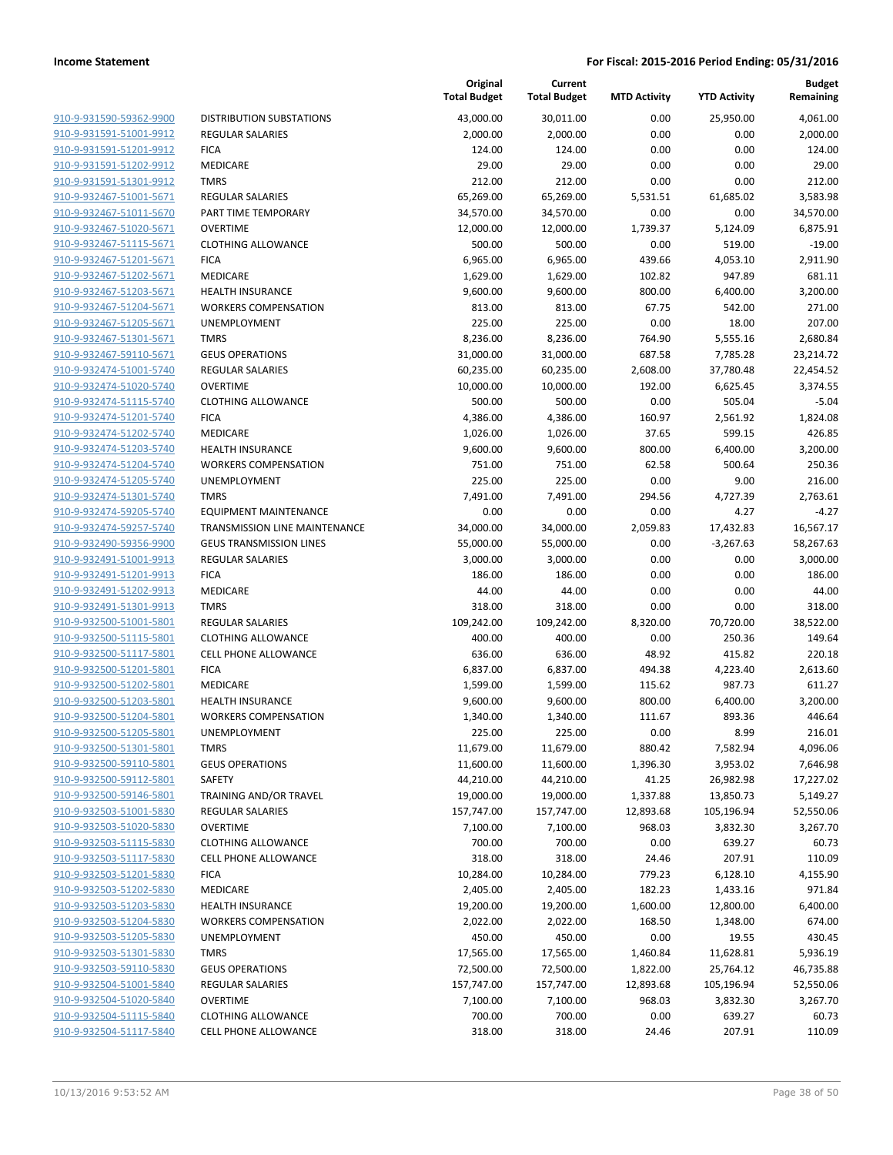| 910-9-931590-59362-9900        |
|--------------------------------|
| 910-9-931591-51001-9912        |
| 910-9-931591-51201-9912        |
| <u>910-9-931591-51202-9912</u> |
| 910-9-931591-51301-9912        |
| 910-9-932467-51001-5671        |
| 910-9-932467-51011-5670        |
| 910-9-932467-51020-5671        |
| <u>910-9-932467-51115-5671</u> |
| 910-9-932467-51201-5671        |
| 910-9-932467-51202-5671        |
| 910-9-932467-51203-5671        |
| 910-9-932467-51204-5671        |
| <u>910-9-932467-51205-5671</u> |
| 910-9-932467-51301-5671        |
| 910-9-932467-59110-5671        |
| 910-9-932474-51001-5740        |
| 910-9-932474-51020-5740        |
| <u>910-9-932474-51115-5740</u> |
| 910-9-932474-51201-5740        |
| 910-9-932474-51202-5740        |
|                                |
| 910-9-932474-51203-5740        |
| 910-9-932474-51204-5740        |
| <u>910-9-932474-51205-5740</u> |
| 910-9-932474-51301-5740        |
| 910-9-932474-59205-5740        |
| 910-9-932474-59257-5740        |
| 910-9-932490-59356-9900        |
| <u>910-9-932491-51001-9913</u> |
| 910-9-932491-51201-9913        |
| 910-9-932491-51202-9913        |
| 910-9-932491-51301-9913        |
| 910-9-932500-51001-5801        |
| <u>910-9-932500-51115-5801</u> |
| 910-9-932500-51117-5801        |
| 910-9-932500-51201-5801        |
| 910-9-932500-51202-5801        |
| 910-9-932500-51203-5801        |
| <u>910-9-932500-51204-5801</u> |
| 910-9-932500-51205-5801        |
| 910-9-932500-51301-5801        |
| 910-9-932500-59110-5801        |
| 910-9-932500-59112-5801        |
| 910-9-932500-59146-5801        |
| 910-9-932503-51001-5830        |
| 910-9-932503-51020-5830        |
| 910-9-932503-51115-5830        |
| 910-9-932503-51117-5830        |
| <u>910-9-932503-51201-5830</u> |
| 910-9-932503-51202-5830        |
| 910-9-932503-51203-5830        |
| 910-9-932503-51204-5830        |
| 910-9-932503-51205-5830        |
| 910-9-932503-51301-5830        |
| 910-9-932503-59110-5830        |
| 910-9-932504-51001-5840        |
| 910-9-932504-51020-5840        |
| 910-9-932504-51115-5840        |
| 910-9-932504-51117-5840        |
|                                |
|                                |

|                                                    |                                        | Original<br><b>Total Budget</b> | Current<br><b>Total Budget</b> | <b>MTD Activity</b> | <b>YTD Activity</b> | <b>Budget</b><br>Remaining |
|----------------------------------------------------|----------------------------------------|---------------------------------|--------------------------------|---------------------|---------------------|----------------------------|
| 910-9-931590-59362-9900                            | <b>DISTRIBUTION SUBSTATIONS</b>        | 43,000.00                       | 30,011.00                      | 0.00                | 25,950.00           | 4,061.00                   |
| 910-9-931591-51001-9912                            | <b>REGULAR SALARIES</b>                | 2,000.00                        | 2,000.00                       | 0.00                | 0.00                | 2,000.00                   |
| 910-9-931591-51201-9912                            | <b>FICA</b>                            | 124.00                          | 124.00                         | 0.00                | 0.00                | 124.00                     |
| 910-9-931591-51202-9912                            | <b>MEDICARE</b>                        | 29.00                           | 29.00                          | 0.00                | 0.00                | 29.00                      |
| 910-9-931591-51301-9912                            | <b>TMRS</b>                            | 212.00                          | 212.00                         | 0.00                | 0.00                | 212.00                     |
| 910-9-932467-51001-5671                            | REGULAR SALARIES                       | 65,269.00                       | 65,269.00                      | 5,531.51            | 61,685.02           | 3,583.98                   |
| 910-9-932467-51011-5670                            | PART TIME TEMPORARY                    | 34,570.00                       | 34,570.00                      | 0.00                | 0.00                | 34,570.00                  |
| 910-9-932467-51020-5671                            | <b>OVERTIME</b>                        | 12,000.00                       | 12,000.00                      | 1,739.37            | 5,124.09            | 6,875.91                   |
| 910-9-932467-51115-5671                            | <b>CLOTHING ALLOWANCE</b>              | 500.00                          | 500.00                         | 0.00                | 519.00              | $-19.00$                   |
| 910-9-932467-51201-5671                            | <b>FICA</b>                            | 6,965.00                        | 6,965.00                       | 439.66              | 4,053.10            | 2,911.90                   |
| 910-9-932467-51202-5671                            | MEDICARE                               | 1,629.00                        | 1,629.00                       | 102.82              | 947.89              | 681.11                     |
| 910-9-932467-51203-5671                            | <b>HEALTH INSURANCE</b>                | 9,600.00                        | 9,600.00                       | 800.00              | 6,400.00            | 3,200.00                   |
| 910-9-932467-51204-5671                            | <b>WORKERS COMPENSATION</b>            | 813.00                          | 813.00                         | 67.75               | 542.00              | 271.00                     |
| 910-9-932467-51205-5671                            | UNEMPLOYMENT                           | 225.00                          | 225.00                         | 0.00                | 18.00               | 207.00                     |
| 910-9-932467-51301-5671                            | <b>TMRS</b>                            | 8,236.00                        | 8,236.00                       | 764.90              | 5,555.16            | 2,680.84                   |
| 910-9-932467-59110-5671                            | <b>GEUS OPERATIONS</b>                 | 31,000.00                       | 31,000.00                      | 687.58              | 7,785.28            | 23,214.72                  |
| 910-9-932474-51001-5740                            | <b>REGULAR SALARIES</b>                | 60,235.00                       | 60,235.00                      | 2,608.00            | 37,780.48           | 22,454.52                  |
| 910-9-932474-51020-5740                            | <b>OVERTIME</b>                        | 10,000.00                       | 10,000.00                      | 192.00              | 6,625.45            | 3,374.55                   |
| 910-9-932474-51115-5740                            | <b>CLOTHING ALLOWANCE</b>              | 500.00                          | 500.00                         | 0.00                | 505.04              | $-5.04$                    |
| 910-9-932474-51201-5740                            | <b>FICA</b>                            | 4,386.00                        | 4,386.00                       | 160.97              | 2,561.92            | 1,824.08                   |
| 910-9-932474-51202-5740                            | MEDICARE                               | 1,026.00                        | 1,026.00                       | 37.65               | 599.15              | 426.85                     |
| 910-9-932474-51203-5740                            | <b>HEALTH INSURANCE</b>                | 9,600.00                        | 9,600.00                       | 800.00              | 6,400.00            | 3,200.00                   |
| 910-9-932474-51204-5740                            | <b>WORKERS COMPENSATION</b>            | 751.00                          | 751.00                         | 62.58               | 500.64              | 250.36                     |
| 910-9-932474-51205-5740                            | UNEMPLOYMENT                           | 225.00                          | 225.00                         | 0.00                | 9.00                | 216.00                     |
| 910-9-932474-51301-5740                            | <b>TMRS</b>                            | 7,491.00                        | 7,491.00                       | 294.56              | 4,727.39            | 2,763.61                   |
| 910-9-932474-59205-5740                            | <b>EQUIPMENT MAINTENANCE</b>           | 0.00                            | 0.00                           | 0.00                | 4.27                | $-4.27$                    |
| 910-9-932474-59257-5740                            | TRANSMISSION LINE MAINTENANCE          | 34,000.00                       | 34,000.00                      | 2,059.83            | 17,432.83           | 16,567.17                  |
| 910-9-932490-59356-9900<br>910-9-932491-51001-9913 | <b>GEUS TRANSMISSION LINES</b>         | 55,000.00                       | 55,000.00                      | 0.00                | $-3,267.63$         | 58,267.63                  |
| 910-9-932491-51201-9913                            | <b>REGULAR SALARIES</b><br><b>FICA</b> | 3,000.00                        | 3,000.00                       | 0.00<br>0.00        | 0.00                | 3,000.00                   |
| 910-9-932491-51202-9913                            | MEDICARE                               | 186.00<br>44.00                 | 186.00<br>44.00                | 0.00                | 0.00<br>0.00        | 186.00<br>44.00            |
| 910-9-932491-51301-9913                            | <b>TMRS</b>                            | 318.00                          | 318.00                         | 0.00                | 0.00                | 318.00                     |
| 910-9-932500-51001-5801                            | <b>REGULAR SALARIES</b>                | 109,242.00                      | 109,242.00                     | 8,320.00            | 70,720.00           | 38,522.00                  |
| 910-9-932500-51115-5801                            | <b>CLOTHING ALLOWANCE</b>              | 400.00                          | 400.00                         | 0.00                | 250.36              | 149.64                     |
| 910-9-932500-51117-5801                            | <b>CELL PHONE ALLOWANCE</b>            | 636.00                          | 636.00                         | 48.92               | 415.82              | 220.18                     |
| 910-9-932500-51201-5801                            | <b>FICA</b>                            | 6,837.00                        | 6,837.00                       | 494.38              | 4,223.40            | 2,613.60                   |
| 910-9-932500-51202-5801                            | MEDICARE                               | 1,599.00                        | 1,599.00                       | 115.62              | 987.73              | 611.27                     |
| 910-9-932500-51203-5801                            | <b>HEALTH INSURANCE</b>                | 9,600.00                        | 9,600.00                       | 800.00              | 6,400.00            | 3,200.00                   |
| 910-9-932500-51204-5801                            | <b>WORKERS COMPENSATION</b>            | 1,340.00                        | 1,340.00                       | 111.67              | 893.36              | 446.64                     |
| 910-9-932500-51205-5801                            | UNEMPLOYMENT                           | 225.00                          | 225.00                         | 0.00                | 8.99                | 216.01                     |
| 910-9-932500-51301-5801                            | <b>TMRS</b>                            | 11,679.00                       | 11,679.00                      | 880.42              | 7,582.94            | 4,096.06                   |
| 910-9-932500-59110-5801                            | <b>GEUS OPERATIONS</b>                 | 11,600.00                       | 11,600.00                      | 1,396.30            | 3,953.02            | 7,646.98                   |
| 910-9-932500-59112-5801                            | SAFETY                                 | 44,210.00                       | 44,210.00                      | 41.25               | 26,982.98           | 17,227.02                  |
| 910-9-932500-59146-5801                            | TRAINING AND/OR TRAVEL                 | 19,000.00                       | 19,000.00                      | 1,337.88            | 13,850.73           | 5,149.27                   |
| 910-9-932503-51001-5830                            | <b>REGULAR SALARIES</b>                | 157,747.00                      | 157,747.00                     | 12,893.68           | 105,196.94          | 52,550.06                  |
| 910-9-932503-51020-5830                            | <b>OVERTIME</b>                        | 7,100.00                        | 7,100.00                       | 968.03              | 3,832.30            | 3,267.70                   |
| 910-9-932503-51115-5830                            | <b>CLOTHING ALLOWANCE</b>              | 700.00                          | 700.00                         | 0.00                | 639.27              | 60.73                      |
| 910-9-932503-51117-5830                            | <b>CELL PHONE ALLOWANCE</b>            | 318.00                          | 318.00                         | 24.46               | 207.91              | 110.09                     |
| 910-9-932503-51201-5830                            | <b>FICA</b>                            | 10,284.00                       | 10,284.00                      | 779.23              | 6,128.10            | 4,155.90                   |
| 910-9-932503-51202-5830                            | MEDICARE                               | 2,405.00                        | 2,405.00                       | 182.23              | 1,433.16            | 971.84                     |
| 910-9-932503-51203-5830                            | <b>HEALTH INSURANCE</b>                | 19,200.00                       | 19,200.00                      | 1,600.00            | 12,800.00           | 6,400.00                   |
| 910-9-932503-51204-5830                            | <b>WORKERS COMPENSATION</b>            | 2,022.00                        | 2,022.00                       | 168.50              | 1,348.00            | 674.00                     |
| 910-9-932503-51205-5830                            | UNEMPLOYMENT                           | 450.00                          | 450.00                         | 0.00                | 19.55               | 430.45                     |
| 910-9-932503-51301-5830                            | <b>TMRS</b>                            | 17,565.00                       | 17,565.00                      | 1,460.84            | 11,628.81           | 5,936.19                   |
| 910-9-932503-59110-5830                            | <b>GEUS OPERATIONS</b>                 | 72,500.00                       | 72,500.00                      | 1,822.00            | 25,764.12           | 46,735.88                  |
| 910-9-932504-51001-5840                            | REGULAR SALARIES                       | 157,747.00                      | 157,747.00                     | 12,893.68           | 105,196.94          | 52,550.06                  |
| 910-9-932504-51020-5840                            | <b>OVERTIME</b>                        | 7,100.00                        | 7,100.00                       | 968.03              | 3,832.30            | 3,267.70                   |
| 910-9-932504-51115-5840                            | <b>CLOTHING ALLOWANCE</b>              | 700.00                          | 700.00                         | 0.00                | 639.27              | 60.73                      |
| 910-9-932504-51117-5840                            | CELL PHONE ALLOWANCE                   | 318.00                          | 318.00                         | 24.46               | 207.91              | 110.09                     |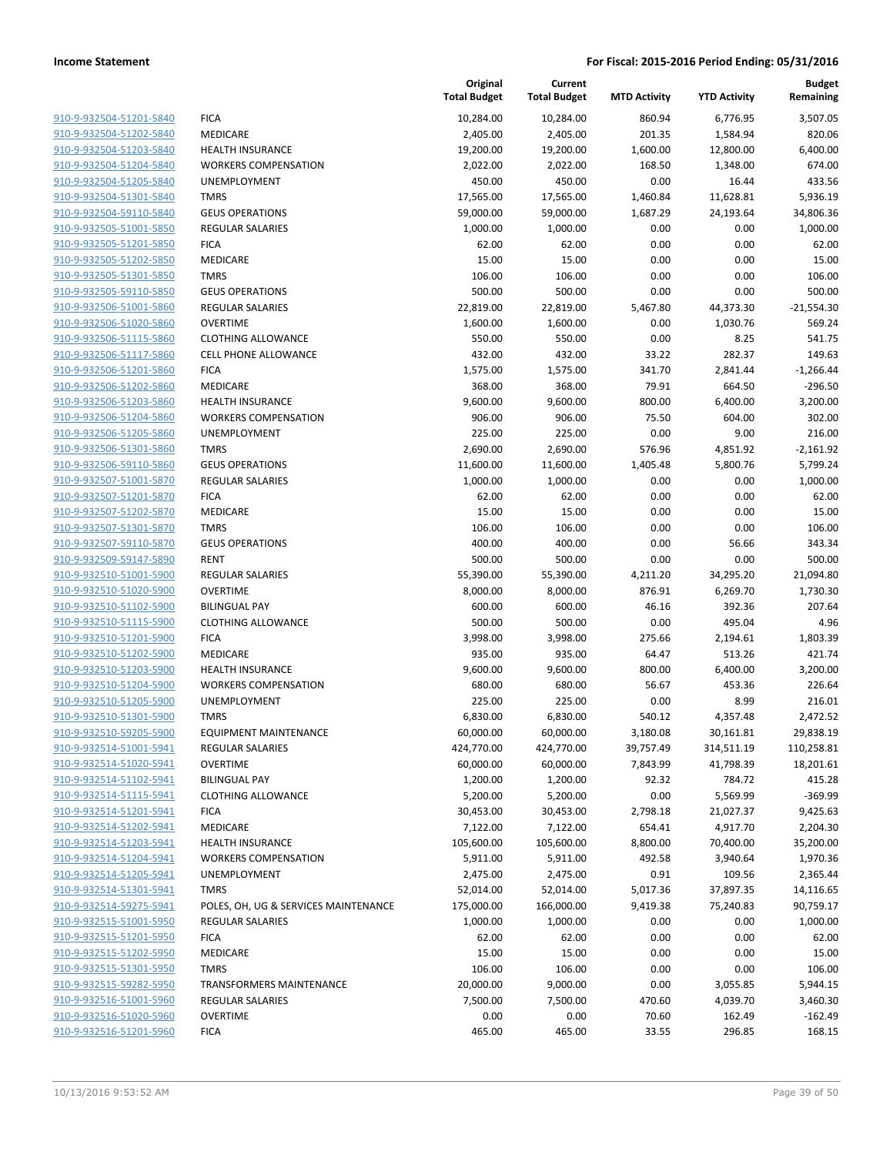| 910-9-932504-51201-5840 | FI  |
|-------------------------|-----|
| 910-9-932504-51202-5840 | M   |
| 910-9-932504-51203-5840 | HE  |
| 910-9-932504-51204-5840 | W   |
| 910-9-932504-51205-5840 | U١  |
| 910-9-932504-51301-5840 | T٨  |
| 910-9-932504-59110-5840 | GE  |
| 910-9-932505-51001-5850 | RE  |
| 910-9-932505-51201-5850 | FI  |
| 910-9-932505-51202-5850 | M   |
| 910-9-932505-51301-5850 | T٨  |
|                         | GE  |
| 910-9-932505-59110-5850 | RE  |
| 910-9-932506-51001-5860 |     |
| 910-9-932506-51020-5860 | О١  |
| 910-9-932506-51115-5860 | СL  |
| 910-9-932506-51117-5860 | СE  |
| 910-9-932506-51201-5860 | FI( |
| 910-9-932506-51202-5860 | M   |
| 910-9-932506-51203-5860 | HE  |
| 910-9-932506-51204-5860 | W   |
| 910-9-932506-51205-5860 | U١  |
| 910-9-932506-51301-5860 | T٨  |
| 910-9-932506-59110-5860 | GE  |
| 910-9-932507-51001-5870 | RE  |
| 910-9-932507-51201-5870 | FI( |
| 910-9-932507-51202-5870 | M   |
| 910-9-932507-51301-5870 | T٨  |
| 910-9-932507-59110-5870 | GE  |
| 910-9-932509-59147-5890 | RE  |
| 910-9-932510-51001-5900 | RE  |
| 910-9-932510-51020-5900 | О١  |
| 910-9-932510-51102-5900 | ΒIΙ |
| 910-9-932510-51115-5900 | СL  |
| 910-9-932510-51201-5900 | FI0 |
| 910-9-932510-51202-5900 | M   |
| 910-9-932510-51203-5900 | HE  |
| 910-9-932510-51204-5900 | W   |
| 910-9-932510-51205-5900 | U١  |
| 910-9-932510-51301-5900 | T٨  |
| 910-9-932510-59205-5900 | ЕC  |
| 910-9-932514-51001-5941 | RE  |
| 910-9-932514-51020-5941 | О١  |
| 910-9-932514-51102-5941 | BII |
| 910-9-932514-51115-5941 | CL  |
| 910-9-932514-51201-5941 | FI  |
| 910-9-932514-51202-5941 | M   |
| 910-9-932514-51203-5941 | HE  |
| 910-9-932514-51204-5941 | W   |
| 910-9-932514-51205-5941 |     |
|                         | U١  |
| 910-9-932514-51301-5941 | T٨  |
| 910-9-932514-59275-5941 | PC  |
| 910-9-932515-51001-5950 | RE  |
| 910-9-932515-51201-5950 | FI( |
| 910-9-932515-51202-5950 | M   |
| 910-9-932515-51301-5950 | T٨  |
| 910-9-932515-59282-5950 | ТR  |
| 910-9-932516-51001-5960 | RE  |
| 910-9-932516-51020-5960 | О١  |
| 910-9-932516-51201-5960 | FI  |
|                         |     |

|                         |                                      | Original<br><b>Total Budget</b> | Current<br><b>Total Budget</b> | <b>MTD Activity</b> | <b>YTD Activity</b> | <b>Budget</b><br>Remaining |
|-------------------------|--------------------------------------|---------------------------------|--------------------------------|---------------------|---------------------|----------------------------|
| 910-9-932504-51201-5840 | <b>FICA</b>                          | 10,284.00                       | 10,284.00                      | 860.94              | 6,776.95            | 3,507.05                   |
| 910-9-932504-51202-5840 | MEDICARE                             | 2,405.00                        | 2,405.00                       | 201.35              | 1,584.94            | 820.06                     |
| 910-9-932504-51203-5840 | <b>HEALTH INSURANCE</b>              | 19,200.00                       | 19,200.00                      | 1,600.00            | 12,800.00           | 6,400.00                   |
| 910-9-932504-51204-5840 | <b>WORKERS COMPENSATION</b>          | 2,022.00                        | 2,022.00                       | 168.50              | 1,348.00            | 674.00                     |
| 910-9-932504-51205-5840 | <b>UNEMPLOYMENT</b>                  | 450.00                          | 450.00                         | 0.00                | 16.44               | 433.56                     |
| 910-9-932504-51301-5840 | <b>TMRS</b>                          | 17,565.00                       | 17,565.00                      | 1,460.84            | 11,628.81           | 5,936.19                   |
| 910-9-932504-59110-5840 | <b>GEUS OPERATIONS</b>               | 59,000.00                       | 59,000.00                      | 1,687.29            | 24,193.64           | 34,806.36                  |
| 910-9-932505-51001-5850 | <b>REGULAR SALARIES</b>              | 1,000.00                        | 1,000.00                       | 0.00                | 0.00                | 1,000.00                   |
| 910-9-932505-51201-5850 | <b>FICA</b>                          | 62.00                           | 62.00                          | 0.00                | 0.00                | 62.00                      |
| 910-9-932505-51202-5850 | MEDICARE                             | 15.00                           | 15.00                          | 0.00                | 0.00                | 15.00                      |
| 910-9-932505-51301-5850 | <b>TMRS</b>                          | 106.00                          | 106.00                         | 0.00                | 0.00                | 106.00                     |
| 910-9-932505-59110-5850 | <b>GEUS OPERATIONS</b>               | 500.00                          | 500.00                         | 0.00                | 0.00                | 500.00                     |
| 910-9-932506-51001-5860 | <b>REGULAR SALARIES</b>              | 22,819.00                       | 22,819.00                      | 5,467.80            | 44,373.30           | $-21,554.30$               |
| 910-9-932506-51020-5860 | <b>OVERTIME</b>                      | 1,600.00                        | 1,600.00                       | 0.00                | 1,030.76            | 569.24                     |
| 910-9-932506-51115-5860 | <b>CLOTHING ALLOWANCE</b>            | 550.00                          | 550.00                         | 0.00                | 8.25                | 541.75                     |
| 910-9-932506-51117-5860 | <b>CELL PHONE ALLOWANCE</b>          | 432.00                          | 432.00                         | 33.22               | 282.37              | 149.63                     |
| 910-9-932506-51201-5860 | <b>FICA</b>                          | 1,575.00                        | 1,575.00                       | 341.70              | 2,841.44            | $-1,266.44$                |
| 910-9-932506-51202-5860 | MEDICARE                             | 368.00                          | 368.00                         | 79.91               | 664.50              | $-296.50$                  |
| 910-9-932506-51203-5860 | <b>HEALTH INSURANCE</b>              | 9,600.00                        | 9,600.00                       | 800.00              | 6,400.00            | 3,200.00                   |
| 910-9-932506-51204-5860 | <b>WORKERS COMPENSATION</b>          | 906.00                          | 906.00                         | 75.50               | 604.00              | 302.00                     |
| 910-9-932506-51205-5860 | UNEMPLOYMENT                         | 225.00                          | 225.00                         | 0.00                | 9.00                | 216.00                     |
| 910-9-932506-51301-5860 | <b>TMRS</b>                          | 2,690.00                        | 2,690.00                       | 576.96              | 4,851.92            | $-2,161.92$                |
| 910-9-932506-59110-5860 | <b>GEUS OPERATIONS</b>               | 11,600.00                       | 11,600.00                      | 1,405.48            | 5,800.76            | 5,799.24                   |
| 910-9-932507-51001-5870 | <b>REGULAR SALARIES</b>              | 1,000.00                        | 1,000.00                       | 0.00                | 0.00                | 1,000.00                   |
| 910-9-932507-51201-5870 | <b>FICA</b>                          | 62.00                           | 62.00                          | 0.00                | 0.00                | 62.00                      |
| 910-9-932507-51202-5870 | MEDICARE                             | 15.00                           | 15.00                          | 0.00                | 0.00                | 15.00                      |
| 910-9-932507-51301-5870 | <b>TMRS</b>                          | 106.00                          | 106.00                         | 0.00                | 0.00                | 106.00                     |
| 910-9-932507-59110-5870 | <b>GEUS OPERATIONS</b>               | 400.00                          | 400.00                         | 0.00                | 56.66               | 343.34                     |
| 910-9-932509-59147-5890 | <b>RENT</b>                          | 500.00                          | 500.00                         | 0.00                | 0.00                | 500.00                     |
| 910-9-932510-51001-5900 | <b>REGULAR SALARIES</b>              | 55,390.00                       | 55,390.00                      | 4,211.20            | 34,295.20           | 21,094.80                  |
| 910-9-932510-51020-5900 | <b>OVERTIME</b>                      | 8,000.00                        | 8,000.00                       | 876.91              | 6,269.70            | 1,730.30                   |
| 910-9-932510-51102-5900 | <b>BILINGUAL PAY</b>                 | 600.00                          | 600.00                         | 46.16               | 392.36              | 207.64                     |
| 910-9-932510-51115-5900 | <b>CLOTHING ALLOWANCE</b>            | 500.00                          | 500.00                         | 0.00                | 495.04              | 4.96                       |
| 910-9-932510-51201-5900 | <b>FICA</b>                          | 3,998.00                        | 3,998.00                       | 275.66              | 2,194.61            | 1,803.39                   |
| 910-9-932510-51202-5900 | MEDICARE                             | 935.00                          | 935.00                         | 64.47               | 513.26              | 421.74                     |
| 910-9-932510-51203-5900 | <b>HEALTH INSURANCE</b>              | 9,600.00                        | 9,600.00                       | 800.00              | 6,400.00            | 3,200.00                   |
| 910-9-932510-51204-5900 | <b>WORKERS COMPENSATION</b>          | 680.00                          | 680.00                         | 56.67               | 453.36              | 226.64                     |
| 910-9-932510-51205-5900 | UNEMPLOYMENT                         | 225.00                          | 225.00                         | 0.00                | 8.99                | 216.01                     |
| 910-9-932510-51301-5900 | <b>TMRS</b>                          | 6,830.00                        | 6,830.00                       | 540.12              | 4,357.48            | 2,472.52                   |
| 910-9-932510-59205-5900 | <b>EQUIPMENT MAINTENANCE</b>         | 60,000.00                       | 60,000.00                      | 3,180.08            | 30,161.81           | 29,838.19                  |
| 910-9-932514-51001-5941 | <b>REGULAR SALARIES</b>              | 424,770.00                      | 424,770.00                     | 39,757.49           | 314,511.19          | 110,258.81                 |
| 910-9-932514-51020-5941 | <b>OVERTIME</b>                      | 60,000.00                       | 60,000.00                      | 7,843.99            | 41,798.39           | 18,201.61                  |
| 910-9-932514-51102-5941 | <b>BILINGUAL PAY</b>                 | 1,200.00                        | 1,200.00                       | 92.32               | 784.72              | 415.28                     |
| 910-9-932514-51115-5941 | <b>CLOTHING ALLOWANCE</b>            | 5,200.00                        | 5,200.00                       | 0.00                | 5,569.99            | $-369.99$                  |
| 910-9-932514-51201-5941 | <b>FICA</b>                          | 30,453.00                       | 30,453.00                      | 2,798.18            | 21,027.37           | 9,425.63                   |
| 910-9-932514-51202-5941 | MEDICARE                             | 7,122.00                        | 7,122.00                       | 654.41              | 4,917.70            | 2,204.30                   |
| 910-9-932514-51203-5941 | <b>HEALTH INSURANCE</b>              | 105,600.00                      | 105,600.00                     | 8,800.00            | 70,400.00           | 35,200.00                  |
| 910-9-932514-51204-5941 | <b>WORKERS COMPENSATION</b>          | 5,911.00                        | 5,911.00                       | 492.58              | 3,940.64            | 1,970.36                   |
| 910-9-932514-51205-5941 | UNEMPLOYMENT                         | 2,475.00                        | 2,475.00                       | 0.91                | 109.56              | 2,365.44                   |
| 910-9-932514-51301-5941 | <b>TMRS</b>                          | 52,014.00                       | 52,014.00                      | 5,017.36            | 37,897.35           | 14,116.65                  |
| 910-9-932514-59275-5941 | POLES, OH, UG & SERVICES MAINTENANCE | 175,000.00                      | 166,000.00                     | 9,419.38            | 75,240.83           | 90,759.17                  |
| 910-9-932515-51001-5950 | <b>REGULAR SALARIES</b>              | 1,000.00                        | 1,000.00                       | 0.00                | 0.00                | 1,000.00                   |
| 910-9-932515-51201-5950 | <b>FICA</b>                          | 62.00                           | 62.00                          | 0.00                | 0.00                | 62.00                      |
| 910-9-932515-51202-5950 | MEDICARE                             | 15.00                           | 15.00                          | 0.00                | 0.00                | 15.00                      |
| 910-9-932515-51301-5950 | <b>TMRS</b>                          | 106.00                          | 106.00                         | 0.00                | 0.00                | 106.00                     |
| 910-9-932515-59282-5950 | TRANSFORMERS MAINTENANCE             | 20,000.00                       | 9,000.00                       | 0.00                | 3,055.85            | 5,944.15                   |
| 910-9-932516-51001-5960 | <b>REGULAR SALARIES</b>              | 7,500.00                        | 7,500.00                       | 470.60              | 4,039.70            | 3,460.30                   |
| 910-9-932516-51020-5960 | <b>OVERTIME</b>                      | 0.00                            | 0.00                           | 70.60               | 162.49              | $-162.49$                  |
| 910-9-932516-51201-5960 | <b>FICA</b>                          | 465.00                          | 465.00                         | 33.55               | 296.85              | 168.15                     |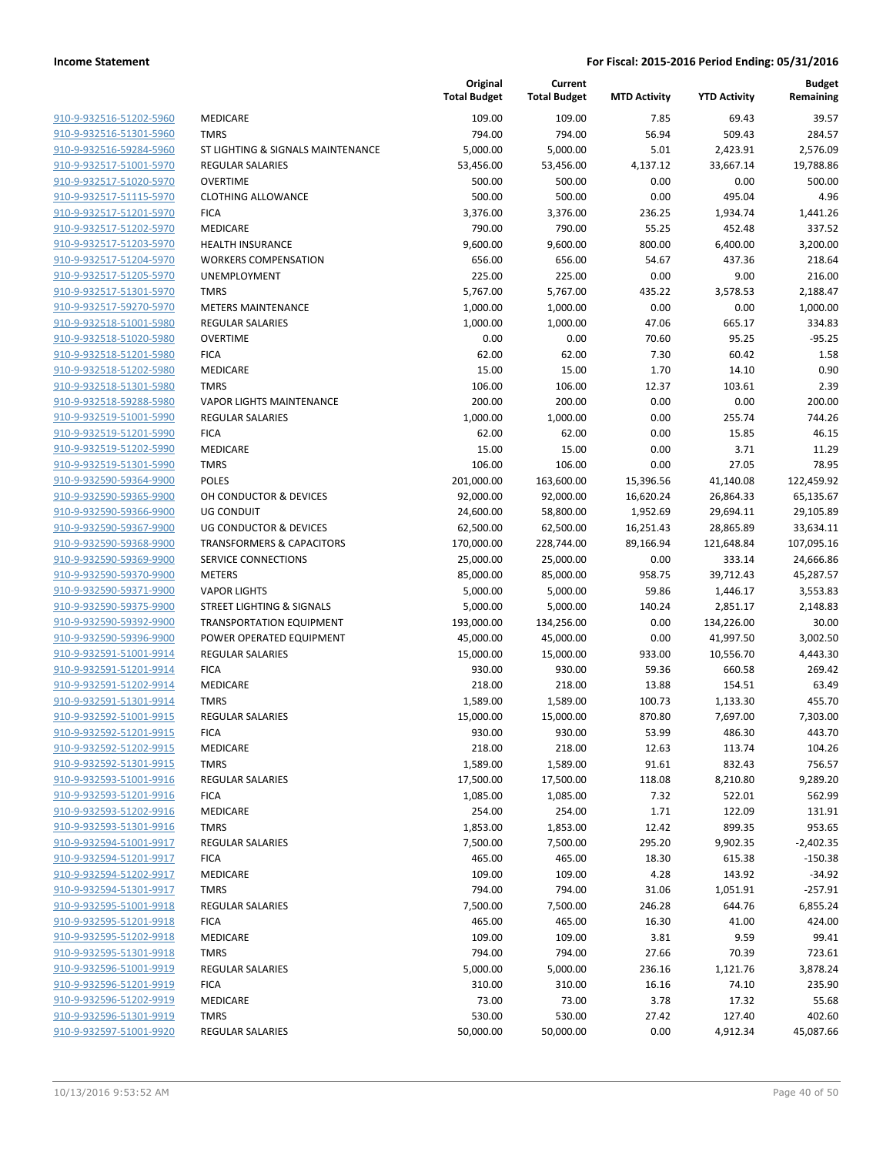| 910-9-932516-51202-5960                            | <b>MEDICA</b>              |
|----------------------------------------------------|----------------------------|
| 910-9-932516-51301-5960                            | <b>TMRS</b>                |
| 910-9-932516-59284-5960                            | ST LIGHT                   |
| 910-9-932517-51001-5970                            | <b>REGULA</b>              |
| 910-9-932517-51020-5970                            | OVERTIN                    |
| 910-9-932517-51115-5970                            | <b>CLOTHIN</b>             |
| 910-9-932517-51201-5970                            | <b>FICA</b>                |
| 910-9-932517-51202-5970                            | <b>MEDICA</b>              |
| 910-9-932517-51203-5970                            | <b>HEALTH</b>              |
| 910-9-932517-51204-5970                            | WORKEI                     |
| 910-9-932517-51205-5970                            | <b>UNEMPI</b>              |
| 910-9-932517-51301-5970                            | <b>TMRS</b>                |
| 910-9-932517-59270-5970                            | <b>METERS</b>              |
| 910-9-932518-51001-5980                            | REGULA                     |
| 910-9-932518-51020-5980                            | OVERTIN                    |
| 910-9-932518-51201-5980                            | <b>FICA</b>                |
| 910-9-932518-51202-5980                            | MEDICA                     |
| 910-9-932518-51301-5980                            | <b>TMRS</b>                |
| 910-9-932518-59288-5980                            | <b>VAPOR L</b>             |
| 910-9-932519-51001-5990                            | REGULA                     |
| 910-9-932519-51201-5990                            | <b>FICA</b>                |
| 910-9-932519-51202-5990                            | MEDICA                     |
| 910-9-932519-51301-5990                            | <b>TMRS</b>                |
| 910-9-932590-59364-9900                            | POLES                      |
| 910-9-932590-59365-9900                            | OH CON                     |
| 910-9-932590-59366-9900                            | UG CON                     |
| 910-9-932590-59367-9900                            | UG CON                     |
| 910-9-932590-59368-9900                            | <b>TRANSF</b>              |
| 910-9-932590-59369-9900                            | <b>SERVICE</b>             |
| 910-9-932590-59370-9900                            | <b>METERS</b>              |
| 910-9-932590-59371-9900<br>910-9-932590-59375-9900 | <b>VAPOR L</b><br>STREET I |
| 910-9-932590-59392-9900                            | <b>TRANSP</b>              |
| 910-9-932590-59396-9900                            | <b>POWER</b>               |
| 910-9-932591-51001-9914                            | REGULA                     |
| 910-9-932591-51201-9914                            | <b>FICA</b>                |
| 910-9-932591-51202-9914                            | <b>MEDICA</b>              |
| 910-9-932591-51301-9914                            | <b>TMRS</b>                |
| 910-9-932592-51001-9915                            | <b>REGULA</b>              |
| 910-9-932592-51201-9915                            | FICA                       |
| 910-9-932592-51202-9915                            | MEDICA                     |
| 910-9-932592-51301-9915                            | <b>TMRS</b>                |
| 910-9-932593-51001-9916                            | REGULA                     |
| 910-9-932593-51201-9916                            | <b>FICA</b>                |
| 910-9-932593-51202-9916                            | <b>MEDICA</b>              |
| 910-9-932593-51301-9916                            | <b>TMRS</b>                |
| 910-9-932594-51001-9917                            | <b>REGULA</b>              |
| 910-9-932594-51201-9917                            | <b>FICA</b>                |
| 910-9-932594-51202-9917                            | <b>MEDICA</b>              |
| 910-9-932594-51301-9917                            | TMRS                       |
| 910-9-932595-51001-9918                            | REGULA                     |
| 910-9-932595-51201-9918                            | <b>FICA</b>                |
| 910-9-932595-51202-9918                            | <b>MEDICA</b>              |
| 910-9-932595-51301-9918                            | TMRS                       |
| 910-9-932596-51001-9919                            | REGULA<br><b>FICA</b>      |
| 910-9-932596-51201-9919<br>910-9-932596-51202-9919 | MEDICA                     |
| 910-9-932596-51301-9919                            | TMRS                       |
| 910-9-932597-51001-9920                            | <b>REGULA</b>              |
|                                                    |                            |

|                                                    |                                      | Original<br><b>Total Budget</b> | Current<br><b>Total Budget</b> | <b>MTD Activity</b> | <b>YTD Activity</b> | <b>Budget</b><br>Remaining |
|----------------------------------------------------|--------------------------------------|---------------------------------|--------------------------------|---------------------|---------------------|----------------------------|
| 910-9-932516-51202-5960                            | <b>MEDICARE</b>                      | 109.00                          | 109.00                         | 7.85                | 69.43               | 39.57                      |
| 910-9-932516-51301-5960                            | <b>TMRS</b>                          | 794.00                          | 794.00                         | 56.94               | 509.43              | 284.57                     |
| 910-9-932516-59284-5960                            | ST LIGHTING & SIGNALS MAINTENANCE    | 5,000.00                        | 5,000.00                       | 5.01                | 2,423.91            | 2,576.09                   |
| 910-9-932517-51001-5970                            | <b>REGULAR SALARIES</b>              | 53,456.00                       | 53,456.00                      | 4,137.12            | 33,667.14           | 19,788.86                  |
| 910-9-932517-51020-5970                            | <b>OVERTIME</b>                      | 500.00                          | 500.00                         | 0.00                | 0.00                | 500.00                     |
| 910-9-932517-51115-5970                            | <b>CLOTHING ALLOWANCE</b>            | 500.00                          | 500.00                         | 0.00                | 495.04              | 4.96                       |
| 910-9-932517-51201-5970                            | <b>FICA</b>                          | 3,376.00                        | 3,376.00                       | 236.25              | 1,934.74            | 1,441.26                   |
| 910-9-932517-51202-5970                            | MEDICARE                             | 790.00                          | 790.00                         | 55.25               | 452.48              | 337.52                     |
| 910-9-932517-51203-5970                            | <b>HEALTH INSURANCE</b>              | 9,600.00                        | 9,600.00                       | 800.00              | 6,400.00            | 3,200.00                   |
| 910-9-932517-51204-5970                            | <b>WORKERS COMPENSATION</b>          | 656.00                          | 656.00                         | 54.67               | 437.36              | 218.64                     |
| 910-9-932517-51205-5970                            | UNEMPLOYMENT                         | 225.00                          | 225.00                         | 0.00                | 9.00                | 216.00                     |
| 910-9-932517-51301-5970                            | <b>TMRS</b>                          | 5,767.00                        | 5,767.00                       | 435.22              | 3,578.53            | 2,188.47                   |
| 910-9-932517-59270-5970                            | <b>METERS MAINTENANCE</b>            | 1,000.00                        | 1,000.00                       | 0.00                | 0.00                | 1,000.00                   |
| 910-9-932518-51001-5980                            | <b>REGULAR SALARIES</b>              | 1,000.00                        | 1,000.00                       | 47.06               | 665.17              | 334.83                     |
| 910-9-932518-51020-5980                            | <b>OVERTIME</b>                      | 0.00                            | 0.00                           | 70.60               | 95.25               | $-95.25$                   |
| 910-9-932518-51201-5980                            | <b>FICA</b>                          | 62.00                           | 62.00                          | 7.30                | 60.42               | 1.58                       |
| 910-9-932518-51202-5980                            | <b>MEDICARE</b>                      | 15.00                           | 15.00                          | 1.70                | 14.10               | 0.90                       |
| 910-9-932518-51301-5980                            | <b>TMRS</b>                          | 106.00                          | 106.00                         | 12.37               | 103.61              | 2.39                       |
| 910-9-932518-59288-5980                            | <b>VAPOR LIGHTS MAINTENANCE</b>      | 200.00                          | 200.00                         | 0.00                | 0.00                | 200.00                     |
| 910-9-932519-51001-5990                            | <b>REGULAR SALARIES</b>              | 1,000.00                        | 1,000.00                       | 0.00                | 255.74              | 744.26                     |
| 910-9-932519-51201-5990<br>910-9-932519-51202-5990 | <b>FICA</b><br><b>MEDICARE</b>       | 62.00<br>15.00                  | 62.00<br>15.00                 | 0.00<br>0.00        | 15.85<br>3.71       | 46.15<br>11.29             |
| 910-9-932519-51301-5990                            | <b>TMRS</b>                          | 106.00                          | 106.00                         | 0.00                | 27.05               | 78.95                      |
| 910-9-932590-59364-9900                            | <b>POLES</b>                         | 201,000.00                      | 163,600.00                     | 15,396.56           | 41,140.08           | 122,459.92                 |
| 910-9-932590-59365-9900                            | OH CONDUCTOR & DEVICES               | 92,000.00                       | 92,000.00                      | 16,620.24           | 26,864.33           | 65,135.67                  |
| 910-9-932590-59366-9900                            | <b>UG CONDUIT</b>                    | 24,600.00                       | 58,800.00                      | 1,952.69            | 29,694.11           | 29,105.89                  |
| 910-9-932590-59367-9900                            | <b>UG CONDUCTOR &amp; DEVICES</b>    | 62,500.00                       | 62,500.00                      | 16,251.43           | 28,865.89           | 33,634.11                  |
| 910-9-932590-59368-9900                            | <b>TRANSFORMERS &amp; CAPACITORS</b> | 170,000.00                      | 228,744.00                     | 89,166.94           | 121,648.84          | 107,095.16                 |
| 910-9-932590-59369-9900                            | SERVICE CONNECTIONS                  | 25,000.00                       | 25,000.00                      | 0.00                | 333.14              | 24,666.86                  |
| 910-9-932590-59370-9900                            | <b>METERS</b>                        | 85,000.00                       | 85,000.00                      | 958.75              | 39,712.43           | 45,287.57                  |
| 910-9-932590-59371-9900                            | <b>VAPOR LIGHTS</b>                  | 5,000.00                        | 5,000.00                       | 59.86               | 1,446.17            | 3,553.83                   |
| 910-9-932590-59375-9900                            | <b>STREET LIGHTING &amp; SIGNALS</b> | 5,000.00                        | 5,000.00                       | 140.24              | 2,851.17            | 2,148.83                   |
| 910-9-932590-59392-9900                            | <b>TRANSPORTATION EQUIPMENT</b>      | 193,000.00                      | 134,256.00                     | 0.00                | 134,226.00          | 30.00                      |
| 910-9-932590-59396-9900                            | POWER OPERATED EQUIPMENT             | 45,000.00                       | 45,000.00                      | 0.00                | 41,997.50           | 3,002.50                   |
| 910-9-932591-51001-9914                            | <b>REGULAR SALARIES</b>              | 15,000.00                       | 15,000.00                      | 933.00              | 10,556.70           | 4,443.30                   |
| 910-9-932591-51201-9914                            | <b>FICA</b>                          | 930.00                          | 930.00                         | 59.36               | 660.58              | 269.42                     |
| 910-9-932591-51202-9914                            | MEDICARE                             | 218.00                          | 218.00                         | 13.88               | 154.51              | 63.49                      |
| 910-9-932591-51301-9914                            | <b>TMRS</b>                          | 1,589.00                        | 1,589.00                       | 100.73              | 1,133.30            | 455.70                     |
| 910-9-932592-51001-9915                            | <b>REGULAR SALARIES</b>              | 15,000.00                       | 15,000.00                      | 870.80              | 7,697.00            | 7,303.00                   |
| 910-9-932592-51201-9915                            | <b>FICA</b>                          | 930.00                          | 930.00                         | 53.99               | 486.30              | 443.70                     |
| 910-9-932592-51202-9915                            | MEDICARE                             | 218.00                          | 218.00                         | 12.63               | 113.74              | 104.26                     |
| 910-9-932592-51301-9915                            | <b>TMRS</b>                          | 1,589.00                        | 1,589.00                       | 91.61               | 832.43              | 756.57                     |
| 910-9-932593-51001-9916                            | <b>REGULAR SALARIES</b>              | 17,500.00                       | 17,500.00                      | 118.08              | 8,210.80            | 9,289.20                   |
| 910-9-932593-51201-9916                            | <b>FICA</b>                          | 1,085.00                        | 1,085.00                       | 7.32                | 522.01              | 562.99                     |
| 910-9-932593-51202-9916                            | MEDICARE                             | 254.00                          | 254.00                         | 1.71                | 122.09              | 131.91                     |
| 910-9-932593-51301-9916                            | <b>TMRS</b>                          | 1,853.00                        | 1,853.00                       | 12.42               | 899.35              | 953.65                     |
| 910-9-932594-51001-9917                            | <b>REGULAR SALARIES</b>              | 7,500.00                        | 7,500.00                       | 295.20              | 9,902.35            | $-2,402.35$                |
| 910-9-932594-51201-9917                            | <b>FICA</b>                          | 465.00                          | 465.00                         | 18.30               | 615.38              | $-150.38$                  |
| 910-9-932594-51202-9917                            | MEDICARE                             | 109.00                          | 109.00                         | 4.28                | 143.92              | $-34.92$                   |
| 910-9-932594-51301-9917                            | <b>TMRS</b>                          | 794.00                          | 794.00                         | 31.06               | 1,051.91            | $-257.91$                  |
| 910-9-932595-51001-9918<br>910-9-932595-51201-9918 | <b>REGULAR SALARIES</b>              | 7,500.00                        | 7,500.00                       | 246.28              | 644.76              | 6,855.24                   |
| 910-9-932595-51202-9918                            | <b>FICA</b><br>MEDICARE              | 465.00                          | 465.00                         | 16.30               | 41.00               | 424.00                     |
| 910-9-932595-51301-9918                            | <b>TMRS</b>                          | 109.00<br>794.00                | 109.00<br>794.00               | 3.81<br>27.66       | 9.59<br>70.39       | 99.41<br>723.61            |
| 910-9-932596-51001-9919                            | REGULAR SALARIES                     | 5,000.00                        | 5,000.00                       | 236.16              | 1,121.76            | 3,878.24                   |
| 910-9-932596-51201-9919                            | <b>FICA</b>                          | 310.00                          | 310.00                         | 16.16               | 74.10               | 235.90                     |
| 910-9-932596-51202-9919                            | MEDICARE                             | 73.00                           | 73.00                          | 3.78                | 17.32               | 55.68                      |
| 910-9-932596-51301-9919                            | <b>TMRS</b>                          | 530.00                          | 530.00                         | 27.42               | 127.40              | 402.60                     |
| 910-9-932597-51001-9920                            | REGULAR SALARIES                     | 50,000.00                       | 50,000.00                      | 0.00                | 4,912.34            | 45,087.66                  |
|                                                    |                                      |                                 |                                |                     |                     |                            |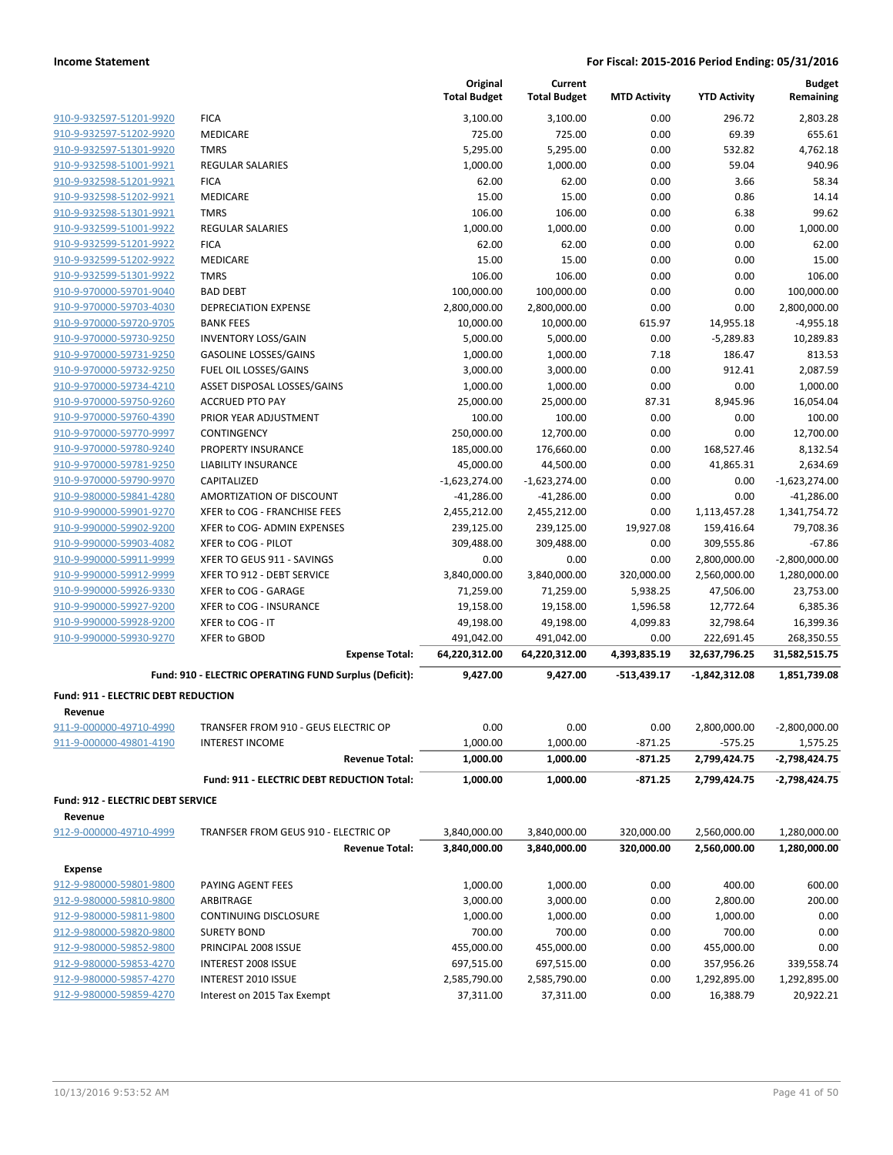|                                                    |                                                        |                       | Original<br><b>Total Budget</b> | Current<br><b>Total Budget</b> | <b>MTD Activity</b> | <b>YTD Activity</b>       | <b>Budget</b><br>Remaining |
|----------------------------------------------------|--------------------------------------------------------|-----------------------|---------------------------------|--------------------------------|---------------------|---------------------------|----------------------------|
| 910-9-932597-51201-9920                            | <b>FICA</b>                                            |                       | 3,100.00                        | 3,100.00                       | 0.00                | 296.72                    | 2,803.28                   |
| 910-9-932597-51202-9920                            | MEDICARE                                               |                       | 725.00                          | 725.00                         | 0.00                | 69.39                     | 655.61                     |
| 910-9-932597-51301-9920                            | <b>TMRS</b>                                            |                       | 5,295.00                        | 5,295.00                       | 0.00                | 532.82                    | 4,762.18                   |
| 910-9-932598-51001-9921                            | <b>REGULAR SALARIES</b>                                |                       | 1,000.00                        | 1,000.00                       | 0.00                | 59.04                     | 940.96                     |
| 910-9-932598-51201-9921                            | <b>FICA</b>                                            |                       | 62.00                           | 62.00                          | 0.00                | 3.66                      | 58.34                      |
| 910-9-932598-51202-9921                            | <b>MEDICARE</b>                                        |                       | 15.00                           | 15.00                          | 0.00                | 0.86                      | 14.14                      |
| 910-9-932598-51301-9921                            | <b>TMRS</b>                                            |                       | 106.00                          | 106.00                         | 0.00                | 6.38                      | 99.62                      |
| 910-9-932599-51001-9922                            | <b>REGULAR SALARIES</b>                                |                       | 1,000.00                        | 1,000.00                       | 0.00                | 0.00                      | 1,000.00                   |
| 910-9-932599-51201-9922                            | <b>FICA</b>                                            |                       | 62.00                           | 62.00                          | 0.00                | 0.00                      | 62.00                      |
| 910-9-932599-51202-9922                            | MEDICARE                                               |                       | 15.00                           | 15.00                          | 0.00                | 0.00                      | 15.00                      |
| 910-9-932599-51301-9922                            | <b>TMRS</b>                                            |                       | 106.00                          | 106.00                         | 0.00                | 0.00                      | 106.00                     |
| 910-9-970000-59701-9040                            | <b>BAD DEBT</b>                                        |                       | 100,000.00                      | 100,000.00                     | 0.00                | 0.00                      | 100,000.00                 |
| 910-9-970000-59703-4030                            | <b>DEPRECIATION EXPENSE</b>                            |                       | 2,800,000.00                    | 2,800,000.00                   | 0.00                | 0.00                      | 2,800,000.00               |
| 910-9-970000-59720-9705                            | <b>BANK FEES</b>                                       |                       | 10,000.00                       | 10,000.00                      | 615.97              | 14,955.18                 | $-4,955.18$                |
| 910-9-970000-59730-9250                            | <b>INVENTORY LOSS/GAIN</b>                             |                       | 5,000.00                        | 5,000.00                       | 0.00                | $-5,289.83$               | 10,289.83                  |
| 910-9-970000-59731-9250                            | <b>GASOLINE LOSSES/GAINS</b>                           |                       | 1,000.00                        | 1,000.00                       | 7.18                | 186.47                    | 813.53                     |
| 910-9-970000-59732-9250                            | FUEL OIL LOSSES/GAINS                                  |                       | 3,000.00                        | 3,000.00                       | 0.00                | 912.41                    | 2,087.59                   |
| 910-9-970000-59734-4210                            | ASSET DISPOSAL LOSSES/GAINS                            |                       | 1,000.00                        | 1,000.00                       | 0.00                | 0.00                      | 1,000.00                   |
| 910-9-970000-59750-9260                            | <b>ACCRUED PTO PAY</b>                                 |                       | 25,000.00                       | 25,000.00                      | 87.31               | 8,945.96                  | 16,054.04                  |
| 910-9-970000-59760-4390                            | PRIOR YEAR ADJUSTMENT                                  |                       | 100.00                          | 100.00                         | 0.00                | 0.00                      | 100.00                     |
| 910-9-970000-59770-9997                            | CONTINGENCY                                            |                       | 250,000.00                      | 12,700.00                      | 0.00                | 0.00                      | 12,700.00                  |
| 910-9-970000-59780-9240                            | PROPERTY INSURANCE                                     |                       | 185,000.00                      | 176,660.00                     | 0.00                | 168,527.46                | 8,132.54                   |
| 910-9-970000-59781-9250                            | <b>LIABILITY INSURANCE</b>                             |                       | 45,000.00                       | 44,500.00                      | 0.00                | 41,865.31                 | 2,634.69                   |
| 910-9-970000-59790-9970                            | CAPITALIZED                                            |                       | $-1,623,274.00$                 | $-1,623,274.00$                | 0.00                | 0.00                      | $-1,623,274.00$            |
| 910-9-980000-59841-4280                            | AMORTIZATION OF DISCOUNT                               |                       | $-41,286.00$                    | $-41,286.00$                   | 0.00                | 0.00                      | $-41,286.00$               |
| 910-9-990000-59901-9270                            | XFER to COG - FRANCHISE FEES                           |                       | 2,455,212.00                    | 2,455,212.00                   | 0.00                | 1,113,457.28              | 1,341,754.72               |
| 910-9-990000-59902-9200                            | XFER to COG- ADMIN EXPENSES                            |                       | 239,125.00                      | 239,125.00                     | 19,927.08           | 159,416.64                | 79,708.36                  |
| 910-9-990000-59903-4082                            | XFER to COG - PILOT                                    |                       | 309,488.00                      | 309,488.00                     | 0.00                | 309,555.86                | -67.86                     |
| 910-9-990000-59911-9999                            | XFER TO GEUS 911 - SAVINGS                             |                       | 0.00                            | 0.00                           | 0.00                | 2,800,000.00              | $-2,800,000.00$            |
| 910-9-990000-59912-9999                            | XFER TO 912 - DEBT SERVICE                             |                       | 3,840,000.00                    | 3,840,000.00                   | 320,000.00          | 2,560,000.00              | 1,280,000.00               |
| 910-9-990000-59926-9330                            | XFER to COG - GARAGE                                   |                       | 71,259.00                       | 71,259.00                      | 5,938.25            | 47,506.00                 | 23,753.00                  |
| 910-9-990000-59927-9200                            | XFER to COG - INSURANCE                                |                       | 19,158.00                       | 19,158.00                      | 1,596.58            | 12,772.64                 | 6,385.36                   |
| 910-9-990000-59928-9200                            | XFER to COG - IT                                       |                       | 49,198.00                       | 49,198.00                      | 4,099.83            | 32,798.64                 | 16,399.36                  |
| 910-9-990000-59930-9270                            | XFER to GBOD                                           |                       | 491,042.00                      | 491,042.00                     | 0.00                | 222,691.45                | 268,350.55                 |
|                                                    |                                                        | <b>Expense Total:</b> | 64,220,312.00                   | 64,220,312.00                  | 4,393,835.19        | 32,637,796.25             | 31,582,515.75              |
|                                                    | Fund: 910 - ELECTRIC OPERATING FUND Surplus (Deficit): |                       | 9,427.00                        | 9,427.00                       | $-513,439.17$       | -1,842,312.08             | 1,851,739.08               |
| Fund: 911 - ELECTRIC DEBT REDUCTION                |                                                        |                       |                                 |                                |                     |                           |                            |
| Revenue                                            | TRANSFER FROM 910 - GEUS ELECTRIC OP                   |                       | 0.00                            | 0.00                           |                     |                           |                            |
| 911-9-000000-49710-4990<br>911-9-000000-49801-4190 | <b>INTEREST INCOME</b>                                 |                       | 1,000.00                        | 1,000.00                       | 0.00<br>$-871.25$   | 2,800,000.00<br>$-575.25$ | -2,800,000.00<br>1,575.25  |
|                                                    |                                                        | <b>Revenue Total:</b> | 1,000.00                        | 1,000.00                       | $-871.25$           | 2,799,424.75              | -2,798,424.75              |
|                                                    |                                                        |                       |                                 |                                |                     |                           |                            |
|                                                    | Fund: 911 - ELECTRIC DEBT REDUCTION Total:             |                       | 1,000.00                        | 1,000.00                       | $-871.25$           | 2,799,424.75              | -2,798,424.75              |
| Fund: 912 - ELECTRIC DEBT SERVICE                  |                                                        |                       |                                 |                                |                     |                           |                            |
| Revenue                                            |                                                        |                       |                                 |                                |                     |                           |                            |
| 912-9-000000-49710-4999                            | TRANFSER FROM GEUS 910 - ELECTRIC OP                   |                       | 3,840,000.00                    | 3,840,000.00                   | 320,000.00          | 2,560,000.00              | 1,280,000.00               |
|                                                    |                                                        | <b>Revenue Total:</b> | 3,840,000.00                    | 3,840,000.00                   | 320,000.00          | 2,560,000.00              | 1,280,000.00               |
| <b>Expense</b>                                     |                                                        |                       |                                 |                                |                     |                           |                            |
| 912-9-980000-59801-9800                            | PAYING AGENT FEES                                      |                       | 1,000.00                        | 1,000.00                       | 0.00                | 400.00                    | 600.00                     |
| 912-9-980000-59810-9800                            | ARBITRAGE                                              |                       | 3,000.00                        | 3,000.00                       | 0.00                | 2,800.00                  | 200.00                     |
| 912-9-980000-59811-9800                            | CONTINUING DISCLOSURE                                  |                       | 1,000.00                        | 1,000.00                       | 0.00                | 1,000.00                  | 0.00                       |
| 912-9-980000-59820-9800                            | <b>SURETY BOND</b>                                     |                       | 700.00                          | 700.00                         | 0.00                | 700.00                    | 0.00                       |
| 912-9-980000-59852-9800                            | PRINCIPAL 2008 ISSUE                                   |                       | 455,000.00                      | 455,000.00                     | 0.00                | 455,000.00                | 0.00                       |
| 912-9-980000-59853-4270                            | INTEREST 2008 ISSUE                                    |                       | 697,515.00                      | 697,515.00                     | 0.00                | 357,956.26                | 339,558.74                 |
| 912-9-980000-59857-4270                            | INTEREST 2010 ISSUE                                    |                       | 2,585,790.00                    | 2,585,790.00                   | 0.00                | 1,292,895.00              | 1,292,895.00               |
| 912-9-980000-59859-4270                            | Interest on 2015 Tax Exempt                            |                       | 37,311.00                       | 37,311.00                      | 0.00                | 16,388.79                 | 20,922.21                  |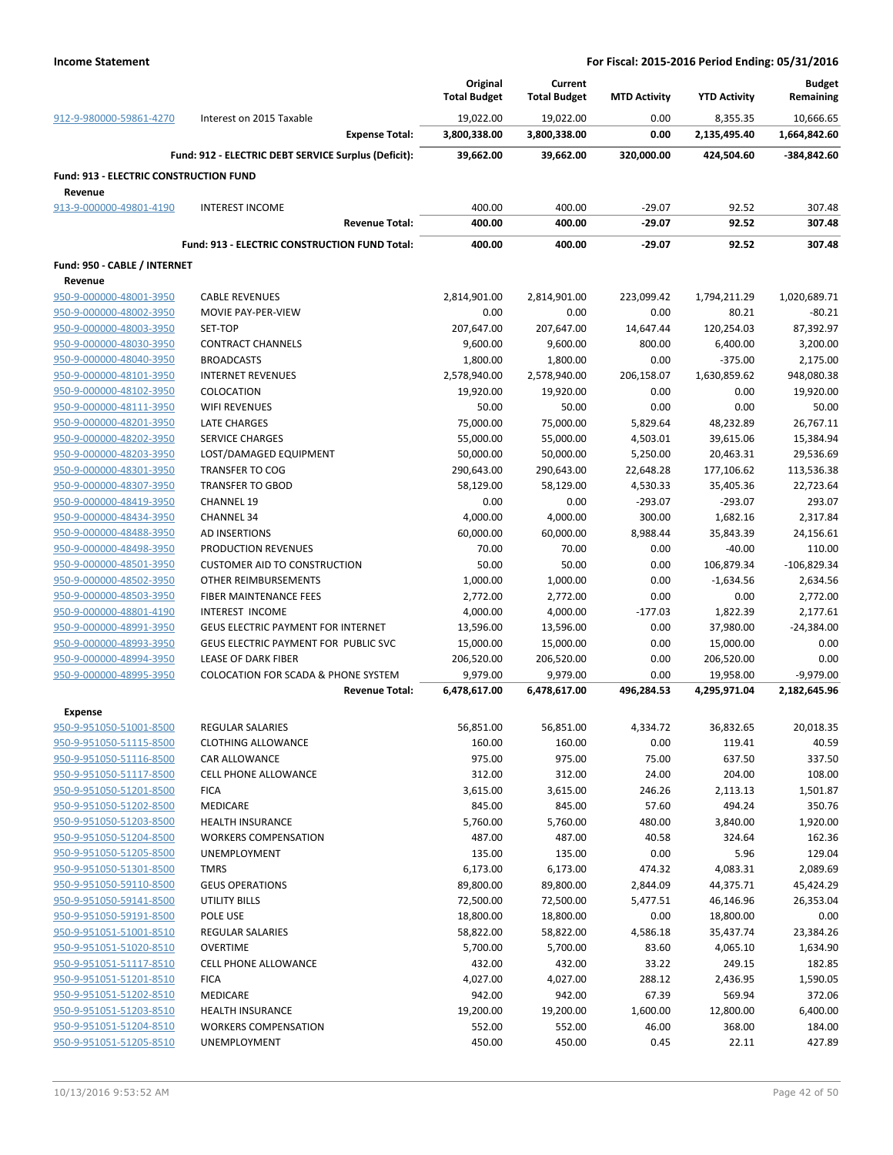|                                        |                                                                         | Original<br><b>Total Budget</b> | Current<br><b>Total Budget</b> | <b>MTD Activity</b> | <b>YTD Activity</b>       | <b>Budget</b><br>Remaining  |
|----------------------------------------|-------------------------------------------------------------------------|---------------------------------|--------------------------------|---------------------|---------------------------|-----------------------------|
| 912-9-980000-59861-4270                | Interest on 2015 Taxable                                                | 19,022.00                       | 19,022.00                      | 0.00                | 8,355.35                  | 10,666.65                   |
|                                        | <b>Expense Total:</b>                                                   | 3,800,338.00                    | 3,800,338.00                   | 0.00                | 2,135,495.40              | 1,664,842.60                |
|                                        | Fund: 912 - ELECTRIC DEBT SERVICE Surplus (Deficit):                    | 39,662.00                       | 39,662.00                      | 320,000.00          | 424,504.60                | -384,842.60                 |
| Fund: 913 - ELECTRIC CONSTRUCTION FUND |                                                                         |                                 |                                |                     |                           |                             |
| Revenue<br>913-9-000000-49801-4190     | <b>INTEREST INCOME</b>                                                  | 400.00                          | 400.00                         | $-29.07$            | 92.52                     | 307.48                      |
|                                        | <b>Revenue Total:</b>                                                   | 400.00                          | 400.00                         | -29.07              | 92.52                     | 307.48                      |
|                                        | Fund: 913 - ELECTRIC CONSTRUCTION FUND Total:                           | 400.00                          | 400.00                         | $-29.07$            | 92.52                     | 307.48                      |
| Fund: 950 - CABLE / INTERNET           |                                                                         |                                 |                                |                     |                           |                             |
| Revenue                                |                                                                         |                                 |                                |                     |                           |                             |
| 950-9-000000-48001-3950                | <b>CABLE REVENUES</b>                                                   | 2,814,901.00                    | 2,814,901.00                   | 223,099.42          | 1,794,211.29              | 1,020,689.71                |
| 950-9-000000-48002-3950                | MOVIE PAY-PER-VIEW                                                      | 0.00                            | 0.00                           | 0.00                | 80.21                     | $-80.21$                    |
| 950-9-000000-48003-3950                | SET-TOP                                                                 | 207,647.00                      | 207,647.00                     | 14,647.44           | 120,254.03                | 87,392.97                   |
| 950-9-000000-48030-3950                | <b>CONTRACT CHANNELS</b>                                                | 9,600.00                        | 9,600.00                       | 800.00              | 6,400.00                  | 3,200.00                    |
| 950-9-000000-48040-3950                | <b>BROADCASTS</b>                                                       | 1,800.00                        | 1,800.00                       | 0.00                | $-375.00$                 | 2,175.00                    |
| 950-9-000000-48101-3950                | <b>INTERNET REVENUES</b>                                                | 2,578,940.00                    | 2,578,940.00                   | 206,158.07          | 1,630,859.62              | 948,080.38                  |
| 950-9-000000-48102-3950                | COLOCATION                                                              | 19,920.00                       | 19,920.00                      | 0.00                | 0.00                      | 19,920.00                   |
| 950-9-000000-48111-3950                | <b>WIFI REVENUES</b>                                                    | 50.00                           | 50.00                          | 0.00                | 0.00                      | 50.00                       |
| 950-9-000000-48201-3950                | LATE CHARGES                                                            | 75,000.00                       | 75,000.00                      | 5,829.64            | 48,232.89                 | 26,767.11                   |
| 950-9-000000-48202-3950                | <b>SERVICE CHARGES</b>                                                  | 55,000.00                       | 55,000.00                      | 4,503.01            | 39,615.06                 | 15,384.94                   |
| 950-9-000000-48203-3950                | LOST/DAMAGED EQUIPMENT                                                  | 50,000.00                       | 50,000.00                      | 5,250.00            | 20,463.31                 | 29,536.69                   |
| 950-9-000000-48301-3950                | <b>TRANSFER TO COG</b>                                                  | 290,643.00                      | 290,643.00                     | 22,648.28           | 177,106.62                | 113,536.38                  |
| 950-9-000000-48307-3950                | <b>TRANSFER TO GBOD</b>                                                 | 58,129.00                       | 58,129.00                      | 4,530.33            | 35,405.36                 | 22,723.64                   |
| 950-9-000000-48419-3950                | <b>CHANNEL 19</b>                                                       | 0.00                            | 0.00                           | $-293.07$           | $-293.07$                 | 293.07                      |
| 950-9-000000-48434-3950                | <b>CHANNEL 34</b>                                                       | 4,000.00                        | 4,000.00                       | 300.00              | 1,682.16                  | 2,317.84                    |
| 950-9-000000-48488-3950                | AD INSERTIONS                                                           | 60,000.00                       | 60,000.00                      | 8,988.44            | 35,843.39                 | 24,156.61                   |
| 950-9-000000-48498-3950                | PRODUCTION REVENUES                                                     | 70.00                           | 70.00                          | 0.00                | $-40.00$                  | 110.00                      |
| 950-9-000000-48501-3950                | <b>CUSTOMER AID TO CONSTRUCTION</b>                                     | 50.00                           | 50.00                          | 0.00                | 106,879.34                | $-106,829.34$               |
| 950-9-000000-48502-3950                | OTHER REIMBURSEMENTS                                                    | 1,000.00                        | 1,000.00                       | 0.00                | $-1,634.56$               | 2,634.56                    |
| 950-9-000000-48503-3950                | FIBER MAINTENANCE FEES                                                  | 2,772.00                        | 2,772.00                       | 0.00                | 0.00                      | 2,772.00                    |
| 950-9-000000-48801-4190                | <b>INTEREST INCOME</b>                                                  | 4,000.00                        | 4,000.00                       | $-177.03$           | 1,822.39                  | 2,177.61                    |
| 950-9-000000-48991-3950                | <b>GEUS ELECTRIC PAYMENT FOR INTERNET</b>                               | 13,596.00                       | 13,596.00                      | 0.00                | 37,980.00                 | $-24,384.00$                |
|                                        | GEUS ELECTRIC PAYMENT FOR PUBLIC SVC                                    |                                 |                                |                     |                           |                             |
| 950-9-000000-48993-3950                |                                                                         | 15,000.00                       | 15,000.00                      | 0.00                | 15,000.00                 | 0.00                        |
| 950-9-000000-48994-3950                | LEASE OF DARK FIBER                                                     | 206,520.00                      | 206,520.00                     | 0.00                | 206,520.00                | 0.00                        |
| 950-9-000000-48995-3950                | <b>COLOCATION FOR SCADA &amp; PHONE SYSTEM</b><br><b>Revenue Total:</b> | 9,979.00<br>6,478,617.00        | 9,979.00<br>6,478,617.00       | 0.00<br>496,284.53  | 19,958.00<br>4,295,971.04 | $-9,979.00$<br>2,182,645.96 |
| Expense                                |                                                                         |                                 |                                |                     |                           |                             |
| 950-9-951050-51001-8500                | <b>REGULAR SALARIES</b>                                                 | 56,851.00                       | 56,851.00                      | 4,334.72            | 36,832.65                 | 20,018.35                   |
| 950-9-951050-51115-8500                |                                                                         |                                 |                                |                     |                           | 40.59                       |
| 950-9-951050-51116-8500                | <b>CLOTHING ALLOWANCE</b><br>CAR ALLOWANCE                              | 160.00<br>975.00                | 160.00<br>975.00               | 0.00<br>75.00       | 119.41<br>637.50          | 337.50                      |
|                                        |                                                                         |                                 |                                | 24.00               | 204.00                    |                             |
| 950-9-951050-51117-8500                | CELL PHONE ALLOWANCE                                                    | 312.00                          | 312.00                         |                     |                           | 108.00                      |
| 950-9-951050-51201-8500                | <b>FICA</b>                                                             | 3,615.00                        | 3,615.00                       | 246.26              | 2,113.13                  | 1,501.87                    |
| 950-9-951050-51202-8500                | MEDICARE                                                                | 845.00                          | 845.00                         | 57.60               | 494.24                    | 350.76                      |
| 950-9-951050-51203-8500                | HEALTH INSURANCE                                                        | 5,760.00                        | 5,760.00                       | 480.00              | 3,840.00                  | 1,920.00                    |
| 950-9-951050-51204-8500                | <b>WORKERS COMPENSATION</b>                                             | 487.00                          | 487.00                         | 40.58               | 324.64                    | 162.36                      |
| 950-9-951050-51205-8500                | <b>UNEMPLOYMENT</b>                                                     | 135.00                          | 135.00                         | 0.00                | 5.96                      | 129.04                      |
| 950-9-951050-51301-8500                | <b>TMRS</b>                                                             | 6,173.00                        | 6,173.00                       | 474.32              | 4,083.31                  | 2,089.69                    |
| 950-9-951050-59110-8500                | <b>GEUS OPERATIONS</b>                                                  | 89,800.00                       | 89,800.00                      | 2,844.09            | 44,375.71                 | 45,424.29                   |
| 950-9-951050-59141-8500                | UTILITY BILLS                                                           | 72,500.00                       | 72,500.00                      | 5,477.51            | 46,146.96                 | 26,353.04                   |
| 950-9-951050-59191-8500                | POLE USE                                                                | 18,800.00                       | 18,800.00                      | 0.00                | 18,800.00                 | 0.00                        |
| 950-9-951051-51001-8510                | REGULAR SALARIES                                                        | 58,822.00                       | 58,822.00                      | 4,586.18            | 35,437.74                 | 23,384.26                   |
| 950-9-951051-51020-8510                | <b>OVERTIME</b>                                                         | 5,700.00                        | 5,700.00                       | 83.60               | 4,065.10                  | 1,634.90                    |
| 950-9-951051-51117-8510                | <b>CELL PHONE ALLOWANCE</b>                                             | 432.00                          | 432.00                         | 33.22               | 249.15                    | 182.85                      |
| 950-9-951051-51201-8510                | <b>FICA</b>                                                             | 4,027.00                        | 4,027.00                       | 288.12              | 2,436.95                  | 1,590.05                    |
| 950-9-951051-51202-8510                | MEDICARE                                                                | 942.00                          | 942.00                         | 67.39               | 569.94                    | 372.06                      |
| 950-9-951051-51203-8510                | <b>HEALTH INSURANCE</b>                                                 | 19,200.00                       | 19,200.00                      | 1,600.00            | 12,800.00                 | 6,400.00                    |
| 950-9-951051-51204-8510                | <b>WORKERS COMPENSATION</b>                                             | 552.00                          | 552.00                         | 46.00               | 368.00                    | 184.00                      |
| 950-9-951051-51205-8510                | UNEMPLOYMENT                                                            | 450.00                          | 450.00                         | 0.45                | 22.11                     | 427.89                      |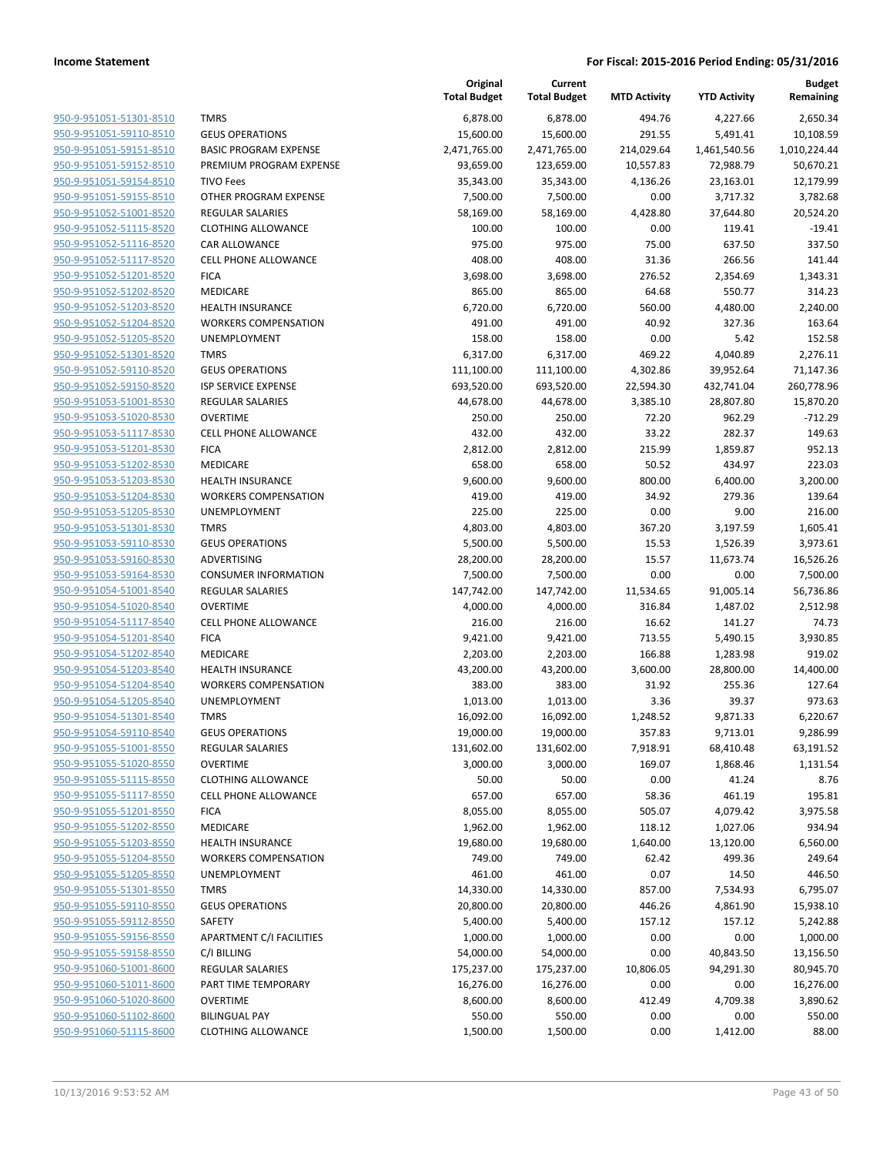|                                                    |                                                | Original<br><b>Total Budget</b> | Current<br><b>Total Budget</b> | <b>MTD Activity</b> | <b>YTD Activity</b> | <b>Budget</b><br>Remaining |
|----------------------------------------------------|------------------------------------------------|---------------------------------|--------------------------------|---------------------|---------------------|----------------------------|
| 950-9-951051-51301-8510                            | <b>TMRS</b>                                    | 6,878.00                        | 6,878.00                       | 494.76              | 4,227.66            | 2,650.34                   |
| 950-9-951051-59110-8510                            | <b>GEUS OPERATIONS</b>                         | 15,600.00                       | 15,600.00                      | 291.55              | 5,491.41            | 10,108.59                  |
| 950-9-951051-59151-8510                            | <b>BASIC PROGRAM EXPENSE</b>                   | 2,471,765.00                    | 2,471,765.00                   | 214,029.64          | 1,461,540.56        | 1,010,224.44               |
| 950-9-951051-59152-8510                            | PREMIUM PROGRAM EXPENSE                        | 93,659.00                       | 123,659.00                     | 10,557.83           | 72,988.79           | 50,670.21                  |
| 950-9-951051-59154-8510                            | <b>TIVO Fees</b>                               | 35,343.00                       | 35,343.00                      | 4,136.26            | 23,163.01           | 12,179.99                  |
| 950-9-951051-59155-8510                            | OTHER PROGRAM EXPENSE                          | 7,500.00                        | 7,500.00                       | 0.00                | 3,717.32            | 3,782.68                   |
| 950-9-951052-51001-8520                            | REGULAR SALARIES                               | 58,169.00                       | 58,169.00                      | 4,428.80            | 37,644.80           | 20,524.20                  |
| 950-9-951052-51115-8520                            | <b>CLOTHING ALLOWANCE</b>                      | 100.00                          | 100.00                         | 0.00                | 119.41              | $-19.41$                   |
| 950-9-951052-51116-8520                            | <b>CAR ALLOWANCE</b>                           | 975.00                          | 975.00                         | 75.00               | 637.50              | 337.50                     |
| 950-9-951052-51117-8520                            | <b>CELL PHONE ALLOWANCE</b>                    | 408.00                          | 408.00                         | 31.36               | 266.56              | 141.44                     |
| 950-9-951052-51201-8520                            | <b>FICA</b>                                    | 3,698.00                        | 3,698.00                       | 276.52              | 2,354.69            | 1,343.31                   |
| 950-9-951052-51202-8520                            | <b>MEDICARE</b>                                | 865.00                          | 865.00                         | 64.68               | 550.77              | 314.23                     |
| 950-9-951052-51203-8520                            | <b>HEALTH INSURANCE</b>                        | 6,720.00                        | 6,720.00                       | 560.00              | 4,480.00            | 2,240.00                   |
| 950-9-951052-51204-8520                            | <b>WORKERS COMPENSATION</b>                    | 491.00                          | 491.00                         | 40.92               | 327.36              | 163.64                     |
| 950-9-951052-51205-8520                            | UNEMPLOYMENT                                   | 158.00                          | 158.00                         | 0.00                | 5.42                | 152.58                     |
| 950-9-951052-51301-8520                            | <b>TMRS</b>                                    | 6,317.00                        | 6,317.00                       | 469.22              | 4,040.89            | 2,276.11                   |
| 950-9-951052-59110-8520                            | <b>GEUS OPERATIONS</b>                         | 111,100.00                      | 111,100.00                     | 4,302.86            | 39,952.64           | 71,147.36                  |
| 950-9-951052-59150-8520                            | <b>ISP SERVICE EXPENSE</b>                     | 693,520.00                      | 693,520.00                     | 22,594.30           | 432,741.04          | 260,778.96                 |
| 950-9-951053-51001-8530                            | <b>REGULAR SALARIES</b>                        | 44,678.00                       | 44,678.00                      | 3,385.10            | 28,807.80           | 15,870.20                  |
| 950-9-951053-51020-8530                            | <b>OVERTIME</b>                                | 250.00                          | 250.00                         | 72.20               | 962.29              | $-712.29$                  |
| 950-9-951053-51117-8530                            | <b>CELL PHONE ALLOWANCE</b>                    | 432.00                          | 432.00                         | 33.22               | 282.37              | 149.63                     |
| 950-9-951053-51201-8530                            | <b>FICA</b>                                    | 2,812.00                        | 2,812.00                       | 215.99              | 1,859.87            | 952.13                     |
| 950-9-951053-51202-8530                            | <b>MEDICARE</b>                                | 658.00                          | 658.00                         | 50.52               | 434.97              | 223.03                     |
| 950-9-951053-51203-8530                            | <b>HEALTH INSURANCE</b>                        | 9,600.00                        | 9,600.00                       | 800.00              | 6,400.00            | 3,200.00                   |
| 950-9-951053-51204-8530                            | <b>WORKERS COMPENSATION</b>                    | 419.00                          | 419.00                         | 34.92               | 279.36              | 139.64                     |
| 950-9-951053-51205-8530                            | UNEMPLOYMENT                                   | 225.00                          | 225.00                         | 0.00                | 9.00                | 216.00                     |
| 950-9-951053-51301-8530                            | <b>TMRS</b>                                    | 4,803.00                        | 4,803.00                       | 367.20              | 3,197.59            | 1,605.41                   |
| 950-9-951053-59110-8530                            | <b>GEUS OPERATIONS</b>                         | 5,500.00                        | 5,500.00                       | 15.53               | 1,526.39            | 3,973.61                   |
| 950-9-951053-59160-8530                            | ADVERTISING                                    | 28,200.00                       | 28,200.00                      | 15.57               | 11,673.74           | 16,526.26                  |
| 950-9-951053-59164-8530                            | <b>CONSUMER INFORMATION</b>                    | 7,500.00                        | 7,500.00                       | 0.00                | 0.00                | 7,500.00                   |
| 950-9-951054-51001-8540<br>950-9-951054-51020-8540 | REGULAR SALARIES                               | 147,742.00                      | 147,742.00                     | 11,534.65           | 91,005.14           | 56,736.86                  |
| 950-9-951054-51117-8540                            | <b>OVERTIME</b><br><b>CELL PHONE ALLOWANCE</b> | 4,000.00                        | 4,000.00                       | 316.84<br>16.62     | 1,487.02<br>141.27  | 2,512.98<br>74.73          |
| 950-9-951054-51201-8540                            | <b>FICA</b>                                    | 216.00<br>9,421.00              | 216.00<br>9,421.00             | 713.55              | 5,490.15            | 3,930.85                   |
| 950-9-951054-51202-8540                            | MEDICARE                                       | 2,203.00                        | 2,203.00                       | 166.88              | 1,283.98            | 919.02                     |
| 950-9-951054-51203-8540                            | <b>HEALTH INSURANCE</b>                        | 43,200.00                       | 43,200.00                      | 3,600.00            | 28,800.00           | 14,400.00                  |
| 950-9-951054-51204-8540                            | <b>WORKERS COMPENSATION</b>                    | 383.00                          | 383.00                         | 31.92               | 255.36              | 127.64                     |
| 950-9-951054-51205-8540                            | <b>UNEMPLOYMENT</b>                            | 1,013.00                        | 1,013.00                       | 3.36                | 39.37               | 973.63                     |
| 950-9-951054-51301-8540                            | <b>TMRS</b>                                    | 16,092.00                       | 16,092.00                      | 1,248.52            | 9,871.33            | 6,220.67                   |
| 950-9-951054-59110-8540                            | <b>GEUS OPERATIONS</b>                         | 19,000.00                       | 19,000.00                      | 357.83              | 9,713.01            | 9,286.99                   |
| 950-9-951055-51001-8550                            | REGULAR SALARIES                               | 131,602.00                      | 131,602.00                     | 7,918.91            | 68,410.48           | 63,191.52                  |
| 950-9-951055-51020-8550                            | <b>OVERTIME</b>                                | 3,000.00                        | 3,000.00                       | 169.07              | 1,868.46            | 1,131.54                   |
| 950-9-951055-51115-8550                            | <b>CLOTHING ALLOWANCE</b>                      | 50.00                           | 50.00                          | 0.00                | 41.24               | 8.76                       |
| 950-9-951055-51117-8550                            | <b>CELL PHONE ALLOWANCE</b>                    | 657.00                          | 657.00                         | 58.36               | 461.19              | 195.81                     |
| 950-9-951055-51201-8550                            | <b>FICA</b>                                    | 8,055.00                        | 8,055.00                       | 505.07              | 4,079.42            | 3,975.58                   |
| 950-9-951055-51202-8550                            | MEDICARE                                       | 1,962.00                        | 1,962.00                       | 118.12              | 1,027.06            | 934.94                     |
| 950-9-951055-51203-8550                            | HEALTH INSURANCE                               | 19,680.00                       | 19,680.00                      | 1,640.00            | 13,120.00           | 6,560.00                   |
| 950-9-951055-51204-8550                            | <b>WORKERS COMPENSATION</b>                    | 749.00                          | 749.00                         | 62.42               | 499.36              | 249.64                     |
| 950-9-951055-51205-8550                            | <b>UNEMPLOYMENT</b>                            | 461.00                          | 461.00                         | 0.07                | 14.50               | 446.50                     |
| 950-9-951055-51301-8550                            | <b>TMRS</b>                                    | 14,330.00                       | 14,330.00                      | 857.00              | 7,534.93            | 6,795.07                   |
| 950-9-951055-59110-8550                            | <b>GEUS OPERATIONS</b>                         | 20,800.00                       | 20,800.00                      | 446.26              | 4,861.90            | 15,938.10                  |
| 950-9-951055-59112-8550                            | SAFETY                                         | 5,400.00                        | 5,400.00                       | 157.12              | 157.12              | 5,242.88                   |
| 950-9-951055-59156-8550                            | <b>APARTMENT C/I FACILITIES</b>                | 1,000.00                        | 1,000.00                       | 0.00                | 0.00                | 1,000.00                   |
| 950-9-951055-59158-8550                            | C/I BILLING                                    | 54,000.00                       | 54,000.00                      | 0.00                | 40,843.50           | 13,156.50                  |
| 950-9-951060-51001-8600                            | REGULAR SALARIES                               | 175,237.00                      | 175,237.00                     | 10,806.05           | 94,291.30           | 80,945.70                  |
| 950-9-951060-51011-8600                            | PART TIME TEMPORARY                            | 16,276.00                       | 16,276.00                      | 0.00                | 0.00                | 16,276.00                  |
| 950-9-951060-51020-8600                            | <b>OVERTIME</b>                                | 8,600.00                        | 8,600.00                       | 412.49              | 4,709.38            | 3,890.62                   |
| 950-9-951060-51102-8600                            | <b>BILINGUAL PAY</b>                           | 550.00                          | 550.00                         | 0.00                | 0.00                | 550.00                     |
| 950-9-951060-51115-8600                            | <b>CLOTHING ALLOWANCE</b>                      | 1,500.00                        | 1,500.00                       | 0.00                | 1,412.00            | 88.00                      |
|                                                    |                                                |                                 |                                |                     |                     |                            |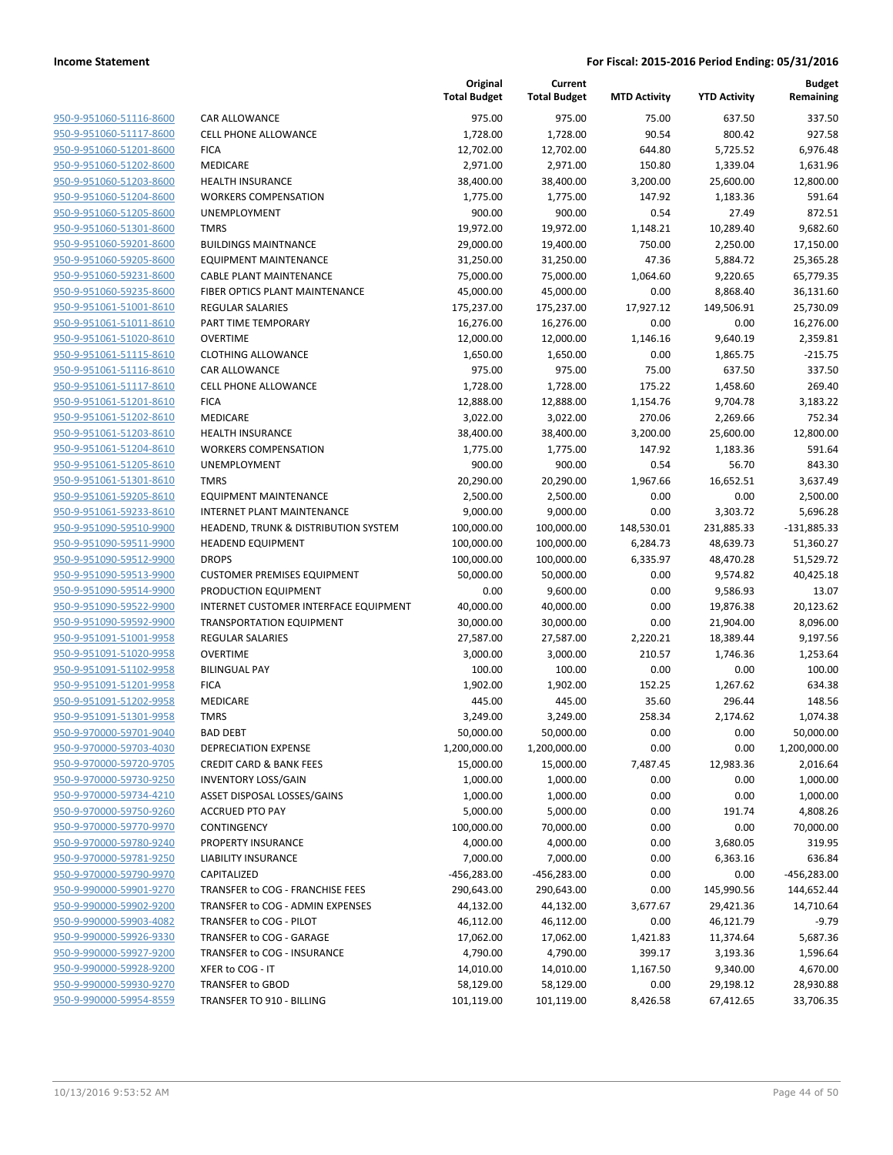| 950-9-951060-51116-8600        |
|--------------------------------|
| 950-9-951060-51117-8600        |
| 950-9-951060-51201-8600        |
| <u>950-9-951060-51202-8600</u> |
| 950-9-951060-51203-8600        |
| 950-9-951060-51204-8600        |
| 950-9-951060-51205-8600        |
| 950-9-951060-51301-8600        |
| <u>950-9-951060-59201-8600</u> |
| 950-9-951060-59205-8600        |
| 950-9-951060-59231-8600        |
| 950-9-951060-59235-8600        |
| 950-9-951061-51001-8610        |
| <u>950-9-951061-51011-8610</u> |
| 950-9-951061-51020-8610        |
| 950-9-951061-51115-8610        |
| 950-9-951061-51116-8610        |
| 950-9-951061-51117-8610        |
| <u>950-9-951061-51201-8610</u> |
| 950-9-951061-51202-8610        |
| 950-9-951061-51203-8610        |
| 950-9-951061-51204-8610        |
| 950-9-951061-51205-8610        |
| 950-9-951061-51301-8610        |
| 950-9-951061-59205-8610        |
| 950-9-951061-59233-8610        |
| 950-9-951090-59510-9900        |
| 950-9-951090-59511-9900        |
| <u>950-9-951090-59512-9900</u> |
| 950-9-951090-59513-9900        |
| 950-9-951090-59514-9900        |
| 950-9-951090-59522-9900        |
| 950-9-951090-59592-9900        |
| <u>950-9-951091-51001-9958</u> |
| 950-9-951091-51020-9958        |
| 950-9-951091-51102-9958        |
| 950-9-951091-51201-9958        |
| 950-9-951091-51202-9958        |
| <u>950-9-951091-51301-9958</u> |
| 950-9-970000-59701-9040        |
| 950-9-970000-59703-4030        |
| 950-9-970000-59720-9705        |
| 950-9-970000-59730-9250        |
| 950-9-970000-59734-4210        |
| 950-9-970000-59750-9260        |
| 950-9-970000-59770-9970        |
| 950-9-970000-59780-9240        |
| 950-9-970000-59781-9250        |
| <u>950-9-970000-59790-9970</u> |
| 950-9-990000-59901-9270        |
| 950-9-990000-59902-9200        |
| 950-9-990000-59903-4082        |
| 950-9-990000-59926-9330        |
| 950-9-990000-59927-9200        |
| 950-9-990000-59928-9200        |
| 950-9-990000-59930-9270        |
| 950-9-990000-59954-8559        |
|                                |

|                         |                                       | Original<br><b>Total Budget</b> | Current<br><b>Total Budget</b> | <b>MTD Activity</b> | <b>YTD Activity</b> | <b>Budget</b><br>Remaining |
|-------------------------|---------------------------------------|---------------------------------|--------------------------------|---------------------|---------------------|----------------------------|
| 950-9-951060-51116-8600 | <b>CAR ALLOWANCE</b>                  | 975.00                          | 975.00                         | 75.00               | 637.50              | 337.50                     |
| 950-9-951060-51117-8600 | <b>CELL PHONE ALLOWANCE</b>           | 1,728.00                        | 1,728.00                       | 90.54               | 800.42              | 927.58                     |
| 950-9-951060-51201-8600 | <b>FICA</b>                           | 12,702.00                       | 12,702.00                      | 644.80              | 5,725.52            | 6,976.48                   |
| 950-9-951060-51202-8600 | MEDICARE                              | 2,971.00                        | 2,971.00                       | 150.80              | 1,339.04            | 1,631.96                   |
| 950-9-951060-51203-8600 | <b>HEALTH INSURANCE</b>               | 38,400.00                       | 38,400.00                      | 3,200.00            | 25,600.00           | 12,800.00                  |
| 950-9-951060-51204-8600 | <b>WORKERS COMPENSATION</b>           | 1,775.00                        | 1,775.00                       | 147.92              | 1,183.36            | 591.64                     |
| 950-9-951060-51205-8600 | UNEMPLOYMENT                          | 900.00                          | 900.00                         | 0.54                | 27.49               | 872.51                     |
| 950-9-951060-51301-8600 | <b>TMRS</b>                           | 19,972.00                       | 19,972.00                      | 1,148.21            | 10,289.40           | 9,682.60                   |
| 950-9-951060-59201-8600 | <b>BUILDINGS MAINTNANCE</b>           | 29,000.00                       | 19,400.00                      | 750.00              | 2,250.00            | 17,150.00                  |
| 950-9-951060-59205-8600 | <b>EQUIPMENT MAINTENANCE</b>          | 31,250.00                       | 31,250.00                      | 47.36               | 5,884.72            | 25,365.28                  |
| 950-9-951060-59231-8600 | <b>CABLE PLANT MAINTENANCE</b>        | 75,000.00                       | 75,000.00                      | 1,064.60            | 9,220.65            | 65,779.35                  |
| 950-9-951060-59235-8600 | FIBER OPTICS PLANT MAINTENANCE        | 45,000.00                       | 45,000.00                      | 0.00                | 8,868.40            | 36,131.60                  |
| 950-9-951061-51001-8610 | REGULAR SALARIES                      | 175,237.00                      | 175,237.00                     | 17,927.12           | 149,506.91          | 25,730.09                  |
| 950-9-951061-51011-8610 | PART TIME TEMPORARY                   | 16,276.00                       | 16,276.00                      | 0.00                | 0.00                | 16,276.00                  |
| 950-9-951061-51020-8610 | <b>OVERTIME</b>                       | 12,000.00                       | 12,000.00                      | 1,146.16            | 9,640.19            | 2,359.81                   |
| 950-9-951061-51115-8610 | <b>CLOTHING ALLOWANCE</b>             | 1,650.00                        | 1,650.00                       | 0.00                | 1,865.75            | $-215.75$                  |
| 950-9-951061-51116-8610 | <b>CAR ALLOWANCE</b>                  | 975.00                          | 975.00                         | 75.00               | 637.50              | 337.50                     |
| 950-9-951061-51117-8610 | CELL PHONE ALLOWANCE                  | 1,728.00                        | 1,728.00                       | 175.22              | 1,458.60            | 269.40                     |
| 950-9-951061-51201-8610 | <b>FICA</b>                           | 12,888.00                       | 12,888.00                      | 1,154.76            | 9,704.78            | 3,183.22                   |
| 950-9-951061-51202-8610 | MEDICARE                              | 3,022.00                        | 3,022.00                       | 270.06              | 2,269.66            | 752.34                     |
| 950-9-951061-51203-8610 | <b>HEALTH INSURANCE</b>               | 38,400.00                       | 38,400.00                      | 3,200.00            | 25,600.00           | 12,800.00                  |
| 950-9-951061-51204-8610 | <b>WORKERS COMPENSATION</b>           | 1,775.00                        | 1,775.00                       | 147.92              | 1,183.36            | 591.64                     |
| 950-9-951061-51205-8610 | UNEMPLOYMENT                          | 900.00                          | 900.00                         | 0.54                | 56.70               | 843.30                     |
| 950-9-951061-51301-8610 | <b>TMRS</b>                           | 20,290.00                       | 20,290.00                      | 1,967.66            | 16,652.51           | 3,637.49                   |
| 950-9-951061-59205-8610 | <b>EQUIPMENT MAINTENANCE</b>          | 2,500.00                        | 2,500.00                       | 0.00                | 0.00                | 2,500.00                   |
| 950-9-951061-59233-8610 | <b>INTERNET PLANT MAINTENANCE</b>     | 9,000.00                        | 9,000.00                       | 0.00                | 3,303.72            | 5,696.28                   |
| 950-9-951090-59510-9900 | HEADEND, TRUNK & DISTRIBUTION SYSTEM  | 100,000.00                      | 100,000.00                     | 148,530.01          | 231,885.33          | $-131,885.33$              |
| 950-9-951090-59511-9900 | <b>HEADEND EQUIPMENT</b>              | 100,000.00                      | 100,000.00                     | 6,284.73            | 48,639.73           | 51,360.27                  |
| 950-9-951090-59512-9900 | <b>DROPS</b>                          | 100,000.00                      | 100,000.00                     | 6,335.97            | 48,470.28           | 51,529.72                  |
| 950-9-951090-59513-9900 | <b>CUSTOMER PREMISES EQUIPMENT</b>    | 50,000.00                       | 50,000.00                      | 0.00                | 9,574.82            | 40,425.18                  |
| 950-9-951090-59514-9900 | PRODUCTION EQUIPMENT                  | 0.00                            | 9,600.00                       | 0.00                | 9,586.93            | 13.07                      |
| 950-9-951090-59522-9900 | INTERNET CUSTOMER INTERFACE EQUIPMENT | 40,000.00                       | 40,000.00                      | 0.00                | 19,876.38           | 20,123.62                  |
| 950-9-951090-59592-9900 | <b>TRANSPORTATION EQUIPMENT</b>       | 30,000.00                       | 30,000.00                      | 0.00                | 21,904.00           | 8,096.00                   |
| 950-9-951091-51001-9958 | REGULAR SALARIES                      | 27,587.00                       | 27,587.00                      | 2,220.21            | 18,389.44           | 9,197.56                   |
| 950-9-951091-51020-9958 | <b>OVERTIME</b>                       | 3,000.00                        | 3,000.00                       | 210.57              | 1,746.36            | 1,253.64                   |
| 950-9-951091-51102-9958 | <b>BILINGUAL PAY</b>                  | 100.00                          | 100.00                         | 0.00                | 0.00                | 100.00                     |
| 950-9-951091-51201-9958 | <b>FICA</b>                           | 1,902.00                        | 1,902.00                       | 152.25              | 1,267.62            | 634.38                     |
| 950-9-951091-51202-9958 | MEDICARE                              | 445.00                          | 445.00                         | 35.60               | 296.44              | 148.56                     |
| 950-9-951091-51301-9958 | <b>TMRS</b>                           | 3,249.00                        | 3,249.00                       | 258.34              | 2,174.62            | 1,074.38                   |
| 950-9-970000-59701-9040 | <b>BAD DEBT</b>                       | 50,000.00                       | 50,000.00                      | 0.00                | 0.00                | 50,000.00                  |
| 950-9-970000-59703-4030 | DEPRECIATION EXPENSE                  | 1,200,000.00                    | 1,200,000.00                   | 0.00                | 0.00                | 1,200,000.00               |
| 950-9-970000-59720-9705 | <b>CREDIT CARD &amp; BANK FEES</b>    | 15,000.00                       | 15,000.00                      | 7,487.45            | 12,983.36           | 2,016.64                   |
| 950-9-970000-59730-9250 | <b>INVENTORY LOSS/GAIN</b>            | 1,000.00                        | 1,000.00                       | 0.00                | 0.00                | 1,000.00                   |
| 950-9-970000-59734-4210 | ASSET DISPOSAL LOSSES/GAINS           | 1,000.00                        | 1,000.00                       | 0.00                | 0.00                | 1,000.00                   |
| 950-9-970000-59750-9260 | <b>ACCRUED PTO PAY</b>                | 5,000.00                        | 5,000.00                       | 0.00                | 191.74              | 4,808.26                   |
| 950-9-970000-59770-9970 | CONTINGENCY                           | 100,000.00                      | 70,000.00                      | 0.00                | 0.00                | 70,000.00                  |
| 950-9-970000-59780-9240 | PROPERTY INSURANCE                    | 4,000.00                        | 4,000.00                       | 0.00                | 3,680.05            | 319.95                     |
| 950-9-970000-59781-9250 | <b>LIABILITY INSURANCE</b>            | 7,000.00                        | 7,000.00                       | 0.00                | 6,363.16            | 636.84                     |
| 950-9-970000-59790-9970 | CAPITALIZED                           | $-456,283.00$                   | $-456,283.00$                  | 0.00                | 0.00                | -456,283.00                |
| 950-9-990000-59901-9270 | TRANSFER to COG - FRANCHISE FEES      | 290,643.00                      | 290,643.00                     | 0.00                | 145,990.56          | 144,652.44                 |
| 950-9-990000-59902-9200 | TRANSFER to COG - ADMIN EXPENSES      | 44,132.00                       | 44,132.00                      | 3,677.67            | 29,421.36           | 14,710.64                  |
| 950-9-990000-59903-4082 | TRANSFER to COG - PILOT               | 46,112.00                       | 46,112.00                      | 0.00                | 46,121.79           | $-9.79$                    |
| 950-9-990000-59926-9330 | TRANSFER to COG - GARAGE              | 17,062.00                       | 17,062.00                      |                     | 11,374.64           |                            |
| 950-9-990000-59927-9200 | TRANSFER to COG - INSURANCE           |                                 |                                | 1,421.83            |                     | 5,687.36                   |
|                         |                                       | 4,790.00                        | 4,790.00                       | 399.17              | 3,193.36            | 1,596.64                   |
| 950-9-990000-59928-9200 | XFER to COG - IT                      | 14,010.00                       | 14,010.00                      | 1,167.50            | 9,340.00            | 4,670.00                   |
| 950-9-990000-59930-9270 | TRANSFER to GBOD                      | 58,129.00                       | 58,129.00                      | 0.00                | 29,198.12           | 28,930.88                  |
| 950-9-990000-59954-8559 | TRANSFER TO 910 - BILLING             | 101,119.00                      | 101,119.00                     | 8,426.58            | 67,412.65           | 33,706.35                  |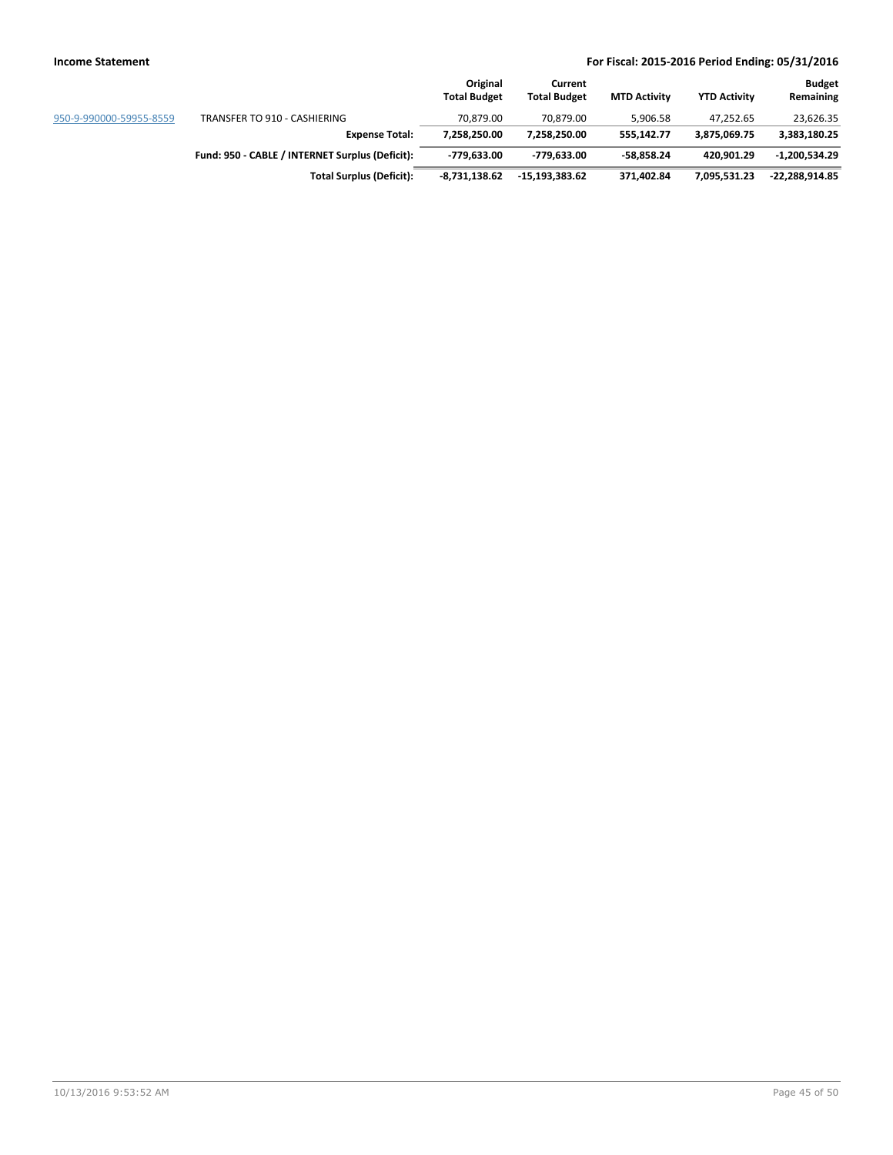|                         |                                                 | Original<br><b>Total Budget</b> | Current<br><b>Total Budget</b> | <b>MTD Activity</b> | <b>YTD Activity</b> | <b>Budget</b><br>Remaining |
|-------------------------|-------------------------------------------------|---------------------------------|--------------------------------|---------------------|---------------------|----------------------------|
| 950-9-990000-59955-8559 | TRANSFER TO 910 - CASHIERING                    | 70.879.00                       | 70.879.00                      | 5.906.58            | 47.252.65           | 23,626.35                  |
|                         | <b>Expense Total:</b>                           | 7.258.250.00                    | 7.258.250.00                   | 555.142.77          | 3.875.069.75        | 3,383,180.25               |
|                         | Fund: 950 - CABLE / INTERNET Surplus (Deficit): | -779.633.00                     | -779.633.00                    | -58.858.24          | 420.901.29          | $-1.200.534.29$            |
|                         | <b>Total Surplus (Deficit):</b>                 | $-8.731.138.62$                 | -15.193.383.62                 | 371,402.84          | 7,095,531.23        | $-22.288.914.85$           |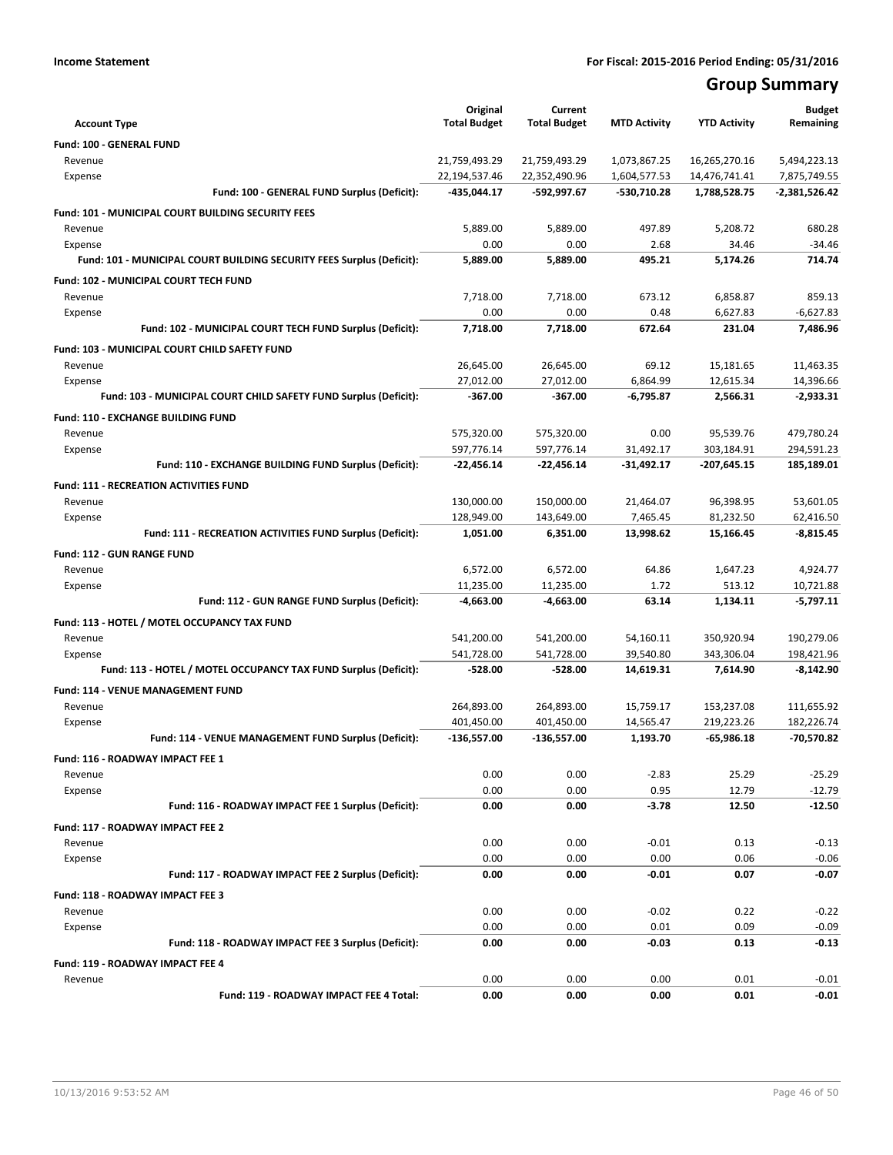# **Group Summary**

| <b>Account Type</b>                                                   | Original<br><b>Total Budget</b> | Current<br><b>Total Budget</b> | <b>MTD Activity</b> | <b>YTD Activity</b> | <b>Budget</b><br>Remaining |
|-----------------------------------------------------------------------|---------------------------------|--------------------------------|---------------------|---------------------|----------------------------|
| Fund: 100 - GENERAL FUND                                              |                                 |                                |                     |                     |                            |
| Revenue                                                               | 21,759,493.29                   | 21,759,493.29                  | 1,073,867.25        | 16,265,270.16       | 5,494,223.13               |
| Expense                                                               | 22,194,537.46                   | 22,352,490.96                  | 1,604,577.53        | 14,476,741.41       | 7,875,749.55               |
| Fund: 100 - GENERAL FUND Surplus (Deficit):                           | -435,044.17                     | -592,997.67                    | -530,710.28         | 1,788,528.75        | $-2,381,526.42$            |
| Fund: 101 - MUNICIPAL COURT BUILDING SECURITY FEES                    |                                 |                                |                     |                     |                            |
| Revenue                                                               | 5,889.00                        | 5,889.00                       | 497.89              | 5,208.72            | 680.28                     |
| Expense                                                               | 0.00                            | 0.00                           | 2.68                | 34.46               | $-34.46$                   |
| Fund: 101 - MUNICIPAL COURT BUILDING SECURITY FEES Surplus (Deficit): | 5,889.00                        | 5,889.00                       | 495.21              | 5,174.26            | 714.74                     |
| Fund: 102 - MUNICIPAL COURT TECH FUND                                 |                                 |                                |                     |                     |                            |
| Revenue                                                               | 7,718.00                        | 7,718.00                       | 673.12              | 6,858.87            | 859.13                     |
| Expense                                                               | 0.00                            | 0.00                           | 0.48                | 6,627.83            | $-6,627.83$                |
| Fund: 102 - MUNICIPAL COURT TECH FUND Surplus (Deficit):              | 7,718.00                        | 7,718.00                       | 672.64              | 231.04              | 7,486.96                   |
| Fund: 103 - MUNICIPAL COURT CHILD SAFETY FUND                         |                                 |                                |                     |                     |                            |
| Revenue                                                               | 26,645.00                       | 26,645.00                      | 69.12               | 15,181.65           | 11,463.35                  |
| Expense                                                               | 27,012.00                       | 27,012.00                      | 6,864.99            | 12,615.34           | 14,396.66                  |
| Fund: 103 - MUNICIPAL COURT CHILD SAFETY FUND Surplus (Deficit):      | $-367.00$                       | $-367.00$                      | $-6,795.87$         | 2,566.31            | $-2.933.31$                |
| Fund: 110 - EXCHANGE BUILDING FUND                                    |                                 |                                |                     |                     |                            |
| Revenue                                                               | 575,320.00                      | 575,320.00                     | 0.00                | 95,539.76           | 479,780.24                 |
| Expense                                                               | 597,776.14                      | 597,776.14                     | 31,492.17           | 303,184.91          | 294,591.23                 |
| Fund: 110 - EXCHANGE BUILDING FUND Surplus (Deficit):                 | -22,456.14                      | $-22,456.14$                   | -31,492.17          | -207,645.15         | 185,189.01                 |
| <b>Fund: 111 - RECREATION ACTIVITIES FUND</b>                         |                                 |                                |                     |                     |                            |
| Revenue                                                               | 130,000.00                      | 150,000.00                     | 21,464.07           | 96,398.95           | 53,601.05                  |
| Expense                                                               | 128,949.00                      | 143,649.00                     | 7,465.45            | 81,232.50           | 62,416.50                  |
| Fund: 111 - RECREATION ACTIVITIES FUND Surplus (Deficit):             | 1,051.00                        | 6,351.00                       | 13,998.62           | 15,166.45           | $-8,815.45$                |
| <b>Fund: 112 - GUN RANGE FUND</b>                                     |                                 |                                |                     |                     |                            |
| Revenue                                                               | 6,572.00                        | 6,572.00                       | 64.86               | 1,647.23            | 4,924.77                   |
| Expense                                                               | 11,235.00                       | 11,235.00                      | 1.72                | 513.12              | 10,721.88                  |
| Fund: 112 - GUN RANGE FUND Surplus (Deficit):                         | -4,663.00                       | -4,663.00                      | 63.14               | 1,134.11            | $-5,797.11$                |
| Fund: 113 - HOTEL / MOTEL OCCUPANCY TAX FUND                          |                                 |                                |                     |                     |                            |
| Revenue                                                               | 541,200.00                      | 541,200.00                     | 54,160.11           | 350,920.94          | 190,279.06                 |
| Expense                                                               | 541,728.00                      | 541,728.00                     | 39,540.80           | 343,306.04          | 198,421.96                 |
| Fund: 113 - HOTEL / MOTEL OCCUPANCY TAX FUND Surplus (Deficit):       | -528.00                         | -528.00                        | 14,619.31           | 7,614.90            | -8,142.90                  |
| Fund: 114 - VENUE MANAGEMENT FUND                                     |                                 |                                |                     |                     |                            |
| Revenue                                                               | 264,893.00                      | 264,893.00                     | 15,759.17           | 153,237.08          | 111,655.92                 |
| Expense                                                               | 401,450.00                      | 401,450.00                     | 14,565.47           | 219,223.26          | 182,226.74                 |
| Fund: 114 - VENUE MANAGEMENT FUND Surplus (Deficit):                  | -136,557.00                     | -136,557.00                    | 1,193.70            | $-65,986.18$        | -70,570.82                 |
| Fund: 116 - ROADWAY IMPACT FEE 1                                      |                                 |                                |                     |                     |                            |
| Revenue                                                               | 0.00                            | 0.00                           | $-2.83$             | 25.29               | $-25.29$                   |
| Expense                                                               | 0.00                            | 0.00                           | 0.95                | 12.79               | $-12.79$                   |
| Fund: 116 - ROADWAY IMPACT FEE 1 Surplus (Deficit):                   | 0.00                            | 0.00                           | $-3.78$             | 12.50               | $-12.50$                   |
| Fund: 117 - ROADWAY IMPACT FEE 2                                      |                                 |                                |                     |                     |                            |
| Revenue                                                               | 0.00                            | 0.00                           | $-0.01$             | 0.13                | $-0.13$                    |
| Expense                                                               | 0.00                            | 0.00                           | 0.00                | 0.06                | $-0.06$                    |
| Fund: 117 - ROADWAY IMPACT FEE 2 Surplus (Deficit):                   | 0.00                            | 0.00                           | $-0.01$             | 0.07                | $-0.07$                    |
| Fund: 118 - ROADWAY IMPACT FEE 3                                      |                                 |                                |                     |                     |                            |
| Revenue                                                               | 0.00                            | 0.00                           | $-0.02$             | 0.22                | $-0.22$                    |
| Expense                                                               | 0.00                            | 0.00                           | 0.01                | 0.09                | $-0.09$                    |
| Fund: 118 - ROADWAY IMPACT FEE 3 Surplus (Deficit):                   | 0.00                            | 0.00                           | $-0.03$             | 0.13                | $-0.13$                    |
|                                                                       |                                 |                                |                     |                     |                            |
| Fund: 119 - ROADWAY IMPACT FEE 4                                      | 0.00                            | 0.00                           | 0.00                | 0.01                | $-0.01$                    |
| Revenue<br>Fund: 119 - ROADWAY IMPACT FEE 4 Total:                    | 0.00                            | 0.00                           | 0.00                | 0.01                | $-0.01$                    |
|                                                                       |                                 |                                |                     |                     |                            |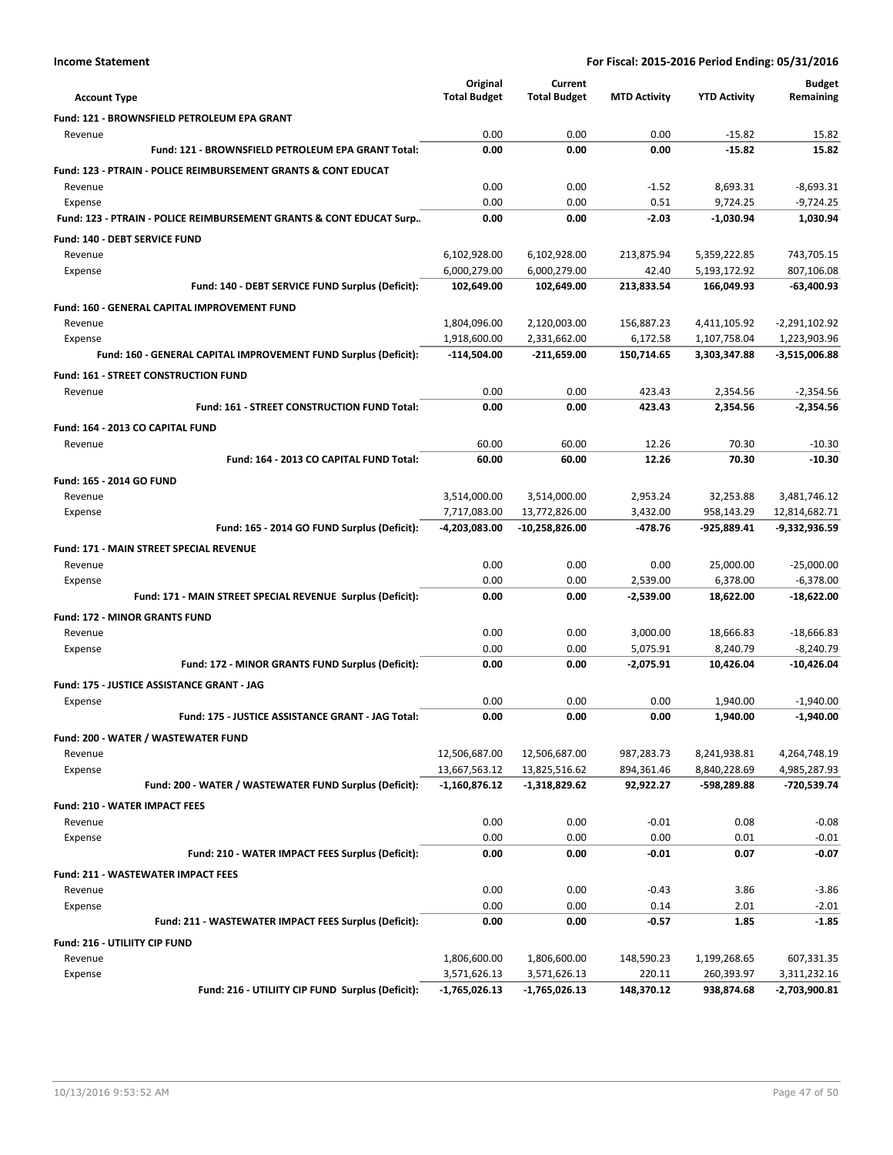|                                                                            | Original<br><b>Total Budget</b> | Current<br><b>Total Budget</b> | <b>MTD Activity</b>    | <b>YTD Activity</b>          | Budget<br>Remaining             |
|----------------------------------------------------------------------------|---------------------------------|--------------------------------|------------------------|------------------------------|---------------------------------|
| <b>Account Type</b>                                                        |                                 |                                |                        |                              |                                 |
| Fund: 121 - BROWNSFIELD PETROLEUM EPA GRANT                                |                                 |                                |                        |                              |                                 |
| Revenue<br>Fund: 121 - BROWNSFIELD PETROLEUM EPA GRANT Total:              | 0.00<br>0.00                    | 0.00<br>0.00                   | 0.00                   | $-15.82$<br>$-15.82$         | 15.82<br>15.82                  |
|                                                                            |                                 |                                | 0.00                   |                              |                                 |
| <b>Fund: 123 - PTRAIN - POLICE REIMBURSEMENT GRANTS &amp; CONT EDUCAT</b>  |                                 |                                |                        |                              |                                 |
| Revenue                                                                    | 0.00                            | 0.00                           | $-1.52$                | 8,693.31                     | $-8,693.31$                     |
| Expense                                                                    | 0.00<br>0.00                    | 0.00<br>0.00                   | 0.51<br>$-2.03$        | 9,724.25<br>$-1,030.94$      | $-9,724.25$<br>1,030.94         |
| Fund: 123 - PTRAIN - POLICE REIMBURSEMENT GRANTS & CONT EDUCAT Surp        |                                 |                                |                        |                              |                                 |
| <b>Fund: 140 - DEBT SERVICE FUND</b>                                       |                                 |                                |                        |                              |                                 |
| Revenue                                                                    | 6,102,928.00                    | 6,102,928.00                   | 213,875.94             | 5,359,222.85                 | 743,705.15                      |
| Expense<br>Fund: 140 - DEBT SERVICE FUND Surplus (Deficit):                | 6,000,279.00<br>102,649.00      | 6,000,279.00<br>102,649.00     | 42.40<br>213,833.54    | 5,193,172.92<br>166,049.93   | 807,106.08<br>$-63,400.93$      |
|                                                                            |                                 |                                |                        |                              |                                 |
| <b>Fund: 160 - GENERAL CAPITAL IMPROVEMENT FUND</b>                        |                                 |                                |                        |                              |                                 |
| Revenue                                                                    | 1,804,096.00<br>1,918,600.00    | 2,120,003.00<br>2,331,662.00   | 156,887.23<br>6,172.58 | 4,411,105.92<br>1,107,758.04 | $-2,291,102.92$<br>1,223,903.96 |
| Expense<br>Fund: 160 - GENERAL CAPITAL IMPROVEMENT FUND Surplus (Deficit): | -114,504.00                     | $-211,659.00$                  | 150,714.65             | 3,303,347.88                 | -3,515,006.88                   |
|                                                                            |                                 |                                |                        |                              |                                 |
| Fund: 161 - STREET CONSTRUCTION FUND                                       |                                 |                                |                        |                              |                                 |
| Revenue<br>Fund: 161 - STREET CONSTRUCTION FUND Total:                     | 0.00<br>0.00                    | 0.00<br>0.00                   | 423.43<br>423.43       | 2,354.56<br>2,354.56         | $-2,354.56$<br>$-2.354.56$      |
|                                                                            |                                 |                                |                        |                              |                                 |
| Fund: 164 - 2013 CO CAPITAL FUND                                           |                                 |                                |                        |                              |                                 |
| Revenue                                                                    | 60.00                           | 60.00                          | 12.26                  | 70.30                        | $-10.30$                        |
| Fund: 164 - 2013 CO CAPITAL FUND Total:                                    | 60.00                           | 60.00                          | 12.26                  | 70.30                        | $-10.30$                        |
| Fund: 165 - 2014 GO FUND                                                   |                                 |                                |                        |                              |                                 |
| Revenue                                                                    | 3,514,000.00                    | 3,514,000.00                   | 2,953.24               | 32,253.88                    | 3,481,746.12                    |
| Expense                                                                    | 7,717,083.00                    | 13,772,826.00                  | 3,432.00               | 958,143.29                   | 12,814,682.71                   |
| Fund: 165 - 2014 GO FUND Surplus (Deficit):                                | -4,203,083.00                   | -10,258,826.00                 | -478.76                | -925,889.41                  | $-9,332,936.59$                 |
| Fund: 171 - MAIN STREET SPECIAL REVENUE                                    |                                 |                                |                        |                              |                                 |
| Revenue                                                                    | 0.00                            | 0.00                           | 0.00                   | 25,000.00                    | $-25,000.00$                    |
| Expense                                                                    | 0.00                            | 0.00                           | 2,539.00               | 6,378.00                     | $-6,378.00$                     |
| Fund: 171 - MAIN STREET SPECIAL REVENUE Surplus (Deficit):                 | 0.00                            | 0.00                           | $-2,539.00$            | 18,622.00                    | $-18,622.00$                    |
| <b>Fund: 172 - MINOR GRANTS FUND</b>                                       |                                 |                                |                        |                              |                                 |
| Revenue                                                                    | 0.00                            | 0.00                           | 3,000.00               | 18,666.83                    | $-18,666.83$                    |
| Expense                                                                    | 0.00                            | 0.00                           | 5,075.91               | 8,240.79                     | $-8,240.79$                     |
| Fund: 172 - MINOR GRANTS FUND Surplus (Deficit):                           | 0.00                            | 0.00                           | $-2,075.91$            | 10,426.04                    | $-10,426.04$                    |
| <b>Fund: 175 - JUSTICE ASSISTANCE GRANT - JAG</b>                          |                                 |                                |                        |                              |                                 |
| Expense                                                                    | 0.00                            | 0.00                           | 0.00                   | 1,940.00                     | $-1,940.00$                     |
| Fund: 175 - JUSTICE ASSISTANCE GRANT - JAG Total:                          | 0.00                            | 0.00                           | 0.00                   | 1,940.00                     | $-1,940.00$                     |
| Fund: 200 - WATER / WASTEWATER FUND                                        |                                 |                                |                        |                              |                                 |
| Revenue                                                                    | 12,506,687.00                   | 12,506,687.00                  | 987,283.73             | 8,241,938.81                 | 4,264,748.19                    |
| Expense                                                                    | 13,667,563.12                   | 13,825,516.62                  | 894,361.46             | 8,840,228.69                 | 4,985,287.93                    |
| Fund: 200 - WATER / WASTEWATER FUND Surplus (Deficit):                     | $-1,160,876.12$                 | -1,318,829.62                  | 92,922.27              | -598,289.88                  | -720,539.74                     |
| <b>Fund: 210 - WATER IMPACT FEES</b>                                       |                                 |                                |                        |                              |                                 |
| Revenue                                                                    | 0.00                            | 0.00                           | $-0.01$                | 0.08                         | $-0.08$                         |
| Expense<br>Fund: 210 - WATER IMPACT FEES Surplus (Deficit):                | 0.00                            | 0.00                           | 0.00                   | 0.01                         | $-0.01$<br>$-0.07$              |
|                                                                            | 0.00                            | 0.00                           | $-0.01$                | 0.07                         |                                 |
| <b>Fund: 211 - WASTEWATER IMPACT FEES</b>                                  |                                 |                                |                        |                              |                                 |
| Revenue                                                                    | 0.00                            | 0.00                           | $-0.43$                | 3.86                         | $-3.86$                         |
| Expense                                                                    | 0.00                            | 0.00                           | 0.14                   | 2.01                         | $-2.01$                         |
| Fund: 211 - WASTEWATER IMPACT FEES Surplus (Deficit):                      | 0.00                            | 0.00                           | -0.57                  | 1.85                         | $-1.85$                         |
| Fund: 216 - UTILIITY CIP FUND                                              |                                 |                                |                        |                              |                                 |
| Revenue                                                                    | 1,806,600.00                    | 1,806,600.00                   | 148,590.23             | 1,199,268.65                 | 607,331.35                      |
| Expense                                                                    | 3,571,626.13                    | 3,571,626.13                   | 220.11                 | 260,393.97                   | 3,311,232.16                    |
| Fund: 216 - UTILIITY CIP FUND Surplus (Deficit):                           | $-1,765,026.13$                 | -1,765,026.13                  | 148,370.12             | 938,874.68                   | -2,703,900.81                   |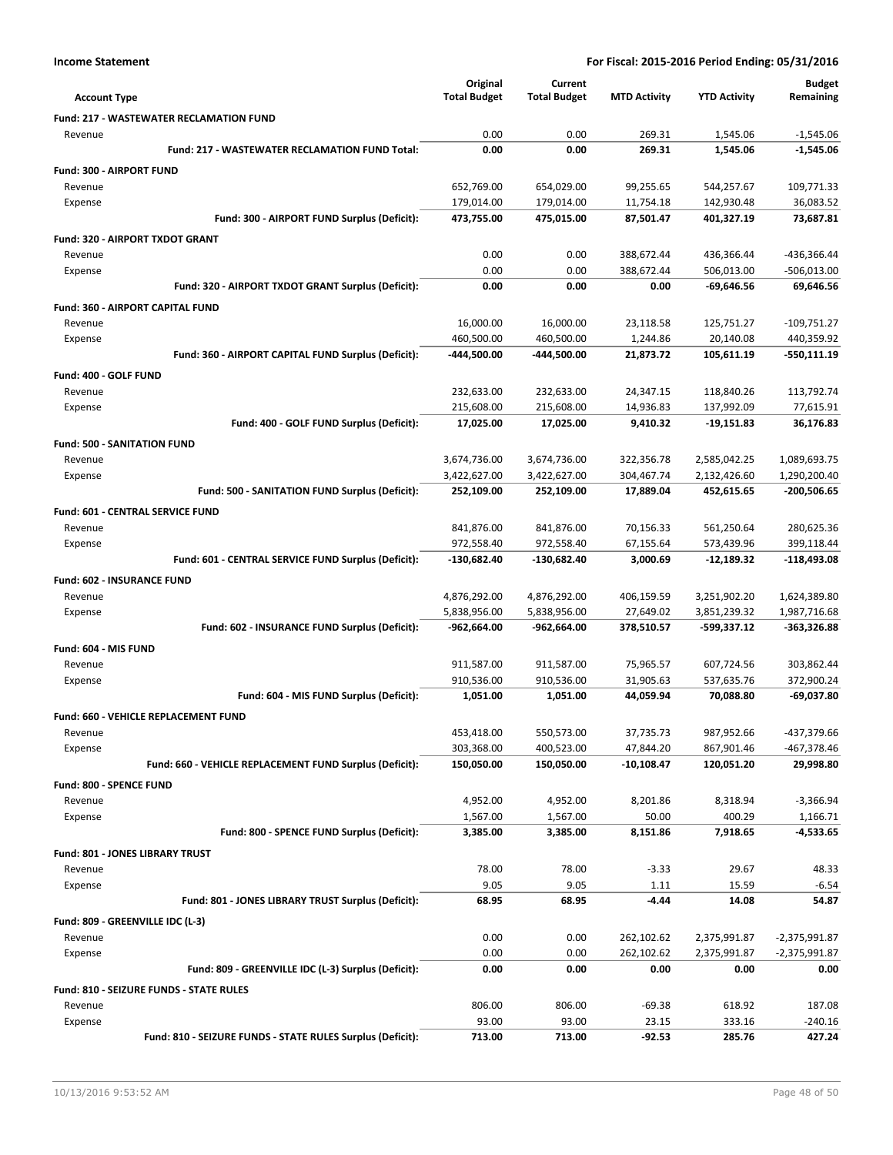|                                                            | Original            | Current             |                     |                     | <b>Budget</b> |
|------------------------------------------------------------|---------------------|---------------------|---------------------|---------------------|---------------|
| <b>Account Type</b>                                        | <b>Total Budget</b> | <b>Total Budget</b> | <b>MTD Activity</b> | <b>YTD Activity</b> | Remaining     |
| <b>Fund: 217 - WASTEWATER RECLAMATION FUND</b>             |                     |                     |                     |                     |               |
| Revenue                                                    | 0.00                | 0.00                | 269.31              | 1,545.06            | $-1,545.06$   |
| Fund: 217 - WASTEWATER RECLAMATION FUND Total:             | 0.00                | 0.00                | 269.31              | 1,545.06            | $-1,545.06$   |
| Fund: 300 - AIRPORT FUND                                   |                     |                     |                     |                     |               |
| Revenue                                                    | 652,769.00          | 654,029.00          | 99,255.65           | 544,257.67          | 109,771.33    |
| Expense                                                    | 179,014.00          | 179,014.00          | 11,754.18           | 142,930.48          | 36,083.52     |
| Fund: 300 - AIRPORT FUND Surplus (Deficit):                | 473,755.00          | 475,015.00          | 87,501.47           | 401,327.19          | 73,687.81     |
| Fund: 320 - AIRPORT TXDOT GRANT                            |                     |                     |                     |                     |               |
| Revenue                                                    | 0.00                | 0.00                | 388,672.44          | 436,366.44          | -436,366.44   |
| Expense                                                    | 0.00                | 0.00                | 388,672.44          | 506,013.00          | $-506,013.00$ |
| Fund: 320 - AIRPORT TXDOT GRANT Surplus (Deficit):         | 0.00                | 0.00                | 0.00                | -69,646.56          | 69,646.56     |
| Fund: 360 - AIRPORT CAPITAL FUND                           |                     |                     |                     |                     |               |
| Revenue                                                    | 16,000.00           | 16,000.00           | 23,118.58           | 125,751.27          | $-109,751.27$ |
| Expense                                                    | 460,500.00          | 460,500.00          | 1,244.86            | 20,140.08           | 440,359.92    |
| Fund: 360 - AIRPORT CAPITAL FUND Surplus (Deficit):        | -444,500.00         | -444,500.00         | 21,873.72           | 105,611.19          | $-550,111.19$ |
| Fund: 400 - GOLF FUND                                      |                     |                     |                     |                     |               |
| Revenue                                                    | 232,633.00          | 232,633.00          | 24,347.15           | 118,840.26          | 113,792.74    |
| Expense                                                    | 215,608.00          | 215,608.00          | 14,936.83           | 137,992.09          | 77,615.91     |
| Fund: 400 - GOLF FUND Surplus (Deficit):                   | 17,025.00           | 17,025.00           | 9,410.32            | $-19,151.83$        | 36,176.83     |
| Fund: 500 - SANITATION FUND                                |                     |                     |                     |                     |               |
| Revenue                                                    | 3,674,736.00        | 3,674,736.00        | 322,356.78          | 2,585,042.25        | 1,089,693.75  |
| Expense                                                    | 3,422,627.00        | 3,422,627.00        | 304,467.74          | 2,132,426.60        | 1,290,200.40  |
| Fund: 500 - SANITATION FUND Surplus (Deficit):             | 252,109.00          | 252,109.00          | 17,889.04           | 452,615.65          | -200,506.65   |
| <b>Fund: 601 - CENTRAL SERVICE FUND</b>                    |                     |                     |                     |                     |               |
| Revenue                                                    | 841,876.00          | 841,876.00          | 70,156.33           | 561,250.64          | 280,625.36    |
| Expense                                                    | 972,558.40          | 972,558.40          | 67,155.64           | 573,439.96          | 399,118.44    |
| Fund: 601 - CENTRAL SERVICE FUND Surplus (Deficit):        | $-130,682.40$       | -130,682.40         | 3,000.69            | -12,189.32          | $-118,493.08$ |
| Fund: 602 - INSURANCE FUND                                 |                     |                     |                     |                     |               |
| Revenue                                                    | 4,876,292.00        | 4,876,292.00        | 406,159.59          | 3,251,902.20        | 1,624,389.80  |
| Expense                                                    | 5,838,956.00        | 5,838,956.00        | 27,649.02           | 3,851,239.32        | 1,987,716.68  |
| Fund: 602 - INSURANCE FUND Surplus (Deficit):              | $-962,664.00$       | $-962,664.00$       | 378,510.57          | -599,337.12         | $-363,326.88$ |
| Fund: 604 - MIS FUND                                       |                     |                     |                     |                     |               |
| Revenue                                                    | 911,587.00          | 911,587.00          | 75,965.57           | 607,724.56          | 303,862.44    |
| Expense                                                    | 910,536.00          | 910,536.00          | 31,905.63           | 537,635.76          | 372,900.24    |
| Fund: 604 - MIS FUND Surplus (Deficit):                    | 1,051.00            | 1,051.00            | 44,059.94           | 70,088.80           | -69,037.80    |
| <b>Fund: 660 - VEHICLE REPLACEMENT FUND</b>                |                     |                     |                     |                     |               |
| Revenue                                                    | 453,418.00          | 550,573.00          | 37,735.73           | 987,952.66          | -437,379.66   |
| Expense                                                    | 303,368.00          | 400,523.00          | 47,844.20           | 867,901.46          | -467,378.46   |
| Fund: 660 - VEHICLE REPLACEMENT FUND Surplus (Deficit):    | 150,050.00          | 150,050.00          | $-10,108.47$        | 120,051.20          | 29,998.80     |
| Fund: 800 - SPENCE FUND                                    |                     |                     |                     |                     |               |
| Revenue                                                    | 4,952.00            | 4,952.00            | 8,201.86            | 8,318.94            | $-3,366.94$   |
| Expense                                                    | 1,567.00            | 1,567.00            | 50.00               | 400.29              | 1,166.71      |
| Fund: 800 - SPENCE FUND Surplus (Deficit):                 | 3,385.00            | 3,385.00            | 8,151.86            | 7,918.65            | -4,533.65     |
| <b>Fund: 801 - JONES LIBRARY TRUST</b>                     |                     |                     |                     |                     |               |
| Revenue                                                    | 78.00               | 78.00               | $-3.33$             | 29.67               | 48.33         |
| Expense                                                    | 9.05                | 9.05                | 1.11                | 15.59               | $-6.54$       |
| Fund: 801 - JONES LIBRARY TRUST Surplus (Deficit):         | 68.95               | 68.95               | $-4.44$             | 14.08               | 54.87         |
| Fund: 809 - GREENVILLE IDC (L-3)                           |                     |                     |                     |                     |               |
| Revenue                                                    | 0.00                | 0.00                | 262,102.62          | 2,375,991.87        | -2,375,991.87 |
| Expense                                                    | 0.00                | 0.00                | 262,102.62          | 2,375,991.87        | -2,375,991.87 |
| Fund: 809 - GREENVILLE IDC (L-3) Surplus (Deficit):        | 0.00                | 0.00                | 0.00                | 0.00                | 0.00          |
| Fund: 810 - SEIZURE FUNDS - STATE RULES                    |                     |                     |                     |                     |               |
| Revenue                                                    | 806.00              | 806.00              | $-69.38$            | 618.92              | 187.08        |
| Expense                                                    | 93.00               | 93.00               | 23.15               | 333.16              | $-240.16$     |
| Fund: 810 - SEIZURE FUNDS - STATE RULES Surplus (Deficit): | 713.00              | 713.00              | -92.53              | 285.76              | 427.24        |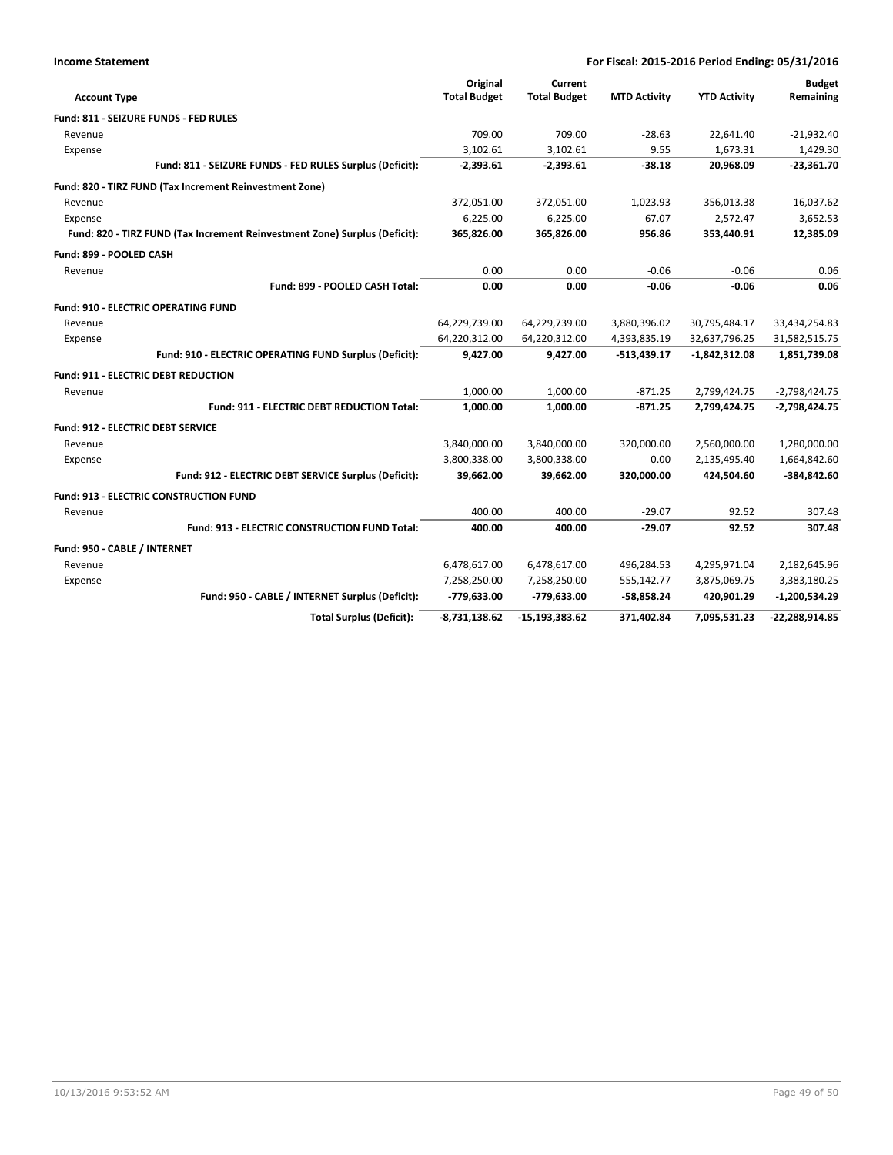| <b>Income Statement</b>                                                    | For Fiscal: 2015-2016 Period Ending: 05/31/2016 |                                |                     |                     |                            |
|----------------------------------------------------------------------------|-------------------------------------------------|--------------------------------|---------------------|---------------------|----------------------------|
| <b>Account Type</b>                                                        | Original<br><b>Total Budget</b>                 | Current<br><b>Total Budget</b> | <b>MTD Activity</b> | <b>YTD Activity</b> | <b>Budget</b><br>Remaining |
| Fund: 811 - SEIZURE FUNDS - FED RULES                                      |                                                 |                                |                     |                     |                            |
| Revenue                                                                    | 709.00                                          | 709.00                         | $-28.63$            | 22,641.40           | $-21,932.40$               |
| Expense                                                                    | 3,102.61                                        | 3,102.61                       | 9.55                | 1,673.31            | 1,429.30                   |
| Fund: 811 - SEIZURE FUNDS - FED RULES Surplus (Deficit):                   | $-2,393.61$                                     | $-2,393.61$                    | $-38.18$            | 20,968.09           | $-23,361.70$               |
| Fund: 820 - TIRZ FUND (Tax Increment Reinvestment Zone)                    |                                                 |                                |                     |                     |                            |
| Revenue                                                                    | 372,051.00                                      | 372,051.00                     | 1,023.93            | 356,013.38          | 16,037.62                  |
| Expense                                                                    | 6,225.00                                        | 6.225.00                       | 67.07               | 2.572.47            | 3,652.53                   |
| Fund: 820 - TIRZ FUND (Tax Increment Reinvestment Zone) Surplus (Deficit): | 365,826.00                                      | 365,826.00                     | 956.86              | 353,440.91          | 12,385.09                  |
| Fund: 899 - POOLED CASH                                                    |                                                 |                                |                     |                     |                            |
| Revenue                                                                    | 0.00                                            | 0.00                           | $-0.06$             | $-0.06$             | 0.06                       |
| Fund: 899 - POOLED CASH Total:                                             | 0.00                                            | 0.00                           | $-0.06$             | $-0.06$             | 0.06                       |
| Fund: 910 - ELECTRIC OPERATING FUND                                        |                                                 |                                |                     |                     |                            |
| Revenue                                                                    | 64,229,739.00                                   | 64,229,739.00                  | 3,880,396.02        | 30,795,484.17       | 33,434,254.83              |
| Expense                                                                    | 64,220,312.00                                   | 64,220,312.00                  | 4,393,835.19        | 32,637,796.25       | 31,582,515.75              |
| Fund: 910 - ELECTRIC OPERATING FUND Surplus (Deficit):                     | 9,427.00                                        | 9,427.00                       | $-513,439.17$       | $-1,842,312.08$     | 1,851,739.08               |
| Fund: 911 - ELECTRIC DEBT REDUCTION                                        |                                                 |                                |                     |                     |                            |
| Revenue                                                                    | 1,000.00                                        | 1,000.00                       | $-871.25$           | 2,799,424.75        | $-2,798,424.75$            |
| <b>Fund: 911 - ELECTRIC DEBT REDUCTION Total:</b>                          | 1,000.00                                        | 1,000.00                       | $-871.25$           | 2,799,424.75        | $-2,798,424.75$            |
| <b>Fund: 912 - ELECTRIC DEBT SERVICE</b>                                   |                                                 |                                |                     |                     |                            |
| Revenue                                                                    | 3,840,000.00                                    | 3,840,000.00                   | 320,000.00          | 2,560,000.00        | 1,280,000.00               |
| Expense                                                                    | 3,800,338.00                                    | 3,800,338.00                   | 0.00                | 2,135,495.40        | 1,664,842.60               |
| Fund: 912 - ELECTRIC DEBT SERVICE Surplus (Deficit):                       | 39,662.00                                       | 39,662.00                      | 320,000.00          | 424,504.60          | -384,842.60                |
| <b>Fund: 913 - ELECTRIC CONSTRUCTION FUND</b>                              |                                                 |                                |                     |                     |                            |
| Revenue                                                                    | 400.00                                          | 400.00                         | $-29.07$            | 92.52               | 307.48                     |
| Fund: 913 - ELECTRIC CONSTRUCTION FUND Total:                              | 400.00                                          | 400.00                         | $-29.07$            | 92.52               | 307.48                     |
| Fund: 950 - CABLE / INTERNET                                               |                                                 |                                |                     |                     |                            |
| Revenue                                                                    | 6,478,617.00                                    | 6,478,617.00                   | 496,284.53          | 4,295,971.04        | 2,182,645.96               |
| Expense                                                                    | 7,258,250.00                                    | 7,258,250.00                   | 555,142.77          | 3,875,069.75        | 3,383,180.25               |
| Fund: 950 - CABLE / INTERNET Surplus (Deficit):                            | -779,633.00                                     | -779,633.00                    | $-58,858.24$        | 420,901.29          | $-1,200,534.29$            |
| <b>Total Surplus (Deficit):</b>                                            | $-8,731,138.62$                                 | $-15, 193, 383.62$             | 371,402.84          | 7,095,531.23        | -22,288,914.85             |